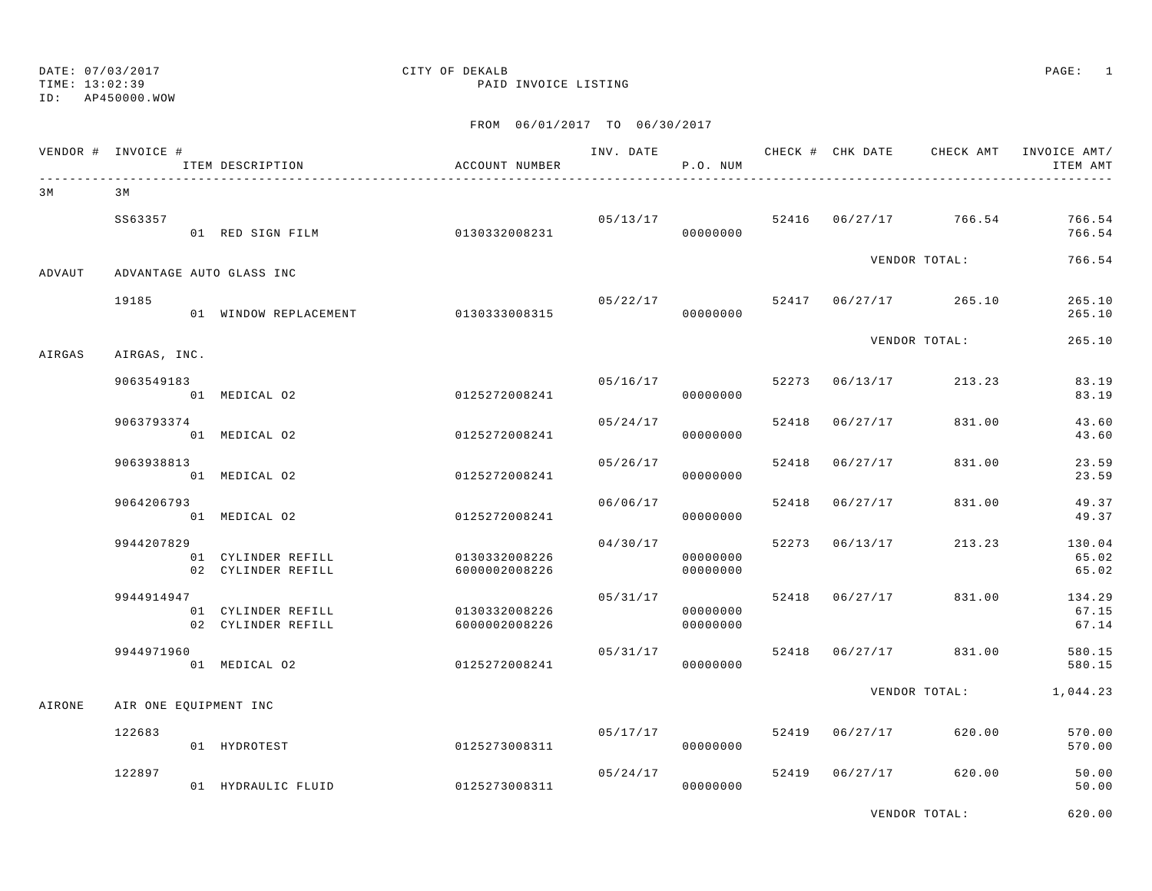TIME: 13:02:39 PAID INVOICE LISTING

ID: AP450000.WOW

### FROM 06/01/2017 TO 06/30/2017

|        | VENDOR # INVOICE # | ITEM DESCRIPTION                         | ACCOUNT NUMBER                 |          | P.O. NUM             |                | INV. DATE 6 CHECK # CHK DATE CHECK AMT INVOICE AMT/ | ITEM AMT                 |
|--------|--------------------|------------------------------------------|--------------------------------|----------|----------------------|----------------|-----------------------------------------------------|--------------------------|
| 3 M    | 3 M                |                                          |                                |          |                      |                |                                                     |                          |
|        | SS63357            | 01 RED SIGN FILM 0130332008231           |                                |          | 00000000             |                | 05/13/17 52416 06/27/17 766.54                      | 766.54<br>766.54         |
| ADVAUT |                    | ADVANTAGE AUTO GLASS INC                 |                                |          |                      |                | VENDOR TOTAL:                                       | 766.54                   |
|        | 19185              | 01 WINDOW REPLACEMENT 0130333008315      |                                |          | 00000000             |                | $05/22/17$ 52417 06/27/17 265.10                    | 265.10<br>265.10         |
| AIRGAS | AIRGAS, INC.       |                                          |                                |          |                      |                | VENDOR TOTAL:                                       | 265.10                   |
|        | 9063549183         | 01 MEDICAL 02                            | 0125272008241                  |          | 00000000             |                | $05/16/17$ 52273 06/13/17 213.23                    | 83.19<br>83.19           |
|        | 9063793374         | 01 MEDICAL 02                            | 0125272008241                  |          | 05/24/17<br>00000000 | 52418 06/27/17 | 831.00                                              | 43.60<br>43.60           |
|        | 9063938813         | 01 MEDICAL 02                            | 0125272008241                  | 05/26/17 | 00000000             | 52418 06/27/17 | 831.00                                              | 23.59<br>23.59           |
|        | 9064206793         | 01 MEDICAL 02                            | 0125272008241                  | 06/06/17 | 00000000             | 52418 06/27/17 | 831.00                                              | 49.37<br>49.37           |
|        | 9944207829         | 01 CYLINDER REFILL<br>02 CYLINDER REFILL | 0130332008226<br>6000002008226 | 04/30/17 | 00000000<br>00000000 | 52273 06/13/17 | 213.23                                              | 130.04<br>65.02<br>65.02 |
|        | 9944914947         | 01 CYLINDER REFILL<br>02 CYLINDER REFILL | 0130332008226<br>6000002008226 | 05/31/17 | 00000000<br>00000000 |                | 52418 06/27/17 831.00                               | 134.29<br>67.15<br>67.14 |
|        | 9944971960         | 01 MEDICAL 02                            | 0125272008241                  | 05/31/17 | 00000000             |                | 52418 06/27/17 831.00                               | 580.15<br>580.15         |
| AIRONE |                    | AIR ONE EQUIPMENT INC                    |                                |          |                      |                | VENDOR TOTAL:                                       | 1,044.23                 |
|        | 122683             | 01 HYDROTEST                             | 0125273008311                  |          | 00000000             |                | $05/17/17$ 52419 $06/27/17$ 620.00                  | 570.00<br>570.00         |
|        | 122897             | 01 HYDRAULIC FLUID                       | 0125273008311                  | 05/24/17 | 00000000             |                | 52419 06/27/17 620.00                               | 50.00<br>50.00           |

VENDOR TOTAL: 620.00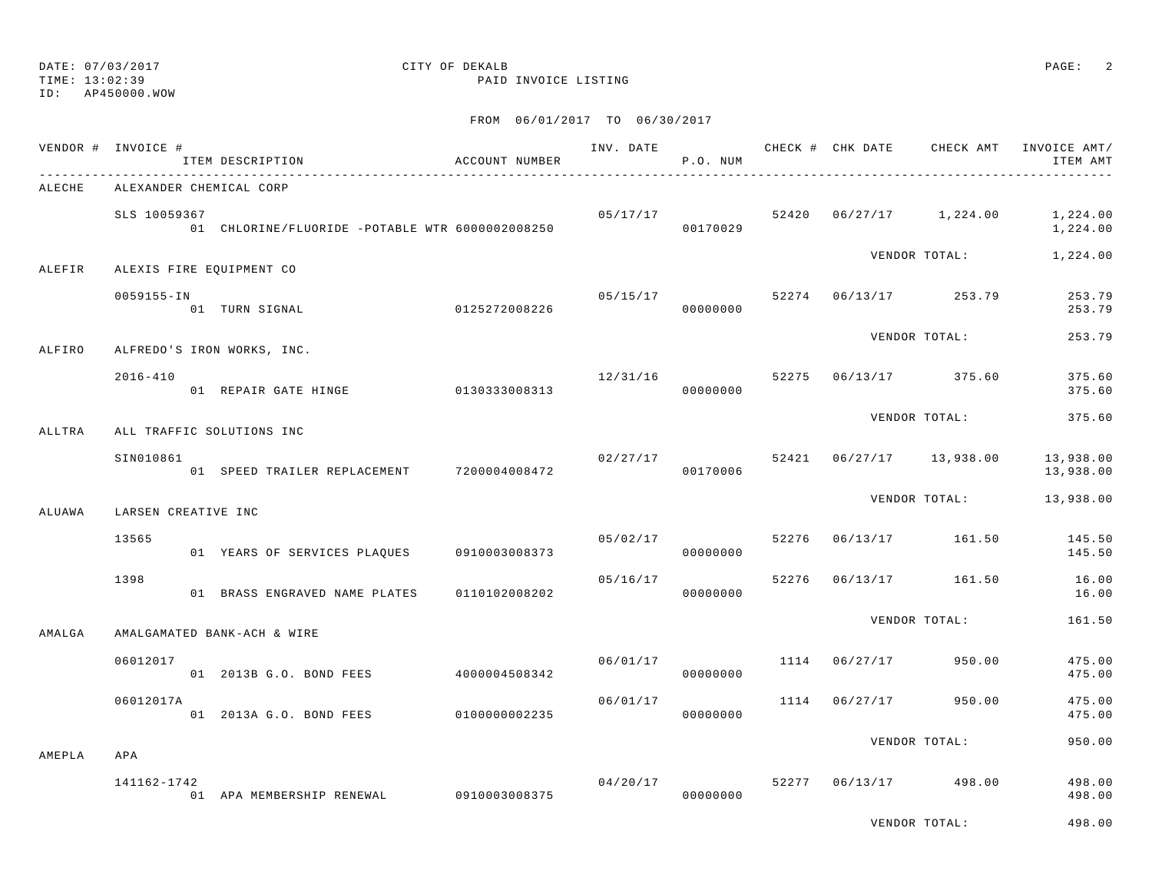TIME: 13:02:39 PAID INVOICE LISTING

ID: AP450000.WOW

|        | VENDOR # INVOICE #       | ITEM DESCRIPTION                                | ACCOUNT NUMBER | INV. DATE | P.O. NUM                     |       |               | CHECK # CHK DATE CHECK AMT | INVOICE AMT/<br>ITEM AMT |
|--------|--------------------------|-------------------------------------------------|----------------|-----------|------------------------------|-------|---------------|----------------------------|--------------------------|
| ALECHE | ALEXANDER CHEMICAL CORP  |                                                 |                |           |                              |       |               |                            |                          |
|        | SLS 10059367             | 01 CHLORINE/FLUORIDE -POTABLE WTR 6000002008250 |                |           | 05/17/17<br>00170029         |       |               | 52420  06/27/17  1,224.00  | 1,224.00<br>1,224.00     |
| ALEFIR | ALEXIS FIRE EQUIPMENT CO |                                                 |                |           |                              |       |               | VENDOR TOTAL:              | 1,224.00                 |
|        | 0059155-IN               | 01 TURN SIGNAL                                  | 0125272008226  | 05/15/17  | 00000000                     |       |               | 52274 06/13/17 253.79      | 253.79<br>253.79         |
| ALFIRO |                          | ALFREDO'S IRON WORKS, INC.                      |                |           |                              |       |               | VENDOR TOTAL:              | 253.79                   |
|        | $2016 - 410$             | 01 REPAIR GATE HINGE 0130333008313              |                | 12/31/16  | 00000000                     |       |               | 52275 06/13/17 375.60      | 375.60<br>375.60         |
| ALLTRA |                          | ALL TRAFFIC SOLUTIONS INC                       |                |           |                              |       |               | VENDOR TOTAL:              | 375.60                   |
|        | SIN010861                | 01 SPEED TRAILER REPLACEMENT 7200004008472      |                |           | $02/27/17$ 52421<br>00170006 |       |               | $06/27/17$ 13,938.00       | 13,938.00<br>13,938.00   |
| ALUAWA | LARSEN CREATIVE INC      |                                                 |                |           |                              |       |               | VENDOR TOTAL:              | 13,938.00                |
|        | 13565                    | 01 YEARS OF SERVICES PLAOUES 0910003008373      |                | 05/02/17  | 00000000                     | 52276 | 06/13/17      | 161.50                     | 145.50<br>145.50         |
|        | 1398                     | 01 BRASS ENGRAVED NAME PLATES                   | 0110102008202  | 05/16/17  | 00000000                     | 52276 | 06/13/17      | 161.50                     | 16.00<br>16.00           |
| AMALGA |                          | AMALGAMATED BANK-ACH & WIRE                     |                |           |                              |       |               | VENDOR TOTAL:              | 161.50                   |
|        | 06012017                 | 01 2013B G.O. BOND FEES                         | 4000004508342  |           | 06/01/17<br>00000000         | 1114  | 06/27/17      | 950.00                     | 475.00<br>475.00         |
|        | 06012017A                | 01 2013A G.O. BOND FEES                         | 0100000002235  | 06/01/17  | 00000000                     |       | 1114 06/27/17 | 950.00                     | 475.00<br>475.00         |
| AMEPLA | APA                      |                                                 |                |           |                              |       |               | VENDOR TOTAL:              | 950.00                   |
|        | 141162-1742              | 01 APA MEMBERSHIP RENEWAL                       | 0910003008375  | 04/20/17  | 00000000                     | 52277 |               | 06/13/17 498.00            | 498.00<br>498.00         |
|        |                          |                                                 |                |           |                              |       |               | VENDOR TOTAL:              | 498.00                   |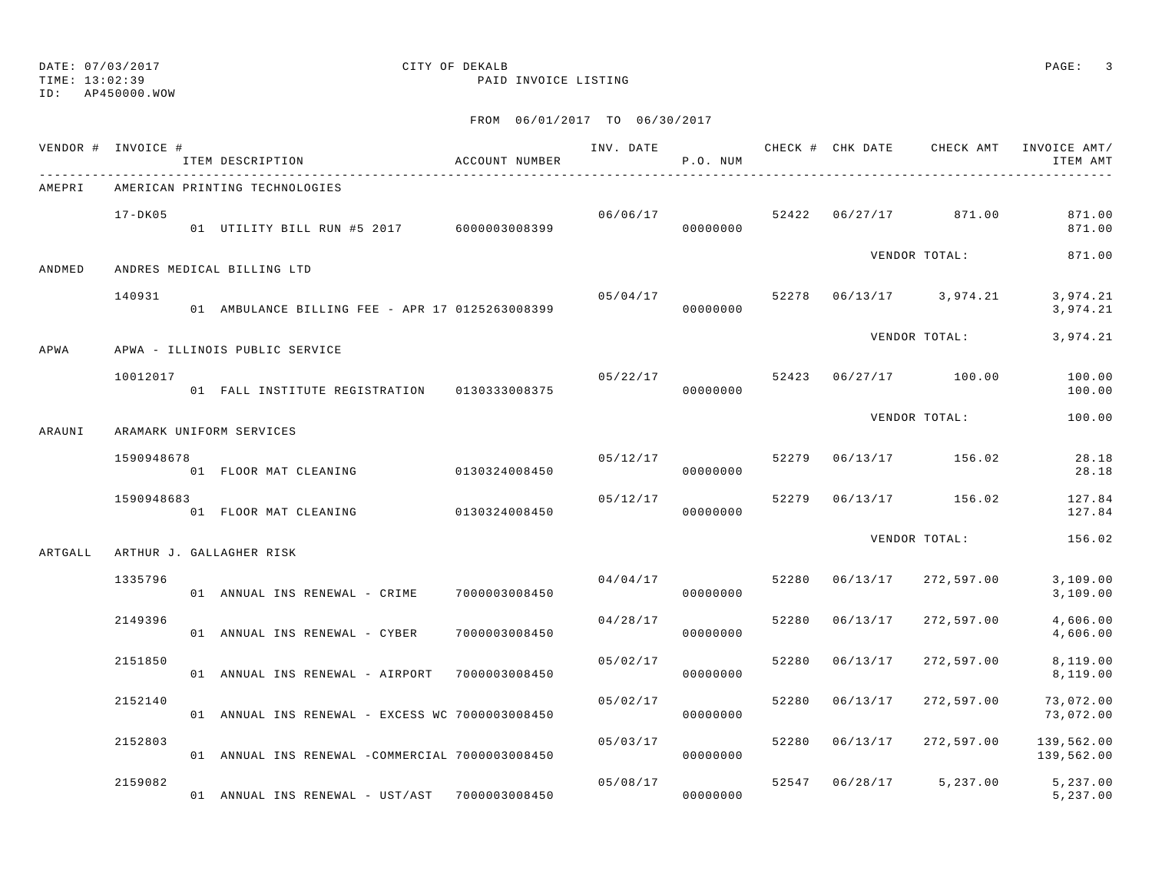TIME: 13:02:39 PAID INVOICE LISTING

ID: AP450000.WOW

|         | VENDOR # INVOICE # | ITEM DESCRIPTION                                | ACCOUNT NUMBER | INV. DATE | P.O. NUM |       |          |                                        | CHECK # CHK DATE CHECK AMT INVOICE AMT/<br>ITEM AMT |
|---------|--------------------|-------------------------------------------------|----------------|-----------|----------|-------|----------|----------------------------------------|-----------------------------------------------------|
| AMEPRI  |                    | AMERICAN PRINTING TECHNOLOGIES                  |                |           |          |       |          |                                        |                                                     |
|         | $17 - DK05$        | 01 UTILITY BILL RUN #5 2017 6000003008399       |                | 06/06/17  | 00000000 |       |          | 52422 06/27/17 871.00                  | 871.00<br>871.00                                    |
| ANDMED  |                    | ANDRES MEDICAL BILLING LTD                      |                |           |          |       |          | VENDOR TOTAL:                          | 871.00                                              |
|         | 140931             | 01 AMBULANCE BILLING FEE - APR 17 0125263008399 |                | 05/04/17  | 00000000 |       |          | 52278  06/13/17  3,974.21              | 3,974.21<br>3,974.21                                |
| APWA    |                    | APWA - ILLINOIS PUBLIC SERVICE                  |                |           |          |       |          | VENDOR TOTAL:                          | 3,974.21                                            |
|         | 10012017           | 01 FALL INSTITUTE REGISTRATION 0130333008375    |                |           | 00000000 |       |          | $05/22/17$ $52423$ $06/27/17$ $100.00$ | 100.00<br>100.00                                    |
| ARAUNI  |                    | ARAMARK UNIFORM SERVICES                        |                |           |          |       |          | VENDOR TOTAL:                          | 100.00                                              |
|         | 1590948678         | 01 FLOOR MAT CLEANING                           | 0130324008450  | 05/12/17  | 00000000 | 52279 |          | 06/13/17 156.02                        | 28.18<br>28.18                                      |
|         | 1590948683         | 01 FLOOR MAT CLEANING                           | 0130324008450  | 05/12/17  | 00000000 | 52279 |          | $06/13/17$ 156.02                      | 127.84<br>127.84                                    |
| ARTGALL |                    | ARTHUR J. GALLAGHER RISK                        |                |           |          |       |          | VENDOR TOTAL:                          | 156.02                                              |
|         | 1335796            | 01 ANNUAL INS RENEWAL - CRIME 7000003008450     |                | 04/04/17  | 00000000 | 52280 | 06/13/17 | 272,597.00                             | 3,109.00<br>3,109.00                                |
|         | 2149396            | 01 ANNUAL INS RENEWAL - CYBER                   | 7000003008450  | 04/28/17  | 00000000 | 52280 | 06/13/17 | 272,597.00                             | 4,606.00<br>4,606.00                                |
|         | 2151850            | 01 ANNUAL INS RENEWAL - AIRPORT 7000003008450   |                | 05/02/17  | 00000000 | 52280 | 06/13/17 | 272,597.00                             | 8,119.00<br>8,119.00                                |
|         | 2152140            | 01 ANNUAL INS RENEWAL - EXCESS WC 7000003008450 |                | 05/02/17  | 00000000 | 52280 | 06/13/17 | 272,597.00                             | 73,072.00<br>73,072.00                              |
|         | 2152803            | 01 ANNUAL INS RENEWAL -COMMERCIAL 7000003008450 |                | 05/03/17  | 00000000 | 52280 | 06/13/17 | 272,597.00                             | 139,562.00<br>139,562.00                            |
|         | 2159082            | 01 ANNUAL INS RENEWAL - UST/AST 7000003008450   |                | 05/08/17  | 00000000 |       |          | 52547 06/28/17 5,237.00                | 5,237.00<br>5,237.00                                |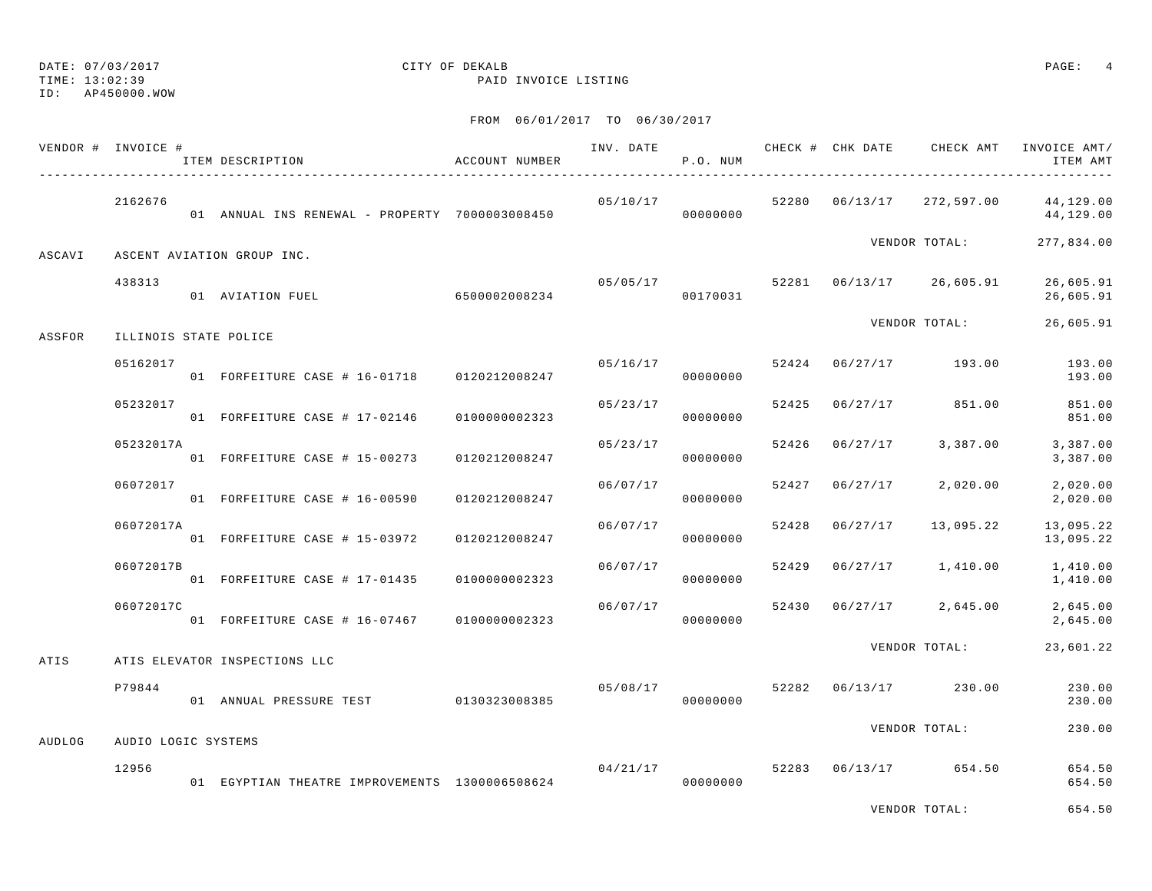## DATE: 07/03/2017 CITY OF DEKALB PAGE: 4

TIME: 13:02:39 PAID INVOICE LISTING

|        | VENDOR # INVOICE #  | ITEM DESCRIPTION                               | ACCOUNT NUMBER |          | P.O. NUM |       |                |                          | INV. DATE 6 7 200 CHECK # CHK DATE CHECK AMT INVOICE AMT/<br>ITEM AMT |
|--------|---------------------|------------------------------------------------|----------------|----------|----------|-------|----------------|--------------------------|-----------------------------------------------------------------------|
|        | 2162676             |                                                |                | 05/10/17 |          |       |                |                          | 52280  06/13/17  272,597.00  44,129.00<br>44,129.00                   |
| ASCAVI |                     | ASCENT AVIATION GROUP INC.                     |                |          |          |       |                | VENDOR TOTAL:            | 277,834.00                                                            |
|        | 438313              | 01 AVIATION FUEL 6500002008234                 |                | 05/05/17 | 00170031 |       |                | 52281 06/13/17 26,605.91 | 26,605.91<br>26,605.91                                                |
| ASSFOR |                     | ILLINOIS STATE POLICE                          |                |          |          |       |                | VENDOR TOTAL:            | 26,605.91                                                             |
|        | 05162017            | 01 FORFEITURE CASE # 16-01718 0120212008247    |                |          | 00000000 |       |                |                          | $05/16/17$ $52424$ $06/27/17$ $193.00$ $193.00$<br>193.00             |
|        | 05232017            | 01 FORFEITURE CASE # 17-02146 0100000002323    |                | 05/23/17 | 00000000 |       |                | 52425 06/27/17 851.00    | 851.00<br>851.00                                                      |
|        | 05232017A           | 01 FORFEITURE CASE # 15-00273 0120212008247    |                | 05/23/17 | 00000000 |       |                | 52426 06/27/17 3,387.00  | 3,387.00<br>3,387.00                                                  |
|        | 06072017            | 01 FORFEITURE CASE # 16-00590 0120212008247    |                | 06/07/17 | 00000000 | 52427 |                | 06/27/17 2,020.00        | 2,020.00<br>2,020.00                                                  |
|        | 06072017A           | 01 FORFEITURE CASE # 15-03972 0120212008247    |                | 06/07/17 | 00000000 |       | 52428 06/27/17 | 13,095.22                | 13,095.22<br>13,095.22                                                |
|        | 06072017B           | 01 FORFEITURE CASE # 17-01435 0100000002323    |                | 06/07/17 | 00000000 |       |                | 52429 06/27/17 1,410.00  | 1,410.00<br>1,410.00                                                  |
|        | 06072017C           | 01 FORFEITURE CASE # 16-07467 0100000002323    |                | 06/07/17 | 00000000 |       |                |                          | 52430 06/27/17 2,645.00 2,645.00<br>2,645.00                          |
| ATIS   |                     | ATIS ELEVATOR INSPECTIONS LLC                  |                |          |          |       |                | VENDOR TOTAL:            | 23,601.22                                                             |
|        | P79844              | 01 ANNUAL PRESSURE TEST 0130323008385          |                | 05/08/17 | 00000000 |       |                | 52282 06/13/17 230.00    | 230.00<br>230.00                                                      |
| AUDLOG | AUDIO LOGIC SYSTEMS |                                                |                |          |          |       |                | VENDOR TOTAL:            | 230.00                                                                |
|        | 12956               | 01 EGYPTIAN THEATRE IMPROVEMENTS 1300006508624 |                | 04/21/17 | 00000000 |       |                | 52283 06/13/17 654.50    | 654.50<br>654.50                                                      |
|        |                     |                                                |                |          |          |       |                | VENDOR TOTAL:            | 654.50                                                                |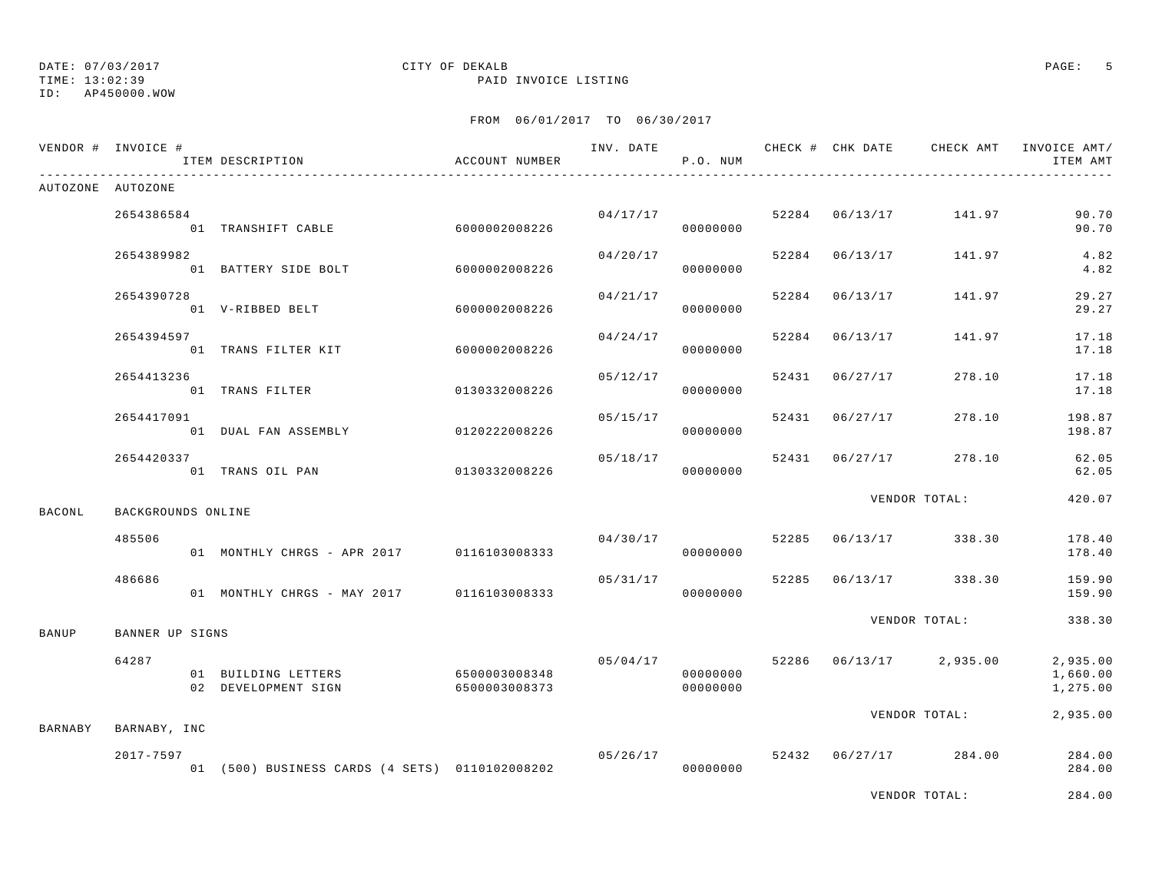TIME: 13:02:39 PAID INVOICE LISTING

ID: AP450000.WOW

|         | VENDOR # INVOICE # | ITEM DESCRIPTION                           | ACCOUNT NUMBER                 |          | P.O. NUM             |       |                | INV. DATE 6 CHECK # CHK DATE CHECK AMT INVOICE AMT/ | ITEM AMT                           |
|---------|--------------------|--------------------------------------------|--------------------------------|----------|----------------------|-------|----------------|-----------------------------------------------------|------------------------------------|
|         | AUTOZONE AUTOZONE  |                                            |                                |          |                      |       |                |                                                     |                                    |
|         | 2654386584         | 01 TRANSHIFT CABLE                         | 60000002008226                 | 04/17/17 | 00000000             |       |                | 52284 06/13/17 141.97                               | 90.70<br>90.70                     |
|         | 2654389982         | 01 BATTERY SIDE BOLT                       | 6000002008226                  | 04/20/17 | 00000000             |       |                | 52284 06/13/17 141.97                               | 4.82<br>4.82                       |
|         | 2654390728         | 01 V-RIBBED BELT                           | 6000002008226                  | 04/21/17 | 00000000             |       | 52284 06/13/17 | 141.97                                              | 29.27<br>29.27                     |
|         | 2654394597         | 01 TRANS FILTER KIT                        | 6000002008226                  |          | 04/24/17<br>00000000 | 52284 | 06/13/17       | 141.97                                              | 17.18<br>17.18                     |
|         | 2654413236         | 01 TRANS FILTER                            | 0130332008226                  | 05/12/17 | 00000000             |       | 52431 06/27/17 | 278.10                                              | 17.18<br>17.18                     |
|         | 2654417091         | 01 DUAL FAN ASSEMBLY                       | 0120222008226                  | 05/15/17 | 00000000             |       | 52431 06/27/17 | 278.10                                              | 198.87<br>198.87                   |
|         | 2654420337         | 01 TRANS OIL PAN                           | 0130332008226                  | 05/18/17 | 00000000             |       |                | 52431 06/27/17 278.10                               | 62.05<br>62.05                     |
| BACONL  | BACKGROUNDS ONLINE |                                            |                                |          |                      |       |                | VENDOR TOTAL:                                       | 420.07                             |
|         | 485506             | 01 MONTHLY CHRGS - APR 2017 0116103008333  |                                | 04/30/17 | 00000000             |       |                | 52285 06/13/17 338.30                               | 178.40<br>178.40                   |
|         | 486686             | 01 MONTHLY CHRGS - MAY 2017 0116103008333  |                                |          | 05/31/17<br>00000000 | 52285 |                | 06/13/17 338.30                                     | 159.90<br>159.90                   |
| BANUP   | BANNER UP SIGNS    |                                            |                                |          |                      |       |                | VENDOR TOTAL:                                       | 338.30                             |
|         | 64287              | 01 BUILDING LETTERS<br>02 DEVELOPMENT SIGN | 6500003008348<br>6500003008373 | 05/04/17 | 00000000<br>00000000 |       |                | 52286 06/13/17 2,935.00                             | 2,935.00<br>1,660.00<br>1,275.00   |
| BARNABY | BARNABY, INC       |                                            |                                |          |                      |       |                | VENDOR TOTAL:                                       | 2,935.00                           |
|         | 2017-7597          |                                            |                                | 05/26/17 |                      |       |                | 52432 06/27/17 284.00                               | 284.00<br>284.00                   |
|         |                    |                                            |                                |          |                      |       |                |                                                     | $\sim$ $\sim$ $\sim$ $\sim$ $\sim$ |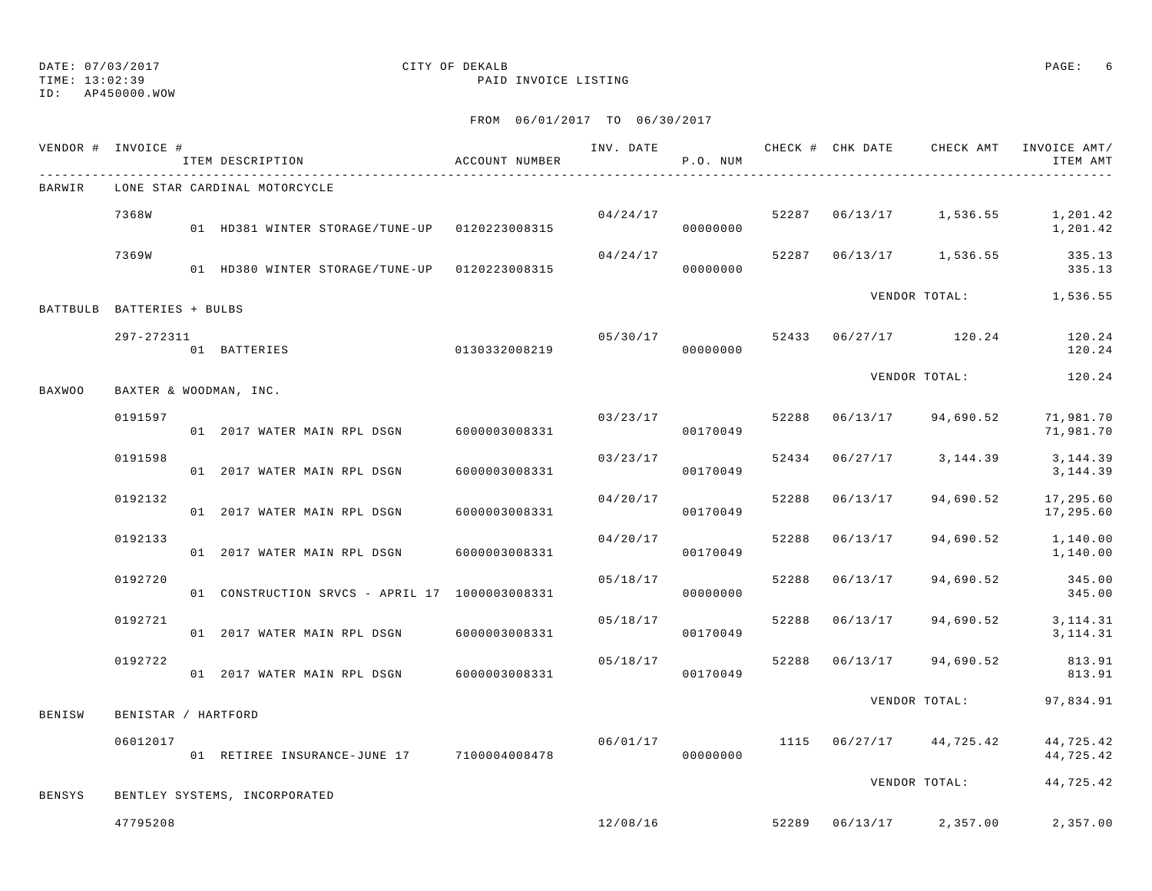TIME: 13:02:39 PAID INVOICE LISTING

ID: AP450000.WOW

|        | VENDOR # INVOICE #         | ITEM DESCRIPTION                               | ACCOUNT NUMBER |          | P.O. NUM             |       |          | INV. DATE 6 1999 CHECK # CHK DATE CHECK AMT INVOICE AMT/ | ITEM AMT               |
|--------|----------------------------|------------------------------------------------|----------------|----------|----------------------|-------|----------|----------------------------------------------------------|------------------------|
| BARWIR |                            | LONE STAR CARDINAL MOTORCYCLE                  |                |          |                      |       |          |                                                          |                        |
|        | 7368W                      | 01 HD381 WINTER STORAGE/TUNE-UP 0120223008315  |                | 04/24/17 | 00000000             |       |          | 52287 06/13/17 1,536.55                                  | 1,201.42<br>1,201.42   |
|        | 7369W                      | 01 HD380 WINTER STORAGE/TUNE-UP 0120223008315  |                | 04/24/17 | 00000000             | 52287 |          | 06/13/17 1,536.55 335.13                                 | 335.13                 |
|        | BATTBULB BATTERIES + BULBS |                                                |                |          |                      |       |          | VENDOR TOTAL: 1,536.55                                   |                        |
|        | 297-272311                 | 01 BATTERIES                                   | 0130332008219  |          | 05/30/17<br>00000000 |       |          | 52433 06/27/17 120.24                                    | 120.24<br>120.24       |
| BAXWOO |                            | BAXTER & WOODMAN, INC.                         |                |          |                      |       |          | VENDOR TOTAL:                                            | 120.24                 |
|        | 0191597                    | 01 2017 WATER MAIN RPL DSGN 6000003008331      |                | 03/23/17 | 00170049             | 52288 |          | $06/13/17$ 94,690.52                                     | 71,981.70<br>71,981.70 |
|        | 0191598                    | 01 2017 WATER MAIN RPL DSGN                    | 6000003008331  | 03/23/17 | 00170049             | 52434 |          | $06/27/17$ 3, 144.39                                     | 3,144.39<br>3, 144.39  |
|        | 0192132                    | 01 2017 WATER MAIN RPL DSGN                    | 6000003008331  | 04/20/17 | 00170049             | 52288 | 06/13/17 | 94,690.52                                                | 17,295.60<br>17,295.60 |
|        | 0192133                    | 01 2017 WATER MAIN RPL DSGN                    | 6000003008331  | 04/20/17 | 00170049             | 52288 | 06/13/17 | 94,690.52                                                | 1,140.00<br>1,140.00   |
|        | 0192720                    | 01 CONSTRUCTION SRVCS - APRIL 17 1000003008331 |                | 05/18/17 | 00000000             | 52288 | 06/13/17 | 94,690.52                                                | 345.00<br>345.00       |
|        | 0192721                    | 01  2017 WATER MAIN RPL DSGN  6000003008331    |                | 05/18/17 | 00170049             | 52288 | 06/13/17 | 94,690.52                                                | 3, 114. 31<br>3,114.31 |
|        | 0192722                    | 01  2017 WATER MAIN RPL DSGN  6000003008331    |                | 05/18/17 | 00170049             | 52288 |          | 06/13/17 94,690.52                                       | 813.91<br>813.91       |
| BENISW | BENISTAR / HARTFORD        |                                                |                |          |                      |       |          | VENDOR TOTAL:                                            | 97,834.91              |
|        | 06012017                   | 01 RETIREE INSURANCE-JUNE 17 7100004008478     |                | 06/01/17 | 00000000             |       |          | 1115 06/27/17 44,725.42                                  | 44,725.42<br>44,725.42 |
| BENSYS |                            | BENTLEY SYSTEMS, INCORPORATED                  |                |          |                      |       |          | VENDOR TOTAL:                                            | 44,725.42              |
|        | 47795208                   |                                                |                |          |                      |       |          | $12/08/16$ 52289 06/13/17 2,357.00                       | 2,357.00               |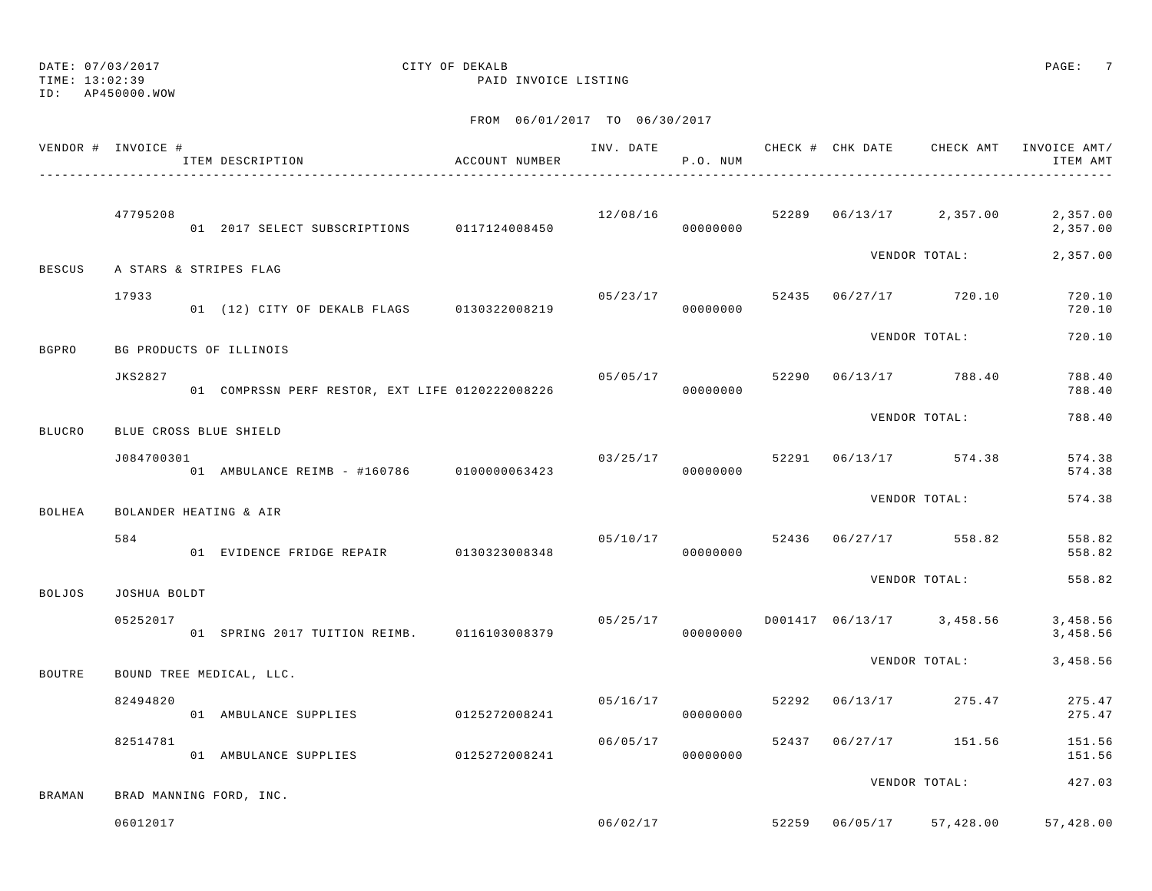TIME: 13:02:39 PAID INVOICE LISTING

ID: AP450000.WOW

|               | VENDOR # INVOICE # | ITEM DESCRIPTION                                | ACCOUNT NUMBER |                      | P.O. NUM |  |                                      | INV. DATE 6 CHECK # CHK DATE CHECK AMT INVOICE AMT/<br>ITEM AMT |
|---------------|--------------------|-------------------------------------------------|----------------|----------------------|----------|--|--------------------------------------|-----------------------------------------------------------------|
|               | 47795208           | 01  2017 SELECT SUBSCRIPTIONS   0117124008450   |                | 12/08/16<br>00000000 |          |  | 52289 06/13/17 2,357.00              | 2,357.00<br>2,357.00                                            |
| <b>BESCUS</b> |                    | A STARS & STRIPES FLAG                          |                |                      |          |  | VENDOR TOTAL:                        | 2,357.00                                                        |
|               | 17933              | 01 (12) CITY OF DEKALB FLAGS 0130322008219      |                | 05/23/17             | 00000000 |  | 52435 06/27/17 720.10                | 720.10<br>720.10                                                |
| BGPRO         |                    | BG PRODUCTS OF ILLINOIS                         |                |                      |          |  | VENDOR TOTAL:                        | 720.10                                                          |
|               | <b>JKS2827</b>     | 01 COMPRSSN PERF RESTOR, EXT LIFE 0120222008226 |                | 05/05/17             | 00000000 |  | 52290 06/13/17 788.40                | 788.40<br>788.40                                                |
| <b>BLUCRO</b> |                    | BLUE CROSS BLUE SHIELD                          |                |                      |          |  | VENDOR TOTAL:                        | 788.40                                                          |
|               | J084700301         | 01 AMBULANCE REIMB - #160786 0100000063423      |                | 03/25/17             | 00000000 |  | 52291 06/13/17 574.38                | 574.38<br>574.38                                                |
| BOLHEA        |                    | BOLANDER HEATING & AIR                          |                |                      |          |  | VENDOR TOTAL:                        | 574.38                                                          |
|               | 584                | 01 EVIDENCE FRIDGE REPAIR 0130323008348         |                | 05/10/17             | 00000000 |  | 52436 06/27/17 558.82                | 558.82<br>558.82                                                |
| <b>BOLJOS</b> | JOSHUA BOLDT       |                                                 |                |                      |          |  | VENDOR TOTAL:                        | 558.82                                                          |
|               | 05252017           | 01 SPRING 2017 TUITION REIMB. 0116103008379     |                |                      | 00000000 |  | $05/25/17$ D001417 06/13/17 3,458.56 | 3,458.56<br>3,458.56                                            |
| BOUTRE        |                    | BOUND TREE MEDICAL, LLC.                        |                |                      |          |  | VENDOR TOTAL:                        | 3,458.56                                                        |
|               | 82494820           | 01 AMBULANCE SUPPLIES                           | 0125272008241  | 05/16/17             | 00000000 |  | 52292 06/13/17 275.47                | 275.47<br>275.47                                                |
|               | 82514781           | 01 AMBULANCE SUPPLIES 0125272008241             |                | 06/05/17             | 00000000 |  | 52437 06/27/17 151.56                | 151.56<br>151.56                                                |
| BRAMAN        |                    | BRAD MANNING FORD, INC.                         |                |                      |          |  | VENDOR TOTAL:                        | 427.03                                                          |
|               | 06012017           |                                                 |                | 06/02/17             |          |  |                                      | 52259 06/05/17 57.428.00 57.428.00                              |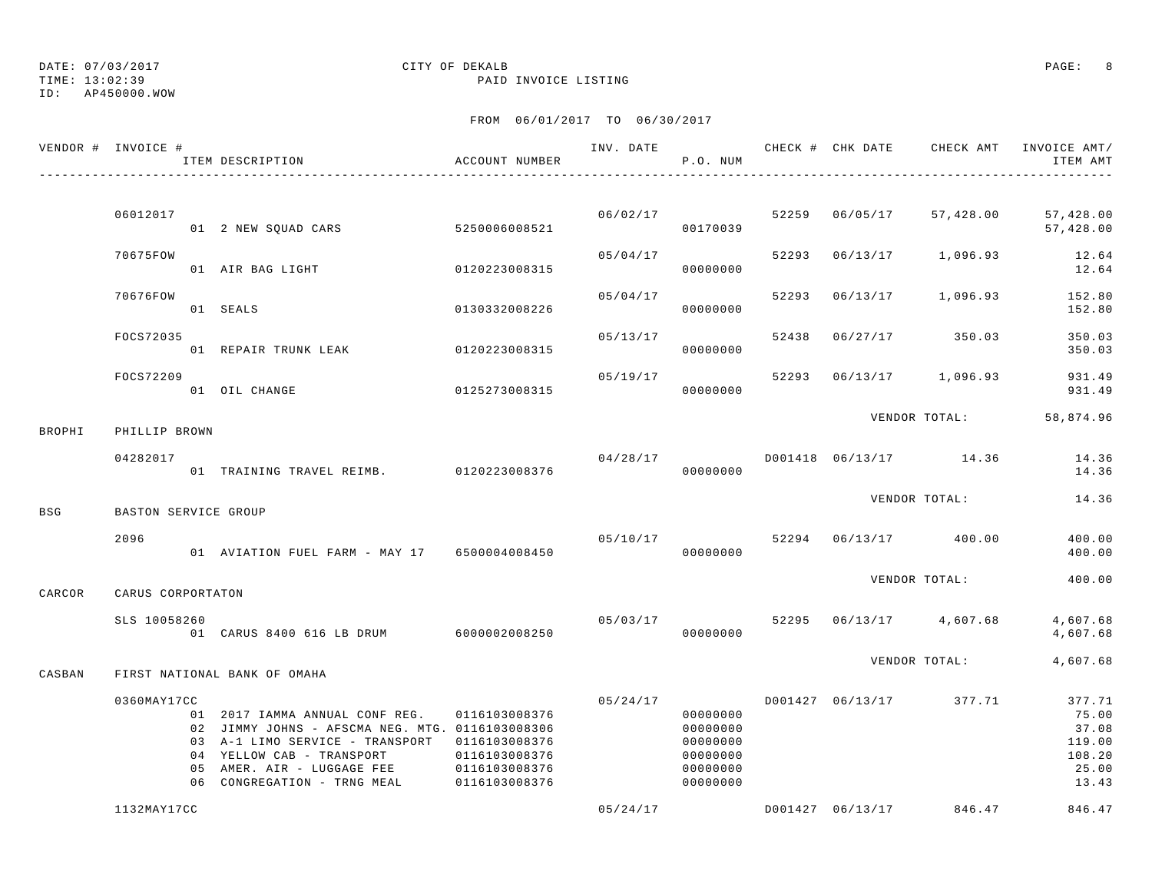TIME: 13:02:39 PAID INVOICE LISTING

ID: AP450000.WOW

|        | VENDOR # INVOICE #   | ITEM DESCRIPTION                                                                                                                                                                                               | ACCOUNT NUMBER                                                                    | INV. DATE | P.O. NUM                                                             |       |                         | CHECK # CHK DATE CHECK AMT | INVOICE AMT/<br>ITEM AMT                                       |
|--------|----------------------|----------------------------------------------------------------------------------------------------------------------------------------------------------------------------------------------------------------|-----------------------------------------------------------------------------------|-----------|----------------------------------------------------------------------|-------|-------------------------|----------------------------|----------------------------------------------------------------|
|        |                      |                                                                                                                                                                                                                |                                                                                   |           |                                                                      |       |                         |                            |                                                                |
|        | 06012017             | 01 2 NEW SQUAD CARS                                                                                                                                                                                            | 5250006008521                                                                     |           | 06/02/17<br>00170039                                                 |       | 52259 06/05/17          | 57,428.00                  | 57,428.00<br>57,428.00                                         |
|        | 70675FOW             | 01 AIR BAG LIGHT                                                                                                                                                                                               | 0120223008315                                                                     | 05/04/17  | 00000000                                                             | 52293 | 06/13/17                | 1,096.93                   | 12.64<br>12.64                                                 |
|        | 70676FOW             | 01 SEALS                                                                                                                                                                                                       | 0130332008226                                                                     | 05/04/17  | 00000000                                                             | 52293 | 06/13/17                | 1,096.93                   | 152.80<br>152.80                                               |
|        | FOCS72035            | 01 REPAIR TRUNK LEAK                                                                                                                                                                                           | 0120223008315                                                                     | 05/13/17  | 00000000                                                             | 52438 |                         | $06/27/17$ 350.03          | 350.03<br>350.03                                               |
|        | FOCS72209            | 01 OIL CHANGE                                                                                                                                                                                                  | 0125273008315                                                                     | 05/19/17  | 00000000                                                             | 52293 |                         | $06/13/17$ 1,096.93        | 931.49<br>931.49                                               |
| BROPHI | PHILLIP BROWN        |                                                                                                                                                                                                                |                                                                                   |           |                                                                      |       |                         | VENDOR TOTAL:              | 58,874.96                                                      |
|        | 04282017             | 01 TRAINING TRAVEL REIMB. 0120223008376                                                                                                                                                                        |                                                                                   | 04/28/17  | 00000000                                                             |       |                         | D001418 06/13/17 14.36     | 14.36<br>14.36                                                 |
|        |                      |                                                                                                                                                                                                                |                                                                                   |           |                                                                      |       |                         | VENDOR TOTAL:              | 14.36                                                          |
| BSG    | BASTON SERVICE GROUP |                                                                                                                                                                                                                |                                                                                   |           |                                                                      |       |                         |                            |                                                                |
|        | 2096                 | 01 AVIATION FUEL FARM - MAY 17 6500004008450                                                                                                                                                                   |                                                                                   |           | 05/10/17<br>00000000                                                 | 52294 |                         | 06/13/17 400.00            | 400.00<br>400.00                                               |
| CARCOR | CARUS CORPORTATON    |                                                                                                                                                                                                                |                                                                                   |           |                                                                      |       |                         | VENDOR TOTAL:              | 400.00                                                         |
|        | SLS 10058260         | 01 CARUS 8400 616 LB DRUM 6000002008250                                                                                                                                                                        |                                                                                   | 05/03/17  | 00000000                                                             |       | 52295 06/13/17 4,607.68 |                            | 4,607.68<br>4,607.68                                           |
| CASBAN |                      | FIRST NATIONAL BANK OF OMAHA                                                                                                                                                                                   |                                                                                   |           |                                                                      |       |                         | VENDOR TOTAL:              | 4,607.68                                                       |
|        | 0360MAY17CC          | 01 2017 IAMMA ANNUAL CONF REG.<br>02 JIMMY JOHNS - AFSCMA NEG. MTG. 0116103008306<br>03 A-1 LIMO SERVICE - TRANSPORT<br>04 YELLOW CAB - TRANSPORT<br>05 AMER. AIR - LUGGAGE FEE<br>06 CONGREGATION - TRNG MEAL | 0116103008376<br>0116103008376<br>0116103008376<br>0116103008376<br>0116103008376 | 05/24/17  | 00000000<br>00000000<br>00000000<br>00000000<br>00000000<br>00000000 |       |                         | D001427 06/13/17 377.71    | 377.71<br>75.00<br>37.08<br>119.00<br>108.20<br>25.00<br>13.43 |
|        | 1132MAY17CC          |                                                                                                                                                                                                                |                                                                                   | 05/24/17  |                                                                      |       | D001427 06/13/17        | 846.47                     | 846.47                                                         |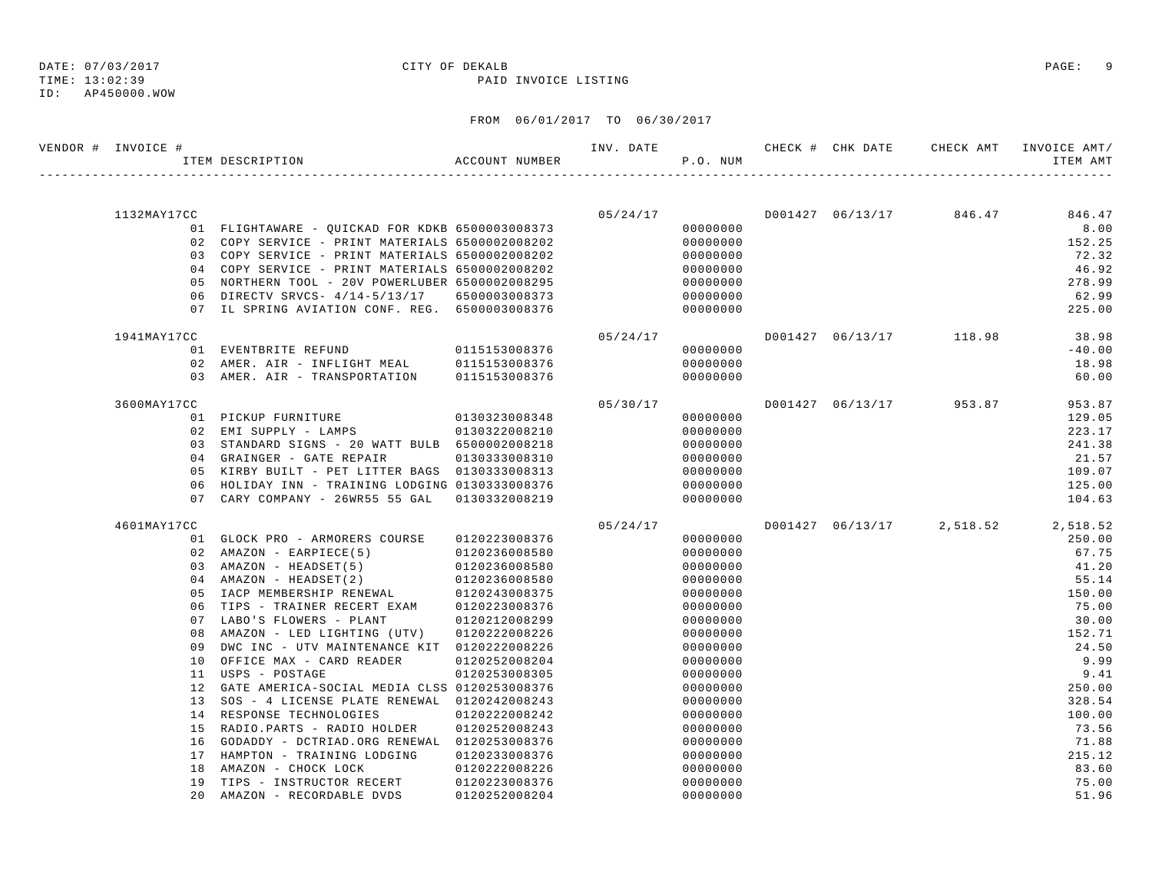## DATE: 07/03/2017 CITY OF DEKALB PAGE: 9

TIME: 13:02:39 PAID INVOICE LISTING

| VENDOR # INVOICE # | ITEM DESCRIPTION                                | ACCOUNT NUMBER                 | INV. DATE | P.O. NUM             |  |                           | ITEM AMT       |
|--------------------|-------------------------------------------------|--------------------------------|-----------|----------------------|--|---------------------------|----------------|
|                    |                                                 |                                |           |                      |  |                           |                |
| 1132MAY17CC        |                                                 |                                | 05/24/17  |                      |  | D001427 06/13/17 846.47   | 846.47         |
|                    | 01 FLIGHTAWARE - QUICKAD FOR KDKB 6500003008373 |                                |           | 00000000             |  |                           | 8.00           |
|                    | 02 COPY SERVICE - PRINT MATERIALS 6500002008202 |                                |           | 00000000             |  |                           | 152.25         |
|                    | 03 COPY SERVICE - PRINT MATERIALS 6500002008202 |                                |           | 00000000             |  |                           | 72.32          |
|                    | 04 COPY SERVICE - PRINT MATERIALS 6500002008202 |                                |           | 00000000             |  |                           | 46.92          |
|                    | 05 NORTHERN TOOL - 20V POWERLUBER 6500002008295 |                                |           | 00000000             |  |                           | 278.99         |
|                    | 06 DIRECTV SRVCS- 4/14-5/13/17 6500003008373    |                                |           | 00000000             |  |                           | 62.99          |
|                    | 07 IL SPRING AVIATION CONF. REG. 6500003008376  |                                |           | 00000000             |  |                           | 225.00         |
| 1941MAY17CC        |                                                 |                                | 05/24/17  |                      |  | D001427 06/13/17 118.98   | 38.98          |
|                    | 01 EVENTBRITE REFUND 0115153008376              |                                |           | 00000000             |  |                           | $-40.00$       |
|                    | 02 AMER. AIR - INFLIGHT MEAL                    | 0115153008376                  |           | 00000000             |  |                           | 18.98          |
|                    | 03 AMER. AIR - TRANSPORTATION                   | 0115153008376                  |           | 00000000             |  |                           | 60.00          |
| 3600MAY17CC        |                                                 |                                | 05/30/17  |                      |  | D001427 06/13/17 953.87   | 953.87         |
|                    | 01 PICKUP FURNITURE                             | 0130323008348                  |           | 00000000             |  |                           | 129.05         |
|                    | 02 EMI SUPPLY - LAMPS                           | 0130322008210                  |           | 00000000             |  |                           | 223.17         |
|                    | 03 STANDARD SIGNS - 20 WATT BULB 6500002008218  |                                |           | 00000000             |  |                           | 241.38         |
|                    | 04 GRAINGER - GATE REPAIR                       | 0130333008310                  |           | 00000000             |  |                           | 21.57          |
|                    | 05 KIRBY BUILT - PET LITTER BAGS 0130333008313  |                                |           | 00000000             |  |                           | 109.07         |
|                    | 06 HOLIDAY INN - TRAINING LODGING 0130333008376 |                                |           | 00000000             |  |                           | 125.00         |
| 0.7                | CARY COMPANY - 26WR55 55 GAL                    | 0130332008219                  |           | 00000000             |  |                           | 104.63         |
| 4601MAY17CC        |                                                 |                                | 05/24/17  |                      |  | D001427 06/13/17 2,518.52 | 2,518.52       |
|                    | 01 GLOCK PRO - ARMORERS COURSE                  | 0120223008376                  |           | 00000000             |  |                           | 250.00         |
|                    | 02 AMAZON - EARPIECE(5)                         | 0120236008580                  |           | 00000000             |  |                           | 67.75          |
|                    | 03 AMAZON - HEADSET(5)                          | 0120236008580                  |           | 00000000             |  |                           | 41.20          |
|                    | 04 AMAZON - HEADSET(2)                          | 0120236008580                  |           | 00000000             |  |                           | 55.14          |
|                    | 05 IACP MEMBERSHIP RENEWAL 0120243008375        |                                |           | 00000000             |  |                           | 150.00         |
|                    | 06 TIPS - TRAINER RECERT EXAM 0120223008376     |                                |           | 00000000             |  |                           | 75.00          |
| 07                 | LABO'S FLOWERS - PLANT                          | 0120212008299                  |           | 00000000             |  |                           | 30.00          |
| 08                 | AMAZON - LED LIGHTING (UTV)                     | 0120222008226                  |           | 00000000             |  |                           | 152.71         |
| 09                 | DWC INC - UTV MAINTENANCE KIT 0120222008226     |                                |           | 00000000             |  |                           | 24.50          |
| 10                 | OFFICE MAX - CARD READER                        | 0120252008204                  |           | 00000000             |  |                           | 9.99           |
| 11                 | USPS - POSTAGE                                  | 0120253008305                  |           | 00000000             |  |                           | 9.41           |
|                    | 12 GATE AMERICA-SOCIAL MEDIA CLSS 0120253008376 |                                |           | 00000000             |  |                           | 250.00         |
| 13                 | SOS - 4 LICENSE PLATE RENEWAL 0120242008243     |                                |           | 00000000             |  |                           | 328.54         |
|                    | 14 RESPONSE TECHNOLOGIES                        | 0120222008242                  |           | 00000000             |  |                           | 100.00         |
|                    | 15 RADIO.PARTS - RADIO HOLDER                   | 0120252008243                  |           | 00000000             |  |                           | 73.56          |
| 16                 | GODADDY - DCTRIAD.ORG RENEWAL 0120253008376     |                                |           | 00000000             |  |                           | 71.88          |
| 17                 | HAMPTON - TRAINING LODGING                      | 0120233008376                  |           | 00000000             |  |                           | 215.12         |
| 18<br>19           | AMAZON - CHOCK LOCK<br>TIPS - INSTRUCTOR RECERT | 0120222008226<br>0120223008376 |           | 00000000<br>00000000 |  |                           | 83.60<br>75.00 |
| 20                 | AMAZON - RECORDABLE DVDS                        | 0120252008204                  |           | 00000000             |  |                           | 51.96          |
|                    |                                                 |                                |           |                      |  |                           |                |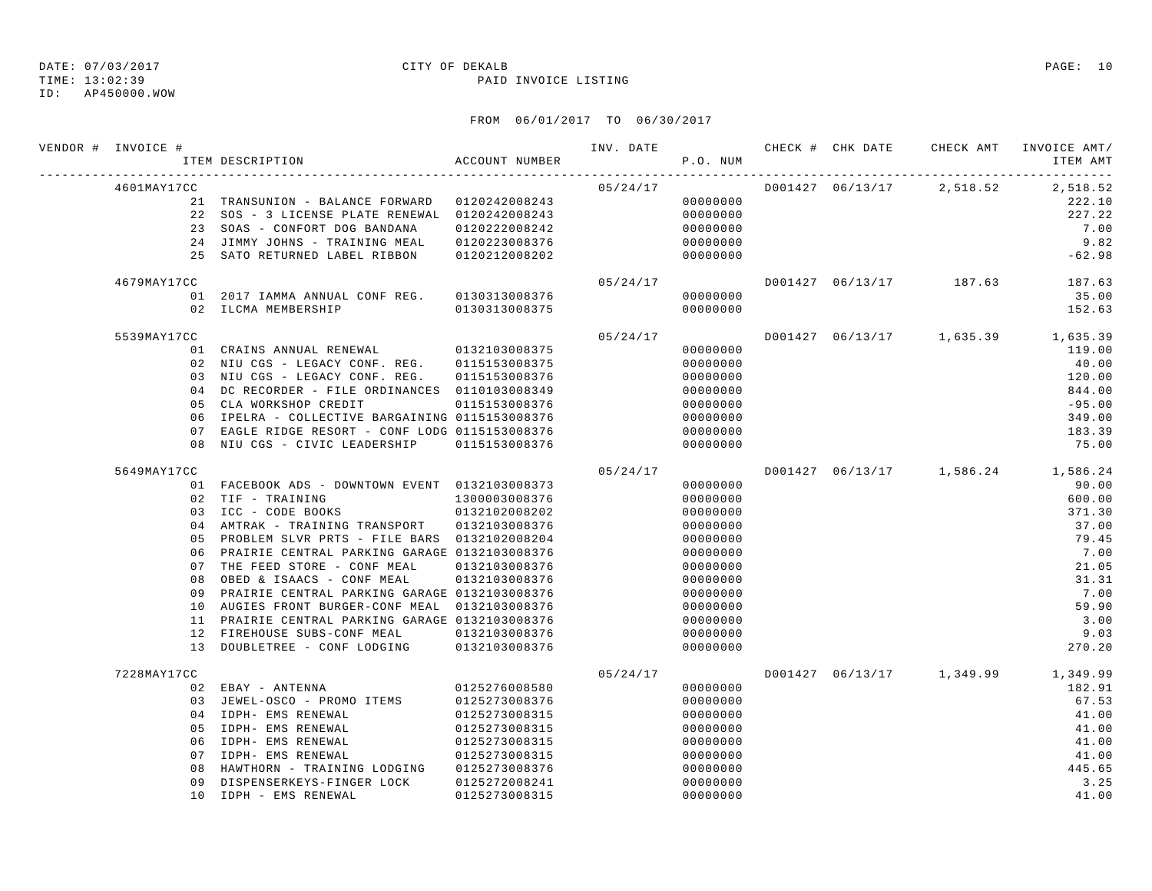TIME: 13:02:39 PAID INVOICE LISTING

ID: AP450000.WOW

| VENDOR # INVOICE # | ITEM DESCRIPTION ACCOUNT NUMBER                                                              |               |          | P.O. NUM             |  |                         | INV. DATE 6 CHECK # CHK DATE CHECK AMT INVOICE AMT/<br>ITEM AMT |
|--------------------|----------------------------------------------------------------------------------------------|---------------|----------|----------------------|--|-------------------------|-----------------------------------------------------------------|
| 4601MAY17CC        |                                                                                              |               | 05/24/17 |                      |  |                         | D001427 06/13/17 2,518.52 2,518.52                              |
|                    | 21 TRANSUNION - BALANCE FORWARD 0120242008243                                                |               |          | 00000000             |  |                         | 222.10                                                          |
|                    | 22 SOS - 3 LICENSE PLATE RENEWAL 0120242008243                                               |               |          | 00000000             |  |                         | 227.22                                                          |
|                    | 23 SOAS - CONFORT DOG BANDANA                                                                | 0120222008242 |          | 00000000             |  |                         | 7.00                                                            |
|                    | 24 JIMMY JOHNS - TRAINING MEAL 0120223008376                                                 |               |          | 00000000             |  |                         | 9.82                                                            |
|                    | 25 SATO RETURNED LABEL RIBBON                                                                | 0120212008202 |          | 00000000             |  |                         | $-62.98$                                                        |
| 4679MAY17CC        |                                                                                              |               | 05/24/17 |                      |  | D001427 06/13/17 187.63 | 187.63                                                          |
|                    | 01 2017 IAMMA ANNUAL CONF REG. 0130313008376                                                 |               |          | 00000000             |  |                         | 35.00                                                           |
|                    | 02 ILCMA MEMBERSHIP                                                                          | 0130313008375 |          | 00000000             |  |                         | 152.63                                                          |
| 5539MAY17CC        |                                                                                              |               | 05/24/17 |                      |  |                         | D001427 06/13/17 1,635.39 1,635.39                              |
|                    | 01 CRAINS ANNUAL RENEWAL 0132103008375                                                       |               |          | 00000000             |  |                         | 119.00                                                          |
|                    | 02 NIU CGS - LEGACY CONF. REG. 0115153008375                                                 |               |          | 00000000             |  |                         | 40.00                                                           |
|                    | 03 NIU CGS - LEGACY CONF. REG. 0115153008376                                                 |               |          | 00000000             |  |                         | 120.00                                                          |
|                    | 04 DC RECORDER - FILE ORDINANCES 0110103008349                                               |               |          | 00000000             |  |                         | 844.00                                                          |
|                    | 05 CLA WORKSHOP CREDIT                                                                       | 0115153008376 |          | 00000000             |  |                         | $-95.00$                                                        |
|                    | 06 IPELRA - COLLECTIVE BARGAINING 0115153008376                                              |               |          | 00000000             |  |                         | 349.00                                                          |
|                    | 07 EAGLE RIDGE RESORT - CONF LODG 0115153008376                                              |               |          | 00000000             |  |                         | 183.39                                                          |
|                    | 08 NIU CGS - CIVIC LEADERSHIP                                                                | 0115153008376 |          | 00000000             |  |                         | 75.00                                                           |
| 5649MAY17CC        |                                                                                              |               | 05/24/17 |                      |  |                         | D001427 06/13/17 1,586.24 1,586.24                              |
|                    | 01 FACEBOOK ADS - DOWNTOWN EVENT 0132103008373                                               |               |          | 00000000             |  |                         | 90.00                                                           |
|                    | 02 TIF - TRAINING                                                                            | 1300003008376 |          | 00000000             |  |                         | 600.00                                                          |
|                    | 03 ICC - CODE BOOKS                                                                          | 0132102008202 |          | 00000000             |  |                         | 371.30                                                          |
|                    | 04 AMTRAK - TRAINING TRANSPORT 0132103008376                                                 |               |          | 00000000             |  |                         | 37.00                                                           |
|                    | 05 PROBLEM SLVR PRTS - FILE BARS 0132102008204                                               |               |          | 00000000             |  |                         | 79.45                                                           |
|                    | 06 PRAIRIE CENTRAL PARKING GARAGE 0132103008376                                              |               |          | 00000000             |  |                         | 7.00                                                            |
|                    | 07 THE FEED STORE - CONF MEAL                                                                | 0132103008376 |          | 00000000             |  |                         | 21.05                                                           |
| 08<br>09           | OBED & ISAACS - CONF MEAL<br>PRAIRIE CENTRAL PARKING GARAGE 0132103008376                    | 0132103008376 |          | 00000000             |  |                         | 31.31<br>7.00                                                   |
|                    |                                                                                              |               |          | 00000000             |  |                         | 59.90                                                           |
|                    | 10 AUGIES FRONT BURGER-CONF MEAL 0132103008376                                               |               |          | 00000000             |  |                         | 3.00                                                            |
|                    | 11 PRAIRIE CENTRAL PARKING GARAGE 0132103008376<br>12 FIREHOUSE SUBS-CONF MEAL 0132103008376 |               |          | 00000000<br>00000000 |  |                         | 9.03                                                            |
|                    | 13 DOUBLETREE - CONF LODGING 0132103008376                                                   |               |          | 00000000             |  |                         | 270.20                                                          |
| 7228MAY17CC        |                                                                                              |               | 05/24/17 |                      |  |                         | D001427 06/13/17 1,349.99 1,349.99                              |
|                    | 02 EBAY - ANTENNA                                                                            | 0125276008580 |          | 00000000             |  |                         | 182.91                                                          |
|                    | 03 JEWEL-OSCO - PROMO ITEMS                                                                  | 0125273008376 |          | 00000000             |  |                         | 67.53                                                           |
|                    | 04 IDPH- EMS RENEWAL                                                                         | 0125273008315 |          | 00000000             |  |                         | 41.00                                                           |
|                    | 05 IDPH- EMS RENEWAL                                                                         | 0125273008315 |          | 00000000             |  |                         | 41.00                                                           |
|                    | 06 IDPH- EMS RENEWAL                                                                         | 0125273008315 |          | 00000000             |  |                         | 41.00                                                           |
|                    | 07 IDPH- EMS RENEWAL                                                                         | 0125273008315 |          | 00000000             |  |                         | 41.00                                                           |
| 08                 | HAWTHORN - TRAINING LODGING 0125273008376                                                    |               |          | 00000000             |  |                         | 445.65                                                          |
| 09                 | DISPENSERKEYS-FINGER LOCK 0125272008241                                                      |               |          | 00000000             |  |                         | 3.25                                                            |
|                    | 10 IDPH - EMS RENEWAL                                                                        | 0125273008315 |          | 00000000             |  |                         | 41.00                                                           |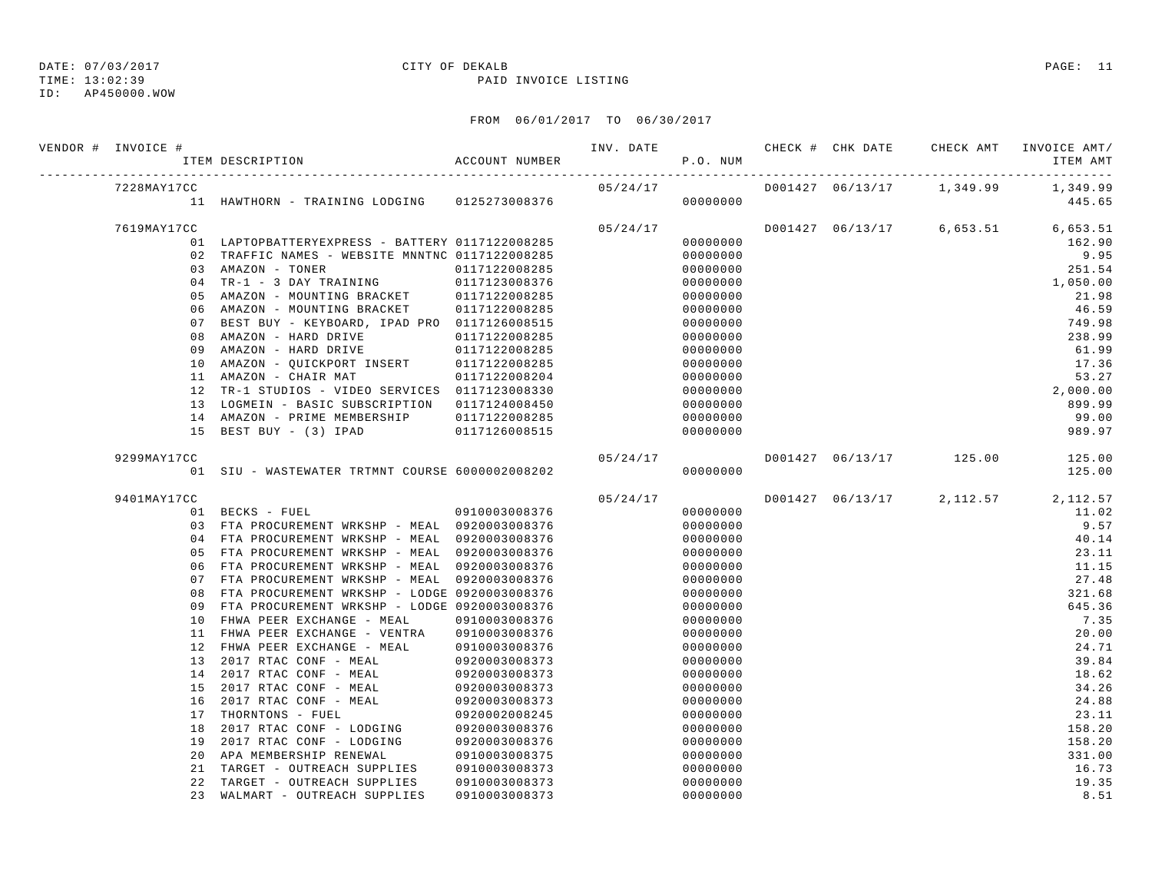TIME: 13:02:39 PAID INVOICE LISTING

ID: AP450000.WOW

| VENDOR # INVOICE # |    | ITEM DESCRIPTION                                | ACCOUNT NUMBER | INV. DATE | P.O. NUM |  | CHECK # CHK DATE     CHECK AMT    INVOICE AMT / | ITEM AMT |
|--------------------|----|-------------------------------------------------|----------------|-----------|----------|--|-------------------------------------------------|----------|
| 7228MAY17CC        |    |                                                 |                | 05/24/17  |          |  | D001427 06/13/17 1,349.99                       | 1,349.99 |
|                    |    | 11 HAWTHORN - TRAINING LODGING 0125273008376    |                |           | 00000000 |  |                                                 | 445.65   |
| 7619MAY17CC        |    |                                                 |                | 05/24/17  |          |  | D001427 06/13/17 6,653.51 6,653.51              |          |
|                    |    | 01 LAPTOPBATTERYEXPRESS - BATTERY 0117122008285 |                |           | 00000000 |  |                                                 | 162.90   |
|                    |    | 02 TRAFFIC NAMES - WEBSITE MNNTNC 0117122008285 |                |           | 00000000 |  |                                                 | 9.95     |
|                    |    | 03 AMAZON - TONER                               | 0117122008285  |           | 00000000 |  |                                                 | 251.54   |
|                    |    | 04 TR-1 - 3 DAY TRAINING                        | 0117123008376  |           | 00000000 |  |                                                 | 1,050.00 |
|                    |    | 05 AMAZON - MOUNTING BRACKET                    | 0117122008285  |           | 00000000 |  |                                                 | 21.98    |
|                    |    | 06 AMAZON - MOUNTING BRACKET                    | 0117122008285  |           | 00000000 |  |                                                 | 46.59    |
|                    |    | 07 BEST BUY - KEYBOARD, IPAD PRO 0117126008515  |                |           | 00000000 |  |                                                 | 749.98   |
|                    | 08 | AMAZON - HARD DRIVE                             | 0117122008285  |           | 00000000 |  |                                                 | 238.99   |
|                    | 09 | AMAZON - HARD DRIVE                             | 0117122008285  |           | 00000000 |  |                                                 | 61.99    |
|                    |    | 10 AMAZON - QUICKPORT INSERT                    | 0117122008285  |           | 00000000 |  |                                                 | 17.36    |
|                    |    | 11 AMAZON - CHAIR MAT                           | 0117122008204  |           | 00000000 |  |                                                 | 53.27    |
|                    |    | 12 TR-1 STUDIOS - VIDEO SERVICES 0117123008330  |                |           | 00000000 |  |                                                 | 2,000.00 |
|                    |    | 13 LOGMEIN - BASIC SUBSCRIPTION 0117124008450   |                |           | 00000000 |  |                                                 | 899.99   |
|                    |    | 14 AMAZON - PRIME MEMBERSHIP                    | 0117122008285  |           | 00000000 |  |                                                 | 99.00    |
|                    | 15 | BEST BUY - (3) IPAD                             | 0117126008515  |           | 00000000 |  |                                                 | 989.97   |
| 9299MAY17CC        |    |                                                 |                | 05/24/17  |          |  | D001427 06/13/17 125.00                         | 125.00   |
|                    |    | 01 SIU - WASTEWATER TRTMNT COURSE 6000002008202 |                |           | 00000000 |  |                                                 | 125.00   |
| 9401MAY17CC        |    |                                                 |                | 05/24/17  |          |  | D001427 06/13/17 2,112.57                       | 2,112.57 |
|                    |    | 01 BECKS - FUEL                                 | 0910003008376  |           | 00000000 |  |                                                 | 11.02    |
|                    |    | 03 FTA PROCUREMENT WRKSHP - MEAL 0920003008376  |                |           | 00000000 |  |                                                 | 9.57     |
|                    |    | 04 FTA PROCUREMENT WRKSHP - MEAL 0920003008376  |                |           | 00000000 |  |                                                 | 40.14    |
|                    |    | 05 FTA PROCUREMENT WRKSHP - MEAL 0920003008376  |                |           | 00000000 |  |                                                 | 23.11    |
|                    |    | 06 FTA PROCUREMENT WRKSHP - MEAL                | 0920003008376  |           | 00000000 |  |                                                 | 11.15    |
|                    |    | 07 FTA PROCUREMENT WRKSHP - MEAL                | 0920003008376  |           | 00000000 |  |                                                 | 27.48    |
|                    | 08 | FTA PROCUREMENT WRKSHP - LODGE 0920003008376    |                |           | 00000000 |  |                                                 | 321.68   |
|                    | 09 | FTA PROCUREMENT WRKSHP - LODGE 0920003008376    |                |           | 00000000 |  |                                                 | 645.36   |
|                    | 10 | FHWA PEER EXCHANGE - MEAL                       | 0910003008376  |           | 00000000 |  |                                                 | 7.35     |
|                    | 11 | FHWA PEER EXCHANGE - VENTRA                     | 0910003008376  |           | 00000000 |  |                                                 | 20.00    |
|                    | 12 | FHWA PEER EXCHANGE - MEAL                       | 0910003008376  |           | 00000000 |  |                                                 | 24.71    |
|                    | 13 | 2017 RTAC CONF - MEAL                           | 0920003008373  |           | 00000000 |  |                                                 | 39.84    |
|                    | 14 | 2017 RTAC CONF - MEAL                           | 0920003008373  |           | 00000000 |  |                                                 | 18.62    |
|                    | 15 | 2017 RTAC CONF - MEAL                           | 0920003008373  |           | 00000000 |  |                                                 | 34.26    |
|                    | 16 | 2017 RTAC CONF - MEAL                           | 0920003008373  |           | 00000000 |  |                                                 | 24.88    |
|                    | 17 | THORNTONS - FUEL                                | 0920002008245  |           | 00000000 |  |                                                 | 23.11    |
|                    | 18 | 2017 RTAC CONF - LODGING                        | 0920003008376  |           | 00000000 |  |                                                 | 158.20   |
|                    | 19 | 2017 RTAC CONF - LODGING                        | 0920003008376  |           | 00000000 |  |                                                 | 158.20   |
|                    | 20 | APA MEMBERSHIP RENEWAL                          | 0910003008375  |           | 00000000 |  |                                                 | 331.00   |
|                    | 21 | TARGET - OUTREACH SUPPLIES                      | 0910003008373  |           | 00000000 |  |                                                 | 16.73    |
|                    | 22 | TARGET - OUTREACH SUPPLIES                      | 0910003008373  |           | 00000000 |  |                                                 | 19.35    |
|                    | 23 | WALMART - OUTREACH SUPPLIES                     | 0910003008373  |           | 00000000 |  |                                                 | 8.51     |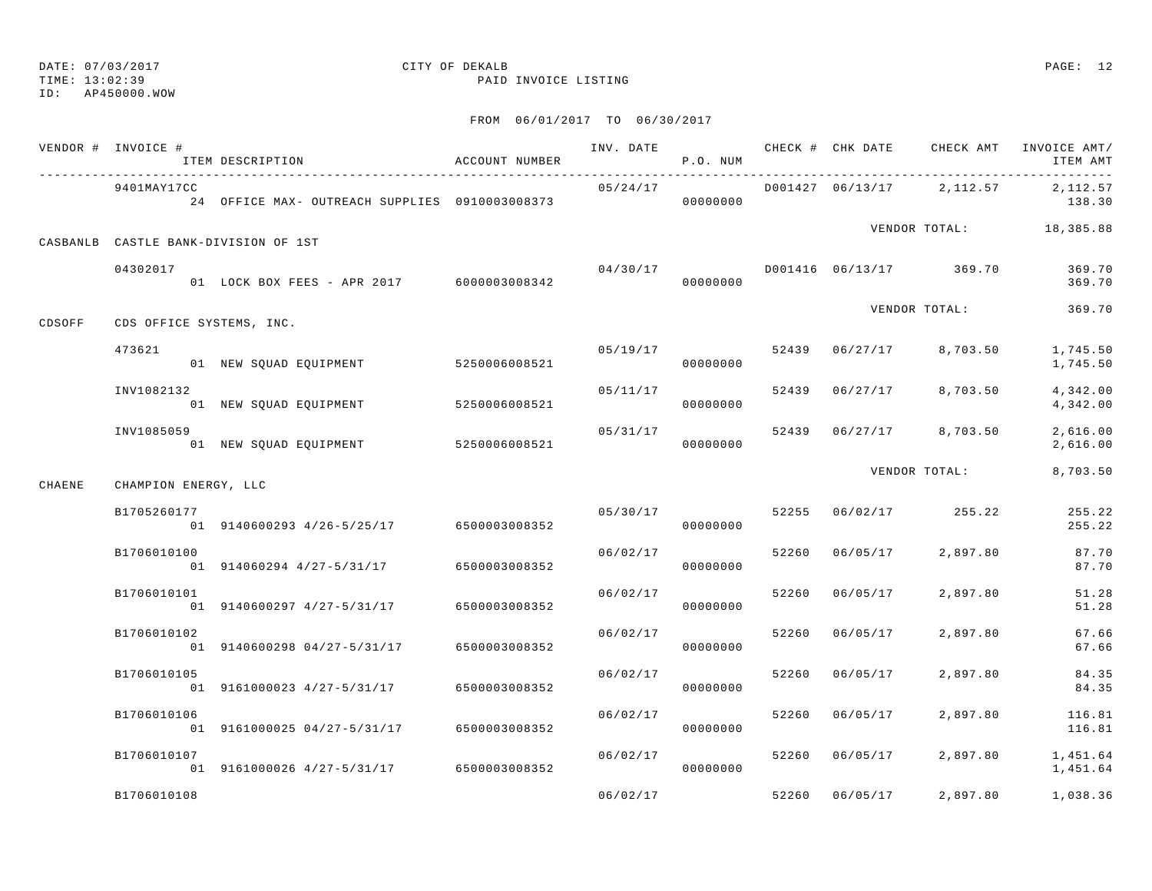## TIME: 13:02:39 PAID INVOICE LISTING

ID: AP450000.WOW

|        | VENDOR # INVOICE #   | ITEM DESCRIPTION                               | ACCOUNT NUMBER | INV. DATE | P.O. NUM             |       | CHECK # CHK DATE | CHECK AMT                 | INVOICE AMT/<br>ITEM AMT |
|--------|----------------------|------------------------------------------------|----------------|-----------|----------------------|-------|------------------|---------------------------|--------------------------|
|        | 9401MAY17CC          | 24 OFFICE MAX- OUTREACH SUPPLIES 0910003008373 |                | 05/24/17  | 00000000             |       |                  | D001427 06/13/17 2,112.57 | 2,112.57<br>138.30       |
|        |                      | CASBANLB CASTLE BANK-DIVISION OF 1ST           |                |           |                      |       |                  |                           | VENDOR TOTAL: 18,385.88  |
|        | 04302017             | 01 LOCK BOX FEES - APR 2017 6000003008342      |                | 04/30/17  | 00000000             |       |                  | D001416 06/13/17 369.70   | 369.70<br>369.70         |
| CDSOFF |                      | CDS OFFICE SYSTEMS, INC.                       |                |           |                      |       |                  | VENDOR TOTAL:             | 369.70                   |
|        | 473621               | 01 NEW SQUAD EQUIPMENT                         | 5250006008521  | 05/19/17  | 00000000             |       | 52439 06/27/17   | 8,703.50                  | 1,745.50<br>1,745.50     |
|        | INV1082132           | 01 NEW SQUAD EQUIPMENT                         | 5250006008521  |           | 05/11/17<br>00000000 | 52439 | 06/27/17         | 8,703.50                  | 4,342.00<br>4,342.00     |
|        | INV1085059           | 01 NEW SQUAD EQUIPMENT                         | 5250006008521  | 05/31/17  | 00000000             | 52439 | 06/27/17         | 8,703.50                  | 2,616.00<br>2,616.00     |
| CHAENE | CHAMPION ENERGY, LLC |                                                |                |           |                      |       |                  | VENDOR TOTAL:             | 8,703.50                 |
|        | B1705260177          | 01 9140600293 4/26-5/25/17 6500003008352       |                | 05/30/17  | 00000000             |       | 52255 06/02/17   | 255.22                    | 255.22<br>255.22         |
|        | B1706010100          | 01 914060294 4/27-5/31/17                      | 6500003008352  | 06/02/17  | 00000000             | 52260 | 06/05/17         | 2,897.80                  | 87.70<br>87.70           |
|        | B1706010101          | 01 9140600297 4/27-5/31/17                     | 6500003008352  | 06/02/17  | 00000000             | 52260 | 06/05/17         | 2,897.80                  | 51.28<br>51.28           |
|        | B1706010102          | 01 9140600298 04/27-5/31/17                    | 6500003008352  | 06/02/17  | 00000000             | 52260 | 06/05/17         | 2,897.80                  | 67.66<br>67.66           |
|        | B1706010105          | 01 9161000023 4/27-5/31/17                     | 6500003008352  | 06/02/17  | 00000000             | 52260 | 06/05/17         | 2,897.80                  | 84.35<br>84.35           |
|        | B1706010106          | 01 9161000025 04/27-5/31/17                    | 6500003008352  | 06/02/17  | 00000000             | 52260 | 06/05/17         | 2,897.80                  | 116.81<br>116.81         |
|        | B1706010107          | 01 9161000026 4/27-5/31/17 6500003008352       |                | 06/02/17  | 00000000             | 52260 | 06/05/17         | 2,897.80                  | 1,451.64<br>1,451.64     |
|        | B1706010108          |                                                |                | 06/02/17  |                      | 52260 | 06/05/17         | 2,897.80                  | 1,038.36                 |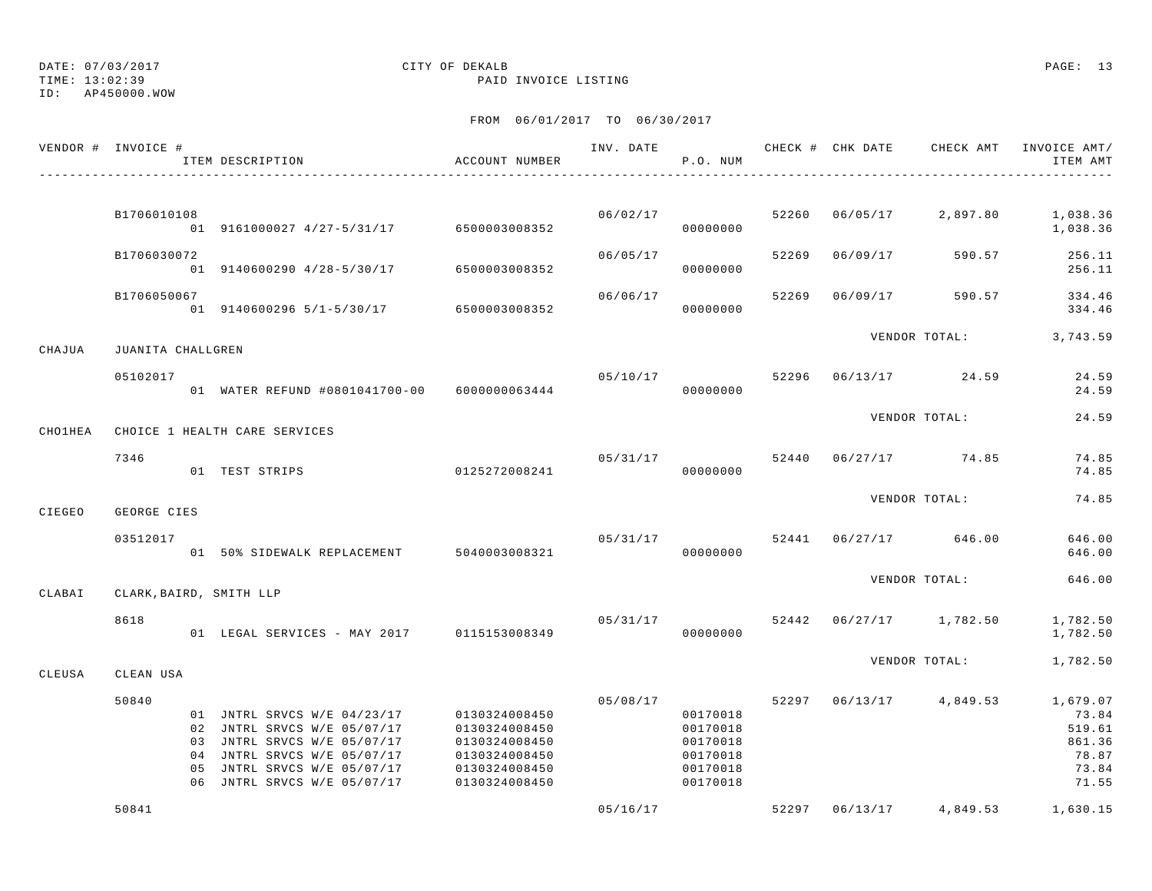# DATE: 07/03/2017 CITY OF DEKALB PAGE: 13

TIME: 13:02:39 PAID INVOICE LISTING

|         | VENDOR # INVOICE #      | ITEM DESCRIPTION                                                                                                                                                                    | ACCOUNT NUMBER                                                                                     | INV. DATE | P.O. NUM                                                             |       |          | CHECK # CHK DATE CHECK AMT | INVOICE AMT/<br>ITEM AMT                                         |
|---------|-------------------------|-------------------------------------------------------------------------------------------------------------------------------------------------------------------------------------|----------------------------------------------------------------------------------------------------|-----------|----------------------------------------------------------------------|-------|----------|----------------------------|------------------------------------------------------------------|
|         |                         |                                                                                                                                                                                     |                                                                                                    |           |                                                                      |       |          |                            |                                                                  |
|         | B1706010108             | 01 9161000027 4/27-5/31/17 6500003008352                                                                                                                                            |                                                                                                    | 06/02/17  | 00000000                                                             | 52260 | 06/05/17 | 2,897.80                   | 1,038.36<br>1,038.36                                             |
|         | B1706030072             | 01 9140600290 4/28-5/30/17 6500003008352                                                                                                                                            |                                                                                                    | 06/05/17  | 00000000                                                             | 52269 | 06/09/17 | 590.57                     | 256.11<br>256.11                                                 |
|         | B1706050067             | 01 9140600296 5/1-5/30/17 6500003008352                                                                                                                                             |                                                                                                    | 06/06/17  | 00000000                                                             | 52269 | 06/09/17 | 590.57                     | 334.46<br>334.46                                                 |
| CHAJUA  | JUANITA CHALLGREN       |                                                                                                                                                                                     |                                                                                                    |           |                                                                      |       |          | VENDOR TOTAL:              | 3,743.59                                                         |
|         | 05102017                | 01 WATER REFUND #0801041700-00 6000000063444                                                                                                                                        |                                                                                                    |           | 05/10/17<br>00000000                                                 | 52296 |          | 06/13/17 24.59             | 24.59<br>24.59                                                   |
| CHOIHEA |                         | CHOICE 1 HEALTH CARE SERVICES                                                                                                                                                       |                                                                                                    |           |                                                                      |       |          | VENDOR TOTAL:              | 24.59                                                            |
|         | 7346                    | 01 TEST STRIPS                                                                                                                                                                      | 0125272008241                                                                                      |           | 05/31/17<br>00000000                                                 |       |          | 52440 06/27/17 74.85       | 74.85<br>74.85                                                   |
| CIEGEO  | GEORGE CIES             |                                                                                                                                                                                     |                                                                                                    |           |                                                                      |       |          | VENDOR TOTAL:              | 74.85                                                            |
|         | 03512017                | 01 50% SIDEWALK REPLACEMENT 5040003008321                                                                                                                                           |                                                                                                    |           | 05/31/17<br>00000000                                                 | 52441 |          | 06/27/17 646.00            | 646.00<br>646.00                                                 |
| CLABAI  | CLARK, BAIRD, SMITH LLP |                                                                                                                                                                                     |                                                                                                    |           |                                                                      |       |          | VENDOR TOTAL:              | 646.00                                                           |
|         | 8618                    | 01 LEGAL SERVICES - MAY 2017 0115153008349                                                                                                                                          |                                                                                                    | 05/31/17  | 00000000                                                             |       |          | 52442 06/27/17 1,782.50    | 1,782.50<br>1,782.50                                             |
| CLEUSA  | CLEAN USA               |                                                                                                                                                                                     |                                                                                                    |           |                                                                      |       |          | VENDOR TOTAL:              | 1,782.50                                                         |
|         | 50840<br>0.5            | 01 JNTRL SRVCS W/E 04/23/17<br>02 JNTRL SRVCS W/E 05/07/17<br>03 JNTRL SRVCS W/E 05/07/17<br>04 JNTRL SRVCS W/E 05/07/17<br>JNTRL SRVCS W/E 05/07/17<br>06 JNTRL SRVCS W/E 05/07/17 | 0130324008450<br>0130324008450<br>0130324008450<br>0130324008450<br>0130324008450<br>0130324008450 | 05/08/17  | 00170018<br>00170018<br>00170018<br>00170018<br>00170018<br>00170018 |       |          | 52297 06/13/17 4,849.53    | 1,679.07<br>73.84<br>519.61<br>861.36<br>78.87<br>73.84<br>71.55 |
|         | 50841                   |                                                                                                                                                                                     |                                                                                                    | 05/16/17  |                                                                      |       |          | 52297 06/13/17 4,849.53    | 1,630.15                                                         |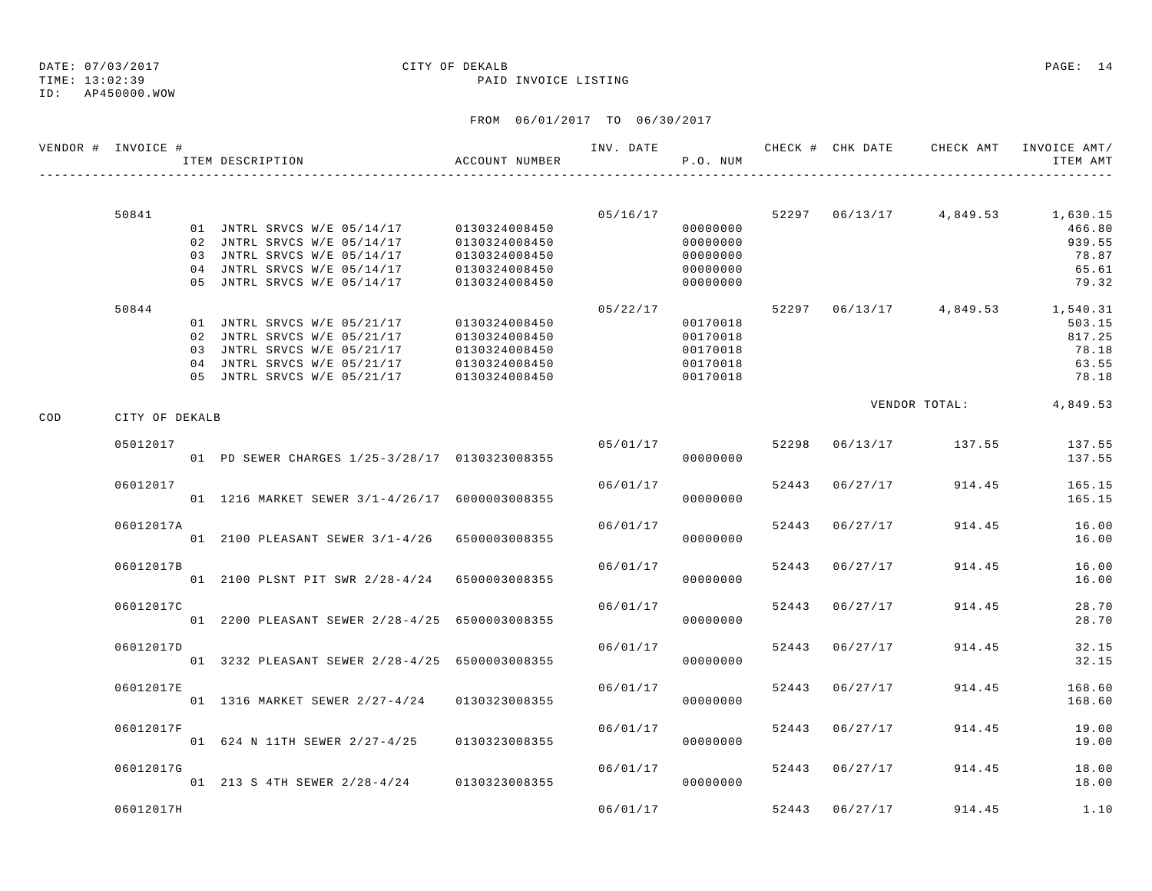ID: AP450000.WOW

TIME: 13:02:39 PAID INVOICE LISTING

|     | VENDOR # INVOICE # | ITEM DESCRIPTION                               | ACCOUNT NUMBER | INV. DATE | P.O. NUM             |       | CHECK # CHK DATE |                         | CHECK AMT INVOICE AMT/<br>ITEM AMT |
|-----|--------------------|------------------------------------------------|----------------|-----------|----------------------|-------|------------------|-------------------------|------------------------------------|
|     |                    |                                                |                |           |                      |       |                  |                         |                                    |
|     | 50841              | 01 JNTRL SRVCS W/E 05/14/17 0130324008450      |                |           | 05/16/17             |       |                  | 52297 06/13/17 4,849.53 | 1,630.15                           |
|     |                    | 02 JNTRL SRVCS W/E 05/14/17                    | 0130324008450  |           | 00000000<br>00000000 |       |                  |                         | 466.80<br>939.55                   |
|     |                    | 03 JNTRL SRVCS W/E 05/14/17                    | 0130324008450  |           | 00000000             |       |                  |                         | 78.87                              |
|     |                    | 04 JNTRL SRVCS W/E 05/14/17                    | 0130324008450  |           | 00000000             |       |                  |                         | 65.61                              |
|     |                    | 05 JNTRL SRVCS W/E 05/14/17                    | 0130324008450  |           | 00000000             |       |                  |                         | 79.32                              |
|     | 50844              |                                                |                | 05/22/17  |                      |       |                  |                         | 52297 06/13/17 4,849.53 1,540.31   |
|     |                    | 01 JNTRL SRVCS W/E 05/21/17                    | 0130324008450  |           | 00170018             |       |                  |                         | 503.15                             |
|     |                    | 02 JNTRL SRVCS W/E 05/21/17                    | 0130324008450  |           | 00170018             |       |                  |                         | 817.25                             |
|     |                    | 03 JNTRL SRVCS W/E 05/21/17                    | 0130324008450  |           | 00170018             |       |                  |                         | 78.18                              |
|     |                    | 04 JNTRL SRVCS W/E 05/21/17                    | 0130324008450  |           | 00170018             |       |                  |                         | 63.55                              |
|     |                    | 05 JNTRL SRVCS W/E 05/21/17                    | 0130324008450  |           | 00170018             |       |                  |                         | 78.18                              |
| COD | CITY OF DEKALB     |                                                |                |           |                      |       |                  | VENDOR TOTAL:           | 4,849.53                           |
|     | 05012017           |                                                |                | 05/01/17  |                      |       | 52298 06/13/17   | 137.55                  | 137.55                             |
|     |                    | 01 PD SEWER CHARGES 1/25-3/28/17 0130323008355 |                |           | 00000000             |       |                  |                         | 137.55                             |
|     | 06012017           |                                                |                | 06/01/17  |                      |       | 52443 06/27/17   | 914.45                  | 165.15                             |
|     |                    | 01 1216 MARKET SEWER 3/1-4/26/17 6000003008355 |                |           | 00000000             |       |                  |                         | 165.15                             |
|     | 06012017A          |                                                |                | 06/01/17  |                      | 52443 | 06/27/17         | 914.45                  | 16.00                              |
|     |                    | 01 2100 PLEASANT SEWER 3/1-4/26 6500003008355  |                |           | 00000000             |       |                  |                         | 16.00                              |
|     | 06012017B          |                                                |                | 06/01/17  |                      |       | 52443 06/27/17   | 914.45                  | 16.00                              |
|     |                    | 01 2100 PLSNT PIT SWR 2/28-4/24 6500003008355  |                |           | 00000000             |       |                  |                         | 16.00                              |
|     | 06012017C          |                                                |                | 06/01/17  |                      |       | 52443 06/27/17   | 914.45                  | 28.70                              |
|     |                    | 01 2200 PLEASANT SEWER 2/28-4/25 6500003008355 |                |           | 00000000             |       |                  |                         | 28.70                              |
|     | 06012017D          |                                                |                | 06/01/17  |                      |       | 52443 06/27/17   | 914.45                  | 32.15                              |
|     |                    | 01 3232 PLEASANT SEWER 2/28-4/25 6500003008355 |                |           | 00000000             |       |                  |                         | 32.15                              |
|     | 06012017E          |                                                |                | 06/01/17  |                      | 52443 | 06/27/17         | 914.45                  | 168.60                             |
|     |                    | 01 1316 MARKET SEWER 2/27-4/24 0130323008355   |                |           | 00000000             |       |                  |                         | 168.60                             |
|     | 06012017F          |                                                |                | 06/01/17  |                      |       | 52443 06/27/17   | 914.45                  | 19.00                              |
|     |                    | 01 624 N 11TH SEWER 2/27-4/25                  | 0130323008355  |           | 00000000             |       |                  |                         | 19.00                              |
|     | 06012017G          |                                                |                | 06/01/17  |                      |       | 52443 06/27/17   | 914.45                  | 18.00                              |
|     |                    | 01 213 S 4TH SEWER 2/28-4/24 0130323008355     |                |           | 00000000             |       |                  |                         | 18.00                              |
|     | 06012017H          |                                                |                | 06/01/17  |                      |       | 52443 06/27/17   | 914.45                  | 1.10                               |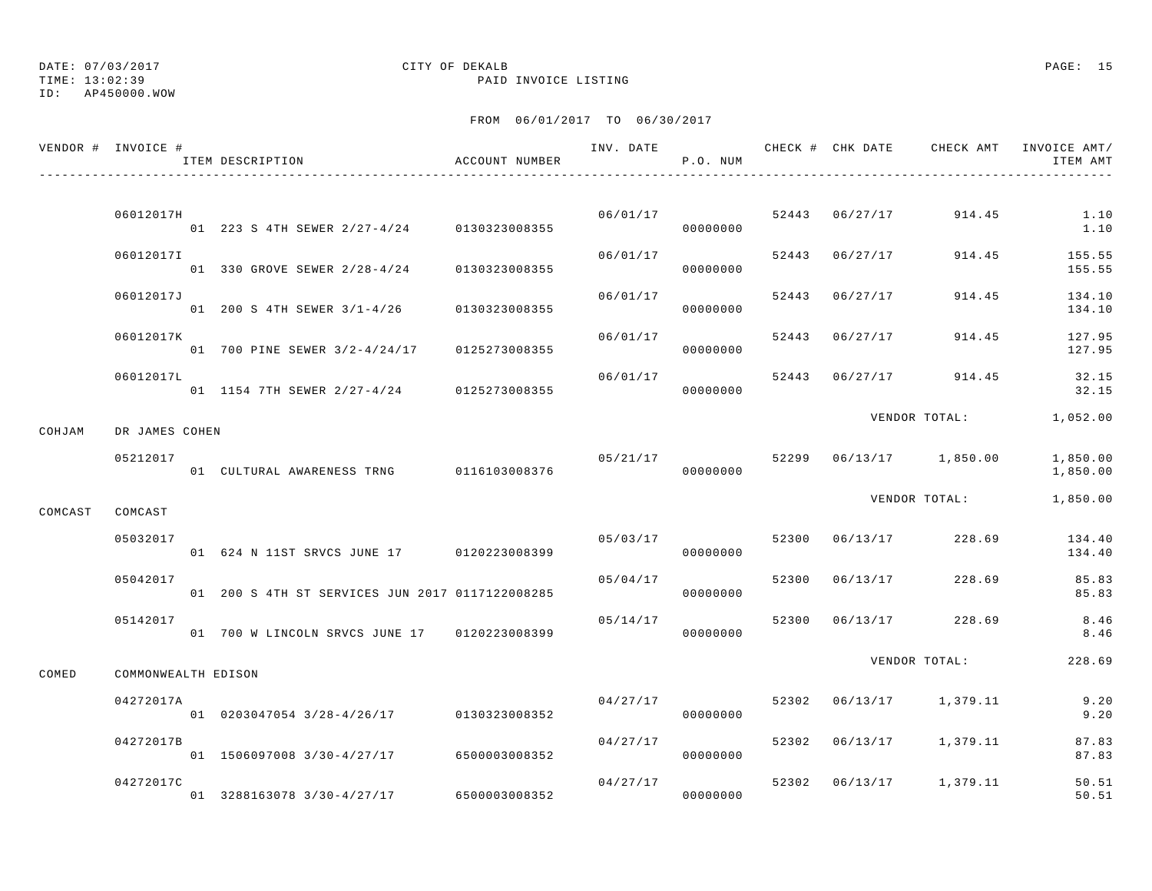TIME: 13:02:39 PAID INVOICE LISTING

ID: AP450000.WOW

|         | VENDOR # INVOICE #  | ITEM DESCRIPTION                                | ACCOUNT NUMBER |          | P.O. NUM |       |                | INV. DATE 6 7 CHECK # CHK DATE CHECK AMT INVOICE AMT/ | ITEM AMT             |
|---------|---------------------|-------------------------------------------------|----------------|----------|----------|-------|----------------|-------------------------------------------------------|----------------------|
|         |                     |                                                 |                |          |          |       |                |                                                       |                      |
|         | 06012017H           | .<br>01 223 S 4TH SEWER 2/27-4/24 0130323008355 |                | 06/01/17 | 00000000 |       |                | 52443 06/27/17 914.45                                 | 1.10<br>1.10         |
|         | 06012017I           | 01 330 GROVE SEWER 2/28-4/24 0130323008355      |                | 06/01/17 | 00000000 |       | 52443 06/27/17 | 914.45                                                | 155.55<br>155.55     |
|         | 06012017J           | 01 200 S 4TH SEWER 3/1-4/26 0130323008355       |                | 06/01/17 | 00000000 |       | 52443 06/27/17 | 914.45                                                | 134.10<br>134.10     |
|         | 06012017K           | 01 700 PINE SEWER 3/2-4/24/17 0125273008355     |                | 06/01/17 | 00000000 | 52443 | 06/27/17       | 914.45                                                | 127.95<br>127.95     |
|         | 06012017L           | 01 1154 7TH SEWER 2/27-4/24 0125273008355       |                | 06/01/17 | 00000000 |       | 52443 06/27/17 | 914.45                                                | 32.15<br>32.15       |
| COHJAM  | DR JAMES COHEN      |                                                 |                |          |          |       |                | VENDOR TOTAL: 1,052.00                                |                      |
|         | 05212017            | 01 CULTURAL AWARENESS TRNG 0116103008376        |                | 05/21/17 | 00000000 |       |                | 52299 06/13/17 1,850.00                               | 1,850.00<br>1,850.00 |
| COMCAST | COMCAST             |                                                 |                |          |          |       |                | VENDOR TOTAL:                                         | 1,850.00             |
|         | 05032017            | 01 624 N 11ST SRVCS JUNE 17 0120223008399       |                | 05/03/17 | 00000000 |       | 52300 06/13/17 | 228.69                                                | 134.40<br>134.40     |
|         | 05042017            | 01 200 S 4TH ST SERVICES JUN 2017 0117122008285 |                | 05/04/17 | 00000000 | 52300 | 06/13/17       | 228.69                                                | 85.83<br>85.83       |
|         | 05142017            | 01 700 W LINCOLN SRVCS JUNE 17 0120223008399    |                | 05/14/17 | 00000000 | 52300 | 06/13/17       | 228.69                                                | 8.46<br>8.46         |
| COMED   | COMMONWEALTH EDISON |                                                 |                |          |          |       |                | VENDOR TOTAL:                                         | 228.69               |
|         | 04272017A           | 01 0203047054 3/28-4/26/17 0130323008352        |                | 04/27/17 | 00000000 |       |                | 52302 06/13/17 1,379.11                               | 9.20<br>9.20         |
|         | 04272017B           | 01 1506097008 3/30-4/27/17 6500003008352        |                | 04/27/17 | 00000000 | 52302 |                | 06/13/17 1,379.11                                     | 87.83<br>87.83       |
|         | 04272017C           | 01 3288163078 3/30-4/27/17                      | 6500003008352  | 04/27/17 | 00000000 |       |                | 52302 06/13/17 1,379.11                               | 50.51<br>50.51       |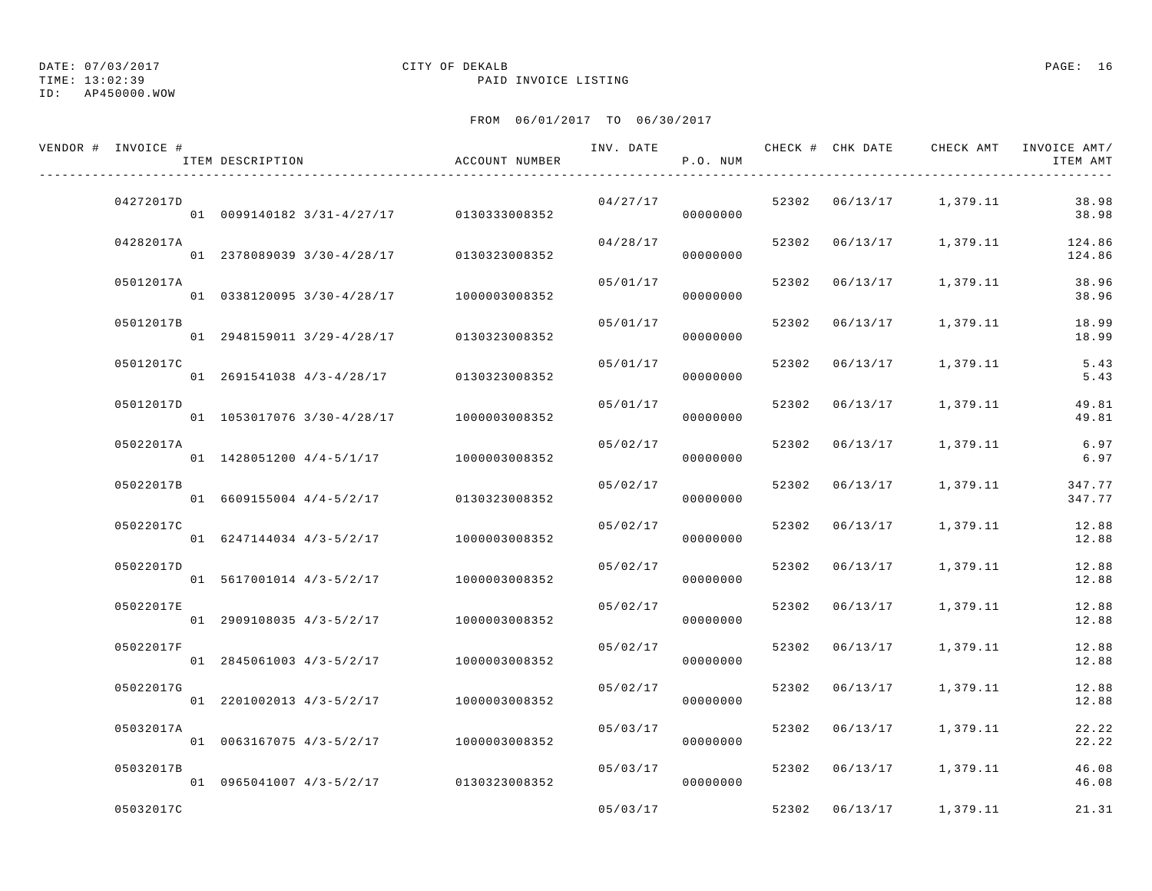TIME: 13:02:39 PAID INVOICE LISTING

ID: AP450000.WOW

| VENDOR # INVOICE # | ITEM DESCRIPTION                         | ACCOUNT NUMBER | INV. DATE | P.O. NUM |       | CHECK # CHK DATE |                         | CHECK AMT INVOICE AMT/<br>ITEM AMT |
|--------------------|------------------------------------------|----------------|-----------|----------|-------|------------------|-------------------------|------------------------------------|
| 04272017D          | 01 0099140182 3/31-4/27/17 0130333008352 |                | 04/27/17  | 00000000 |       |                  | 52302 06/13/17 1,379.11 | 38.98<br>38.98                     |
| 04282017A          | 01 2378089039 3/30-4/28/17               | 0130323008352  | 04/28/17  | 00000000 |       |                  | 52302 06/13/17 1,379.11 | 124.86<br>124.86                   |
| 05012017A          | 01 0338120095 3/30-4/28/17 1000003008352 |                | 05/01/17  | 00000000 |       | 52302 06/13/17   | 1,379.11                | 38.96<br>38.96                     |
| 05012017B          | 01 2948159011 3/29-4/28/17               | 0130323008352  | 05/01/17  | 00000000 |       | 52302 06/13/17   | 1,379.11                | 18.99<br>18.99                     |
| 05012017C          | 01 2691541038 4/3-4/28/17                | 0130323008352  | 05/01/17  | 00000000 |       | 52302 06/13/17   | 1,379.11                | 5.43<br>5.43                       |
| 05012017D          | 01 1053017076 3/30-4/28/17               | 1000003008352  | 05/01/17  | 00000000 |       | 52302 06/13/17   | 1,379.11                | 49.81<br>49.81                     |
| 05022017A          | 01 1428051200 4/4-5/1/17 1000003008352   |                | 05/02/17  | 00000000 |       | 52302 06/13/17   | 1,379.11                | 6.97<br>6.97                       |
| 05022017B          | 01 6609155004 4/4-5/2/17                 | 0130323008352  | 05/02/17  | 00000000 | 52302 | 06/13/17         | 1,379.11                | 347.77<br>347.77                   |
| 05022017C          | 01 6247144034 4/3-5/2/17                 | 1000003008352  | 05/02/17  | 00000000 | 52302 | 06/13/17         | 1,379.11                | 12.88<br>12.88                     |
| 05022017D          | 01 5617001014 4/3-5/2/17                 | 1000003008352  | 05/02/17  | 00000000 |       |                  | 52302 06/13/17 1,379.11 | 12.88<br>12.88                     |
| 05022017E          | 01 2909108035 4/3-5/2/17                 | 1000003008352  | 05/02/17  | 00000000 |       | 52302 06/13/17   | 1,379.11                | 12.88<br>12.88                     |
| 05022017F          | 01 2845061003 4/3-5/2/17                 | 1000003008352  | 05/02/17  | 00000000 | 52302 | 06/13/17         | 1,379.11                | 12.88<br>12.88                     |
| 05022017G          | 01 2201002013 4/3-5/2/17                 | 1000003008352  | 05/02/17  | 00000000 | 52302 | 06/13/17         | 1,379.11                | 12.88<br>12.88                     |
| 05032017A          | 01 0063167075 4/3-5/2/17                 | 1000003008352  | 05/03/17  | 00000000 |       |                  | 52302 06/13/17 1,379.11 | 22.22<br>22.22                     |
| 05032017B          | 01 0965041007 4/3-5/2/17 0130323008352   |                | 05/03/17  | 00000000 | 52302 |                  | 06/13/17 1,379.11       | 46.08<br>46.08                     |
| 05032017C          |                                          |                | 05/03/17  |          | 52302 | 06/13/17         | 1,379.11                | 21.31                              |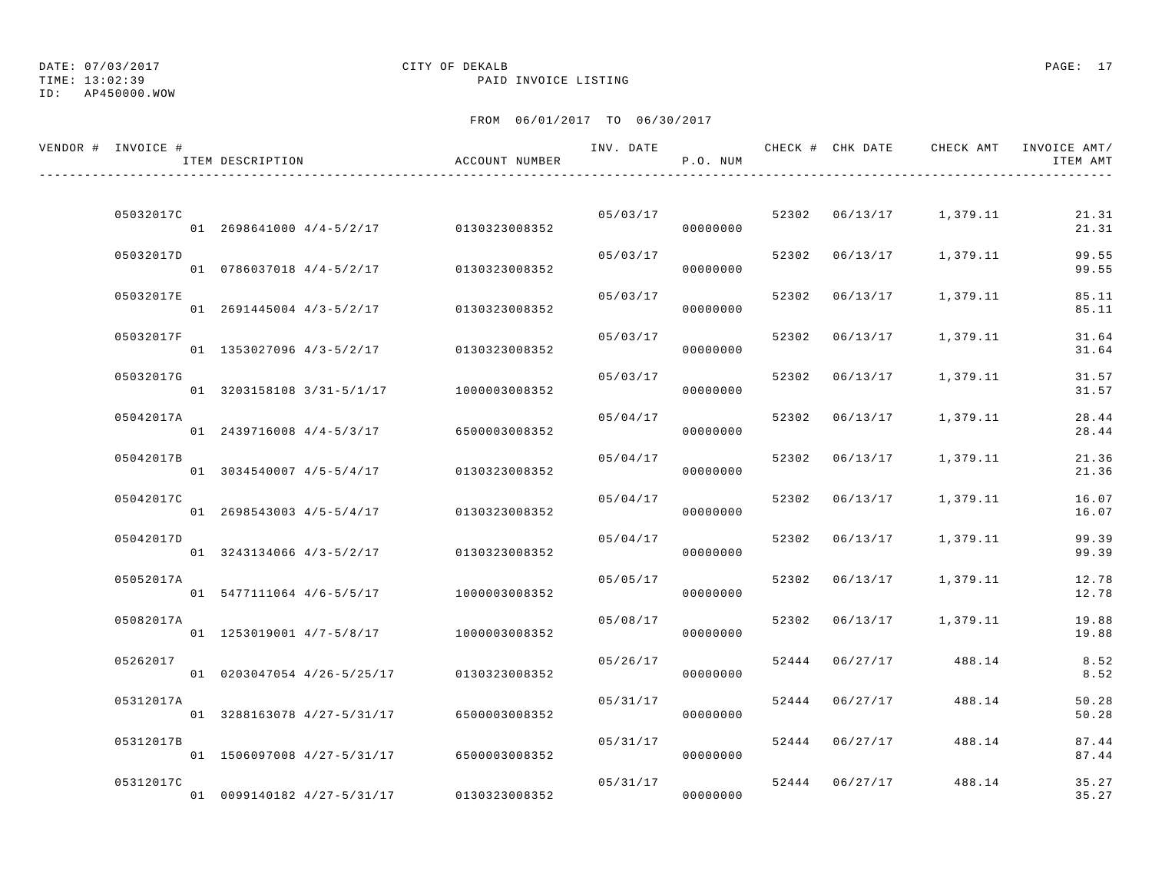## DATE: 07/03/2017 CITY OF DEKALB PAGE: 17

TIME: 13:02:39 PAID INVOICE LISTING

| VENDOR # INVOICE # | ITEM DESCRIPTION                       | ACCOUNT NUMBER | INV. DATE | P.O. NUM             |       | CHECK # CHK DATE | CHECK AMT               | INVOICE AMT/<br>ITEM AMT |
|--------------------|----------------------------------------|----------------|-----------|----------------------|-------|------------------|-------------------------|--------------------------|
|                    |                                        |                |           |                      |       |                  |                         |                          |
| 05032017C          | 01 2698641000 4/4-5/2/17 0130323008352 |                |           | 05/03/17<br>00000000 |       |                  | 52302 06/13/17 1,379.11 | 21.31<br>21.31           |
| 05032017D          | 01 0786037018 4/4-5/2/17               | 0130323008352  | 05/03/17  | 00000000             |       | 52302 06/13/17   | 1,379.11                | 99.55<br>99.55           |
| 05032017E          | 01 2691445004 4/3-5/2/17               | 0130323008352  | 05/03/17  | 00000000             |       | 52302 06/13/17   | 1,379.11                | 85.11<br>85.11           |
| 05032017F          | 01 1353027096 4/3-5/2/17               | 0130323008352  | 05/03/17  | 00000000             |       | 52302 06/13/17   | 1,379.11                | 31.64<br>31.64           |
| 05032017G          | 01 3203158108 3/31-5/1/17              | 1000003008352  | 05/03/17  | 00000000             |       | 52302 06/13/17   | 1,379.11                | 31.57<br>31.57           |
| 05042017A          | 01 2439716008 4/4-5/3/17               | 6500003008352  | 05/04/17  | 00000000             | 52302 | 06/13/17         | 1,379.11                | 28.44<br>28.44           |
| 05042017B          | 01 3034540007 4/5-5/4/17               | 0130323008352  | 05/04/17  | 00000000             |       | 52302 06/13/17   | 1,379.11                | 21.36<br>21.36           |
| 05042017C          | 01 2698543003 4/5-5/4/17               | 0130323008352  | 05/04/17  | 00000000             |       | 52302 06/13/17   | 1,379.11                | 16.07<br>16.07           |
| 05042017D          |                                        |                | 05/04/17  |                      |       | 52302 06/13/17   | 1,379.11                | 99.39                    |
| 05052017A          | 01 3243134066 4/3-5/2/17               | 0130323008352  | 05/05/17  | 00000000             |       | 52302 06/13/17   | 1,379.11                | 99.39<br>12.78           |
|                    | 01 5477111064 4/6-5/5/17               | 1000003008352  |           | 00000000             |       |                  |                         | 12.78                    |
| 05082017A          | 01 1253019001 4/7-5/8/17               | 1000003008352  | 05/08/17  | 00000000             | 52302 |                  | 06/13/17 1,379.11       | 19.88<br>19.88           |
| 05262017           | 01 0203047054 4/26-5/25/17             | 0130323008352  | 05/26/17  | 00000000             |       | 52444 06/27/17   | 488.14                  | 8.52<br>8.52             |
| 05312017A          | 01 3288163078 4/27-5/31/17             | 6500003008352  | 05/31/17  | 00000000             |       | 52444 06/27/17   | 488.14                  | 50.28<br>50.28           |
| 05312017B          | 01 1506097008 4/27-5/31/17             | 6500003008352  | 05/31/17  | 00000000             |       | 52444 06/27/17   | 488.14                  | 87.44<br>87.44           |
| 05312017C          | 01 0099140182 4/27-5/31/17             | 0130323008352  |           | 05/31/17<br>00000000 |       | 52444 06/27/17   | 488.14                  | 35.27<br>35.27           |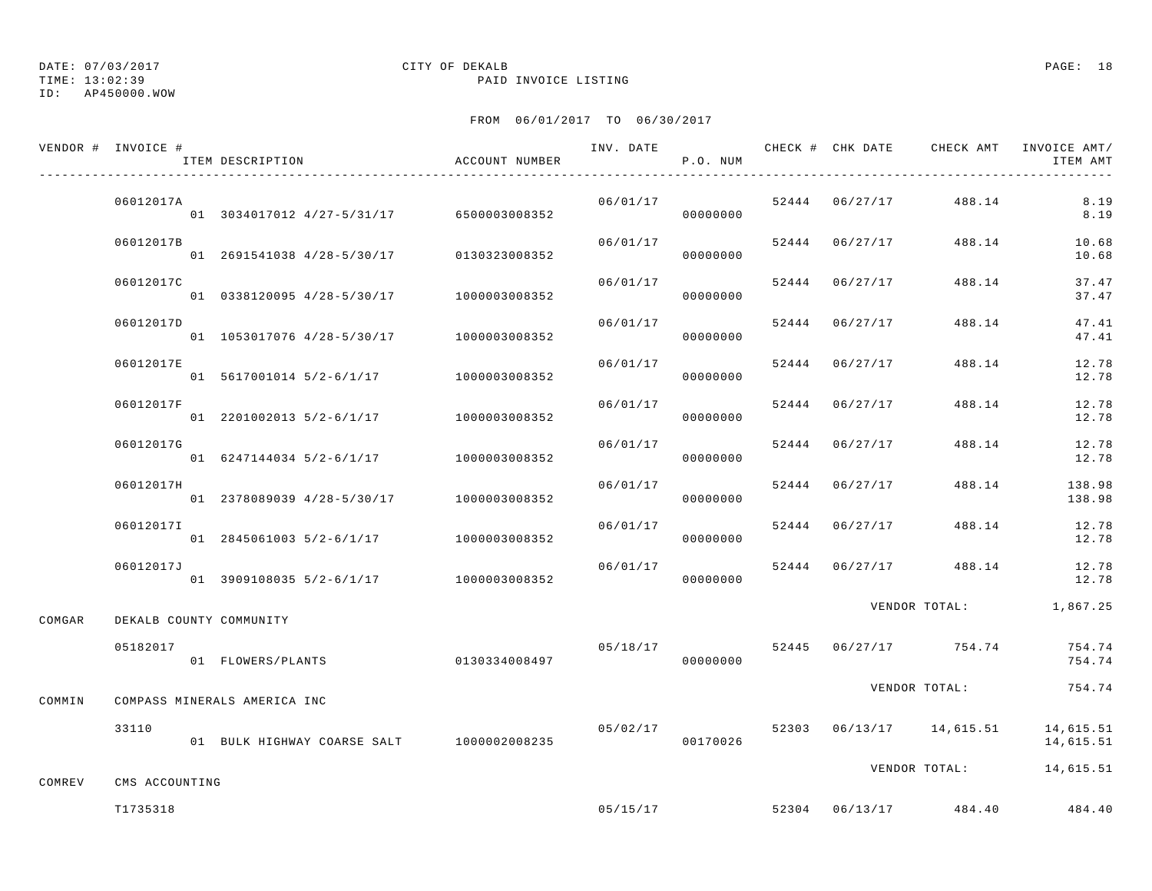TIME: 13:02:39 PAID INVOICE LISTING

ID: AP450000.WOW

|        | VENDOR # INVOICE #<br>ITEM DESCRIPTION | ACCOUNT NUMBER                              |          | P.O. NUM |                |                                        | INV. DATE 6 . CHECK # CHK DATE 6 CHECK AMT INVOICE AMT/<br>ITEM AMT |
|--------|----------------------------------------|---------------------------------------------|----------|----------|----------------|----------------------------------------|---------------------------------------------------------------------|
|        | 06012017A                              | 01 3034017012 4/27-5/31/17 6500003008352    | 06/01/17 | 00000000 |                | $52444$ $06/27/17$ $488.14$            | 8.19<br>8.19                                                        |
|        | 06012017B                              | 01  2691541038  4/28-5/30/17  0130323008352 | 06/01/17 | 00000000 |                | 52444 06/27/17 488.14                  | 10.68<br>10.68                                                      |
|        | 06012017C                              | 01  0338120095  4/28-5/30/17  1000003008352 | 06/01/17 | 00000000 | 52444 06/27/17 | 488.14                                 | 37.47<br>37.47                                                      |
|        | 06012017D                              | 01 1053017076 4/28-5/30/17 1000003008352    | 06/01/17 | 00000000 | 52444 06/27/17 | 488.14                                 | 47.41<br>47.41                                                      |
|        | 06012017E                              | 01 5617001014 5/2-6/1/17 1000003008352      | 06/01/17 | 00000000 | 52444 06/27/17 | 488.14                                 | 12.78<br>12.78                                                      |
|        | 06012017F                              | 01 2201002013 5/2-6/1/17 1000003008352      | 06/01/17 | 00000000 | 52444 06/27/17 | 488.14                                 | 12.78<br>12.78                                                      |
|        | 06012017G                              | 01 6247144034 5/2-6/1/17 1000003008352      | 06/01/17 | 00000000 | 52444 06/27/17 | 488.14                                 | 12.78<br>12.78                                                      |
|        | 06012017H                              | 01 2378089039 4/28-5/30/17 1000003008352    | 06/01/17 | 00000000 | 52444 06/27/17 | 488.14                                 | 138.98<br>138.98                                                    |
|        | 06012017I                              | 01  2845061003  5/2-6/1/17  1000003008352   | 06/01/17 | 00000000 |                | 52444 06/27/17 488.14                  | 12.78<br>12.78                                                      |
|        | 06012017J                              | 01 3909108035 5/2-6/1/17 1000003008352      | 06/01/17 | 00000000 |                | 52444 06/27/17 488.14                  | 12.78<br>12.78                                                      |
| COMGAR | DEKALB COUNTY COMMUNITY                |                                             |          |          |                |                                        | VENDOR TOTAL: 1,867.25                                              |
|        | 05182017<br>01 FLOWERS/PLANTS          | 0130334008497                               |          | 00000000 |                | $05/18/17$ $52445$ $06/27/17$ $754.74$ | 754.74<br>754.74                                                    |
| COMMIN | COMPASS MINERALS AMERICA INC           |                                             |          |          |                | VENDOR TOTAL:                          | 754.74                                                              |
|        | 33110                                  | 01 BULK HIGHWAY COARSE SALT 1000002008235   |          | 00170026 |                |                                        | $05/02/17$ $52303$ $06/13/17$ $14,615.51$ $14,615.51$<br>14,615.51  |
| COMREV | CMS ACCOUNTING                         |                                             |          |          |                |                                        | VENDOR TOTAL: 14,615.51                                             |
|        | T1735318                               |                                             | 05/15/17 |          |                | 52304 06/13/17 484.40                  | 484.40                                                              |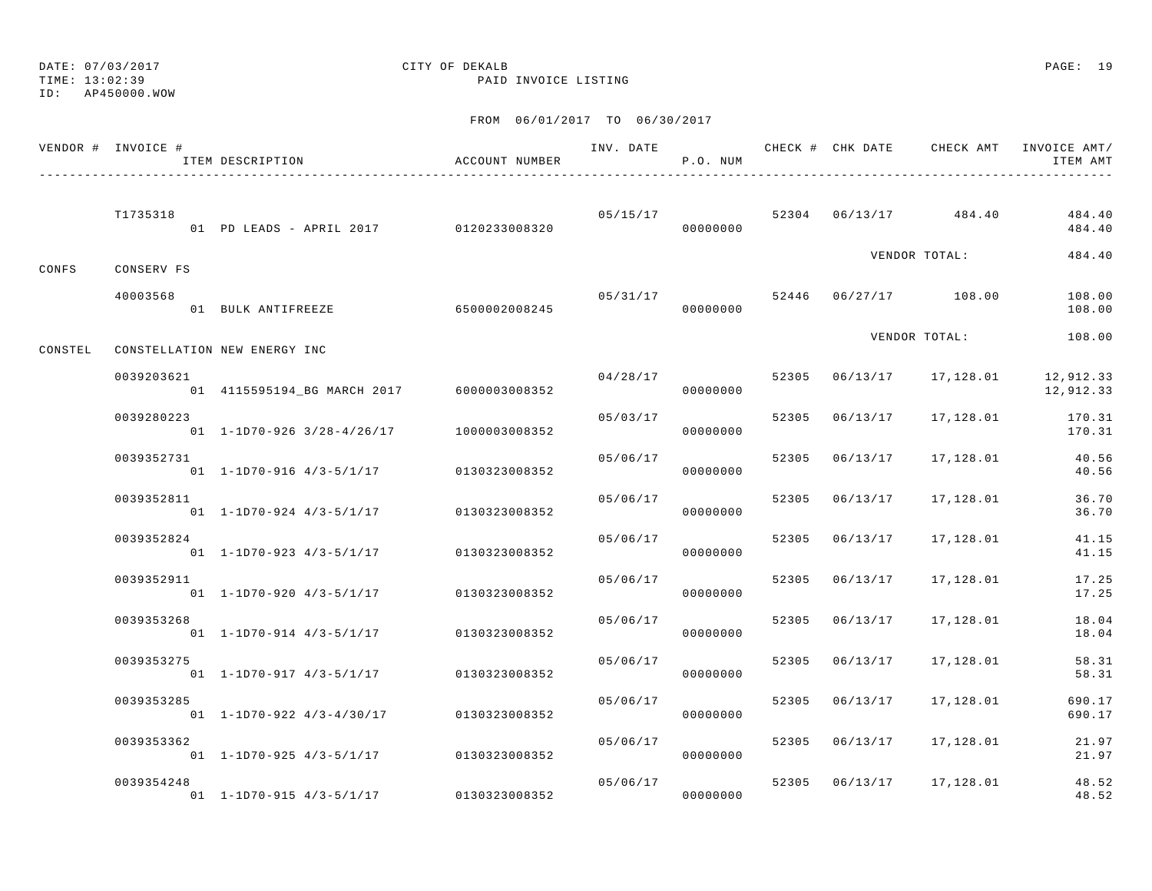TIME: 13:02:39 PAID INVOICE LISTING

ID: AP450000.WOW

|         | VENDOR # INVOICE # | ITEM DESCRIPTION                              | ACCOUNT NUMBER | INV. DATE | P.O. NUM             |       |          | CHECK # CHK DATE CHECK AMT INVOICE AMT/ | ITEM AMT               |
|---------|--------------------|-----------------------------------------------|----------------|-----------|----------------------|-------|----------|-----------------------------------------|------------------------|
|         | T1735318           | 01 PD LEADS - APRIL 2017 0120233008320        |                |           | 05/15/17<br>00000000 |       |          | 52304 06/13/17 484.40                   | 484.40<br>484.40       |
| CONFS   | CONSERV FS         |                                               |                |           |                      |       |          | VENDOR TOTAL:                           | 484.40                 |
|         | 40003568           | 01 BULK ANTIFREEZE                            | 6500002008245  |           | 05/31/17<br>00000000 |       |          | 52446 06/27/17 108.00                   | 108.00<br>108.00       |
| CONSTEL |                    | CONSTELLATION NEW ENERGY INC                  |                |           |                      |       |          | VENDOR TOTAL:                           | 108.00                 |
|         | 0039203621         | 01  4115595194_BG  MARCH  2017  6000003008352 |                | 04/28/17  | 00000000             | 52305 | 06/13/17 | 17,128.01                               | 12,912.33<br>12,912.33 |
|         | 0039280223         | $01$ 1-1D70-926 3/28-4/26/17                  | 1000003008352  | 05/03/17  | 00000000             | 52305 | 06/13/17 | 17,128.01                               | 170.31<br>170.31       |
|         | 0039352731         | $01$ 1-1D70-916 4/3-5/1/17                    | 0130323008352  | 05/06/17  | 00000000             | 52305 | 06/13/17 | 17,128.01                               | 40.56<br>40.56         |
|         | 0039352811         | $01 \quad 1 - 1D70 - 924 \quad 4/3 - 5/1/17$  | 0130323008352  | 05/06/17  | 00000000             | 52305 | 06/13/17 | 17,128.01                               | 36.70<br>36.70         |
|         | 0039352824         | $01$ 1-1D70-923 4/3-5/1/17                    | 0130323008352  | 05/06/17  | 00000000             | 52305 | 06/13/17 | 17,128.01                               | 41.15<br>41.15         |
|         | 0039352911         | $01$ 1-1D70-920 4/3-5/1/17                    | 0130323008352  | 05/06/17  | 00000000             | 52305 | 06/13/17 | 17,128.01                               | 17.25<br>17.25         |
|         | 0039353268         | $01 1 - 1D70 - 914 4/3 - 5/1/17$              | 0130323008352  | 05/06/17  | 00000000             | 52305 | 06/13/17 | 17,128.01                               | 18.04<br>18.04         |
|         | 0039353275         | $01 1 - 1D70 - 917 4/3 - 5/1/17$              | 0130323008352  | 05/06/17  | 00000000             | 52305 | 06/13/17 | 17,128.01                               | 58.31<br>58.31         |
|         | 0039353285         | $01$ 1-1D70-922 4/3-4/30/17                   | 0130323008352  | 05/06/17  | 00000000             | 52305 | 06/13/17 | 17,128.01                               | 690.17<br>690.17       |
|         | 0039353362         | $01$ 1-1D70-925 4/3-5/1/17                    | 0130323008352  | 05/06/17  | 00000000             | 52305 | 06/13/17 | 17,128.01                               | 21.97<br>21.97         |
|         | 0039354248         | $01$ 1-1D70-915 4/3-5/1/17                    | 0130323008352  | 05/06/17  | 00000000             | 52305 | 06/13/17 | 17,128.01                               | 48.52<br>48.52         |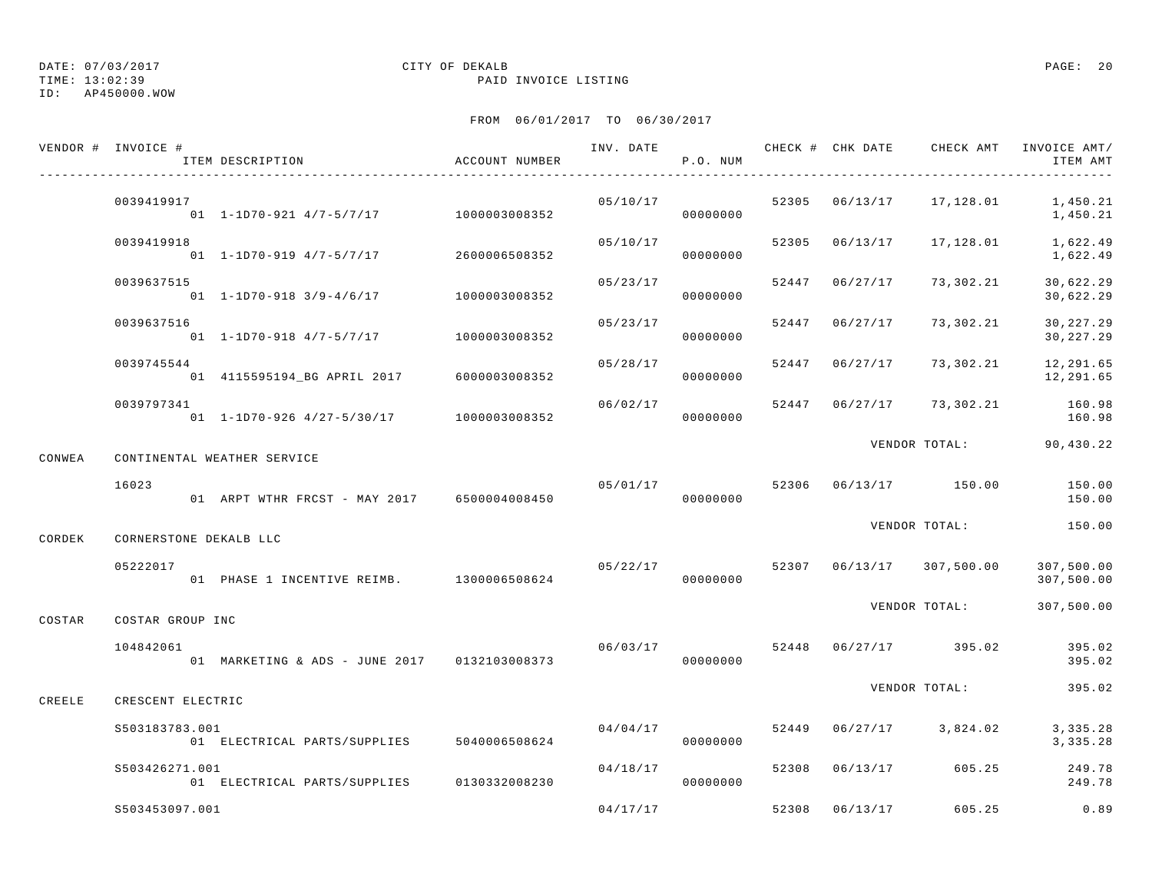TIME: 13:02:39 PAID INVOICE LISTING

ID: AP450000.WOW

|        | VENDOR # INVOICE #     | ITEM DESCRIPTION                              | ACCOUNT NUMBER |          | P.O. NUM |       |                |                                      | ITEM AMT                 |
|--------|------------------------|-----------------------------------------------|----------------|----------|----------|-------|----------------|--------------------------------------|--------------------------|
|        | 0039419917             | 01  1-1D70-921  4/7-5/7/17  1000003008352     |                | 05/10/17 | 00000000 |       |                | 52305  06/13/17  17,128.01  1,450.21 | 1,450.21                 |
|        | 0039419918             | 01 1-1D70-919 4/7-5/7/17 2600006508352        |                | 05/10/17 | 00000000 |       |                | 52305 06/13/17 17,128.01             | 1,622.49<br>1,622.49     |
|        | 0039637515             | 01  1-1D70-918  3/9-4/6/17  1000003008352     |                | 05/23/17 | 00000000 |       | 52447 06/27/17 | 73,302.21                            | 30,622.29<br>30,622.29   |
|        | 0039637516             | 01  1-1D70-918  4/7-5/7/17  1000003008352     |                | 05/23/17 | 00000000 | 52447 | 06/27/17       | 73,302.21                            | 30, 227.29<br>30,227.29  |
|        | 0039745544             | 01  4115595194_BG  APRIL  2017  6000003008352 |                | 05/28/17 | 00000000 |       | 52447 06/27/17 | 73,302.21                            | 12,291.65<br>12,291.65   |
|        | 0039797341             | 01 1-1D70-926 4/27-5/30/17 1000003008352      |                | 06/02/17 | 00000000 |       |                | 52447 06/27/17 73,302.21             | 160.98<br>160.98         |
| CONWEA |                        | CONTINENTAL WEATHER SERVICE                   |                |          |          |       |                | VENDOR TOTAL: 90,430.22              |                          |
|        | 16023                  | 01 ARPT WTHR FRCST - MAY 2017 6500004008450   |                | 05/01/17 | 00000000 |       |                | 52306 06/13/17 150.00                | 150.00<br>150.00         |
| CORDEK | CORNERSTONE DEKALB LLC |                                               |                |          |          |       |                | VENDOR TOTAL:                        | 150.00                   |
|        | 05222017               | 01 PHASE 1 INCENTIVE REIMB. 1300006508624     |                | 05/22/17 | 00000000 |       |                | 52307 06/13/17 307,500.00            | 307,500.00<br>307,500.00 |
| COSTAR | COSTAR GROUP INC       |                                               |                |          |          |       |                | VENDOR TOTAL:                        | 307,500.00               |
|        | 104842061              | 01 MARKETING & ADS - JUNE 2017 0132103008373  |                | 06/03/17 | 00000000 |       |                | 52448 06/27/17 395.02                | 395.02<br>395.02         |
| CREELE | CRESCENT ELECTRIC      |                                               |                |          |          |       |                | VENDOR TOTAL:                        | 395.02                   |
|        | S503183783.001         | 01 ELECTRICAL PARTS/SUPPLIES 5040006508624    |                | 04/04/17 | 00000000 |       |                | 52449 06/27/17 3,824.02              | 3, 335.28<br>3, 335.28   |
|        | S503426271.001         | 01 ELECTRICAL PARTS/SUPPLIES 0130332008230    |                | 04/18/17 | 00000000 |       |                | 52308 06/13/17 605.25                | 249.78<br>249.78         |
|        | S503453097.001         |                                               |                | 04/17/17 |          |       | 52308 06/13/17 | 605.25                               | 0.89                     |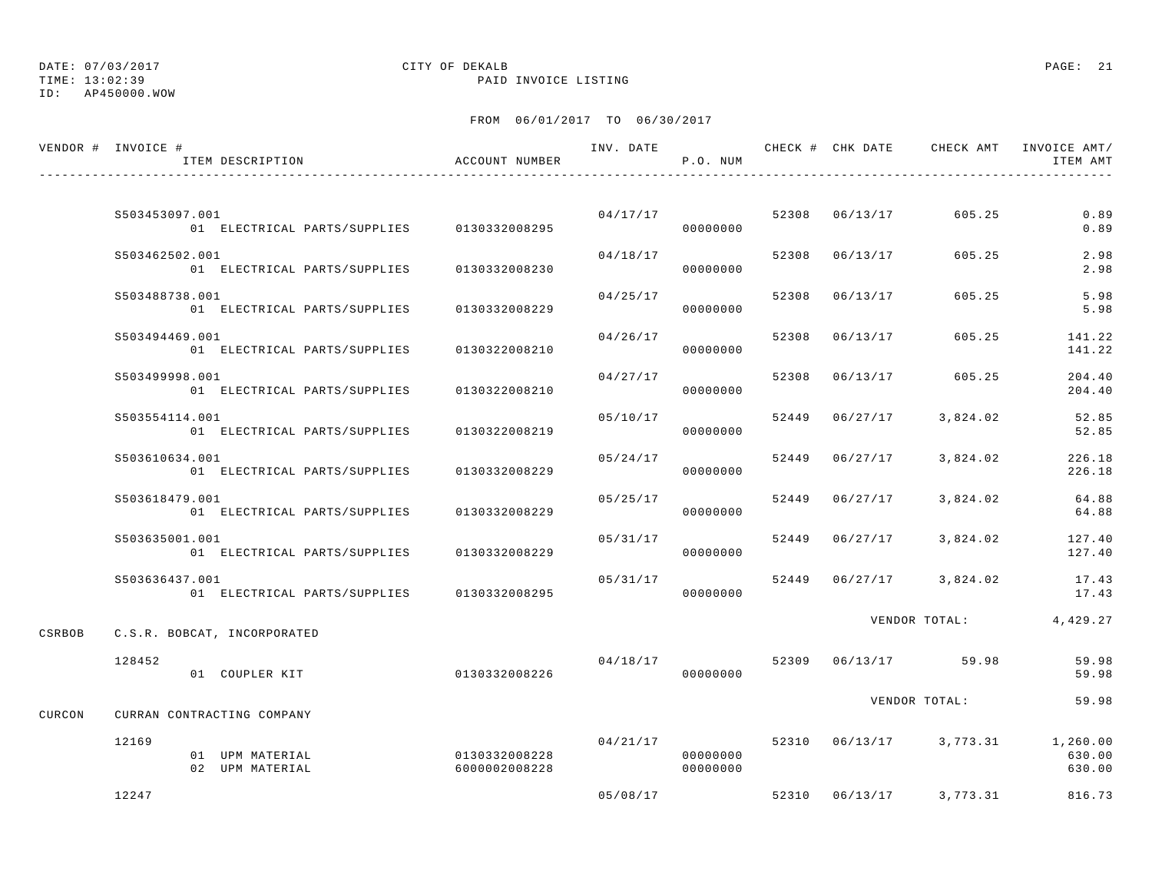TIME: 13:02:39 PAID INVOICE LISTING

ID: AP450000.WOW

|        | VENDOR # INVOICE #<br>ITEM DESCRIPTION                       | ACCOUNT NUMBER                 |          | P.O. NUM             |       |                |                         | INV. DATE 6 CHECK # CHK DATE CHECK AMT INVOICE AMT/<br>ITEM AMT |
|--------|--------------------------------------------------------------|--------------------------------|----------|----------------------|-------|----------------|-------------------------|-----------------------------------------------------------------|
|        |                                                              |                                |          |                      |       |                |                         |                                                                 |
|        | S503453097.001<br>01 ELECTRICAL PARTS/SUPPLIES 0130332008295 |                                |          | 04/17/17<br>00000000 |       |                | 52308 06/13/17 605.25   | 0.89<br>0.89                                                    |
|        | S503462502.001<br>01 ELECTRICAL PARTS/SUPPLIES               | 0130332008230                  | 04/18/17 | 00000000             | 52308 | 06/13/17       | 605.25                  | 2.98<br>2.98                                                    |
|        | S503488738.001<br>01 ELECTRICAL PARTS/SUPPLIES               | 0130332008229                  | 04/25/17 | 00000000             |       | 52308 06/13/17 | 605.25                  | 5.98<br>5.98                                                    |
|        | S503494469.001<br>01 ELECTRICAL PARTS/SUPPLIES               | 0130322008210                  | 04/26/17 | 00000000             | 52308 | 06/13/17       | 605.25                  | 141.22<br>141.22                                                |
|        | S503499998.001<br>01 ELECTRICAL PARTS/SUPPLIES               | 0130322008210                  | 04/27/17 | 00000000             | 52308 | 06/13/17       | 605.25                  | 204.40<br>204.40                                                |
|        | S503554114.001<br>01 ELECTRICAL PARTS/SUPPLIES               | 0130322008219                  | 05/10/17 | 00000000             | 52449 | 06/27/17       | 3,824.02                | 52.85<br>52.85                                                  |
|        | S503610634.001<br>01 ELECTRICAL PARTS/SUPPLIES               | 0130332008229                  | 05/24/17 | 00000000             |       | 52449 06/27/17 | 3,824.02                | 226.18<br>226.18                                                |
|        | S503618479.001<br>01 ELECTRICAL PARTS/SUPPLIES               | 0130332008229                  | 05/25/17 | 00000000             | 52449 | 06/27/17       | 3,824.02                | 64.88<br>64.88                                                  |
|        | S503635001.001<br>01 ELECTRICAL PARTS/SUPPLIES               | 0130332008229                  | 05/31/17 | 00000000             |       | 52449 06/27/17 | 3,824.02                | 127.40<br>127.40                                                |
|        | S503636437.001<br>01 ELECTRICAL PARTS/SUPPLIES 0130332008295 |                                | 05/31/17 | 00000000             |       |                | 52449 06/27/17 3,824.02 | 17.43<br>17.43                                                  |
| CSRBOB | C.S.R. BOBCAT, INCORPORATED                                  |                                |          |                      |       |                |                         | VENDOR TOTAL: 4,429.27                                          |
|        | 128452<br>01 COUPLER KIT                                     | 0130332008226                  | 04/18/17 | 00000000             |       |                | 52309 06/13/17 59.98    | 59.98<br>59.98                                                  |
| CURCON | CURRAN CONTRACTING COMPANY                                   |                                |          |                      |       |                | VENDOR TOTAL:           | 59.98                                                           |
|        | 12169<br>01 UPM MATERIAL<br>02 UPM MATERIAL                  | 0130332008228<br>6000002008228 | 04/21/17 | 00000000<br>00000000 |       |                |                         | 52310  06/13/17  3,773.31  1,260.00<br>630.00<br>630.00         |
|        | 12247                                                        |                                | 05/08/17 |                      |       |                | 52310 06/13/17 3,773.31 | 816.73                                                          |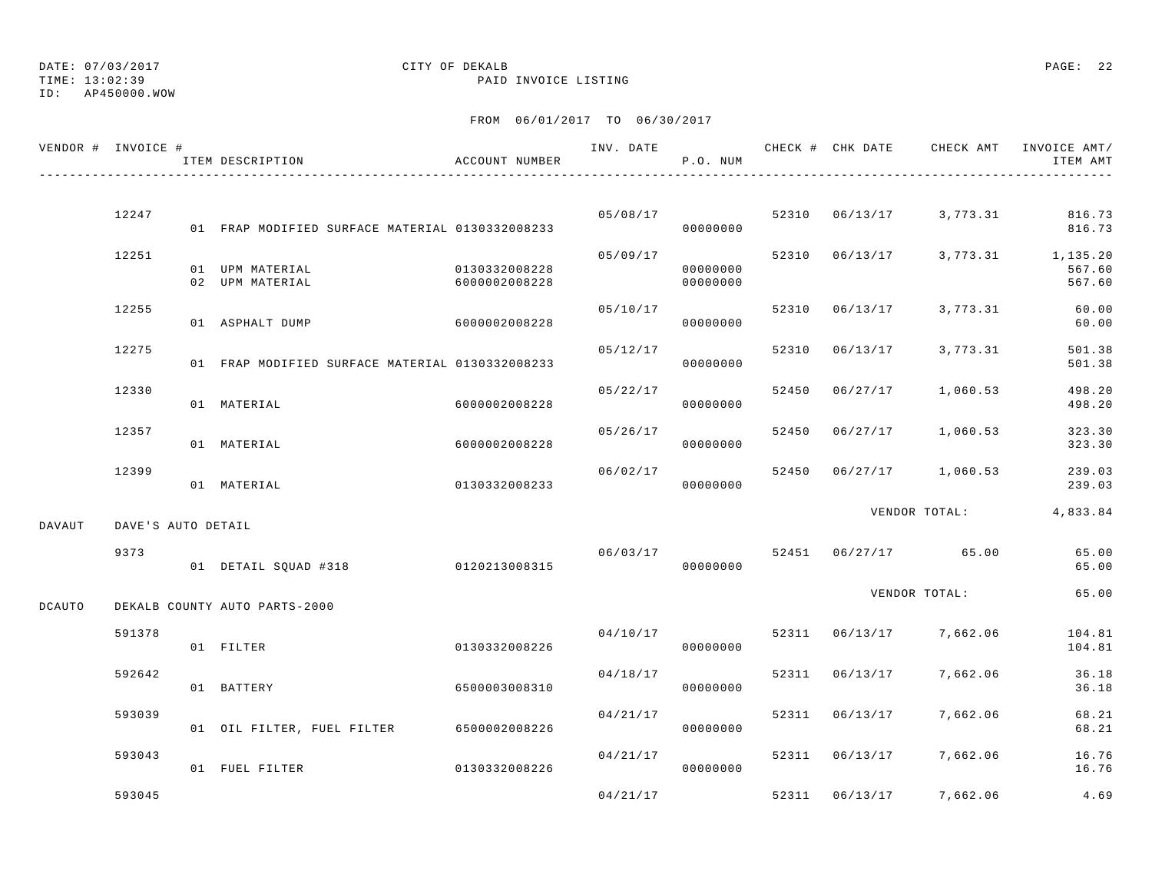TIME: 13:02:39 PAID INVOICE LISTING

ID: AP450000.WOW

| VENDOR # INVOICE # |                    | ITEM DESCRIPTION                                | ACCOUNT NUMBER                 |          | P.O. NUM             |       |                |                                 | INV. DATE 6 7 200 CHECK # CHK DATE 6 CHECK AMT INVOICE AMT<br>ITEM AMT |
|--------------------|--------------------|-------------------------------------------------|--------------------------------|----------|----------------------|-------|----------------|---------------------------------|------------------------------------------------------------------------|
|                    | 12247              |                                                 |                                | 05/08/17 |                      |       |                | 52310 06/13/17 3,773.31         | 816.73                                                                 |
|                    |                    | 01 FRAP MODIFIED SURFACE MATERIAL 0130332008233 |                                |          | 00000000             |       |                |                                 | 816.73                                                                 |
|                    | 12251              | 01 UPM MATERIAL<br>02 UPM MATERIAL              | 0130332008228<br>6000002008228 | 05/09/17 | 00000000<br>00000000 |       |                |                                 | 52310 06/13/17 3,773.31 1,135.20<br>567.60<br>567.60                   |
|                    | 12255              | 01 ASPHALT DUMP 6000002008228                   |                                | 05/10/17 | 00000000             |       | 52310 06/13/17 | 3,773.31                        | 60.00<br>60.00                                                         |
|                    | 12275              | 01 FRAP MODIFIED SURFACE MATERIAL 0130332008233 |                                | 05/12/17 | 00000000             |       | 52310 06/13/17 | 3,773.31                        | 501.38<br>501.38                                                       |
|                    | 12330              | 01 MATERIAL                                     | 6000002008228                  | 05/22/17 | 00000000             | 52450 | 06/27/17       | 1,060.53                        | 498.20<br>498.20                                                       |
|                    | 12357              | 01 MATERIAL                                     | 6000002008228                  | 05/26/17 | 00000000             | 52450 | 06/27/17       | 1,060.53                        | 323.30<br>323.30                                                       |
|                    | 12399              | 01 MATERIAL                                     | 0130332008233                  |          | 06/02/17<br>00000000 |       |                | 52450 06/27/17 1,060.53         | 239.03<br>239.03                                                       |
| DAVAUT             | DAVE'S AUTO DETAIL |                                                 |                                |          |                      |       |                | VENDOR TOTAL:                   | 4,833.84                                                               |
|                    | 9373               | 01 DETAIL SQUAD #318 0120213008315              |                                |          | 00000000             |       |                | $06/03/17$ 52451 06/27/17 65.00 | 65.00<br>65.00                                                         |
| <b>DCAUTO</b>      |                    | DEKALB COUNTY AUTO PARTS-2000                   |                                |          |                      |       |                | VENDOR TOTAL:                   | 65.00                                                                  |
|                    | 591378             | 01 FILTER                                       | 0130332008226                  | 04/10/17 | 00000000             |       |                | 52311 06/13/17 7,662.06         | 104.81<br>104.81                                                       |
|                    | 592642             | 01 BATTERY                                      | 6500003008310                  | 04/18/17 | 00000000             |       | 52311 06/13/17 | 7,662.06                        | 36.18<br>36.18                                                         |
|                    | 593039             | 01 OIL FILTER, FUEL FILTER 6500002008226        |                                | 04/21/17 | 00000000             |       | 52311 06/13/17 | 7,662.06                        | 68.21<br>68.21                                                         |
|                    | 593043             | 01 FUEL FILTER                                  | 0130332008226                  |          | 04/21/17<br>00000000 |       | 52311 06/13/17 | 7,662.06                        | 16.76<br>16.76                                                         |
|                    | 593045             |                                                 |                                | 04/21/17 |                      |       |                | 52311 06/13/17 7,662.06         | 4.69                                                                   |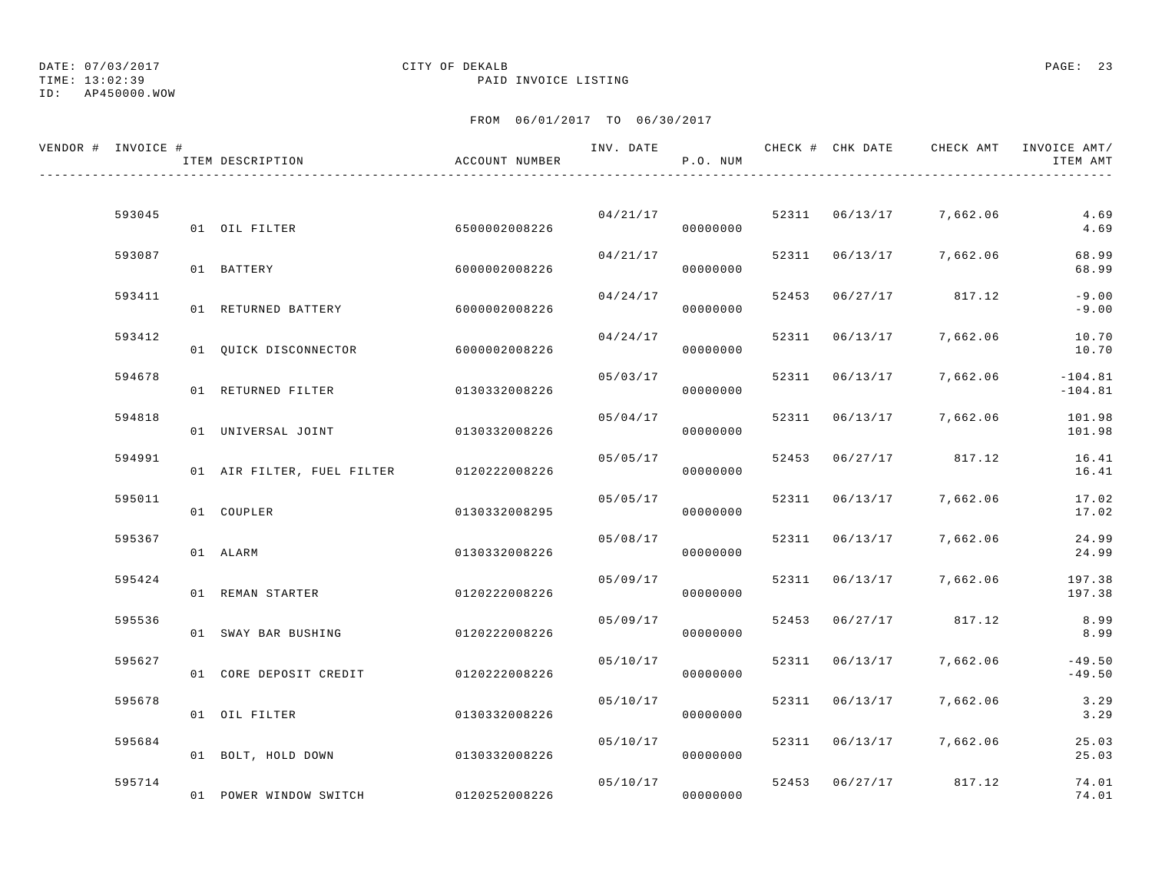## DATE: 07/03/2017 CITY OF DEKALB PAGE: 23

TIME: 13:02:39 PAID INVOICE LISTING

| VENDOR # INVOICE # | ITEM DESCRIPTION                         | ACCOUNT NUMBER |          | P.O. NUM             |       |                |                       | ITEM AMT               |
|--------------------|------------------------------------------|----------------|----------|----------------------|-------|----------------|-----------------------|------------------------|
|                    |                                          |                |          |                      |       |                |                       |                        |
| 593045             | 01 OIL FILTER                            | 6500002008226  |          | 04/21/17<br>00000000 |       | 52311 06/13/17 | 7,662.06              | 4.69<br>4.69           |
| 593087             | 01 BATTERY                               | 6000002008226  | 04/21/17 | 00000000             |       | 52311 06/13/17 | 7,662.06              | 68.99<br>68.99         |
| 593411             | 01 RETURNED BATTERY                      | 6000002008226  | 04/24/17 | 00000000             |       |                | 52453 06/27/17 817.12 | $-9.00$<br>$-9.00$     |
| 593412             | 01 OUICK DISCONNECTOR                    | 6000002008226  | 04/24/17 | 00000000             | 52311 | 06/13/17       | 7,662.06              | 10.70<br>10.70         |
| 594678             | 01 RETURNED FILTER                       | 0130332008226  | 05/03/17 | 00000000             | 52311 | 06/13/17       | 7,662.06              | $-104.81$<br>$-104.81$ |
| 594818             | 01 UNIVERSAL JOINT                       | 0130332008226  | 05/04/17 | 00000000             |       | 52311 06/13/17 | 7,662.06              | 101.98<br>101.98       |
| 594991             |                                          |                | 05/05/17 |                      |       |                | 52453 06/27/17 817.12 | 16.41                  |
| 595011             | 01 AIR FILTER, FUEL FILTER 0120222008226 |                | 05/05/17 | 00000000             |       | 52311 06/13/17 | 7,662.06              | 16.41<br>17.02         |
| 595367             | 01 COUPLER                               | 0130332008295  | 05/08/17 | 00000000             |       | 52311 06/13/17 | 7,662.06              | 17.02<br>24.99         |
|                    | 01 ALARM                                 | 0130332008226  |          | 00000000             |       |                |                       | 24.99                  |
| 595424             | 01 REMAN STARTER                         | 0120222008226  | 05/09/17 | 00000000             |       | 52311 06/13/17 | 7,662.06              | 197.38<br>197.38       |
| 595536             | 01 SWAY BAR BUSHING                      | 0120222008226  | 05/09/17 | 00000000             | 52453 |                | 06/27/17 817.12       | 8.99<br>8.99           |
| 595627             | 01 CORE DEPOSIT CREDIT                   | 0120222008226  | 05/10/17 | 00000000             |       | 52311 06/13/17 | 7,662.06              | $-49.50$<br>$-49.50$   |
| 595678             | 01 OIL FILTER                            | 0130332008226  | 05/10/17 | 00000000             |       | 52311 06/13/17 | 7,662.06              | 3.29<br>3.29           |
| 595684             | 01 BOLT, HOLD DOWN                       | 0130332008226  | 05/10/17 | 00000000             |       | 52311 06/13/17 | 7,662.06              | 25.03<br>25.03         |
| 595714             | 01 POWER WINDOW SWITCH 0120252008226     |                | 05/10/17 | 00000000             |       |                | 52453 06/27/17 817.12 | 74.01<br>74.01         |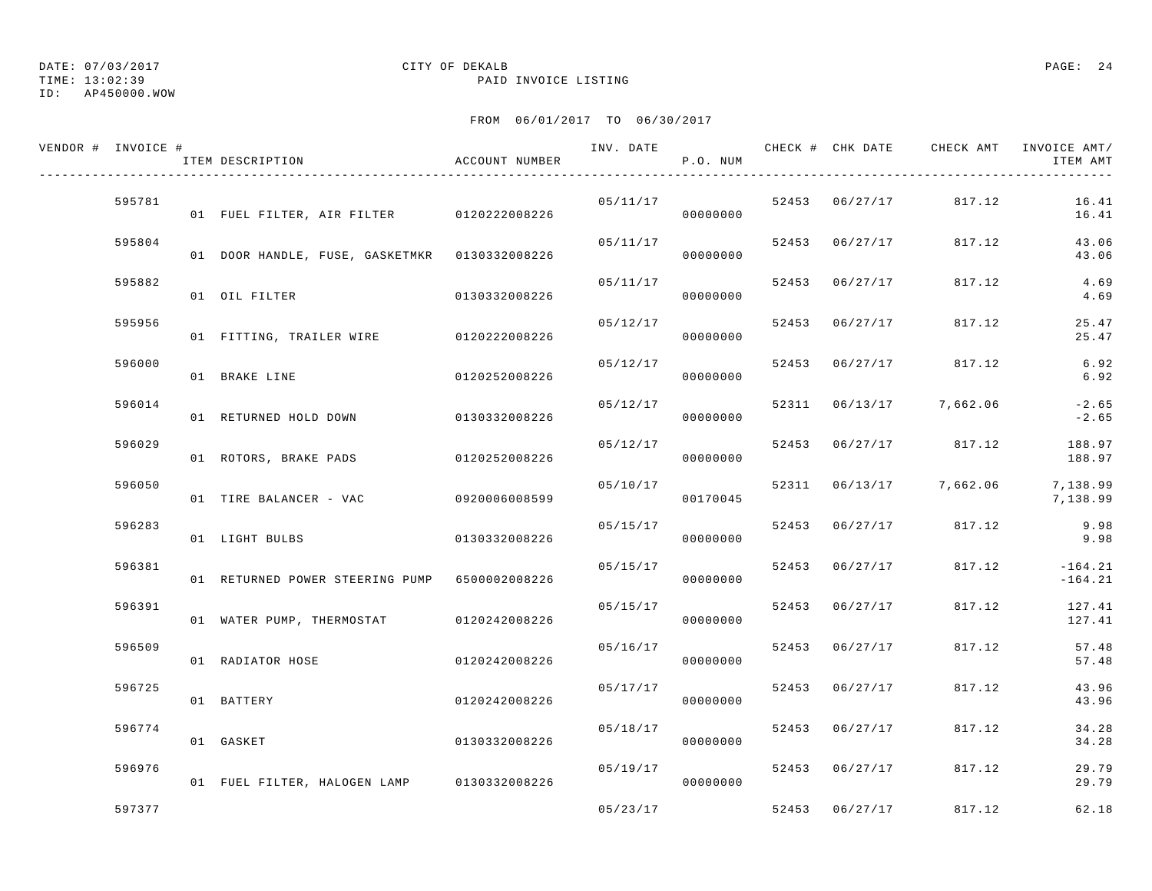TIME: 13:02:39 PAID INVOICE LISTING

ID: AP450000.WOW

| VENDOR # INVOICE # | ITEM DESCRIPTION                              | ACCOUNT NUMBER | INV. DATE | P.O. NUM  |                |                         | CHECK # CHK DATE CHECK AMT INVOICE AMT/<br>ITEM AMT |
|--------------------|-----------------------------------------------|----------------|-----------|-----------|----------------|-------------------------|-----------------------------------------------------|
| 595781             | 01 FUEL FILTER, AIR FILTER 0120222008226      |                | 05/11/17  | 00000000  | 52453 06/27/17 | 817.12                  | 16.41<br>16.41                                      |
| 595804             | 01 DOOR HANDLE, FUSE, GASKETMKR 0130332008226 |                | 05/11/17  | 00000000  | 52453 06/27/17 | 817.12                  | 43.06<br>43.06                                      |
| 595882             | 01 OIL FILTER                                 | 0130332008226  | 05/11/17  | 00000000  | 52453 06/27/17 | 817.12                  | 4.69<br>4.69                                        |
| 595956             | 01 FITTING, TRAILER WIRE 0120222008226        |                | 05/12/17  | 00000000  | 52453 06/27/17 | 817.12                  | 25.47<br>25.47                                      |
| 596000             | 01 BRAKE LINE                                 | 0120252008226  | 05/12/17  | 00000000  | 52453 06/27/17 | 817.12                  | 6.92<br>6.92                                        |
| 596014             | 01 RETURNED HOLD DOWN                         | 0130332008226  | 05/12/17  | 00000000  |                | 52311 06/13/17 7,662.06 | $-2.65$<br>$-2.65$                                  |
| 596029             | 01 ROTORS, BRAKE PADS 0120252008226           |                | 05/12/17  | 00000000  |                | 52453 06/27/17 817.12   | 188.97<br>188.97                                    |
| 596050             | 01 TIRE BALANCER - VAC                        | 0920006008599  | 05/10/17  | 00170045  |                | 52311 06/13/17 7,662.06 | 7,138.99<br>7,138.99                                |
| 596283             | 01 LIGHT BULBS                                | 0130332008226  | 05/15/17  | 00000000  | 52453 06/27/17 | 817.12                  | 9.98<br>9.98                                        |
| 596381             | 01 RETURNED POWER STEERING PUMP 6500002008226 |                | 05/15/17  | 00000000  | 52453 06/27/17 | 817.12                  | $-164.21$<br>$-164.21$                              |
| 596391             | 01 WATER PUMP, THERMOSTAT 0120242008226       |                | 05/15/17  | 00000000  | 52453 06/27/17 | 817.12                  | 127.41<br>127.41                                    |
| 596509             | 01 RADIATOR HOSE                              | 0120242008226  | 05/16/17  | 00000000  | 52453 06/27/17 | 817.12                  | 57.48<br>57.48                                      |
| 596725             | 01 BATTERY                                    | 0120242008226  | 05/17/17  | 00000000  | 52453 06/27/17 | 817.12                  | 43.96<br>43.96                                      |
| 596774             | 01 GASKET                                     | 0130332008226  | 05/18/17  | 00000000  | 52453 06/27/17 | 817.12                  | 34.28<br>34.28                                      |
| 596976             | 01 FUEL FILTER, HALOGEN LAMP 0130332008226    |                | 05/19/17  | 000000000 | 52453 06/27/17 | 817.12                  | 29.79<br>29.79                                      |
| 597377             |                                               |                | 05/23/17  |           | 52453 06/27/17 | 817.12                  | 62.18                                               |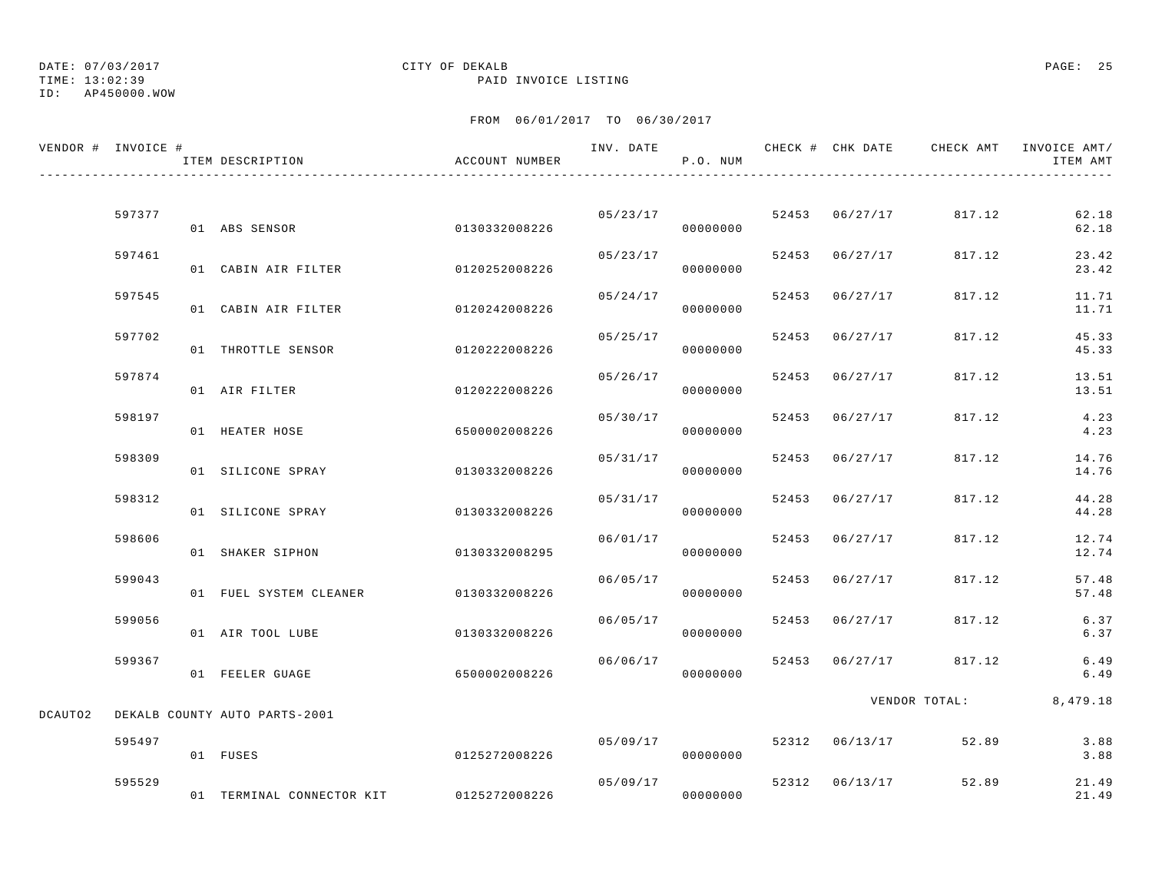## DATE: 07/03/2017 CITY OF DEKALB PAGE: 25

TIME: 13:02:39 PAID INVOICE LISTING

|         | VENDOR # INVOICE # | ITEM DESCRIPTION              | ACCOUNT NUMBER |          | P.O. NUM |       |                |               | ITEM AMT       |
|---------|--------------------|-------------------------------|----------------|----------|----------|-------|----------------|---------------|----------------|
|         |                    |                               |                |          |          |       |                |               |                |
|         | 597377             | 01 ABS SENSOR                 | 0130332008226  | 05/23/17 | 00000000 |       | 52453 06/27/17 | 817.12        | 62.18<br>62.18 |
|         | 597461             | 01 CABIN AIR FILTER           | 0120252008226  | 05/23/17 | 00000000 | 52453 | 06/27/17       | 817.12        | 23.42<br>23.42 |
|         | 597545             | 01 CABIN AIR FILTER           | 0120242008226  | 05/24/17 | 00000000 |       | 52453 06/27/17 | 817.12        | 11.71<br>11.71 |
|         | 597702             | 01 THROTTLE SENSOR            | 0120222008226  | 05/25/17 | 00000000 |       | 52453 06/27/17 | 817.12        | 45.33<br>45.33 |
|         | 597874             | 01 AIR FILTER                 | 0120222008226  | 05/26/17 | 00000000 | 52453 | 06/27/17       | 817.12        | 13.51<br>13.51 |
|         | 598197             | 01 HEATER HOSE                | 6500002008226  | 05/30/17 | 00000000 | 52453 | 06/27/17       | 817.12        | 4.23<br>4.23   |
|         | 598309             | 01 SILICONE SPRAY             | 0130332008226  | 05/31/17 | 00000000 |       | 52453 06/27/17 | 817.12        | 14.76<br>14.76 |
|         | 598312             | 01 SILICONE SPRAY             | 0130332008226  | 05/31/17 | 00000000 |       | 52453 06/27/17 | 817.12        | 44.28<br>44.28 |
|         | 598606             | 01 SHAKER SIPHON              | 0130332008295  | 06/01/17 | 00000000 |       | 52453 06/27/17 | 817.12        | 12.74<br>12.74 |
|         | 599043             | 01 FUEL SYSTEM CLEANER        | 0130332008226  | 06/05/17 | 00000000 |       | 52453 06/27/17 | 817.12        | 57.48<br>57.48 |
|         | 599056             | 01 AIR TOOL LUBE              | 0130332008226  | 06/05/17 | 00000000 |       | 52453 06/27/17 | 817.12        | 6.37<br>6.37   |
|         | 599367             | 01 FEELER GUAGE               | 6500002008226  | 06/06/17 | 00000000 |       | 52453 06/27/17 | 817.12        | 6.49<br>6.49   |
|         |                    |                               |                |          |          |       |                | VENDOR TOTAL: | 8,479.18       |
| DCAUTO2 |                    | DEKALB COUNTY AUTO PARTS-2001 |                |          |          |       |                |               |                |
|         | 595497             | 01 FUSES                      | 0125272008226  | 05/09/17 | 00000000 |       | 52312 06/13/17 | 52.89         | 3.88<br>3.88   |
|         | 595529             | 01 TERMINAL CONNECTOR KIT     | 0125272008226  | 05/09/17 | 00000000 |       | 52312 06/13/17 | 52.89         | 21.49<br>21.49 |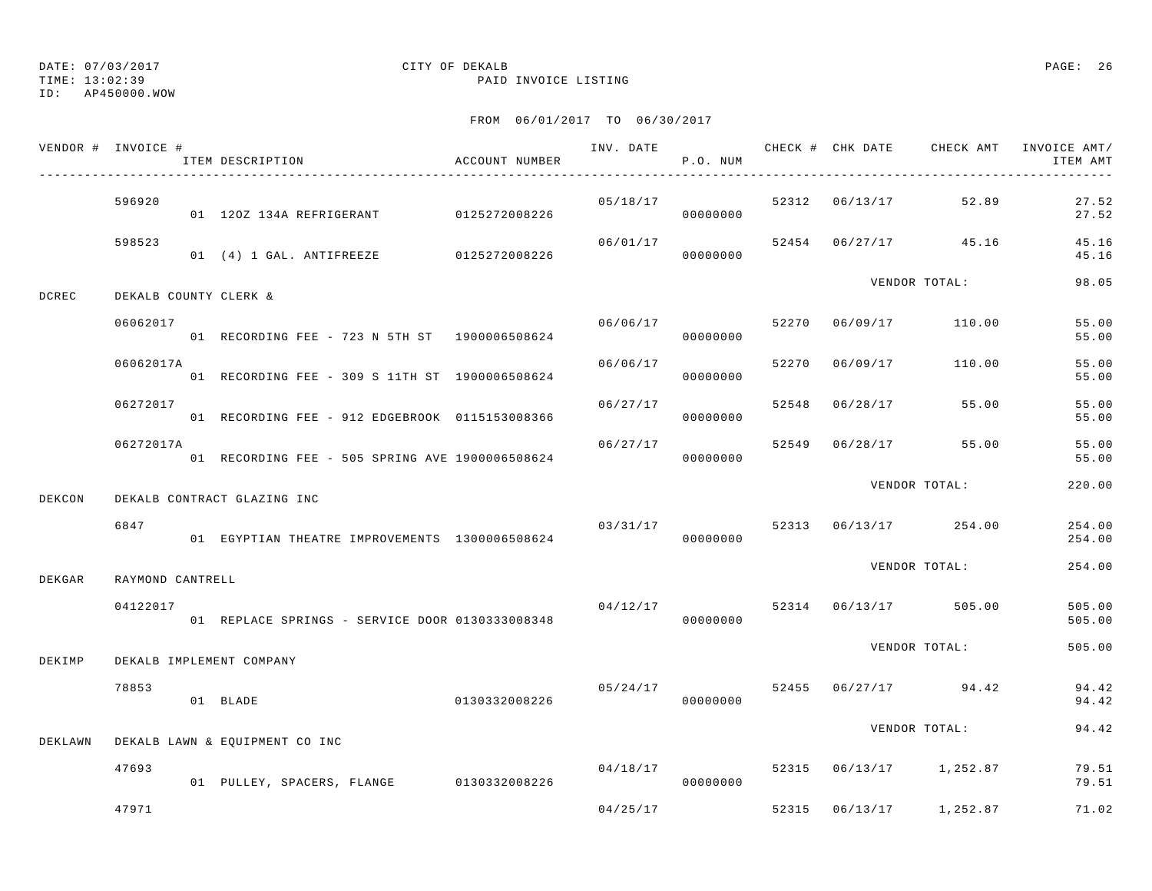TIME: 13:02:39 PAID INVOICE LISTING

ID: AP450000.WOW

|        | VENDOR # INVOICE # | ITEM DESCRIPTION                                | ACCOUNT NUMBER |          | P.O. NUM  |  |                                    | INV. DATE 6 CHECK # CHK DATE CHECK AMT INVOICE AMT/<br>ITEM AMT |
|--------|--------------------|-------------------------------------------------|----------------|----------|-----------|--|------------------------------------|-----------------------------------------------------------------|
|        | 596920             |                                                 |                | 05/18/17 |           |  | 52312 06/13/17 52.89               | 27.52<br>27.52                                                  |
|        | 598523             | 01 (4) 1 GAL. ANTIFREEZE 0125272008226          |                | 06/01/17 | 00000000  |  | 52454 06/27/17 45.16               | 45.16<br>45.16                                                  |
| DCREC  |                    | DEKALB COUNTY CLERK &                           |                |          |           |  | VENDOR TOTAL:                      | 98.05                                                           |
|        | 06062017           | 01 RECORDING FEE - 723 N 5TH ST 1900006508624   |                | 06/06/17 | 00000000  |  | 52270 06/09/17 110.00              | 55.00<br>55.00                                                  |
|        | 06062017A          | 01 RECORDING FEE - 309 S 11TH ST 1900006508624  |                | 06/06/17 | 00000000  |  | 52270 06/09/17 110.00              | 55.00<br>55.00                                                  |
|        | 06272017           | 01 RECORDING FEE - 912 EDGEBROOK 0115153008366  |                | 06/27/17 | 00000000  |  | 52548 06/28/17 55.00               | 55.00<br>55.00                                                  |
|        | 06272017A          | 01 RECORDING FEE - 505 SPRING AVE 1900006508624 |                | 06/27/17 | 00000000  |  | 52549 06/28/17 55.00               | 55.00<br>55.00                                                  |
| DEKCON |                    | DEKALB CONTRACT GLAZING INC                     |                |          |           |  | VENDOR TOTAL:                      | 220.00                                                          |
|        | 6847               | 01 EGYPTIAN THEATRE IMPROVEMENTS 1300006508624  |                | 03/31/17 | 00000000  |  | 52313 06/13/17 254.00              | 254.00<br>254.00                                                |
| DEKGAR | RAYMOND CANTRELL   |                                                 |                |          |           |  | VENDOR TOTAL:                      | 254.00                                                          |
|        | 04122017           | 01 REPLACE SPRINGS - SERVICE DOOR 0130333008348 |                |          | 00000000  |  | $04/12/17$ 52314 $06/13/17$ 505.00 | 505.00<br>505.00                                                |
| DEKIMP |                    | DEKALB IMPLEMENT COMPANY                        |                |          |           |  | VENDOR TOTAL:                      | 505.00                                                          |
|        | 78853              | 01 BLADE                                        | 0130332008226  | 05/24/17 | 00000000  |  | 52455 06/27/17 94.42               | 94.42<br>94.42                                                  |
|        |                    | DEKLAWN DEKALB LAWN & EQUIPMENT CO INC          |                |          |           |  | VENDOR TOTAL:                      | 94.42                                                           |
|        | 47693              | 01 PULLEY, SPACERS, FLANGE 0130332008226        |                | 04/18/17 | 000000000 |  | 52315 06/13/17 1,252.87            | 79.51<br>79.51                                                  |
|        | 47971              |                                                 |                | 04/25/17 |           |  | 52315 06/13/17 1,252.87            | 71.02                                                           |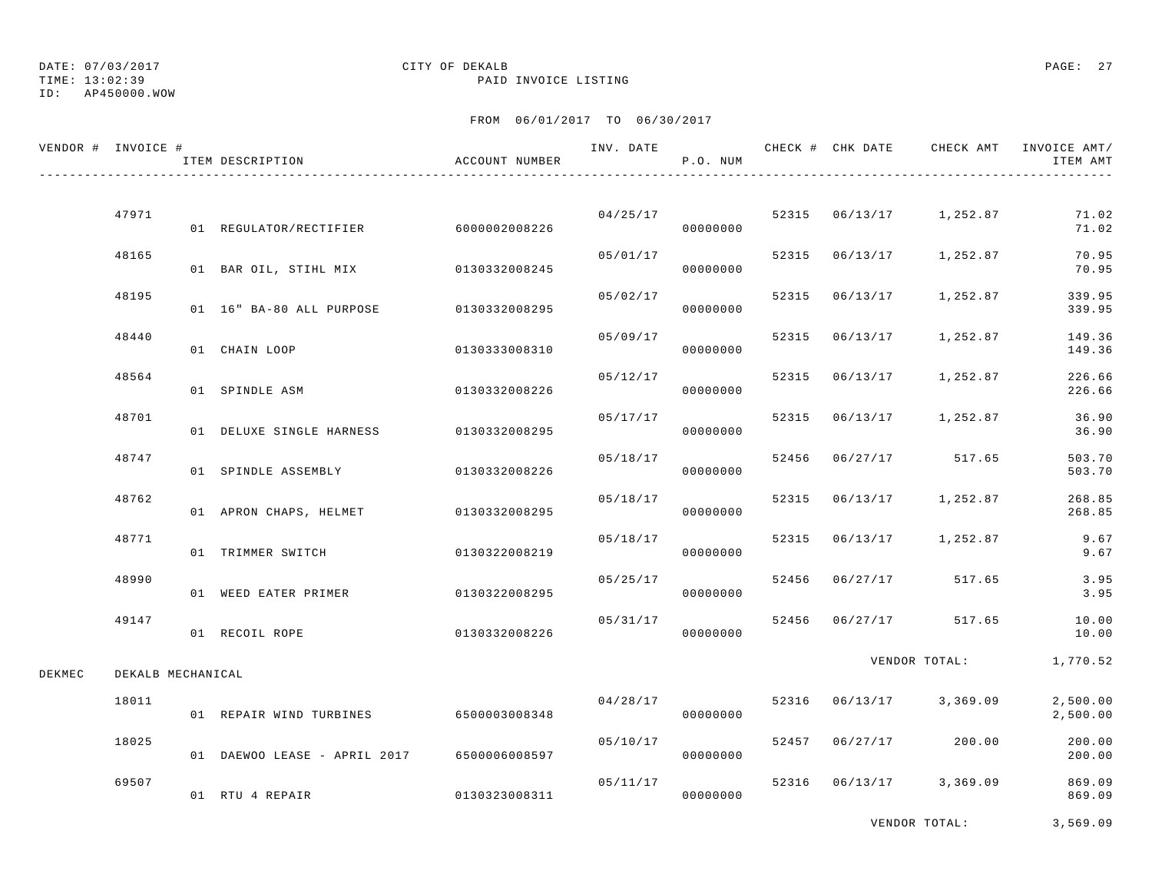## DATE: 07/03/2017 CITY OF DEKALB PAGE: 27

TIME: 13:02:39 PAID INVOICE LISTING

|        | VENDOR # INVOICE # | ITEM DESCRIPTION                           | ACCOUNT NUMBER | INV. DATE | P.O. NUM             |       |                | CHECK # CHK DATE CHECK AMT INVOICE AMT/ | ITEM AMT             |
|--------|--------------------|--------------------------------------------|----------------|-----------|----------------------|-------|----------------|-----------------------------------------|----------------------|
|        |                    |                                            |                |           |                      |       |                |                                         |                      |
|        | 47971              | 01 REGULATOR/RECTIFIER 6000002008226       |                |           | 04/25/17<br>00000000 |       |                | 52315 06/13/17 1,252.87                 | 71.02<br>71.02       |
|        | 48165              | 01 BAR OIL, STIHL MIX 0130332008245        |                | 05/01/17  | 00000000             |       |                | 52315 06/13/17 1,252.87                 | 70.95<br>70.95       |
|        | 48195              | 01 16" BA-80 ALL PURPOSE 0130332008295     |                | 05/02/17  | 00000000             |       |                | 52315 06/13/17 1,252.87                 | 339.95<br>339.95     |
|        | 48440              | 01 CHAIN LOOP                              | 0130333008310  | 05/09/17  | 00000000             |       |                | 52315 06/13/17 1,252.87                 | 149.36<br>149.36     |
|        | 48564              | 01 SPINDLE ASM                             | 0130332008226  | 05/12/17  | 00000000             | 52315 |                | 06/13/17 1,252.87                       | 226.66<br>226.66     |
|        | 48701              | 01 DELUXE SINGLE HARNESS 0130332008295     |                | 05/17/17  | 00000000             |       |                | 52315 06/13/17 1,252.87                 | 36.90<br>36.90       |
|        | 48747              | 01 SPINDLE ASSEMBLY 0130332008226          |                | 05/18/17  | 00000000             |       |                | 52456 06/27/17 517.65                   | 503.70<br>503.70     |
|        | 48762              | 01 APRON CHAPS, HELMET 0130332008295       |                | 05/18/17  | 00000000             |       |                | 52315 06/13/17 1,252.87                 | 268.85<br>268.85     |
|        | 48771              | 01 TRIMMER SWITCH                          | 0130322008219  | 05/18/17  | 00000000             |       | 52315 06/13/17 | 1,252.87                                | 9.67<br>9.67         |
|        | 48990              | 01 WEED EATER PRIMER                       | 0130322008295  | 05/25/17  | 00000000             | 52456 | 06/27/17       | 517.65                                  | 3.95<br>3.95         |
|        | 49147              | 01 RECOIL ROPE                             | 0130332008226  | 05/31/17  | 00000000             |       |                | 52456 06/27/17 517.65                   | 10.00<br>10.00       |
| DEKMEC | DEKALB MECHANICAL  |                                            |                |           |                      |       |                | VENDOR TOTAL:                           | 1,770.52             |
|        | 18011              | 01 REPAIR WIND TURBINES 6500003008348      |                | 04/28/17  | 00000000             |       |                | 52316 06/13/17 3,369.09                 | 2,500.00<br>2,500.00 |
|        | 18025              | 01 DAEWOO LEASE - APRIL 2017 6500006008597 |                | 05/10/17  | 00000000             |       | 52457 06/27/17 | 200.00                                  | 200.00<br>200.00     |
|        | 69507              |                                            |                |           | 05/11/17             |       |                | 52316 06/13/17 3,369.09                 | 869.09               |
|        |                    | 01 RTU 4 REPAIR                            | 0130323008311  |           | 00000000             |       |                |                                         | 869.09               |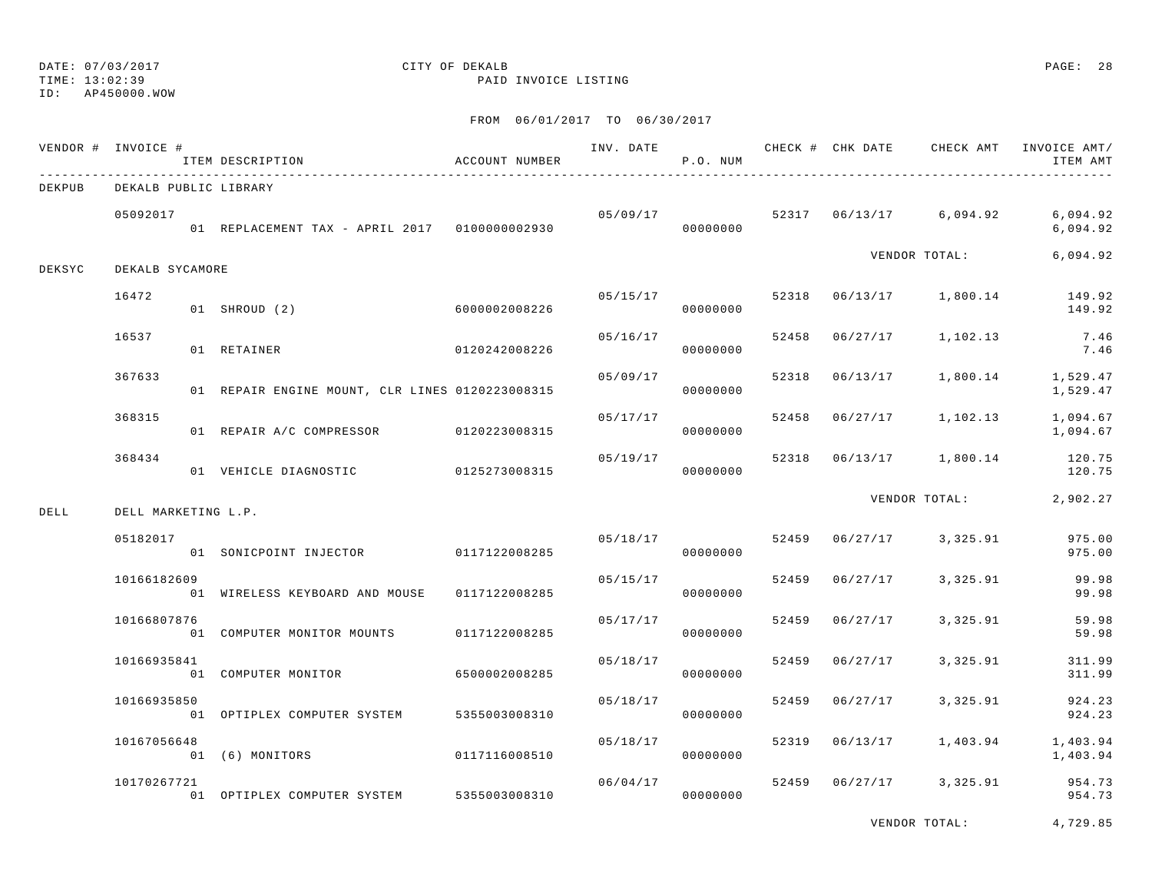TIME: 13:02:39 PAID INVOICE LISTING

ID: AP450000.WOW

FROM 06/01/2017 TO 06/30/2017

|        | VENDOR # INVOICE #    | ITEM DESCRIPTION                                | ACCOUNT NUMBER | INV. DATE | P.O. NUM             |       | CHECK # CHK DATE CHECK AMT |                         | INVOICE AMT/<br>ITEM AMT                    |
|--------|-----------------------|-------------------------------------------------|----------------|-----------|----------------------|-------|----------------------------|-------------------------|---------------------------------------------|
| DEKPUB | DEKALB PUBLIC LIBRARY |                                                 |                |           |                      |       |                            |                         |                                             |
|        | 05092017              | 01 REPLACEMENT TAX - APRIL 2017 0100000002930   |                | 05/09/17  | 00000000             |       |                            | 52317 06/13/17 6,094.92 | 6,094.92<br>6,094.92                        |
| DEKSYC | DEKALB SYCAMORE       |                                                 |                |           |                      |       |                            | VENDOR TOTAL:           | 6,094.92                                    |
|        | 16472                 | 01 SHROUD (2)                                   | 6000002008226  | 05/15/17  | 00000000             |       |                            |                         | 52318  06/13/17  1,800.14  149.92<br>149.92 |
|        | 16537                 | 01 RETAINER                                     | 0120242008226  | 05/16/17  | 00000000             | 52458 | 06/27/17                   | 1,102.13                | 7.46<br>7.46                                |
|        | 367633                | 01 REPAIR ENGINE MOUNT, CLR LINES 0120223008315 |                | 05/09/17  | 00000000             | 52318 |                            | 06/13/17 1,800.14       | 1,529.47<br>1,529.47                        |
|        | 368315                | 01 REPAIR A/C COMPRESSOR 0120223008315          |                | 05/17/17  | 00000000             |       | 52458 06/27/17             | 1,102.13                | 1,094.67<br>1,094.67                        |
|        | 368434                | 01 VEHICLE DIAGNOSTIC 0125273008315             |                | 05/19/17  | 00000000             | 52318 |                            |                         | 06/13/17 1,800.14 120.75<br>120.75          |
| DELL   | DELL MARKETING L.P.   |                                                 |                |           |                      |       |                            | VENDOR TOTAL:           | 2,902.27                                    |
|        | 05182017              | 01 SONICPOINT INJECTOR 0117122008285            |                |           | 05/18/17<br>00000000 | 52459 | 06/27/17                   | 3,325.91                | 975.00<br>975.00                            |
|        | 10166182609           | 01 WIRELESS KEYBOARD AND MOUSE                  | 0117122008285  | 05/15/17  | 00000000             | 52459 | 06/27/17                   | 3,325.91                | 99.98<br>99.98                              |
|        | 10166807876           | 01 COMPUTER MONITOR MOUNTS                      | 0117122008285  | 05/17/17  | 00000000             | 52459 | 06/27/17                   | 3,325.91                | 59.98<br>59.98                              |
|        | 10166935841           | 01 COMPUTER MONITOR                             | 6500002008285  | 05/18/17  | 00000000             | 52459 | 06/27/17                   | 3,325.91                | 311.99<br>311.99                            |
|        | 10166935850           | 01 OPTIPLEX COMPUTER SYSTEM                     | 5355003008310  | 05/18/17  | 00000000             | 52459 | 06/27/17                   | 3,325.91                | 924.23<br>924.23                            |
|        | 10167056648           | 01 (6) MONITORS                                 | 0117116008510  | 05/18/17  | 00000000             |       | 52319 06/13/17             | 1,403.94                | 1,403.94<br>1,403.94                        |
|        | 10170267721           | 01 OPTIPLEX COMPUTER SYSTEM 5355003008310       |                | 06/04/17  | 00000000             |       |                            | 52459 06/27/17 3,325.91 | 954.73<br>954.73                            |

VENDOR TOTAL: 4,729.85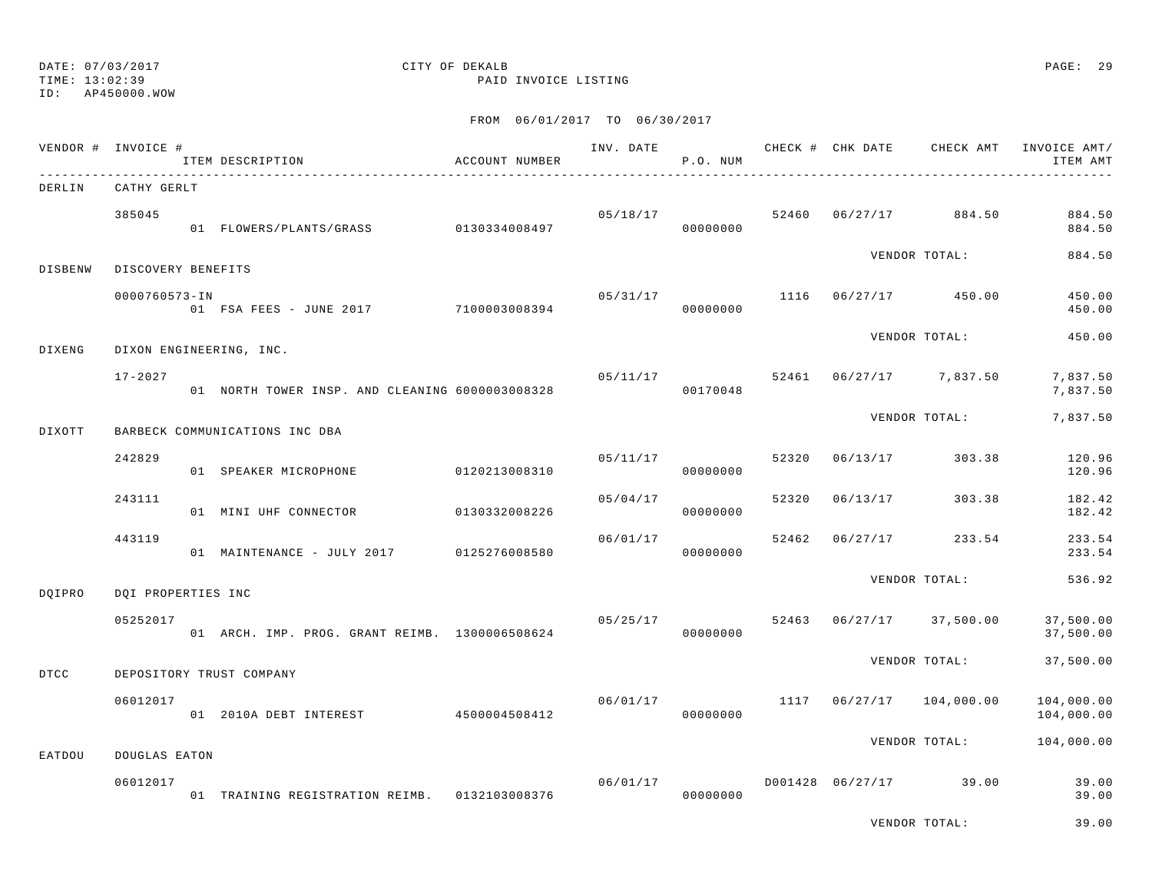TIME: 13:02:39 PAID INVOICE LISTING

ID: AP450000.WOW

### FROM 06/01/2017 TO 06/30/2017

|                | VENDOR # INVOICE # | ITEM DESCRIPTION                                | ACCOUNT NUMBER |          | P.O. NUM             |       |          |                            | INV. DATE 6 CHECK # CHK DATE CHECK AMT INVOICE AMT/<br>ITEM AMT |
|----------------|--------------------|-------------------------------------------------|----------------|----------|----------------------|-------|----------|----------------------------|-----------------------------------------------------------------|
| DERLIN         | CATHY GERLT        |                                                 |                |          |                      |       |          |                            |                                                                 |
|                | 385045             | 01 FLOWERS/PLANTS/GRASS 0130334008497           |                |          | 05/18/17<br>00000000 | 52460 |          | 06/27/17 884.50            | 884.50<br>884.50                                                |
| <b>DISBENW</b> | DISCOVERY BENEFITS |                                                 |                |          |                      |       |          | VENDOR TOTAL:              | 884.50                                                          |
|                | 0000760573-IN      | 01 FSA FEES - JUNE 2017 7100003008394           |                | 05/31/17 | 00000000             |       |          | $1116$ $06/27/17$ 450.00   | 450.00<br>450.00                                                |
| DIXENG         |                    | DIXON ENGINEERING, INC.                         |                |          |                      |       |          | VENDOR TOTAL:              | 450.00                                                          |
|                | $17 - 2027$        | 01 NORTH TOWER INSP. AND CLEANING 6000003008328 |                | 05/11/17 | 00170048             |       |          | 52461 06/27/17 7,837.50    | 7,837.50<br>7,837.50                                            |
| DIXOTT         |                    | BARBECK COMMUNICATIONS INC DBA                  |                |          |                      |       |          | VENDOR TOTAL:              | 7,837.50                                                        |
|                | 242829             | 01 SPEAKER MICROPHONE                           | 0120213008310  | 05/11/17 | 00000000             | 52320 | 06/13/17 | 303.38                     | 120.96<br>120.96                                                |
|                | 243111             | 01 MINI UHF CONNECTOR                           | 0130332008226  | 05/04/17 | 00000000             | 52320 | 06/13/17 | 303.38                     | 182.42<br>182.42                                                |
|                | 443119             | 01 MAINTENANCE - JULY 2017 0125276008580        |                | 06/01/17 | 00000000             | 52462 | 06/27/17 | 233.54                     | 233.54<br>233.54                                                |
| DQIPRO         | DQI PROPERTIES INC |                                                 |                |          |                      |       |          | VENDOR TOTAL:              | 536.92                                                          |
|                | 05252017           | 01 ARCH. IMP. PROG. GRANT REIMB. 1300006508624  |                | 05/25/17 | 00000000             |       |          | 52463 06/27/17 37,500.00   | 37,500.00<br>37,500.00                                          |
| DTCC           |                    | DEPOSITORY TRUST COMPANY                        |                |          |                      |       |          | VENDOR TOTAL:              | 37,500.00                                                       |
|                | 06012017           | 01  2010A  DEBT  INTEREST  4500004508412        |                | 06/01/17 | 00000000             |       |          | 1117  06/27/17  104,000.00 | 104,000.00<br>104,000.00                                        |
| EATDOU         | DOUGLAS EATON      |                                                 |                |          |                      |       |          | VENDOR TOTAL:              | 104,000.00                                                      |
|                | 06012017           |                                                 |                | 06/01/17 |                      |       |          | D001428 06/27/17 39.00     | 39.00                                                           |
|                |                    | 01 TRAINING REGISTRATION REIMB. 0132103008376   |                |          | 00000000             |       |          |                            | 39.00<br>$\sim$ $\sim$ $\sim$ $\sim$                            |

VENDOR TOTAL: 39.00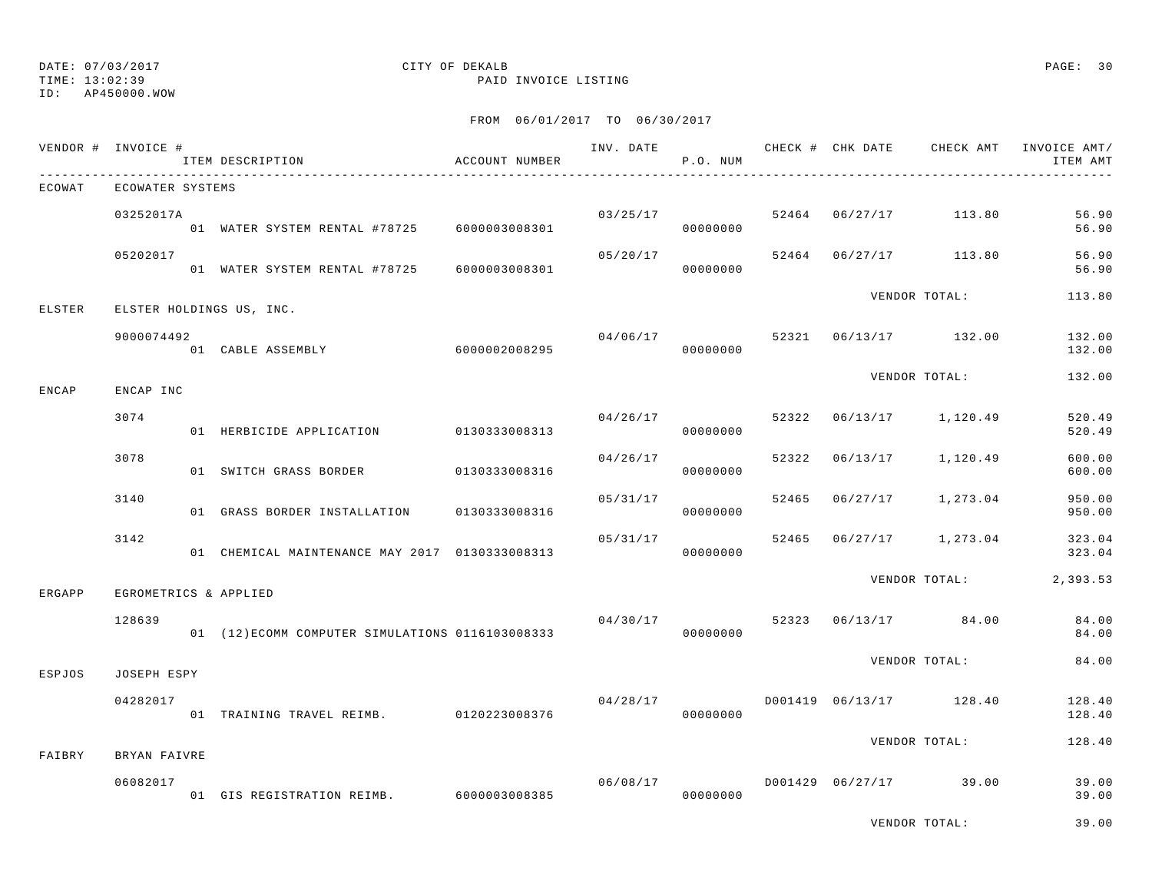TIME: 13:02:39 PAID INVOICE LISTING

ID: AP450000.WOW

|        | VENDOR # INVOICE #    | ITEM DESCRIPTION                                 | ACCOUNT NUMBER |          | P.O. NUM             |       |                                   | INV. DATE 6 CHECK # CHK DATE CHECK AMT INVOICE AMT/<br>ITEM AMT |
|--------|-----------------------|--------------------------------------------------|----------------|----------|----------------------|-------|-----------------------------------|-----------------------------------------------------------------|
| ECOWAT | ECOWATER SYSTEMS      |                                                  |                |          |                      |       |                                   |                                                                 |
|        | 03252017A             | 01 WATER SYSTEM RENTAL #78725 6000003008301      |                |          | 03/25/17<br>00000000 |       | 52464 06/27/17 113.80             | 56.90<br>56.90                                                  |
|        | 05202017              | 01 WATER SYSTEM RENTAL #78725 6000003008301      |                |          | 00000000             |       | $05/20/17$ 52464 06/27/17 113.80  | 56.90<br>56.90                                                  |
| ELSTER |                       | ELSTER HOLDINGS US, INC.                         |                |          |                      |       | VENDOR TOTAL:                     | 113.80                                                          |
|        | 9000074492            | 01 CABLE ASSEMBLY 6000002008295                  |                | 04/06/17 | 00000000             |       | 52321 06/13/17 132.00             | 132.00<br>132.00                                                |
| ENCAP  | ENCAP INC             |                                                  |                |          |                      |       | VENDOR TOTAL:                     | 132.00                                                          |
|        | 3074                  | 01 HERBICIDE APPLICATION 0130333008313           |                |          | 04/26/17<br>00000000 |       | 52322 06/13/17 1,120.49           | 520.49<br>520.49                                                |
|        | 3078                  | 01 SWITCH GRASS BORDER 0130333008316             |                | 04/26/17 | 00000000             | 52322 | 06/13/17 1,120.49                 | 600.00<br>600.00                                                |
|        | 3140                  | 01 GRASS BORDER INSTALLATION 0130333008316       |                | 05/31/17 | 00000000             |       | 52465 06/27/17 1,273.04           | 950.00<br>950.00                                                |
|        | 3142                  | 01 CHEMICAL MAINTENANCE MAY 2017 0130333008313   |                | 05/31/17 | 00000000             |       | 52465 06/27/17 1,273.04           | 323.04<br>323.04                                                |
| ERGAPP | EGROMETRICS & APPLIED |                                                  |                |          |                      |       | VENDOR TOTAL:                     | 2,393.53                                                        |
|        | 128639                | 01 (12) ECOMM COMPUTER SIMULATIONS 0116103008333 |                |          | 00000000             |       | $04/30/17$ 52323 06/13/17 84.00   | 84.00<br>84.00                                                  |
| ESPJOS | JOSEPH ESPY           |                                                  |                |          |                      |       | VENDOR TOTAL:                     | 84.00                                                           |
|        | 04282017              | 01 TRAINING TRAVEL REIMB. 0120223008376          |                | 04/28/17 | 00000000             |       | D001419 06/13/17 128.40           | 128.40<br>128.40                                                |
| FAIBRY | BRYAN FAIVRE          |                                                  |                |          |                      |       | VENDOR TOTAL:                     | 128.40                                                          |
|        | 06082017              | 01 GIS REGISTRATION REIMB. 6000003008385         |                |          | 00000000             |       | $06/08/17$ D001429 06/27/17 39.00 | 39.00<br>39.00                                                  |
|        |                       |                                                  |                |          |                      |       | VENDOR TOTAL:                     | 39.00                                                           |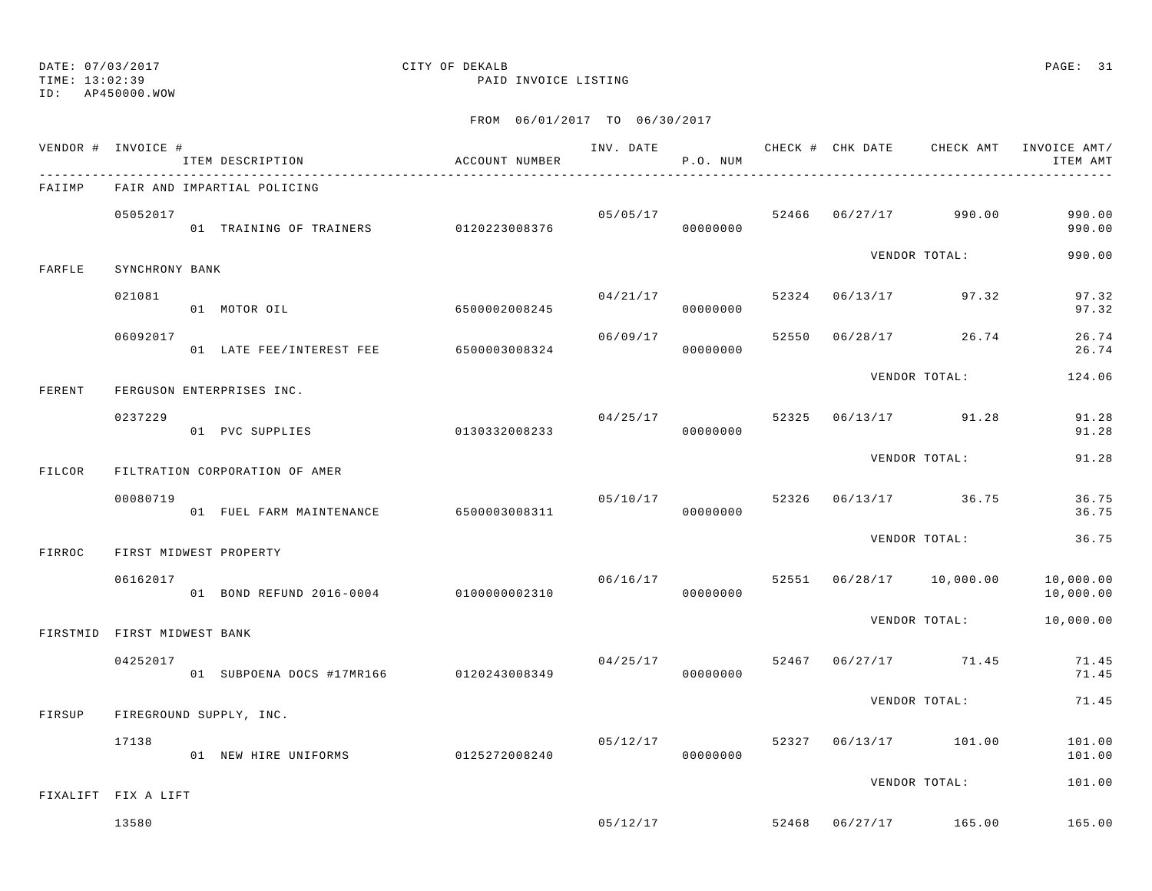TIME: 13:02:39 PAID INVOICE LISTING

ID: AP450000.WOW

|        | VENDOR # INVOICE #          | ITEM DESCRIPTION                        | ACCOUNT NUMBER |          | P.O. NUM             |       | INV. DATE 6 CHECK # CHK DATE CHECK AMT INVOICE AMT/ | ITEM AMT               |
|--------|-----------------------------|-----------------------------------------|----------------|----------|----------------------|-------|-----------------------------------------------------|------------------------|
| FAIIMP |                             | FAIR AND IMPARTIAL POLICING             |                |          |                      |       |                                                     |                        |
|        | 05052017                    | 01 TRAINING OF TRAINERS 0120223008376   |                |          | 05/05/17<br>00000000 |       | 52466 06/27/17 990.00                               | 990.00<br>990.00       |
| FARFLE | SYNCHRONY BANK              |                                         |                |          |                      |       | VENDOR TOTAL:                                       | 990.00                 |
|        | 021081                      | 01 MOTOR OIL                            | 6500002008245  | 04/21/17 | 00000000             | 52324 | 06/13/17 97.32                                      | 97.32<br>97.32         |
|        | 06092017                    | 01 LATE FEE/INTEREST FEE 6500003008324  |                | 06/09/17 | 00000000             | 52550 | $06/28/17$ 26.74                                    | 26.74<br>26.74         |
| FERENT |                             | FERGUSON ENTERPRISES INC.               |                |          |                      |       | VENDOR TOTAL:                                       | 124.06                 |
|        | 0237229                     | 01 PVC SUPPLIES                         | 0130332008233  |          | 04/25/17<br>00000000 | 52325 | 06/13/17 91.28                                      | 91.28<br>91.28         |
| FILCOR |                             | FILTRATION CORPORATION OF AMER          |                |          |                      |       | VENDOR TOTAL:                                       | 91.28                  |
|        | 00080719                    | 01 FUEL FARM MAINTENANCE 6500003008311  |                | 05/10/17 | 00000000             | 52326 | 06/13/17 36.75                                      | 36.75<br>36.75         |
| FIRROC |                             | FIRST MIDWEST PROPERTY                  |                |          |                      |       | VENDOR TOTAL:                                       | 36.75                  |
|        | 06162017                    | 01 BOND REFUND 2016-0004 0100000002310  |                | 06/16/17 | 00000000             |       | 52551 06/28/17 10,000.00                            | 10,000.00<br>10,000.00 |
|        | FIRSTMID FIRST MIDWEST BANK |                                         |                |          |                      |       | VENDOR TOTAL:                                       | 10,000.00              |
|        | 04252017                    | 01 SUBPOENA DOCS #17MR166 0120243008349 |                | 04/25/17 | 00000000             | 52467 | 06/27/17 71.45                                      | 71.45<br>71.45         |
| FIRSUP |                             | FIREGROUND SUPPLY, INC.                 |                |          |                      |       | VENDOR TOTAL:                                       | 71.45                  |
|        | 17138                       | 01 NEW HIRE UNIFORMS                    | 0125272008240  | 05/12/17 | 00000000             |       | 52327 06/13/17 101.00                               | 101.00<br>101.00       |
|        | FIXALIFT FIX A LIFT         |                                         |                |          |                      |       | VENDOR TOTAL:                                       | 101.00                 |
|        | 13580                       |                                         |                | 05/12/17 |                      |       | 52468 06/27/17 165.00                               | 165.00                 |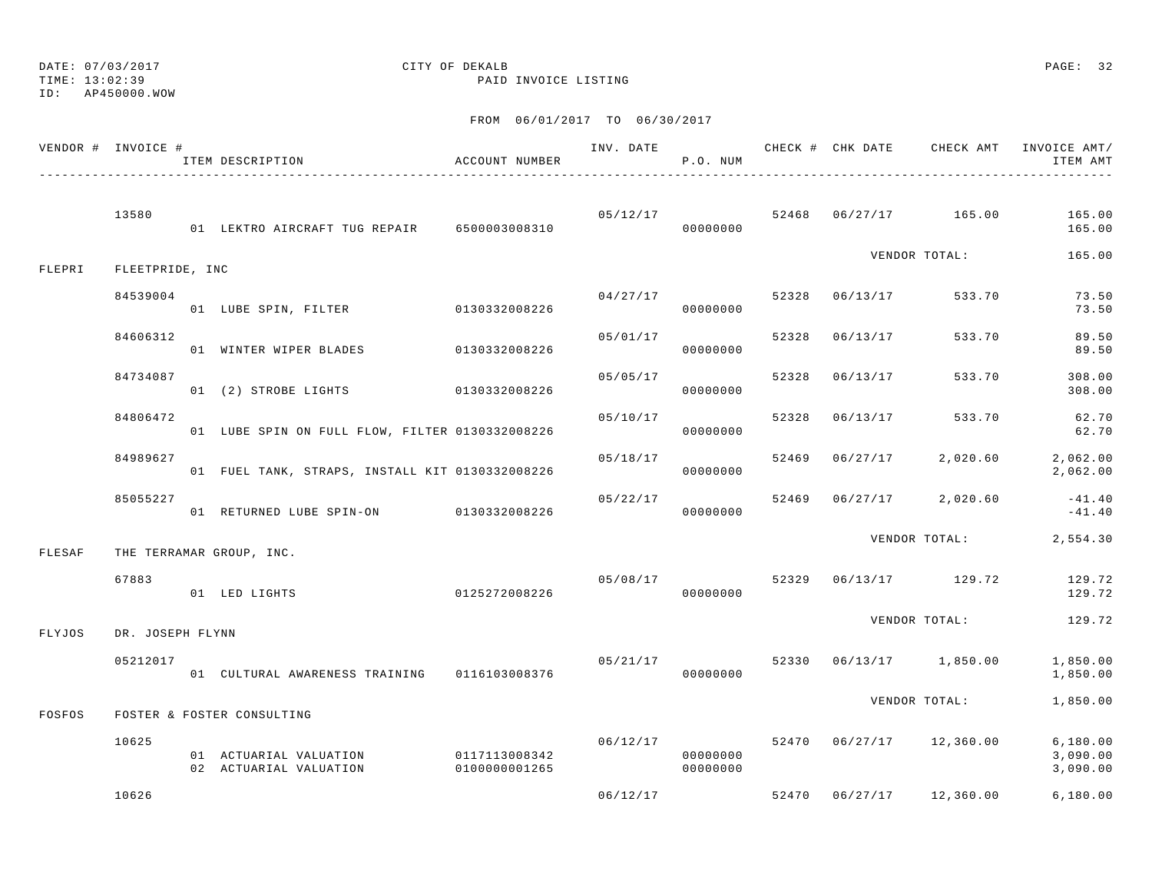## DATE: 07/03/2017 CITY OF DEKALB PAGE: 32

TIME: 13:02:39 PAID INVOICE LISTING

|        | VENDOR # INVOICE # | ITEM DESCRIPTION                                 | <b>ACCOUNT NUMBER</b>          | INV. DATE | P.O. NUM             |       |          | CHECK # CHK DATE CHECK AMT | INVOICE AMT/<br>ITEM AMT         |
|--------|--------------------|--------------------------------------------------|--------------------------------|-----------|----------------------|-------|----------|----------------------------|----------------------------------|
|        | 13580              | 01 LEKTRO AIRCRAFT TUG REPAIR 6500003008310      |                                | 05/12/17  | 00000000             |       |          | 52468 06/27/17 165.00      | 165.00<br>165.00                 |
| FLEPRI | FLEETPRIDE, INC    |                                                  |                                |           |                      |       |          | VENDOR TOTAL:              | 165.00                           |
|        | 84539004           | 01 LUBE SPIN, FILTER 0130332008226               |                                | 04/27/17  | 00000000             | 52328 | 06/13/17 | 533.70                     | 73.50<br>73.50                   |
|        | 84606312           | 01 WINTER WIPER BLADES                           | 0130332008226                  | 05/01/17  | 00000000             | 52328 | 06/13/17 | 533.70                     | 89.50<br>89.50                   |
|        | 84734087           | 01 (2) STROBE LIGHTS 0130332008226               |                                | 05/05/17  | 00000000             | 52328 | 06/13/17 | 533.70                     | 308.00<br>308.00                 |
|        | 84806472           | 01 LUBE SPIN ON FULL FLOW, FILTER 0130332008226  |                                | 05/10/17  | 00000000             | 52328 | 06/13/17 | 533.70                     | 62.70<br>62.70                   |
|        | 84989627           | 01 FUEL TANK, STRAPS, INSTALL KIT 0130332008226  |                                | 05/18/17  | 00000000             | 52469 | 06/27/17 | 2,020.60                   | 2,062.00<br>2,062.00             |
|        | 85055227           | 01 RETURNED LUBE SPIN-ON 0130332008226           |                                | 05/22/17  | 00000000             | 52469 |          | $06/27/17$ 2,020.60        | $-41.40$<br>$-41.40$             |
| FLESAF |                    | THE TERRAMAR GROUP, INC.                         |                                |           |                      |       |          | VENDOR TOTAL:              | 2,554.30                         |
|        | 67883              | 01 LED LIGHTS                                    | 0125272008226                  | 05/08/17  | 00000000             | 52329 |          | 06/13/17 129.72            | 129.72<br>129.72                 |
| FLYJOS | DR. JOSEPH FLYNN   |                                                  |                                |           |                      |       |          | VENDOR TOTAL:              | 129.72                           |
|        | 05212017           | 01 CULTURAL AWARENESS TRAINING 0116103008376     |                                | 05/21/17  | 00000000             |       |          | 52330 06/13/17 1,850.00    | 1,850.00<br>1,850.00             |
| FOSFOS |                    | FOSTER & FOSTER CONSULTING                       |                                |           |                      |       |          | VENDOR TOTAL:              | 1,850.00                         |
|        | 10625              | 01 ACTUARIAL VALUATION<br>02 ACTUARIAL VALUATION | 0117113008342<br>0100000001265 | 06/12/17  | 00000000<br>00000000 |       |          | 52470 06/27/17 12,360.00   | 6,180.00<br>3,090.00<br>3,090.00 |
|        | 10626              |                                                  |                                | 06/12/17  |                      |       |          | 52470 06/27/17 12,360.00   | 6,180.00                         |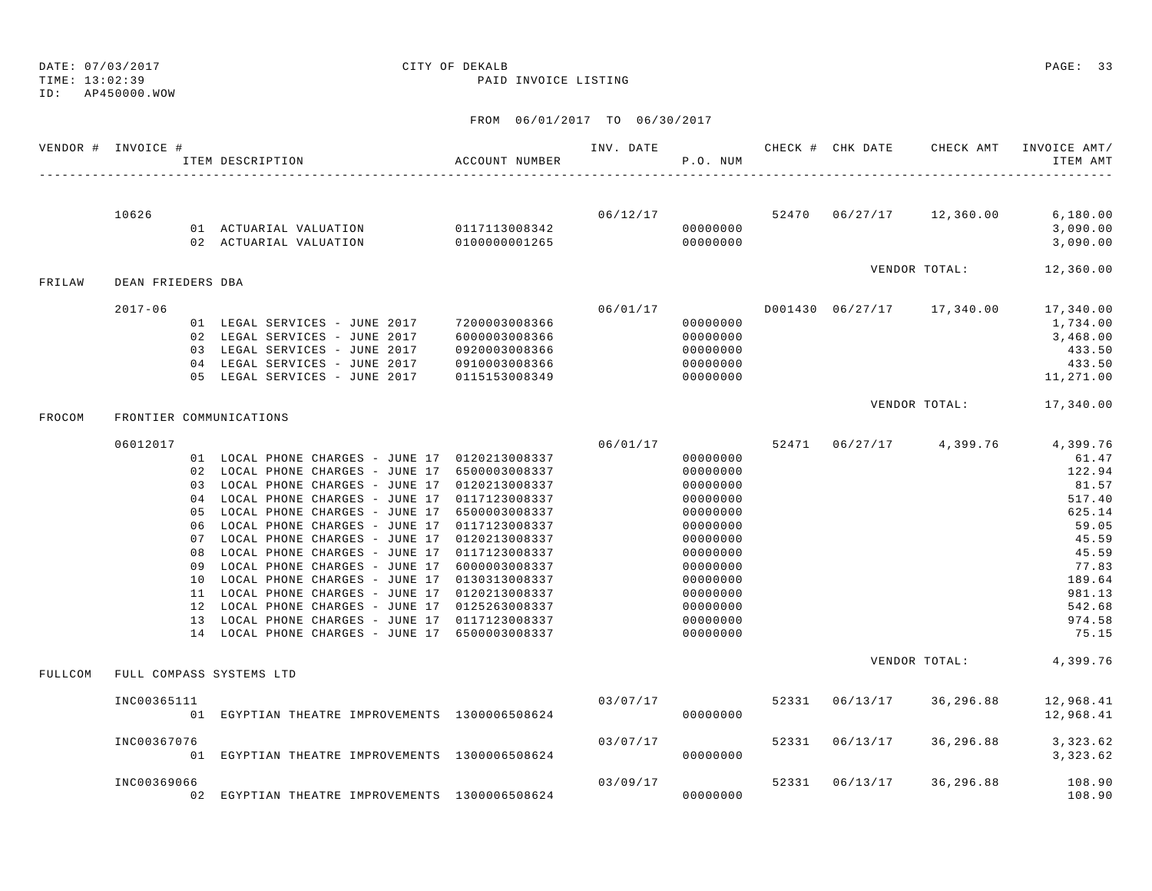## DATE: 07/03/2017 CITY OF DEKALB PAGE: 33

TIME: 13:02:39 PAID INVOICE LISTING

|         | VENDOR # INVOICE # | ITEM DESCRIPTION                                                                                                                                                                                                                                                                                                                                                                                                                                                                                                                                                                                                                                                                                                         | ACCOUNT NUMBER                                                   |                | P.O. NUM                                                                                                                                                             |       |                |                    | INVOICE AMT/<br>ITEM AMT                                                                                                                                                         |
|---------|--------------------|--------------------------------------------------------------------------------------------------------------------------------------------------------------------------------------------------------------------------------------------------------------------------------------------------------------------------------------------------------------------------------------------------------------------------------------------------------------------------------------------------------------------------------------------------------------------------------------------------------------------------------------------------------------------------------------------------------------------------|------------------------------------------------------------------|----------------|----------------------------------------------------------------------------------------------------------------------------------------------------------------------|-------|----------------|--------------------|----------------------------------------------------------------------------------------------------------------------------------------------------------------------------------|
|         | 10626              | 01 ACTUARIAL VALUATION 0117113008342                                                                                                                                                                                                                                                                                                                                                                                                                                                                                                                                                                                                                                                                                     |                                                                  |                | 00000000                                                                                                                                                             |       |                |                    | $06/12/17$ $52470$ $06/27/17$ $12,360.00$ $6,180.00$<br>3,090.00<br>3,090.00                                                                                                     |
| FRILAW  | DEAN FRIEDERS DBA  |                                                                                                                                                                                                                                                                                                                                                                                                                                                                                                                                                                                                                                                                                                                          |                                                                  |                |                                                                                                                                                                      |       |                |                    | VENDOR TOTAL: 12,360.00                                                                                                                                                          |
|         | $2017 - 06$        | 01 LEGAL SERVICES - JUNE 2017 7200003008366<br>02 LEGAL SERVICES - JUNE 2017<br>03 LEGAL SERVICES - JUNE 2017<br>04 LEGAL SERVICES - JUNE 2017<br>05 LEGAL SERVICES - JUNE 2017                                                                                                                                                                                                                                                                                                                                                                                                                                                                                                                                          | 6000003008366<br>0920003008366<br>0910003008366<br>0115153008349 | 00000000       | 00000000<br>00000000<br>00000000<br>00000000                                                                                                                         |       |                |                    | $06/01/17$ $0001430$ $06/27/17$ $17,340.00$ $17,340.00$<br>1,734.00<br>3,468.00<br>433.50<br>433.50<br>11,271.00                                                                 |
| FROCOM  |                    | FRONTIER COMMUNICATIONS                                                                                                                                                                                                                                                                                                                                                                                                                                                                                                                                                                                                                                                                                                  |                                                                  |                |                                                                                                                                                                      |       |                | VENDOR TOTAL:      | 17,340.00                                                                                                                                                                        |
|         | 06012017           | 01 LOCAL PHONE CHARGES - JUNE 17 0120213008337<br>02 LOCAL PHONE CHARGES - JUNE 17 6500003008337<br>03 LOCAL PHONE CHARGES - JUNE 17 0120213008337<br>04 LOCAL PHONE CHARGES - JUNE 17 0117123008337<br>05 LOCAL PHONE CHARGES - JUNE 17 6500003008337<br>06 LOCAL PHONE CHARGES - JUNE 17 0117123008337<br>07 LOCAL PHONE CHARGES - JUNE 17 0120213008337<br>08 LOCAL PHONE CHARGES - JUNE 17 0117123008337<br>09 LOCAL PHONE CHARGES - JUNE 17 6000003008337<br>10 LOCAL PHONE CHARGES - JUNE 17 0130313008337<br>11 LOCAL PHONE CHARGES - JUNE 17 0120213008337<br>12 LOCAL PHONE CHARGES - JUNE 17 0125263008337<br>13 LOCAL PHONE CHARGES - JUNE 17 0117123008337<br>14 LOCAL PHONE CHARGES - JUNE 17 6500003008337 |                                                                  |                | 00000000<br>00000000<br>00000000<br>00000000<br>00000000<br>00000000<br>00000000<br>00000000<br>00000000<br>00000000<br>00000000<br>00000000<br>00000000<br>00000000 |       |                |                    | $06/01/17$ 52471 06/27/17 4,399.76 4,399.76<br>61.47<br>122.94<br>81.57<br>517.40<br>625.14<br>59.05<br>45.59<br>45.59<br>77.83<br>189.64<br>981.13<br>542.68<br>974.58<br>75.15 |
| FULLCOM |                    | FULL COMPASS SYSTEMS LTD                                                                                                                                                                                                                                                                                                                                                                                                                                                                                                                                                                                                                                                                                                 |                                                                  |                |                                                                                                                                                                      |       |                |                    | VENDOR TOTAL: 4,399.76                                                                                                                                                           |
|         | INC00365111        | 01 EGYPTIAN THEATRE IMPROVEMENTS 1300006508624                                                                                                                                                                                                                                                                                                                                                                                                                                                                                                                                                                                                                                                                           |                                                                  | 03/07/17 52331 | 00000000                                                                                                                                                             |       |                | 06/13/17 36,296.88 | 12,968.41<br>12,968.41                                                                                                                                                           |
|         | INC00367076        | 01 EGYPTIAN THEATRE IMPROVEMENTS 1300006508624                                                                                                                                                                                                                                                                                                                                                                                                                                                                                                                                                                                                                                                                           |                                                                  | 03/07/17       | 00000000                                                                                                                                                             |       | 52331 06/13/17 |                    | 36, 296.88 3, 323.62<br>3,323.62                                                                                                                                                 |
|         | INC00369066        | 02 EGYPTIAN THEATRE IMPROVEMENTS 1300006508624                                                                                                                                                                                                                                                                                                                                                                                                                                                                                                                                                                                                                                                                           |                                                                  | 03/09/17       | 00000000                                                                                                                                                             | 52331 |                | 06/13/17 36,296.88 | 108.90<br>108.90                                                                                                                                                                 |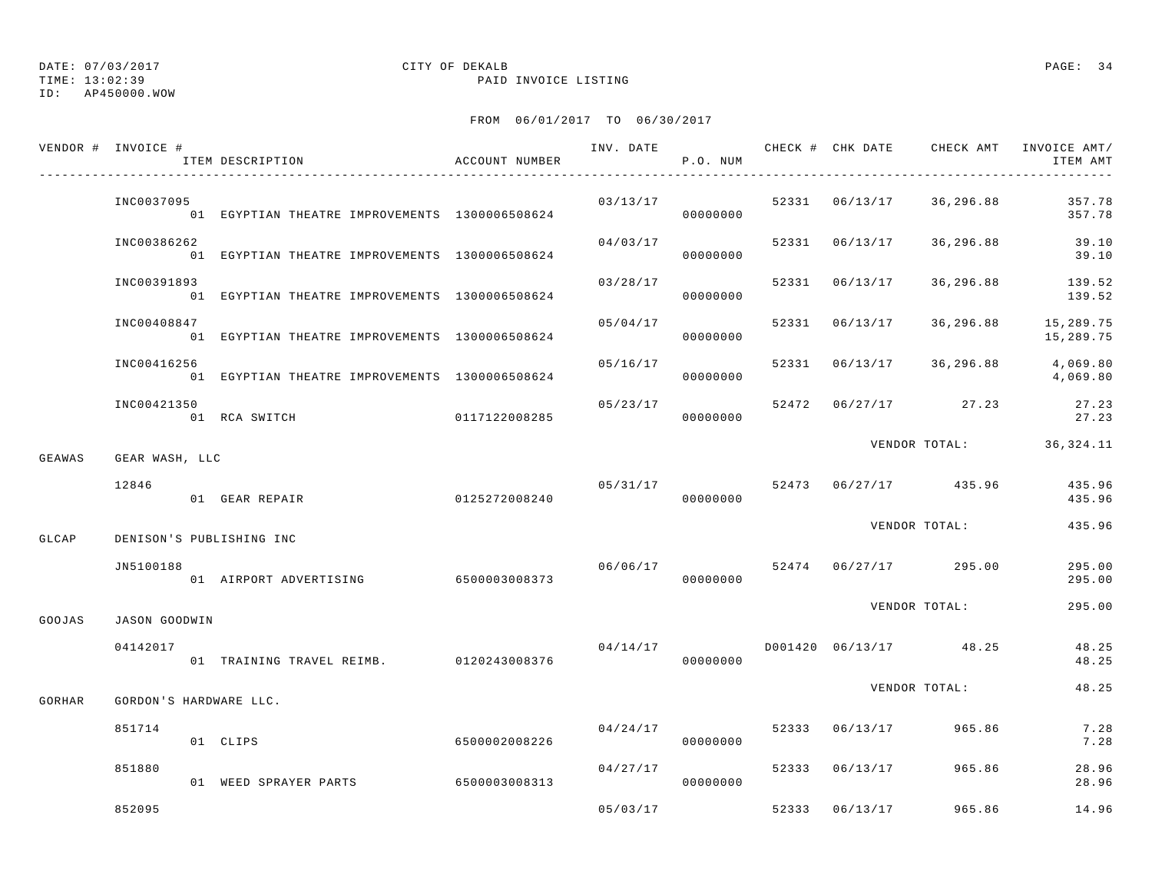TIME: 13:02:39 PAID INVOICE LISTING

ID: AP450000.WOW

|        | VENDOR # INVOICE #     | ITEM DESCRIPTION                               | ACCOUNT NUMBER         |                                   | P.O. NUM             |       |          |                                  | INV. DATE 6 CHECK # CHK DATE CHECK AMT INVOICE AMT/<br>ITEM AMT |
|--------|------------------------|------------------------------------------------|------------------------|-----------------------------------|----------------------|-------|----------|----------------------------------|-----------------------------------------------------------------|
|        | INC0037095             | 01 EGYPTIAN THEATRE IMPROVEMENTS 1300006508624 |                        | 03/13/17                          | 000000000            |       |          | 52331 06/13/17 36,296.88         | 357.78<br>357.78                                                |
|        | INC00386262            | 01 EGYPTIAN THEATRE IMPROVEMENTS 1300006508624 |                        |                                   | 04/03/17<br>00000000 |       |          | 52331 06/13/17 36,296.88         | 39.10<br>39.10                                                  |
|        | INC00391893            | 01 EGYPTIAN THEATRE IMPROVEMENTS 1300006508624 |                        | 03/28/17                          | 00000000             |       |          | 52331 06/13/17 36,296.88         | 139.52<br>139.52                                                |
|        | INC00408847            | 01 EGYPTIAN THEATRE IMPROVEMENTS 1300006508624 |                        | 05/04/17                          | 00000000             |       |          | 52331 06/13/17 36,296.88         | 15,289.75<br>15,289.75                                          |
|        | INC00416256            | 01 EGYPTIAN THEATRE IMPROVEMENTS 1300006508624 |                        | 05/16/17                          | 00000000             |       |          | 52331 06/13/17 36,296.88         | 4,069.80<br>4,069.80                                            |
|        | INC00421350            | 01 RCA SWITCH 0117122008285                    |                        |                                   | 05/23/17<br>00000000 |       |          | 52472 06/27/17 27.23             | 27.23<br>27.23                                                  |
| GEAWAS | GEAR WASH, LLC         |                                                |                        |                                   |                      |       |          |                                  | VENDOR TOTAL: 36,324.11                                         |
|        | 12846                  | 0125272008240<br>01 GEAR REPAIR                |                        | 05/31/17                          | 00000000             |       |          | 52473 06/27/17 435.96            | 435.96<br>435.96                                                |
| GLCAP  |                        | DENISON'S PUBLISHING INC                       |                        |                                   |                      |       |          | VENDOR TOTAL:                    | 435.96                                                          |
|        | JN5100188              | 01 AIRPORT ADVERTISING 6500003008373           |                        |                                   | 00000000             |       |          | $06/06/17$ 52474 06/27/17 295.00 | 295.00<br>295.00                                                |
| GOOJAS | JASON GOODWIN          |                                                |                        |                                   |                      |       |          | VENDOR TOTAL:                    | 295.00                                                          |
|        | 04142017               | 01 TRAINING TRAVEL REIMB. 0120243008376        |                        | $04/14/17$ D001420 06/13/17 48.25 | 00000000             |       |          |                                  | 48.25<br>48.25                                                  |
| GORHAR | GORDON'S HARDWARE LLC. |                                                |                        |                                   |                      |       |          | VENDOR TOTAL:                    | 48.25                                                           |
|        | 851714                 | 01 CLIPS                                       | 6500002008226          |                                   | 04/24/17<br>00000000 |       |          | 52333 06/13/17 965.86            | 7.28<br>7.28                                                    |
|        | 851880                 | 01 WEED SPRAYER PARTS                          | 6500003008313 00000000 | 04/27/17                          |                      |       |          | 52333 06/13/17 965.86            | 28.96<br>28.96                                                  |
|        | 852095                 |                                                |                        | 05/03/17                          |                      | 52333 | 06/13/17 | 965.86                           | 14.96                                                           |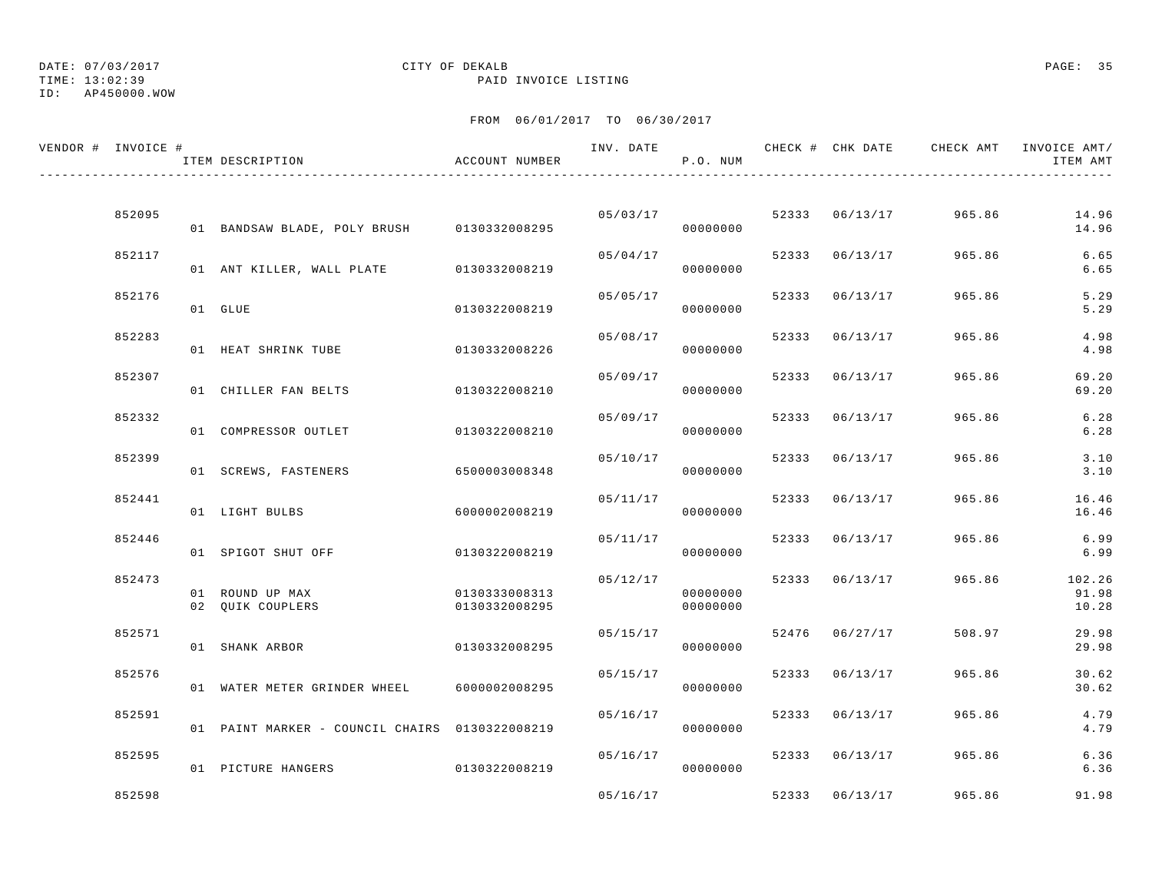TIME: 13:02:39 PAID INVOICE LISTING

ID: AP450000.WOW

| VENDOR # INVOICE # | ITEM DESCRIPTION                               | ACCOUNT NUMBER                 | INV. DATE | P.O. NUM             |       |                | CHECK # CHK DATE     CHECK AMT   INVOICE AMT/ | ITEM AMT                 |
|--------------------|------------------------------------------------|--------------------------------|-----------|----------------------|-------|----------------|-----------------------------------------------|--------------------------|
|                    |                                                |                                |           |                      |       |                |                                               |                          |
| 852095             | 01 BANDSAW BLADE, POLY BRUSH 0130332008295     |                                | 05/03/17  | 00000000             |       | 52333 06/13/17 | 965.86                                        | 14.96<br>14.96           |
| 852117             | 01 ANT KILLER, WALL PLATE 0130332008219        |                                | 05/04/17  | 00000000             |       | 52333 06/13/17 | 965.86                                        | 6.65<br>6.65             |
| 852176             | 01 GLUE                                        | 0130322008219                  | 05/05/17  | 00000000             |       | 52333 06/13/17 | 965.86                                        | 5.29<br>5.29             |
| 852283             | 01 HEAT SHRINK TUBE                            | 0130332008226                  | 05/08/17  | 00000000             |       | 52333 06/13/17 | 965.86                                        | 4.98<br>4.98             |
| 852307             | 01 CHILLER FAN BELTS                           | 0130322008210                  | 05/09/17  | 00000000             |       | 52333 06/13/17 | 965.86                                        | 69.20<br>69.20           |
| 852332             | 01 COMPRESSOR OUTLET                           | 0130322008210                  | 05/09/17  | 00000000             |       | 52333 06/13/17 | 965.86                                        | 6.28<br>6.28             |
| 852399             | 01 SCREWS, FASTENERS                           | 6500003008348                  | 05/10/17  | 00000000             |       | 52333 06/13/17 | 965.86                                        | 3.10<br>3.10             |
| 852441             | 01 LIGHT BULBS                                 | 6000002008219                  | 05/11/17  | 00000000             | 52333 | 06/13/17       | 965.86                                        | 16.46<br>16.46           |
| 852446             | 01 SPIGOT SHUT OFF                             | 0130322008219                  | 05/11/17  | 00000000             |       | 52333 06/13/17 | 965.86                                        | 6.99<br>6.99             |
| 852473             | 01 ROUND UP MAX<br>02 QUIK COUPLERS            | 0130333008313<br>0130332008295 | 05/12/17  | 00000000<br>00000000 |       | 52333 06/13/17 | 965.86                                        | 102.26<br>91.98<br>10.28 |
| 852571             | 01 SHANK ARBOR                                 | 0130332008295                  | 05/15/17  | 00000000             |       | 52476 06/27/17 | 508.97                                        | 29.98<br>29.98           |
| 852576             | 01 WATER METER GRINDER WHEEL                   | 6000002008295                  | 05/15/17  | 00000000             | 52333 | 06/13/17       | 965.86                                        | 30.62<br>30.62           |
| 852591             | 01 PAINT MARKER - COUNCIL CHAIRS 0130322008219 |                                | 05/16/17  | 00000000             |       | 52333 06/13/17 | 965.86                                        | 4.79<br>4.79             |
| 852595             | 01 PICTURE HANGERS                             | 0130322008219                  | 05/16/17  | 00000000             |       | 52333 06/13/17 | 965.86                                        | 6.36<br>6.36             |
| 852598             |                                                |                                | 05/16/17  |                      |       | 52333 06/13/17 | 965.86                                        | 91.98                    |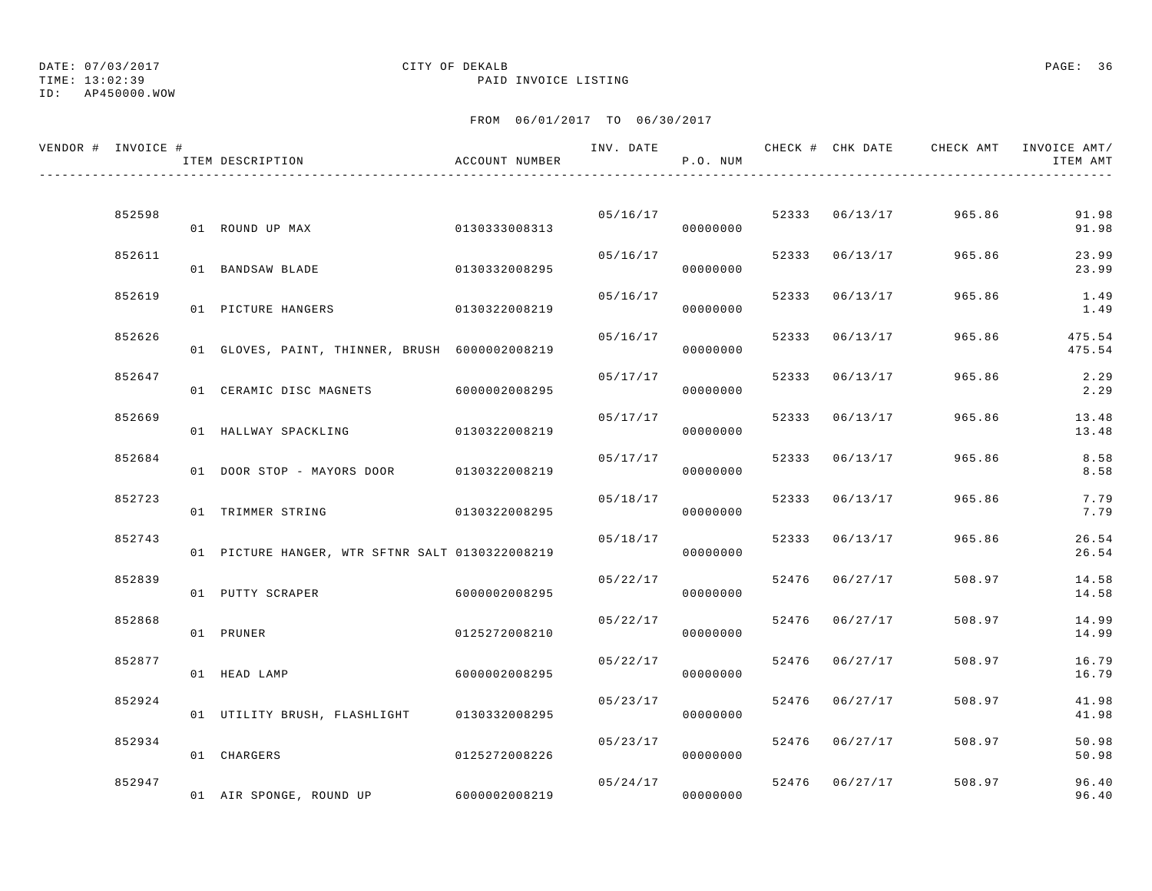## DATE: 07/03/2017 CITY OF DEKALB PAGE: 36

TIME: 13:02:39 PAID INVOICE LISTING

| VENDOR # INVOICE # |        | ITEM DESCRIPTION                                | ACCOUNT NUMBER | INV. DATE | P.O. NUM             |       |                | CHECK # CHK DATE GHECK AMT INVOICE AMT/ | ITEM AMT         |
|--------------------|--------|-------------------------------------------------|----------------|-----------|----------------------|-------|----------------|-----------------------------------------|------------------|
|                    |        |                                                 |                |           |                      |       |                |                                         |                  |
|                    | 852598 | 01 ROUND UP MAX                                 | 0130333008313  | 05/16/17  | 00000000             |       | 52333 06/13/17 | 965.86                                  | 91.98<br>91.98   |
|                    | 852611 | 01 BANDSAW BLADE                                | 0130332008295  | 05/16/17  | 00000000             |       | 52333 06/13/17 | 965.86                                  | 23.99<br>23.99   |
|                    | 852619 | 01 PICTURE HANGERS                              | 0130322008219  | 05/16/17  | 00000000             |       | 52333 06/13/17 | 965.86                                  | 1.49<br>1.49     |
|                    | 852626 | 01 GLOVES, PAINT, THINNER, BRUSH 6000002008219  |                | 05/16/17  | 00000000             |       | 52333 06/13/17 | 965.86                                  | 475.54<br>475.54 |
|                    | 852647 | 01 CERAMIC DISC MAGNETS                         | 6000002008295  | 05/17/17  | 00000000             | 52333 | 06/13/17       | 965.86                                  | 2.29<br>2.29     |
|                    | 852669 | 01 HALLWAY SPACKLING                            | 0130322008219  | 05/17/17  | 00000000             |       | 52333 06/13/17 | 965.86                                  | 13.48<br>13.48   |
|                    | 852684 | 01 DOOR STOP - MAYORS DOOR 0130322008219        |                | 05/17/17  | 00000000             |       | 52333 06/13/17 | 965.86                                  | 8.58<br>8.58     |
|                    | 852723 | 01 TRIMMER STRING                               | 0130322008295  |           | 05/18/17<br>00000000 |       | 52333 06/13/17 | 965.86                                  | 7.79<br>7.79     |
|                    | 852743 | 01 PICTURE HANGER, WTR SFTNR SALT 0130322008219 |                | 05/18/17  | 00000000             |       | 52333 06/13/17 | 965.86                                  | 26.54<br>26.54   |
|                    | 852839 | 01 PUTTY SCRAPER                                | 6000002008295  | 05/22/17  | 00000000             |       | 52476 06/27/17 | 508.97                                  | 14.58<br>14.58   |
|                    | 852868 | 01 PRUNER                                       | 0125272008210  | 05/22/17  | 00000000             |       | 52476 06/27/17 | 508.97                                  | 14.99<br>14.99   |
|                    | 852877 | 01 HEAD LAMP                                    | 6000002008295  | 05/22/17  | 00000000             |       | 52476 06/27/17 | 508.97                                  | 16.79<br>16.79   |
|                    | 852924 | 01 UTILITY BRUSH, FLASHLIGHT 0130332008295      |                | 05/23/17  | 00000000             |       | 52476 06/27/17 | 508.97                                  | 41.98<br>41.98   |
|                    | 852934 | 01 CHARGERS                                     | 0125272008226  | 05/23/17  | 00000000             |       | 52476 06/27/17 | 508.97                                  | 50.98<br>50.98   |
|                    | 852947 | 01 AIR SPONGE, ROUND UP                         | 6000002008219  | 05/24/17  | 00000000             |       | 52476 06/27/17 | 508.97                                  | 96.40<br>96.40   |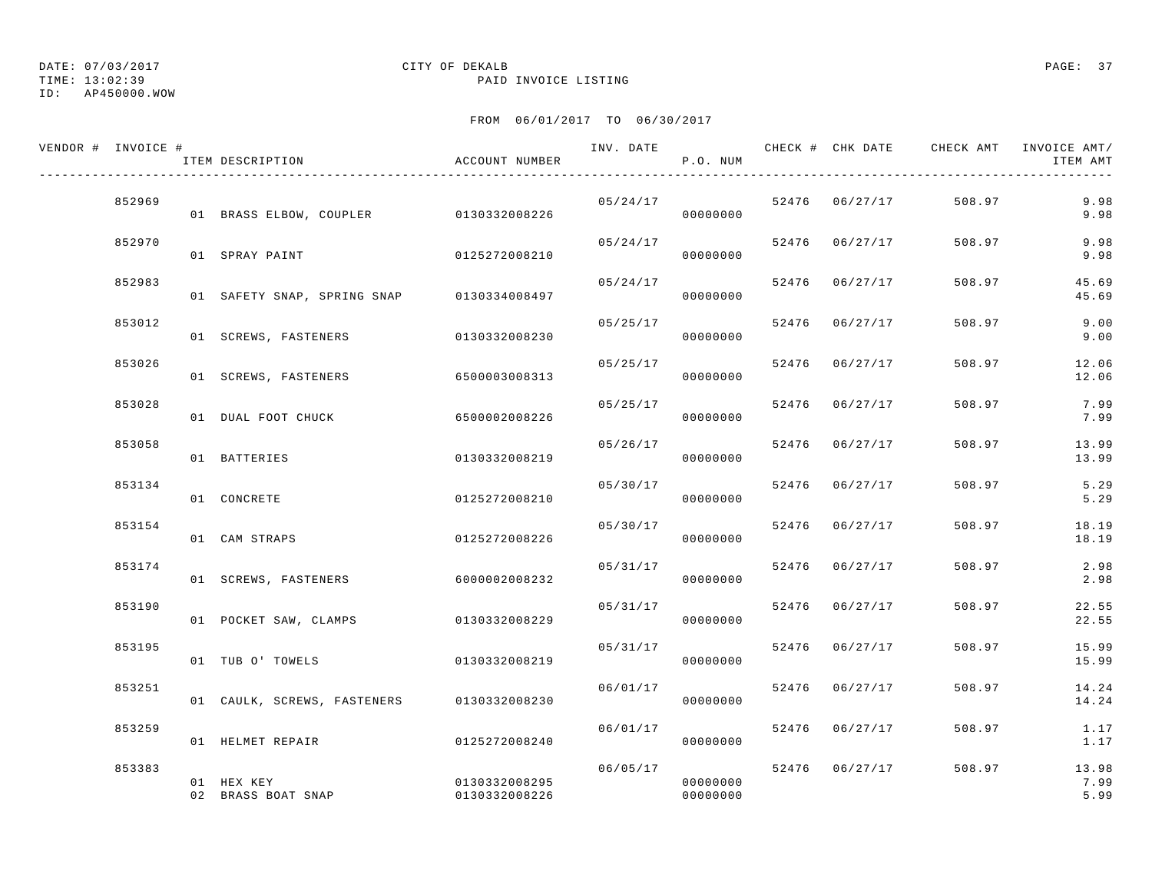TIME: 13:02:39 PAID INVOICE LISTING

ID: AP450000.WOW

| VENDOR # INVOICE # | ITEM DESCRIPTION                          | ACCOUNT NUMBER                 | INV. DATE | P.O. NUM             |       |                | CHECK # CHK DATE CHECK AMT INVOICE AMT/ | ITEM AMT              |
|--------------------|-------------------------------------------|--------------------------------|-----------|----------------------|-------|----------------|-----------------------------------------|-----------------------|
| 852969             | 01 BRASS ELBOW, COUPLER 0130332008226     |                                | 05/24/17  | 00000000             |       | 52476 06/27/17 | 508.97                                  | 9.98<br>9.98          |
| 852970             | 01 SPRAY PAINT                            | 0125272008210                  | 05/24/17  | 00000000             |       | 52476 06/27/17 | 508.97                                  | 9.98<br>9.98          |
| 852983             | 01 SAFETY SNAP, SPRING SNAP 0130334008497 |                                | 05/24/17  | 00000000             |       | 52476 06/27/17 | 508.97                                  | 45.69<br>45.69        |
| 853012             | 01 SCREWS, FASTENERS                      | 0130332008230                  | 05/25/17  | 00000000             |       | 52476 06/27/17 | 508.97                                  | 9.00<br>9.00          |
| 853026             | 01 SCREWS, FASTENERS                      | 6500003008313                  | 05/25/17  | 00000000             |       | 52476 06/27/17 | 508.97                                  | 12.06<br>12.06        |
| 853028             | 01 DUAL FOOT CHUCK                        | 6500002008226                  | 05/25/17  | 00000000             |       | 52476 06/27/17 | 508.97                                  | 7.99<br>7.99          |
| 853058             | 01 BATTERIES                              | 0130332008219                  | 05/26/17  | 00000000             | 52476 | 06/27/17       | 508.97                                  | 13.99<br>13.99        |
| 853134             | 01 CONCRETE                               | 0125272008210                  | 05/30/17  | 00000000             | 52476 | 06/27/17       | 508.97                                  | 5.29<br>5.29          |
| 853154             | 01 CAM STRAPS                             | 0125272008226                  | 05/30/17  | 00000000             |       | 52476 06/27/17 | 508.97                                  | 18.19<br>18.19        |
| 853174             | 01 SCREWS, FASTENERS                      | 6000002008232                  | 05/31/17  | 00000000             |       | 52476 06/27/17 | 508.97                                  | 2.98<br>2.98          |
| 853190             | 01 POCKET SAW, CLAMPS                     | 0130332008229                  | 05/31/17  | 00000000             |       | 52476 06/27/17 | 508.97                                  | 22.55<br>22.55        |
| 853195             | 01 TUB O' TOWELS                          | 0130332008219                  | 05/31/17  | 00000000             |       | 52476 06/27/17 | 508.97                                  | 15.99<br>15.99        |
| 853251             | 01 CAULK, SCREWS, FASTENERS 0130332008230 |                                | 06/01/17  | 00000000             |       | 52476 06/27/17 | 508.97                                  | 14.24<br>14.24        |
| 853259             | 01 HELMET REPAIR                          | 0125272008240                  | 06/01/17  | 00000000             |       | 52476 06/27/17 | 508.97                                  | 1.17<br>1.17          |
| 853383             | 01 HEX KEY<br>02 BRASS BOAT SNAP          | 0130332008295<br>0130332008226 | 06/05/17  | 00000000<br>00000000 |       | 52476 06/27/17 | 508.97                                  | 13.98<br>7.99<br>5.99 |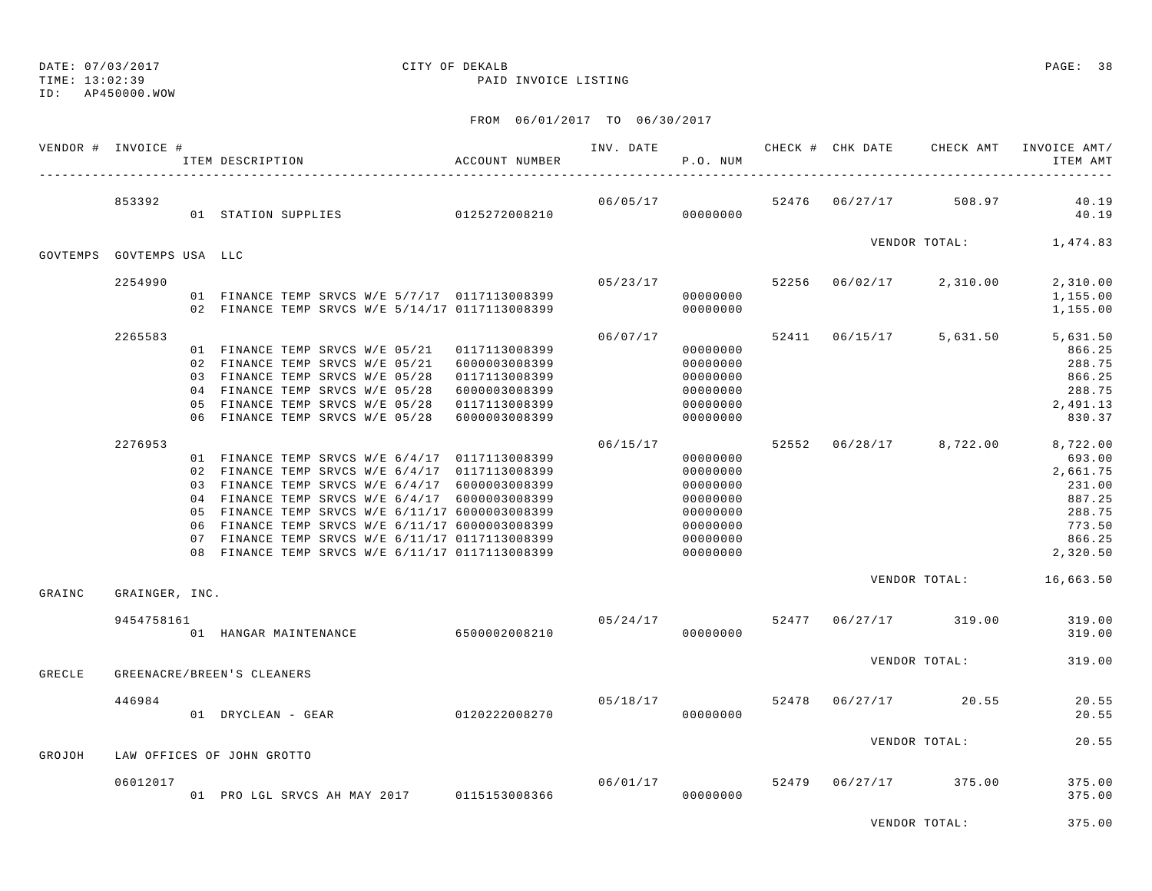TIME: 13:02:39 PAID INVOICE LISTING

ID: AP450000.WOW

### FROM 06/01/2017 TO 06/30/2017

|        | VENDOR # INVOICE #        | ITEM DESCRIPTION                                                                                                                                                                                                                                                                                                                                              | ACCOUNT NUMBER |          | P.O. NUM                                                                         |  |                                    | ITEM AMT                                                                         |
|--------|---------------------------|---------------------------------------------------------------------------------------------------------------------------------------------------------------------------------------------------------------------------------------------------------------------------------------------------------------------------------------------------------------|----------------|----------|----------------------------------------------------------------------------------|--|------------------------------------|----------------------------------------------------------------------------------|
|        | 853392                    |                                                                                                                                                                                                                                                                                                                                                               |                | 06/05/17 |                                                                                  |  | 52476 06/27/17 508.97              | 40.19<br>40.19                                                                   |
|        | GOVTEMPS GOVTEMPS USA LLC |                                                                                                                                                                                                                                                                                                                                                               |                |          |                                                                                  |  | VENDOR TOTAL: 1,474.83             |                                                                                  |
|        |                           |                                                                                                                                                                                                                                                                                                                                                               |                |          |                                                                                  |  |                                    |                                                                                  |
|        | 2254990                   | 01 FINANCE TEMP SRVCS W/E 5/7/17 0117113008399<br>02 FINANCE TEMP SRVCS W/E 5/14/17 0117113008399                                                                                                                                                                                                                                                             |                |          | 00000000<br>00000000                                                             |  | $05/23/17$ 52256 06/02/17 2,310.00 | 2,310.00<br>1,155.00<br>1,155.00                                                 |
|        | 2265583                   |                                                                                                                                                                                                                                                                                                                                                               |                | 06/07/17 |                                                                                  |  |                                    | 52411 06/15/17 5,631.50 5,631.50                                                 |
|        |                           | 01 FINANCE TEMP SRVCS W/E 05/21  0117113008399<br>02 FINANCE TEMP SRVCS W/E 05/21 6000003008399<br>03 FINANCE TEMP SRVCS W/E 05/28  0117113008399<br>04 FINANCE TEMP SRVCS W/E 05/28 6000003008399<br>05 FINANCE TEMP SRVCS W/E 05/28 0117113008399<br>06 FINANCE TEMP SRVCS W/E 05/28 6000003008399                                                          |                |          | 00000000<br>00000000<br>00000000<br>00000000<br>00000000<br>00000000             |  |                                    | 866.25<br>288.75<br>866.25<br>288.75<br>2,491.13<br>830.37                       |
|        | 2276953                   |                                                                                                                                                                                                                                                                                                                                                               |                | 06/15/17 |                                                                                  |  |                                    | 52552 06/28/17 8,722.00 8,722.00                                                 |
|        |                           | 01 FINANCE TEMP SRVCS W/E 6/4/17 0117113008399<br>02 FINANCE TEMP SRVCS W/E 6/4/17 0117113008399<br>03 FINANCE TEMP SRVCS W/E 6/4/17 6000003008399<br>04 FINANCE TEMP SRVCS W/E 6/4/17 6000003008399<br>05 FINANCE TEMP SRVCS W/E 6/11/17 6000003008399<br>06 FINANCE TEMP SRVCS W/E 6/11/17 6000003008399<br>07 FINANCE TEMP SRVCS W/E 6/11/17 0117113008399 |                |          | 00000000<br>00000000<br>00000000<br>00000000<br>00000000<br>00000000<br>00000000 |  |                                    | 693.00<br>2,661.75<br>231.00<br>887.25<br>288.75<br>773.50<br>866.25<br>2,320.50 |
| GRAINC | GRAINGER, INC.            |                                                                                                                                                                                                                                                                                                                                                               |                |          |                                                                                  |  |                                    | VENDOR TOTAL: 16,663.50                                                          |
|        | 9454758161                | 01 HANGAR MAINTENANCE 6500002008210                                                                                                                                                                                                                                                                                                                           |                | 05/24/17 | 00000000                                                                         |  | 52477 06/27/17 319.00              | 319.00<br>319.00                                                                 |
| GRECLE |                           | GREENACRE/BREEN'S CLEANERS                                                                                                                                                                                                                                                                                                                                    |                |          |                                                                                  |  | VENDOR TOTAL:                      | 319.00                                                                           |
|        | 446984                    |                                                                                                                                                                                                                                                                                                                                                               |                |          |                                                                                  |  | $05/18/17$ 52478 $06/27/17$ 20.55  | 20.55<br>20.55                                                                   |
| GROJOH |                           | LAW OFFICES OF JOHN GROTTO                                                                                                                                                                                                                                                                                                                                    |                |          |                                                                                  |  | VENDOR TOTAL:                      | 20.55                                                                            |
|        |                           |                                                                                                                                                                                                                                                                                                                                                               |                |          |                                                                                  |  |                                    |                                                                                  |
|        | 06012017                  | 01 PRO LGL SRVCS AH MAY 2017 0115153008366 6 000000000                                                                                                                                                                                                                                                                                                        |                |          |                                                                                  |  | 06/01/17 52479 06/27/17 375.00     | 375.00<br>375.00                                                                 |
|        |                           |                                                                                                                                                                                                                                                                                                                                                               |                |          |                                                                                  |  |                                    |                                                                                  |

VENDOR TOTAL: 375.00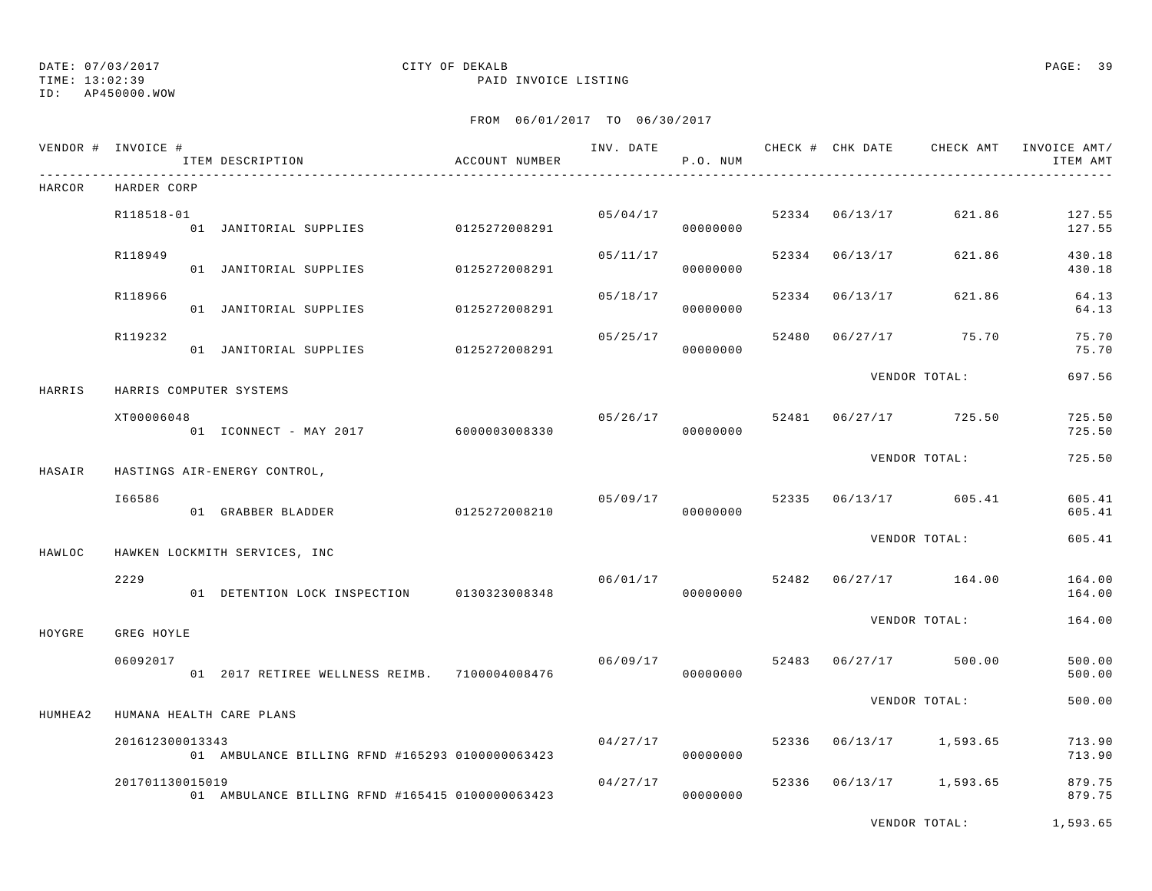TIME: 13:02:39 PAID INVOICE LISTING

ID: AP450000.WOW

### FROM 06/01/2017 TO 06/30/2017

|         | VENDOR # INVOICE # | ITEM DESCRIPTION                                | ACCOUNT NUMBER |          | P.O. NUM             |       |                | INV. DATE 6 1999 CHECK # CHK DATE CHECK AMT INVOICE AMT/ | ITEM AMT         |
|---------|--------------------|-------------------------------------------------|----------------|----------|----------------------|-------|----------------|----------------------------------------------------------|------------------|
| HARCOR  | HARDER CORP        |                                                 |                |          |                      |       |                |                                                          |                  |
|         | R118518-01         | 01 JANITORIAL SUPPLIES 0125272008291            |                |          | 05/04/17<br>00000000 |       | 52334 06/13/17 | 621.86                                                   | 127.55<br>127.55 |
|         | R118949            | 01 JANITORIAL SUPPLIES                          | 0125272008291  | 05/11/17 | 00000000             |       | 52334 06/13/17 | 621.86                                                   | 430.18<br>430.18 |
|         | R118966            | 01 JANITORIAL SUPPLIES 0125272008291            |                | 05/18/17 | 00000000             |       | 52334 06/13/17 | 621.86                                                   | 64.13<br>64.13   |
|         | R119232            | 01 JANITORIAL SUPPLIES                          | 0125272008291  | 05/25/17 | 00000000             | 52480 |                | $06/27/17$ 75.70                                         | 75.70<br>75.70   |
| HARRIS  |                    | HARRIS COMPUTER SYSTEMS                         |                |          |                      |       |                | VENDOR TOTAL:                                            | 697.56           |
|         | XT00006048         | 01 ICONNECT - MAY 2017 6000003008330            |                | 05/26/17 | 00000000             |       |                | 52481 06/27/17 725.50                                    | 725.50<br>725.50 |
| HASAIR  |                    | HASTINGS AIR-ENERGY CONTROL,                    |                |          |                      |       |                | VENDOR TOTAL:                                            | 725.50           |
|         | I66586             | 01 GRABBER BLADDER                              | 0125272008210  | 05/09/17 | 00000000             |       |                | 52335 06/13/17 605.41                                    | 605.41<br>605.41 |
| HAWLOC  |                    | HAWKEN LOCKMITH SERVICES, INC                   |                |          |                      |       |                | VENDOR TOTAL:                                            | 605.41           |
|         | 2229               | 01 DETENTION LOCK INSPECTION 0130323008348      |                | 06/01/17 | 00000000             | 52482 |                | 06/27/17 164.00                                          | 164.00<br>164.00 |
| HOYGRE  | GREG HOYLE         |                                                 |                |          |                      |       |                | VENDOR TOTAL:                                            | 164.00           |
|         | 06092017           | 01  2017 RETIREE WELLNESS REIMB.  7100004008476 |                | 06/09/17 | 00000000             | 52483 |                | $06/27/17$ 500.00                                        | 500.00<br>500.00 |
| HUMHEA2 |                    | HUMANA HEALTH CARE PLANS                        |                |          |                      |       |                | VENDOR TOTAL:                                            | 500.00           |
|         | 201612300013343    | 01 AMBULANCE BILLING RFND #165293 0100000063423 |                | 04/27/17 | 00000000             | 52336 |                | 06/13/17 1,593.65                                        | 713.90<br>713.90 |
|         | 201701130015019    | 01 AMBULANCE BILLING RFND #165415 0100000063423 |                | 04/27/17 | 00000000             |       |                | 52336 06/13/17 1,593.65                                  | 879.75<br>879.75 |
|         |                    |                                                 |                |          |                      |       |                |                                                          |                  |

VENDOR TOTAL: 1,593.65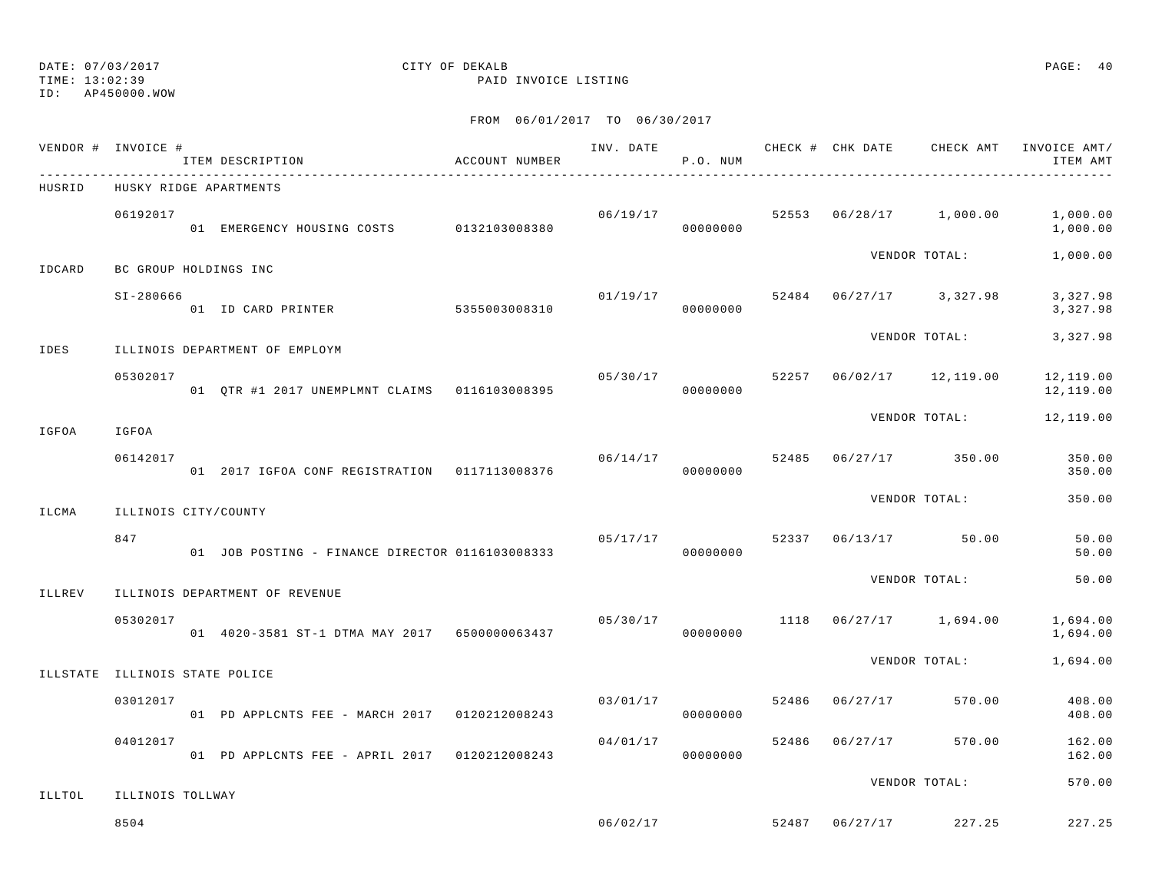TIME: 13:02:39 PAID INVOICE LISTING

ID: AP450000.WOW

|          | VENDOR # INVOICE #    | ITEM DESCRIPTION                                | ACCOUNT NUMBER | INV. DATE | P.O. NUM             |       |          | CHECK # CHK DATE CHECK AMT | INVOICE AMT/<br>ITEM AMT |
|----------|-----------------------|-------------------------------------------------|----------------|-----------|----------------------|-------|----------|----------------------------|--------------------------|
| HUSRID   |                       | HUSKY RIDGE APARTMENTS                          |                |           |                      |       |          |                            |                          |
|          | 06192017              | 01 EMERGENCY HOUSING COSTS                      | 0132103008380  |           | 06/19/17<br>00000000 |       |          | 52553 06/28/17 1,000.00    | 1,000.00<br>1,000.00     |
| IDCARD   | BC GROUP HOLDINGS INC |                                                 |                |           |                      |       |          | VENDOR TOTAL:              | 1,000.00                 |
|          | $SI - 280666$         | 01 ID CARD PRINTER                              | 5355003008310  | 01/19/17  | 00000000             |       |          | 52484 06/27/17 3,327.98    | 3,327.98<br>3,327.98     |
| IDES     |                       | ILLINOIS DEPARTMENT OF EMPLOYM                  |                |           |                      |       |          | VENDOR TOTAL:              | 3,327.98                 |
|          | 05302017              | 01 QTR #1 2017 UNEMPLMNT CLAIMS 0116103008395   |                | 05/30/17  | 00000000             | 52257 |          | 06/02/17 12,119.00         | 12,119.00<br>12,119.00   |
| IGFOA    | IGFOA                 |                                                 |                |           |                      |       |          | VENDOR TOTAL:              | 12,119.00                |
|          | 06142017              | 01 2017 IGFOA CONF REGISTRATION 0117113008376   |                |           | 06/14/17<br>00000000 | 52485 |          | $06/27/17$ 350.00          | 350.00<br>350.00         |
| ILCMA    | ILLINOIS CITY/COUNTY  |                                                 |                |           |                      |       |          | VENDOR TOTAL:              | 350.00                   |
|          | 847                   | 01 JOB POSTING - FINANCE DIRECTOR 0116103008333 |                | 05/17/17  | 00000000             | 52337 |          | 06/13/17 50.00             | 50.00<br>50.00           |
| ILLREV   |                       | ILLINOIS DEPARTMENT OF REVENUE                  |                |           |                      |       |          | VENDOR TOTAL:              | 50.00                    |
|          | 05302017              | 01 4020-3581 ST-1 DTMA MAY 2017 6500000063437   |                |           | 05/30/17<br>00000000 | 1118  |          | $06/27/17$ 1,694.00        | 1,694.00<br>1,694.00     |
| ILLSTATE | ILLINOIS STATE POLICE |                                                 |                |           |                      |       |          | VENDOR TOTAL:              | 1,694.00                 |
|          | 03012017              | 01 PD APPLCNTS FEE - MARCH 2017 0120212008243   |                | 03/01/17  | 00000000             | 52486 | 06/27/17 | 570.00                     | 408.00<br>408.00         |
|          | 04012017              | 01 PD APPLCNTS FEE - APRIL 2017 0120212008243   |                | 04/01/17  | 00000000             | 52486 | 06/27/17 | 570.00                     | 162.00<br>162.00         |
| ILLTOL   | ILLINOIS TOLLWAY      |                                                 |                |           |                      |       |          | VENDOR TOTAL:              | 570.00                   |
|          | 8504                  |                                                 |                | 06/02/17  |                      | 52487 |          | 06/27/17 227.25            | 227.25                   |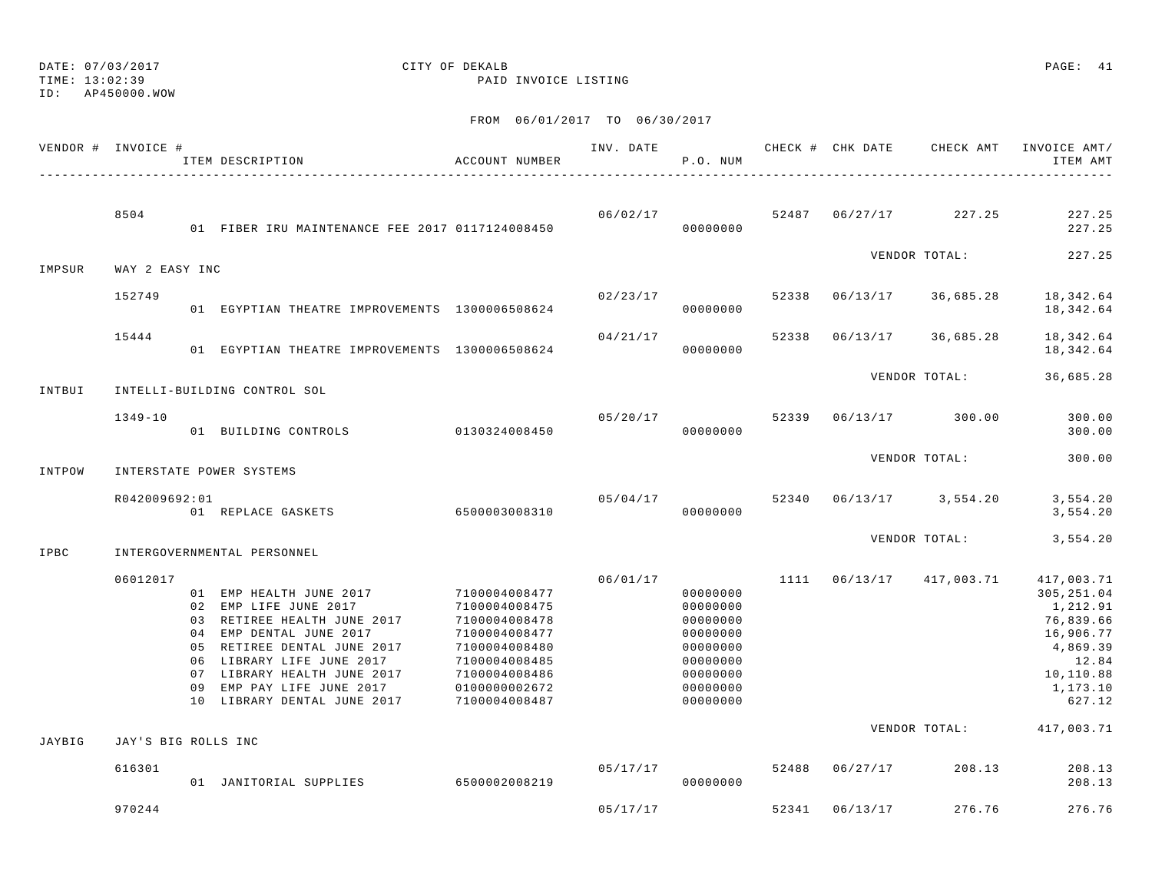# DATE: 07/03/2017 CITY OF DEKALB PAGE: 41

TIME: 13:02:39 PAID INVOICE LISTING

| VENDOR # INVOICE # |                     | ITEM DESCRIPTION                                                                                                                                                                                                                                                  | ACCOUNT NUMBER                                                                                                                                        | INV. DATE | P.O. NUM                                                                                                 |       | CHECK # CHK DATE | CHECK AMT           | INVOICE AMT/<br>ITEM AMT                                                                                                |
|--------------------|---------------------|-------------------------------------------------------------------------------------------------------------------------------------------------------------------------------------------------------------------------------------------------------------------|-------------------------------------------------------------------------------------------------------------------------------------------------------|-----------|----------------------------------------------------------------------------------------------------------|-------|------------------|---------------------|-------------------------------------------------------------------------------------------------------------------------|
|                    | 8504                | 01 FIBER IRU MAINTENANCE FEE 2017 0117124008450                                                                                                                                                                                                                   |                                                                                                                                                       | 06/02/17  | 00000000                                                                                                 |       | 52487 06/27/17   | 227.25              | 227.25<br>227.25                                                                                                        |
| IMPSUR             | WAY 2 EASY INC      |                                                                                                                                                                                                                                                                   |                                                                                                                                                       |           |                                                                                                          |       |                  | VENDOR TOTAL:       | 227.25                                                                                                                  |
|                    | 152749              | 01 EGYPTIAN THEATRE IMPROVEMENTS 1300006508624                                                                                                                                                                                                                    |                                                                                                                                                       | 02/23/17  | 00000000                                                                                                 | 52338 | 06/13/17         | 36,685.28           | 18, 342.64<br>18,342.64                                                                                                 |
|                    | 15444               | 01 EGYPTIAN THEATRE IMPROVEMENTS 1300006508624                                                                                                                                                                                                                    |                                                                                                                                                       | 04/21/17  | 00000000                                                                                                 | 52338 | 06/13/17         | 36,685.28           | 18,342.64<br>18,342.64                                                                                                  |
| INTBUI             |                     | INTELLI-BUILDING CONTROL SOL                                                                                                                                                                                                                                      |                                                                                                                                                       |           |                                                                                                          |       |                  | VENDOR TOTAL:       | 36,685.28                                                                                                               |
|                    | $1349 - 10$         | 01 BUILDING CONTROLS                                                                                                                                                                                                                                              | 0130324008450                                                                                                                                         | 05/20/17  | 00000000                                                                                                 | 52339 |                  | 06/13/17 300.00     | 300.00<br>300.00                                                                                                        |
| INTPOW             |                     | INTERSTATE POWER SYSTEMS                                                                                                                                                                                                                                          |                                                                                                                                                       |           |                                                                                                          |       |                  | VENDOR TOTAL:       | 300.00                                                                                                                  |
|                    | R042009692:01       | 01 REPLACE GASKETS                                                                                                                                                                                                                                                | 6500003008310                                                                                                                                         | 05/04/17  | 00000000                                                                                                 | 52340 |                  | $06/13/17$ 3,554.20 | 3,554.20<br>3,554.20                                                                                                    |
| IPBC               |                     | INTERGOVERNMENTAL PERSONNEL                                                                                                                                                                                                                                       |                                                                                                                                                       |           |                                                                                                          |       |                  | VENDOR TOTAL:       | 3,554.20                                                                                                                |
|                    | 06012017            | 01 EMP HEALTH JUNE 2017<br>02 EMP LIFE JUNE 2017<br>03 RETIREE HEALTH JUNE 2017<br>04 EMP DENTAL JUNE 2017<br>05 RETIREE DENTAL JUNE 2017<br>06 LIBRARY LIFE JUNE 2017<br>07 LIBRARY HEALTH JUNE 2017<br>09 EMP PAY LIFE JUNE 2017<br>10 LIBRARY DENTAL JUNE 2017 | 7100004008477<br>7100004008475<br>7100004008478<br>7100004008477<br>7100004008480<br>7100004008485<br>7100004008486<br>0100000002672<br>7100004008487 | 06/01/17  | 00000000<br>00000000<br>00000000<br>00000000<br>00000000<br>00000000<br>00000000<br>00000000<br>00000000 | 1111  | 06/13/17         | 417,003.71          | 417,003.71<br>305, 251.04<br>1,212.91<br>76,839.66<br>16,906.77<br>4,869.39<br>12.84<br>10,110.88<br>1,173.10<br>627.12 |
| JAYBIG             | JAY'S BIG ROLLS INC |                                                                                                                                                                                                                                                                   |                                                                                                                                                       |           |                                                                                                          |       |                  | VENDOR TOTAL:       | 417,003.71                                                                                                              |
|                    | 616301              | 01 JANITORIAL SUPPLIES                                                                                                                                                                                                                                            | 6500002008219                                                                                                                                         | 05/17/17  | 00000000                                                                                                 | 52488 | 06/27/17         | 208.13              | 208.13<br>208.13                                                                                                        |
|                    | 970244              |                                                                                                                                                                                                                                                                   |                                                                                                                                                       | 05/17/17  |                                                                                                          | 52341 | 06/13/17         | 276.76              | 276.76                                                                                                                  |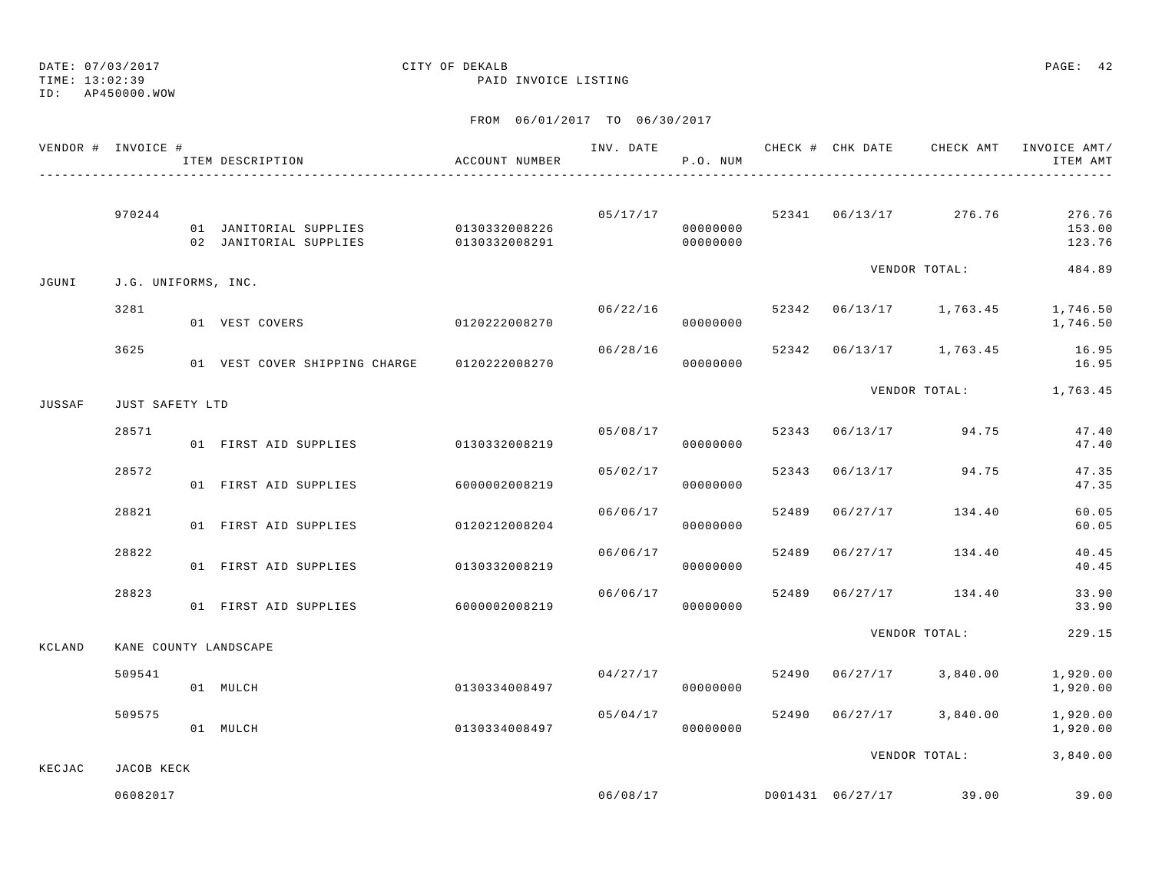TIME: 13:02:39 PAID INVOICE LISTING

ID: AP450000.WOW

|        | VENDOR # INVOICE #  | ITEM DESCRIPTION                                                                       | ACCOUNT NUMBER            |          | P.O. NUM             |       |                                   | INV. DATE 6 CHECK # CHK DATE 6 CHECK AMT INVOICE AMT/<br>ITEM AMT |
|--------|---------------------|----------------------------------------------------------------------------------------|---------------------------|----------|----------------------|-------|-----------------------------------|-------------------------------------------------------------------|
|        | 970244              | 01 JANITORIAL SUPPLIES 0130332008226<br>02 JANITORIAL SUPPLIES 0130332008291 000000000 |                           | 05/17/17 | 00000000             |       | 52341 06/13/17 276.76             | 276.76<br>153.00<br>123.76                                        |
| JGUNI  | J.G. UNIFORMS, INC. |                                                                                        |                           |          |                      |       | VENDOR TOTAL:                     | 484.89                                                            |
|        | 3281                | 01 VEST COVERS                                                                         | 0120222008270             | 06/22/16 | 00000000             |       |                                   | 52342 06/13/17 1,763.45 1,746.50<br>1,746.50                      |
|        | 3625                | 01 VEST COVER SHIPPING CHARGE 0120222008270                                            |                           | 06/28/16 | 00000000             |       |                                   | 52342 06/13/17 1,763.45 16.95<br>16.95                            |
| JUSSAF | JUST SAFETY LTD     |                                                                                        |                           |          |                      |       |                                   | VENDOR TOTAL: 1,763.45                                            |
|        | 28571               | 01 FIRST AID SUPPLIES                                                                  | 0130332008219             |          | 00000000             |       | $05/08/17$ 52343 06/13/17 94.75   | 47.40<br>47.40                                                    |
|        | 28572               | 01 FIRST AID SUPPLIES 6000002008219                                                    |                           |          | 05/02/17<br>00000000 |       | 52343 06/13/17 94.75              | 47.35<br>47.35                                                    |
|        | 28821               | 01 FIRST AID SUPPLIES                                                                  | 0120212008204             | 06/06/17 | 00000000             |       | 52489 06/27/17 134.40             | 60.05<br>60.05                                                    |
|        | 28822               | 01 FIRST AID SUPPLIES                                                                  | 0130332008219             | 06/06/17 | 00000000             | 52489 | $06/27/17$ 134.40                 | 40.45<br>40.45                                                    |
|        | 28823               | 01 FIRST AID SUPPLIES                                                                  | 6000002008219             | 06/06/17 | 00000000             |       | 52489 06/27/17 134.40             | 33.90<br>33.90                                                    |
| KCLAND |                     | KANE COUNTY LANDSCAPE                                                                  |                           |          |                      |       | VENDOR TOTAL:                     | 229.15                                                            |
|        | 509541              | 01 MULCH                                                                               | 0130334008497             | 04/27/17 | 00000000             |       | 52490 06/27/17 3,840.00           | 1,920.00<br>1,920.00                                              |
|        | 509575              | 01 MULCH                                                                               | $0130334008497$ 000000000 | 05/04/17 |                      |       | 52490 06/27/17 3,840.00           | 1,920.00<br>1,920.00                                              |
| KECJAC | JACOB KECK          |                                                                                        |                           |          |                      |       | VENDOR TOTAL:                     | 3,840.00                                                          |
|        | 06082017            |                                                                                        |                           |          |                      |       | $06/08/17$ D001431 06/27/17 39.00 | 39.00                                                             |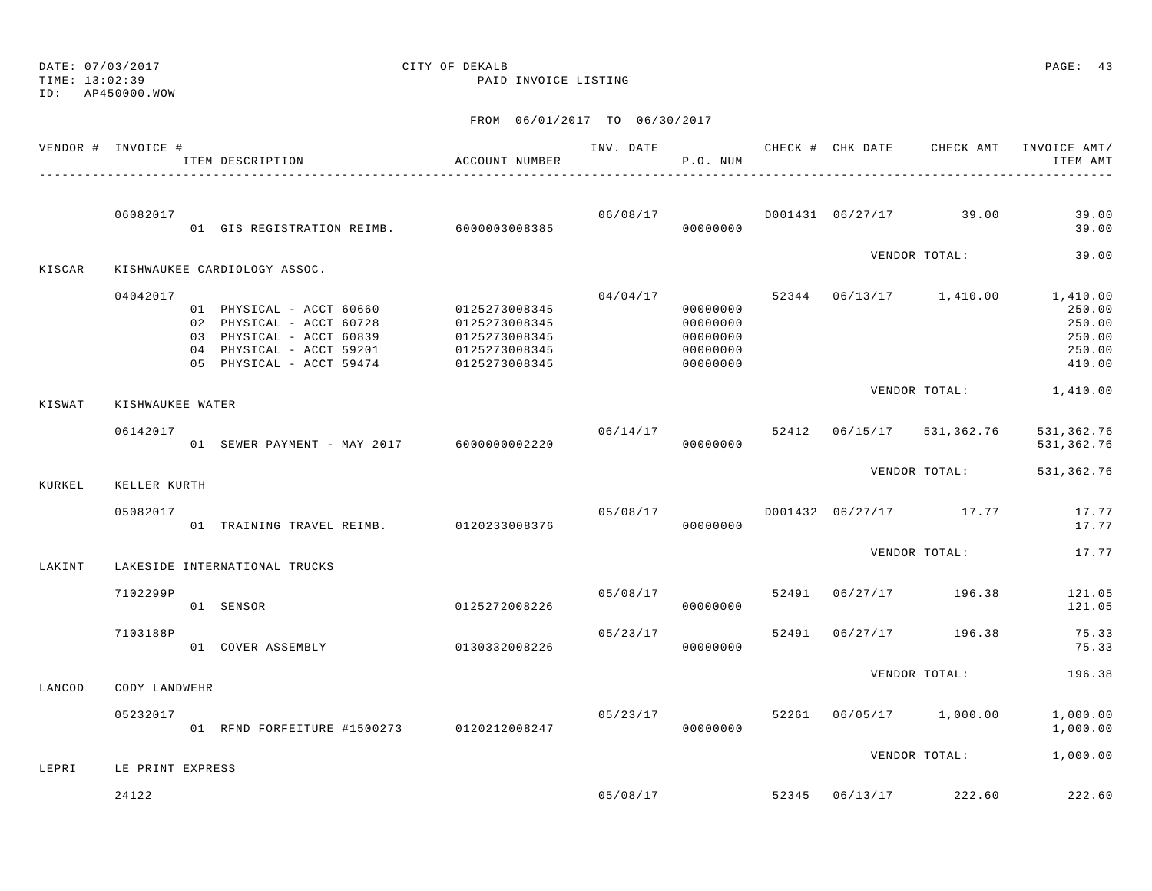TIME: 13:02:39 PAID INVOICE LISTINGID: AP450000.WOW FROM 06/01/2017 TO 06/30/2017 VENDOR # INVOICE # TELL TRANSPORTED THE THAT CHECK AND CHECK AND CHECK AMT INVOICE AMT/ ITEM DESCRIPTION ACCOUNT NUMBER P.O. NUM ITEM AMT---------------------------------------------------------------------------------------------------------------------------------------------- 06082017 06/08/17 D001431 06/27/17 39.00 39.00 01 GIS REGISTRATION REIMB. 6000003008385 00000000 39.00VENDOR TOTAL: 39.00 KISCAR KISHWAUKEE CARDIOLOGY ASSOC. 04042017 04/04/17 52344 06/13/17 1,410.00 1,410.00 01 PHYSICAL - ACCT 60660 0125273008345 00000000 250.00 02 PHYSICAL - ACCT 60728 0125273008345 00000000 250.00 03 PHYSICAL - ACCT 60839 0125273008345 00000000 250.0004 PHYSICAL - ACCT 59201 0125273008345 000000000 0000000 250.00 05 PHYSICAL - ACCT 59474 0125273008345 00000000 410.00VENDOR TOTAL: 1,410.00 KISWAT KISHWAUKEE WATER 06142017 06/14/17 52412 06/15/17 531,362.76 531,362.76 01 SEWER PAYMENT - MAY 2017 6000000002220 000000000 00000000 531,362.76 VENDOR TOTAL: 531,362.76 KURKEL KELLER KURTH 05082017 05/08/17 D001432 06/27/17 17.77 17.77 01 TRAINING TRAVEL REIMB. 0120233008376 000000000 00000000 17.77 VENDOR TOTAL: 17.77LAKINT LAKESIDE INTERNATIONAL TRUCKS 7102299P 05/08/17 52491 06/27/17 196.38 121.05 01 SENSOR 0125272008226 00000000 121.05 7103188P 05/23/17 52491 06/27/17 196.38 75.33 01 COVER ASSEMBLY 0130332008226 00000000 75.33VENDOR TOTAL: 196.38

 05232017 05/23/17 52261 06/05/17 1,000.00 1,000.00 01 RFND FORFEITURE #1500273 0120212008247 00000000 1,000.00

LEPRI LE PRINT EXPRESS

LANCOD CODY LANDWEHR

24122 05/08/17 52345 06/13/17 222.60 222.60

DATE: 07/03/2017 CITY OF DEKALB PAGE: 43

VENDOR TOTAL: 1,000.00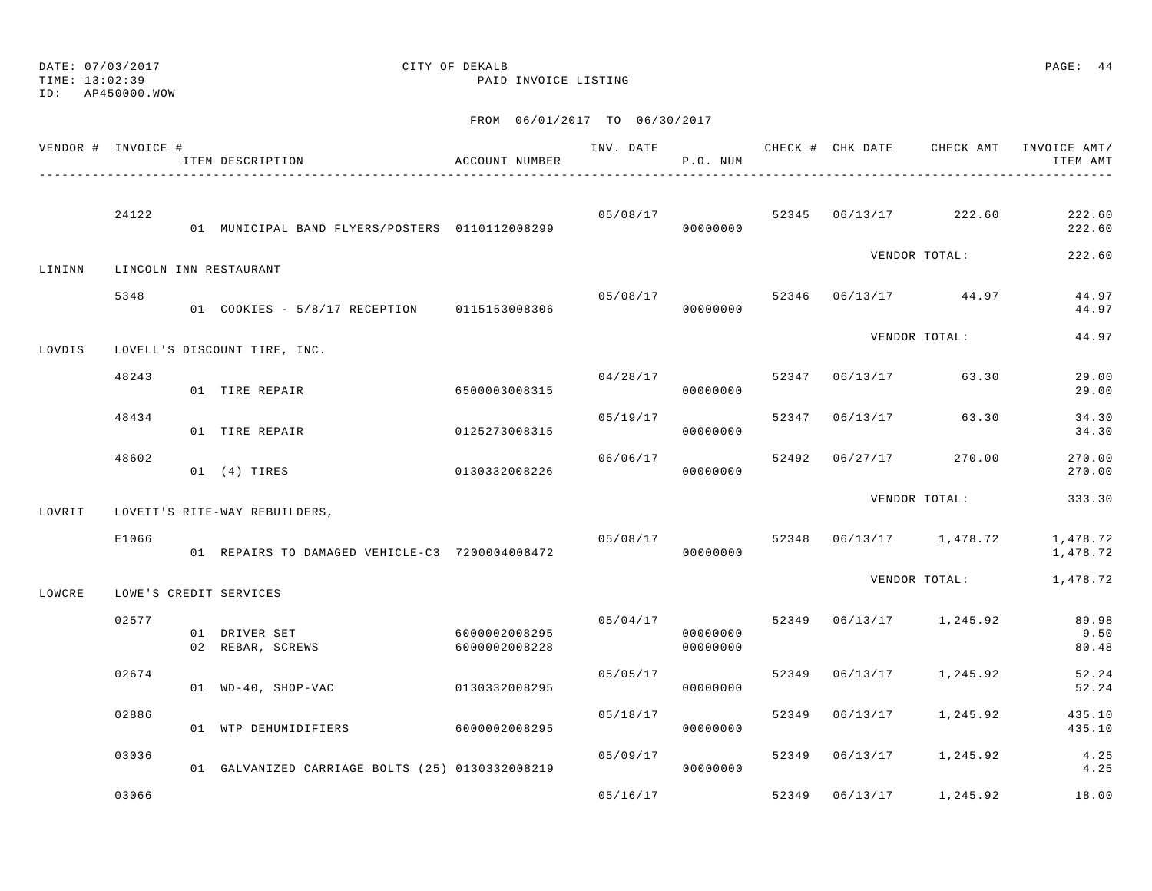# DATE: 07/03/2017 CITY OF DEKALB PAGE: 44

TIME: 13:02:39 PAID INVOICE LISTING

| VENDOR # INVOICE # |       | ITEM DESCRIPTION                                | ACCOUNT NUMBER                 | INV. DATE | P.O. NUM                         |       |                | CHECK # CHK DATE CHECK AMT | INVOICE AMT/<br>ITEM AMT |
|--------------------|-------|-------------------------------------------------|--------------------------------|-----------|----------------------------------|-------|----------------|----------------------------|--------------------------|
|                    | 24122 | 01 MUNICIPAL BAND FLYERS/POSTERS 0110112008299  |                                | 05/08/17  | 00000000                         |       |                | 52345 06/13/17 222.60      | 222.60<br>222.60         |
| LININN             |       | LINCOLN INN RESTAURANT                          |                                |           |                                  |       |                | VENDOR TOTAL:              | 222.60                   |
|                    | 5348  | 01 COOKIES - 5/8/17 RECEPTION 0115153008306     |                                |           | 05/08/17<br>00000000             |       |                | 52346 06/13/17 44.97       | 44.97<br>44.97           |
| LOVDIS             |       | LOVELL'S DISCOUNT TIRE, INC.                    |                                |           |                                  |       |                | VENDOR TOTAL:              | 44.97                    |
|                    | 48243 | 01 TIRE REPAIR                                  | 6500003008315                  |           | 04/28/17<br>00000000             |       | 52347 06/13/17 | 63.30                      | 29.00<br>29.00           |
|                    | 48434 | 01 TIRE REPAIR                                  | 0125273008315                  | 05/19/17  | 00000000                         |       | 52347 06/13/17 | 63.30                      | 34.30<br>34.30           |
|                    | 48602 | $01$ $(4)$ TIRES                                | 0130332008226                  | 06/06/17  | 00000000                         |       | 52492 06/27/17 | 270.00                     | 270.00<br>270.00         |
| LOVRIT             |       | LOVETT'S RITE-WAY REBUILDERS,                   |                                |           |                                  |       |                | VENDOR TOTAL:              | 333.30                   |
|                    | E1066 | 01 REPAIRS TO DAMAGED VEHICLE-C3 7200004008472  |                                | 05/08/17  | 00000000                         |       |                | 52348  06/13/17  1,478.72  | 1,478.72<br>1,478.72     |
| LOWCRE             |       | LOWE'S CREDIT SERVICES                          |                                |           |                                  |       |                | VENDOR TOTAL:              | 1,478.72                 |
|                    | 02577 | 01 DRIVER SET<br>02 REBAR, SCREWS               | 6000002008295<br>6000002008228 |           | 05/04/17<br>00000000<br>00000000 |       |                | 52349 06/13/17 1,245.92    | 89.98<br>9.50<br>80.48   |
|                    | 02674 | 01 WD-40, SHOP-VAC                              | 0130332008295                  | 05/05/17  | 00000000                         | 52349 | 06/13/17       | 1,245.92                   | 52.24<br>52.24           |
|                    | 02886 | 01 WTP DEHUMIDIFIERS                            | 6000002008295                  | 05/18/17  | 00000000                         | 52349 | 06/13/17       | 1,245.92                   | 435.10<br>435.10         |
|                    | 03036 | 01 GALVANIZED CARRIAGE BOLTS (25) 0130332008219 |                                | 05/09/17  | 00000000                         |       | 52349 06/13/17 | 1,245.92                   | 4.25<br>4.25             |
|                    | 03066 |                                                 |                                | 05/16/17  |                                  | 52349 | 06/13/17       | 1,245.92                   | 18.00                    |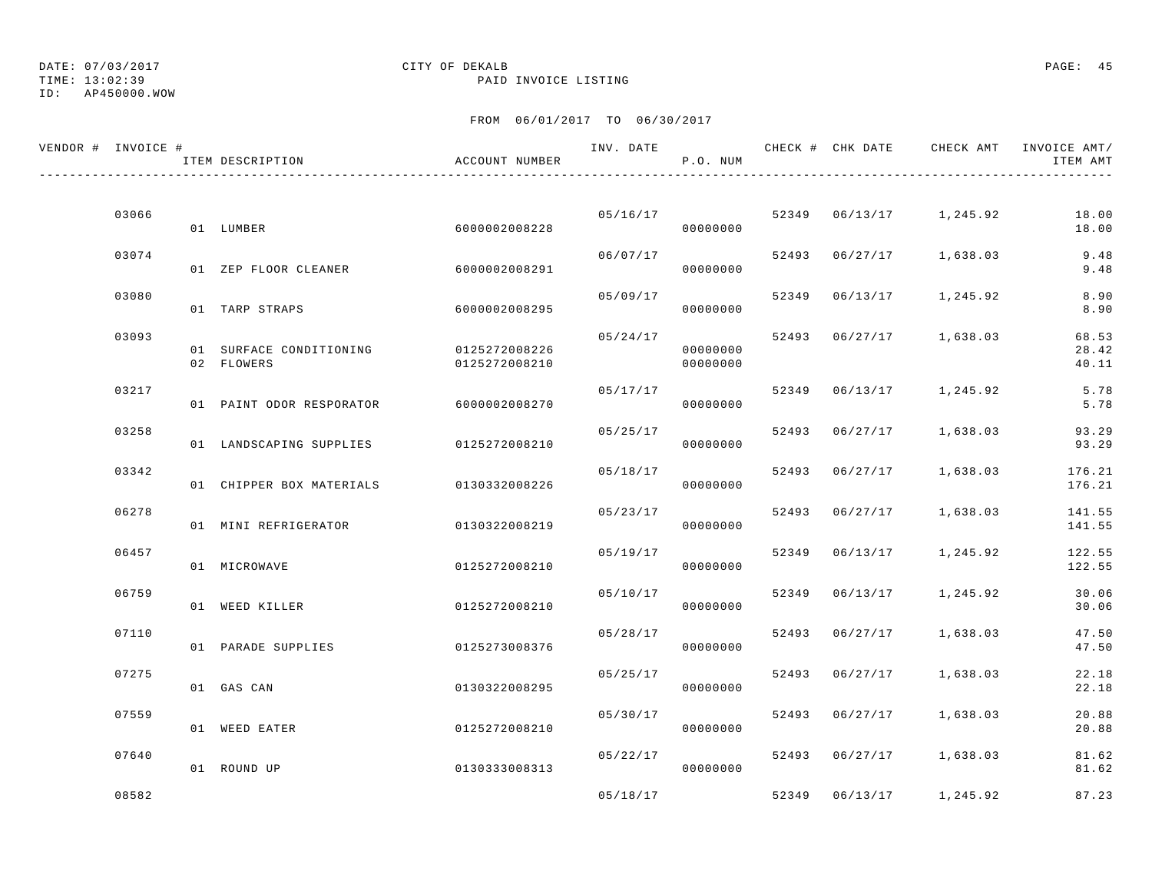TIME: 13:02:39 PAID INVOICE LISTING

ID: AP450000.WOW

| VENDOR # INVOICE # | ITEM DESCRIPTION                       | ACCOUNT NUMBER                 | INV. DATE | P.O. NUM             |       |                | CHECK # CHK DATE     CHECK AMT   INVOICE AMT/ | ITEM AMT                |
|--------------------|----------------------------------------|--------------------------------|-----------|----------------------|-------|----------------|-----------------------------------------------|-------------------------|
|                    |                                        |                                |           |                      |       |                |                                               |                         |
| 03066              | 01 LUMBER                              | 60000002008228                 | 05/16/17  | 00000000             |       |                | 52349 06/13/17 1,245.92                       | 18.00<br>18.00          |
| 03074              | 01 ZEP FLOOR CLEANER                   | 6000002008291                  | 06/07/17  | 00000000             |       | 52493 06/27/17 | 1,638.03                                      | 9.48<br>9.48            |
| 03080              | 01 TARP STRAPS                         | 6000002008295                  | 05/09/17  | 00000000             |       | 52349 06/13/17 | 1,245.92                                      | 8.90<br>8.90            |
| 03093              | 01 SURFACE CONDITIONING<br>02 FLOWERS  | 0125272008226<br>0125272008210 | 05/24/17  | 00000000<br>00000000 |       |                | 52493 06/27/17 1,638.03                       | 68.53<br>28.42<br>40.11 |
| 03217              | 01 PAINT ODOR RESPORATOR 6000002008270 |                                | 05/17/17  | 00000000             |       | 52349 06/13/17 | 1,245.92                                      | 5.78<br>5.78            |
| 03258              | 01 LANDSCAPING SUPPLIES 0125272008210  |                                | 05/25/17  | 00000000             | 52493 | 06/27/17       | 1,638.03                                      | 93.29<br>93.29          |
| 03342              | 01 CHIPPER BOX MATERIALS               | 0130332008226                  | 05/18/17  | 00000000             |       | 52493 06/27/17 | 1,638.03                                      | 176.21<br>176.21        |
| 06278              | 01 MINI REFRIGERATOR                   | 0130322008219                  | 05/23/17  | 00000000             |       | 52493 06/27/17 | 1,638.03                                      | 141.55<br>141.55        |
| 06457              | 01 MICROWAVE                           | 0125272008210                  | 05/19/17  | 00000000             | 52349 | 06/13/17       | 1,245.92                                      | 122.55<br>122.55        |
| 06759              | 01 WEED KILLER                         | 0125272008210                  | 05/10/17  | 00000000             |       | 52349 06/13/17 | 1,245.92                                      | 30.06<br>30.06          |
| 07110              | 01 PARADE SUPPLIES                     | 0125273008376                  | 05/28/17  | 00000000             |       | 52493 06/27/17 | 1,638.03                                      | 47.50<br>47.50          |
| 07275              | 01 GAS CAN                             | 0130322008295                  | 05/25/17  | 00000000             | 52493 | 06/27/17       | 1,638.03                                      | 22.18<br>22.18          |
| 07559              | 01 WEED EATER                          | 0125272008210                  | 05/30/17  | 00000000             |       | 52493 06/27/17 | 1,638.03                                      | 20.88<br>20.88          |
| 07640              | 01 ROUND UP                            | 0130333008313                  | 05/22/17  | 00000000             |       | 52493 06/27/17 | 1,638.03                                      | 81.62<br>81.62          |
| 08582              |                                        |                                | 05/18/17  |                      |       | 52349 06/13/17 | 1,245.92                                      | 87.23                   |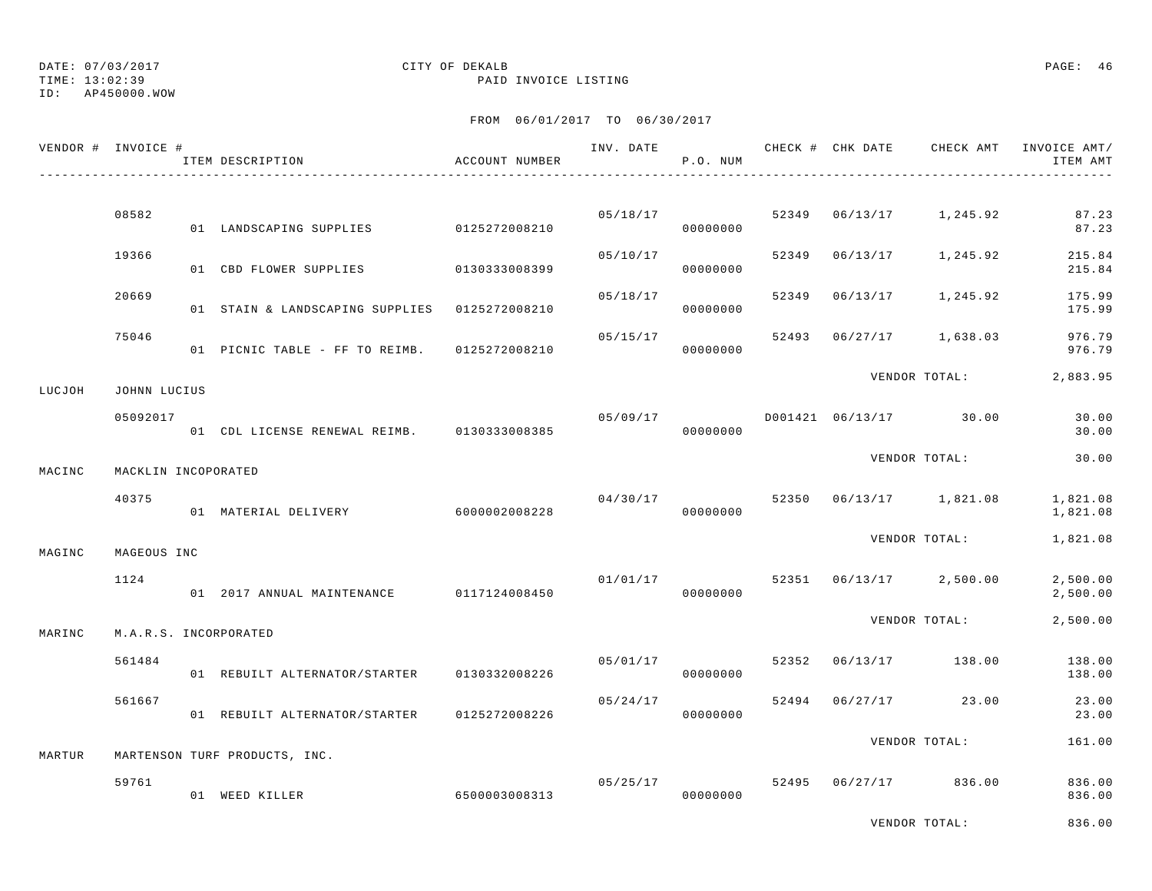TIME: 13:02:39 PAID INVOICE LISTING

ID: AP450000.WOW

### FROM 06/01/2017 TO 06/30/2017

|        | VENDOR # INVOICE #  | ITEM DESCRIPTION                              | ACCOUNT NUMBER |          | P.O. NUM             |       | INV. DATE 6 CHECK # CHK DATE CHECK AMT INVOICE AMT/ | ITEM AMT             |
|--------|---------------------|-----------------------------------------------|----------------|----------|----------------------|-------|-----------------------------------------------------|----------------------|
|        |                     |                                               |                |          |                      |       |                                                     |                      |
|        | 08582               | 01 LANDSCAPING SUPPLIES 0125272008210         |                |          | 05/18/17<br>00000000 | 52349 | 06/13/17 1,245.92                                   | 87.23<br>87.23       |
|        | 19366               | 01 CBD FLOWER SUPPLIES                        | 0130333008399  | 05/10/17 | 00000000             | 52349 | 06/13/17 1,245.92                                   | 215.84<br>215.84     |
|        | 20669               | 01 STAIN & LANDSCAPING SUPPLIES 0125272008210 |                | 05/18/17 | 00000000             | 52349 | $06/13/17$ 1,245.92                                 | 175.99<br>175.99     |
|        | 75046               | 01 PICNIC TABLE - FF TO REIMB. 0125272008210  |                | 05/15/17 | 00000000             | 52493 | $06/27/17$ 1,638.03                                 | 976.79<br>976.79     |
| LUCJOH | JOHNN LUCIUS        |                                               |                |          |                      |       | VENDOR TOTAL:                                       | 2,883.95             |
|        | 05092017            | 01 CDL LICENSE RENEWAL REIMB. 0130333008385   |                | 05/09/17 | 00000000             |       | D001421 06/13/17 30.00                              | 30.00<br>30.00       |
| MACINC | MACKLIN INCOPORATED |                                               |                |          |                      |       | VENDOR TOTAL:                                       | 30.00                |
|        | 40375               |                                               |                | 04/30/17 |                      |       | 52350 06/13/17 1,821.08                             | 1,821.08             |
|        |                     | 01 MATERIAL DELIVERY 6000002008228            |                |          | 00000000             |       |                                                     | 1,821.08             |
| MAGINC | MAGEOUS INC         |                                               |                |          |                      |       | VENDOR TOTAL:                                       | 1,821.08             |
|        | 1124                | 01 2017 ANNUAL MAINTENANCE 0117124008450      |                |          | 01/01/17<br>00000000 |       | 52351 06/13/17 2,500.00                             | 2,500.00<br>2,500.00 |
| MARINC |                     | M.A.R.S. INCORPORATED                         |                |          |                      |       | VENDOR TOTAL:                                       | 2,500.00             |
|        | 561484              | 01 REBUILT ALTERNATOR/STARTER 0130332008226   |                | 05/01/17 | 00000000             |       | 52352 06/13/17 138.00                               | 138.00<br>138.00     |
|        | 561667              | 01 REBUILT ALTERNATOR/STARTER 0125272008226   |                | 05/24/17 | 00000000             |       | 52494 06/27/17 23.00                                | 23.00<br>23.00       |
| MARTUR |                     | MARTENSON TURF PRODUCTS, INC.                 |                |          |                      |       | VENDOR TOTAL:                                       | 161.00               |
|        |                     |                                               |                |          |                      |       |                                                     |                      |
|        | 59761               | 01 WEED KILLER                                | 6500003008313  | 05/25/17 | 00000000             |       | 52495 06/27/17 836.00                               | 836.00<br>836.00     |
|        |                     |                                               |                |          |                      |       |                                                     | .                    |

VENDOR TOTAL: 836.00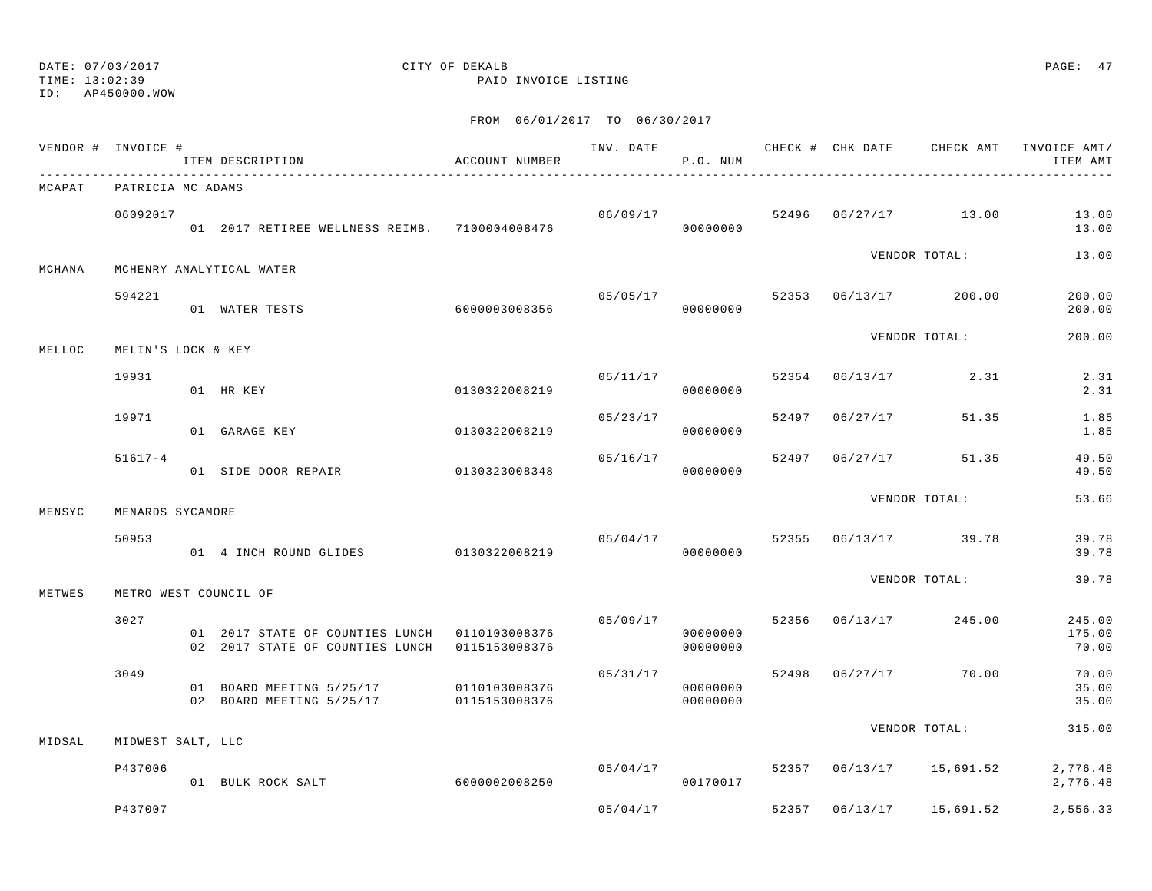TIME: 13:02:39 PAID INVOICE LISTING

ID: AP450000.WOW

|        | VENDOR # INVOICE # | ITEM DESCRIPTION                                                                                | ACCOUNT NUMBER |          | INV. DATE<br>P.O. NUM            |       | CHECK # CHK DATE | CHECK AMT                       | INVOICE AMT/<br>ITEM AMT  |
|--------|--------------------|-------------------------------------------------------------------------------------------------|----------------|----------|----------------------------------|-------|------------------|---------------------------------|---------------------------|
| MCAPAT | PATRICIA MC ADAMS  | --------------------------------                                                                |                |          |                                  |       |                  |                                 |                           |
|        | 06092017           | 01 2017 RETIREE WELLNESS REIMB. 7100004008476                                                   |                |          | 00000000                         |       |                  | $06/09/17$ 52496 06/27/17 13.00 | 13.00<br>13.00            |
| MCHANA |                    | MCHENRY ANALYTICAL WATER                                                                        |                |          |                                  |       |                  | VENDOR TOTAL:                   | 13.00                     |
|        | 594221             | 01 WATER TESTS                                                                                  | 6000003008356  | 05/05/17 | 00000000                         |       |                  | 52353 06/13/17 200.00           | 200.00<br>200.00          |
| MELLOC | MELIN'S LOCK & KEY |                                                                                                 |                |          |                                  |       |                  | VENDOR TOTAL:                   | 200.00                    |
|        | 19931              | 01 HR KEY                                                                                       | 0130322008219  |          | 05/11/17<br>00000000             |       |                  | 52354 06/13/17 2.31             | 2.31<br>2.31              |
|        | 19971              | 01 GARAGE KEY                                                                                   | 0130322008219  | 05/23/17 | 00000000                         |       | 52497 06/27/17   | 51.35                           | 1.85<br>1.85              |
|        | $51617 - 4$        | 01 SIDE DOOR REPAIR 0130323008348                                                               |                |          | 05/16/17<br>00000000             |       |                  | 52497 06/27/17 51.35            | 49.50<br>49.50            |
| MENSYC | MENARDS SYCAMORE   |                                                                                                 |                |          |                                  |       |                  | VENDOR TOTAL:                   | 53.66                     |
|        | 50953              | 01 4 INCH ROUND GLIDES 0130322008219                                                            |                |          | 00000000                         |       |                  | $05/04/17$ 52355 06/13/17 39.78 | 39.78<br>39.78            |
| METWES |                    | METRO WEST COUNCIL OF                                                                           |                |          |                                  |       |                  | VENDOR TOTAL:                   | 39.78                     |
|        | 3027               | 01 2017 STATE OF COUNTIES LUNCH  0110103008376<br>02 2017 STATE OF COUNTIES LUNCH 0115153008376 |                |          | 05/09/17<br>00000000<br>00000000 |       |                  | 52356 06/13/17 245.00           | 245.00<br>175.00<br>70.00 |
|        | 3049               | 01 BOARD MEETING 5/25/17<br>02 BOARD MEETING 5/25/17 0115153008376                              | 0110103008376  |          | 05/31/17<br>00000000<br>00000000 |       |                  | 52498 06/27/17 70.00            | 70.00<br>35.00<br>35.00   |
| MIDSAL | MIDWEST SALT, LLC  |                                                                                                 |                |          |                                  |       |                  | VENDOR TOTAL:                   | 315.00                    |
|        | P437006            | 01 BULK ROCK SALT                                                                               | 6000002008250  |          | 05/04/17<br>00170017             |       |                  | 52357 06/13/17 15,691.52        | 2,776.48<br>2,776.48      |
|        | P437007            |                                                                                                 |                | 05/04/17 |                                  | 52357 | 06/13/17         | 15,691.52                       | 2,556.33                  |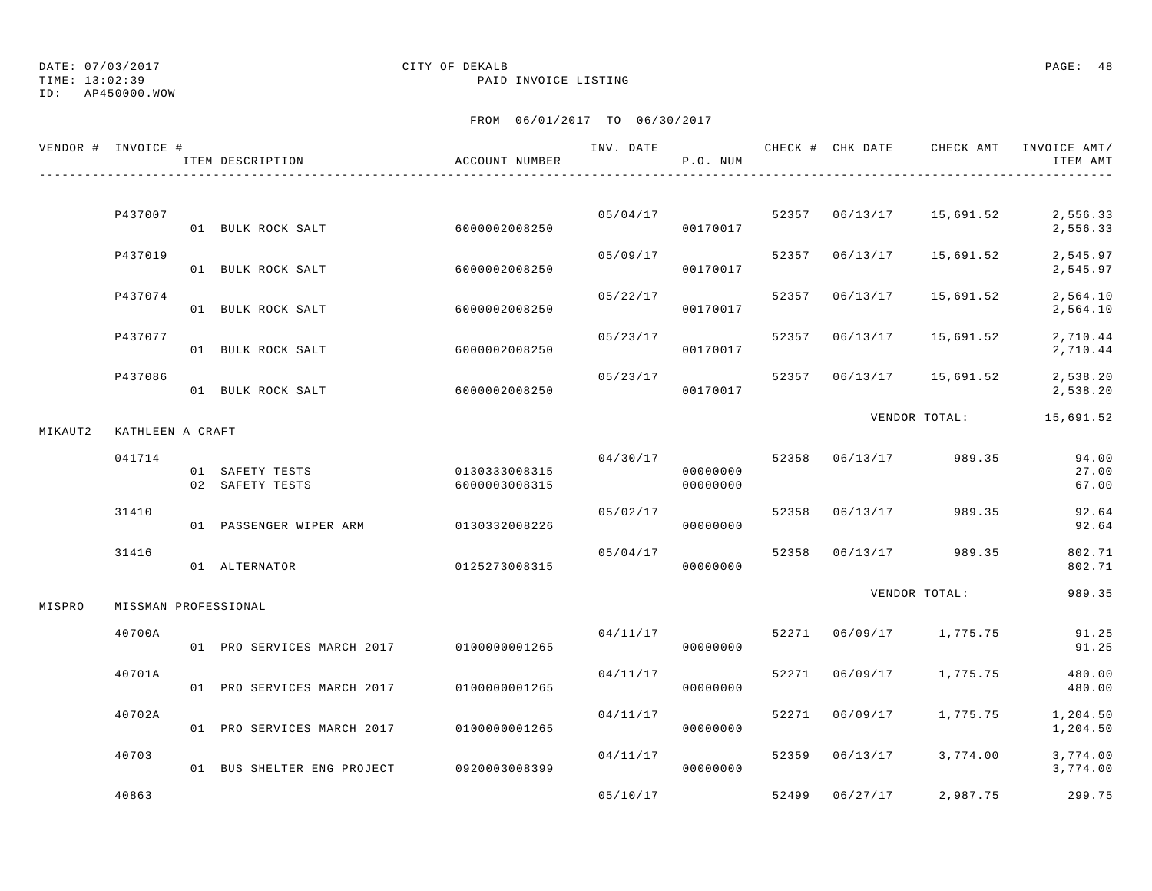## DATE: 07/03/2017 CITY OF DEKALB PAGE: 48

TIME: 13:02:39 PAID INVOICE LISTING

|         | VENDOR # INVOICE #   | ITEM DESCRIPTION                   | ACCOUNT NUMBER                 | INV. DATE | P.O. NUM             |       |                |               | CHECK # CHK DATE CHECK AMT INVOICE AMT/<br>ITEM AMT |
|---------|----------------------|------------------------------------|--------------------------------|-----------|----------------------|-------|----------------|---------------|-----------------------------------------------------|
|         |                      |                                    |                                |           |                      |       |                |               |                                                     |
|         | P437007              | 01 BULK ROCK SALT                  | 6000002008250                  |           | 05/04/17<br>00170017 |       | 52357 06/13/17 | 15,691.52     | 2,556.33<br>2,556.33                                |
|         | P437019              | 01 BULK ROCK SALT                  | 6000002008250                  | 05/09/17  | 00170017             |       | 52357 06/13/17 | 15,691.52     | 2,545.97<br>2,545.97                                |
|         | P437074              | 01 BULK ROCK SALT                  | 6000002008250                  | 05/22/17  | 00170017             | 52357 | 06/13/17       | 15,691.52     | 2,564.10<br>2,564.10                                |
|         | P437077              | 01 BULK ROCK SALT                  | 6000002008250                  |           | 05/23/17<br>00170017 | 52357 | 06/13/17       | 15,691.52     | 2,710.44<br>2,710.44                                |
|         | P437086              | 01 BULK ROCK SALT                  | 6000002008250                  | 05/23/17  | 00170017             |       | 52357 06/13/17 | 15,691.52     | 2,538.20<br>2,538.20                                |
| MIKAUT2 | KATHLEEN A CRAFT     |                                    |                                |           |                      |       |                | VENDOR TOTAL: | 15,691.52                                           |
|         |                      |                                    |                                |           |                      |       |                |               |                                                     |
|         | 041714               | 01 SAFETY TESTS<br>02 SAFETY TESTS | 0130333008315<br>6000003008315 | 04/30/17  | 00000000<br>00000000 |       | 52358 06/13/17 | 989.35        | 94.00<br>27.00<br>67.00                             |
|         | 31410                | 01 PASSENGER WIPER ARM             | 0130332008226                  | 05/02/17  | 00000000             | 52358 | 06/13/17       | 989.35        | 92.64<br>92.64                                      |
|         | 31416                | 01 ALTERNATOR                      | 0125273008315                  | 05/04/17  | 00000000             | 52358 | 06/13/17       | 989.35        | 802.71<br>802.71                                    |
| MISPRO  | MISSMAN PROFESSIONAL |                                    |                                |           |                      |       |                | VENDOR TOTAL: | 989.35                                              |
|         | 40700A               | 01 PRO SERVICES MARCH 2017         | 0100000001265                  | 04/11/17  | 00000000             |       | 52271 06/09/17 | 1,775.75      | 91.25<br>91.25                                      |
|         | 40701A               | 01 PRO SERVICES MARCH 2017         | 0100000001265                  | 04/11/17  | 00000000             | 52271 | 06/09/17       | 1,775.75      | 480.00<br>480.00                                    |
|         | 40702A               | 01 PRO SERVICES MARCH 2017         | 0100000001265                  | 04/11/17  | 00000000             | 52271 | 06/09/17       | 1,775.75      | 1,204.50<br>1,204.50                                |
|         | 40703                | 01 BUS SHELTER ENG PROJECT         | 0920003008399                  | 04/11/17  | 00000000             |       | 52359 06/13/17 | 3,774.00      | 3,774.00<br>3,774.00                                |
|         | 40863                |                                    |                                | 05/10/17  |                      | 52499 | 06/27/17       | 2,987.75      | 299.75                                              |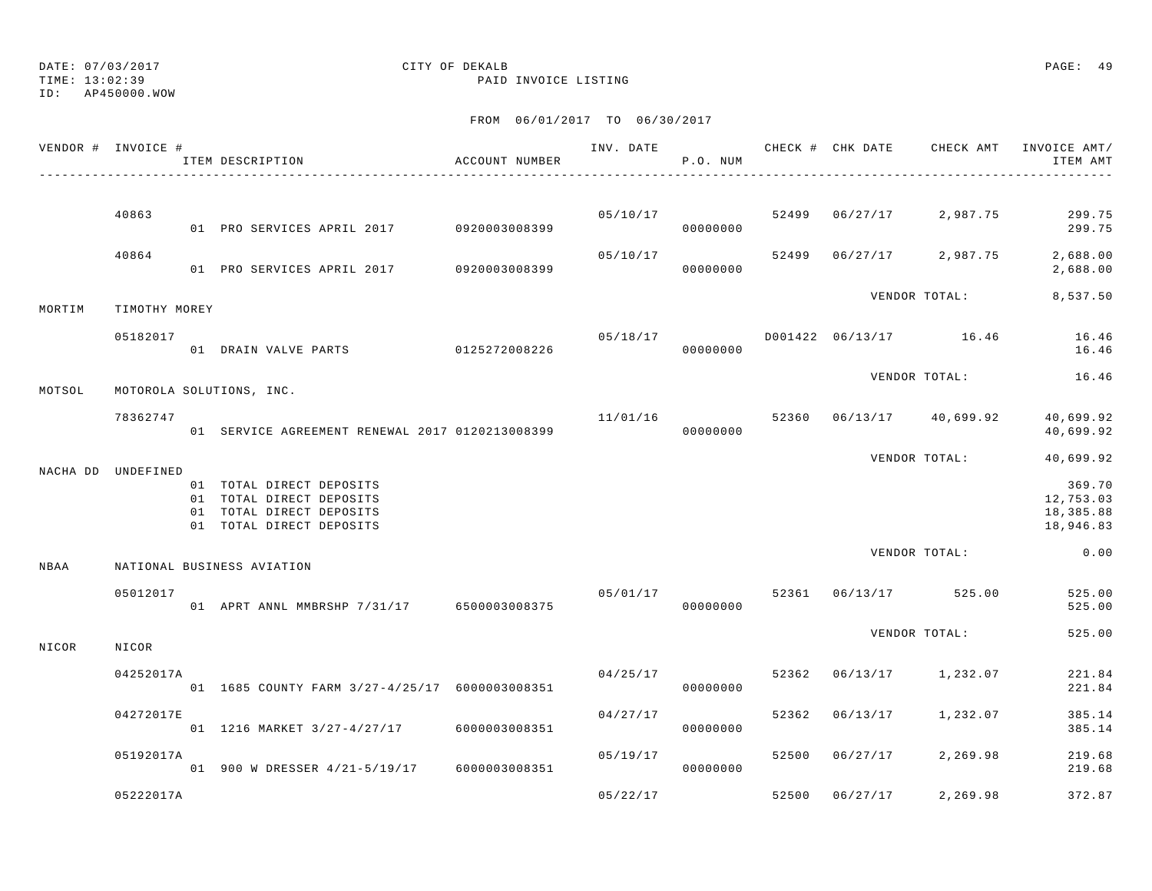TIME: 13:02:39 PAID INVOICE LISTING

ID: AP450000.WOW

|        | VENDOR # INVOICE # | ITEM DESCRIPTION                                                                                             | ACCOUNT NUMBER |          | P.O. NUM             |       |          |                                     | INV. DATE 6 7 CHECK # CHK DATE CHECK AMT INVOICE AMT/<br>ITEM AMT |
|--------|--------------------|--------------------------------------------------------------------------------------------------------------|----------------|----------|----------------------|-------|----------|-------------------------------------|-------------------------------------------------------------------|
|        |                    |                                                                                                              |                |          |                      |       |          |                                     |                                                                   |
|        | 40863              | 01 PRO SERVICES APRIL 2017 0920003008399                                                                     |                |          | 00000000             |       |          | $05/10/17$ 52499 06/27/17 2,987.75  | 299.75<br>299.75                                                  |
|        | 40864              | 01 PRO SERVICES APRIL 2017 0920003008399                                                                     |                | 05/10/17 | 00000000             |       |          |                                     | 52499 06/27/17 2,987.75 2,688.00<br>2,688.00                      |
| MORTIM | TIMOTHY MOREY      |                                                                                                              |                |          |                      |       |          | VENDOR TOTAL:                       | 8,537.50                                                          |
|        | 05182017           | 01 DRAIN VALVE PARTS 0125272008226                                                                           |                |          | 00000000             |       |          | $05/18/17$ D001422 06/13/17 16.46   | 16.46<br>16.46                                                    |
| MOTSOL |                    | MOTOROLA SOLUTIONS, INC.                                                                                     |                |          |                      |       |          | VENDOR TOTAL:                       | 16.46                                                             |
|        | 78362747           | 01 SERVICE AGREEMENT RENEWAL 2017 0120213008399                                                              |                |          | 00000000             |       |          | $11/01/16$ 52360 06/13/17 40,699.92 | 40,699.92<br>40,699.92                                            |
|        |                    |                                                                                                              |                |          |                      |       |          | VENDOR TOTAL:                       | 40,699.92                                                         |
|        | NACHA DD UNDEFINED | 01 TOTAL DIRECT DEPOSITS<br>01 TOTAL DIRECT DEPOSITS<br>01 TOTAL DIRECT DEPOSITS<br>01 TOTAL DIRECT DEPOSITS |                |          |                      |       |          |                                     | 369.70<br>12,753.03<br>18,385.88<br>18,946.83                     |
| NBAA   |                    | NATIONAL BUSINESS AVIATION                                                                                   |                |          |                      |       |          | VENDOR TOTAL:                       | 0.00                                                              |
|        | 05012017           | 01 APRT ANNL MMBRSHP 7/31/17 6500003008375                                                                   |                |          | 00000000             |       |          | $05/01/17$ 52361 06/13/17 525.00    | 525.00<br>525.00                                                  |
| NICOR  | NICOR              |                                                                                                              |                |          |                      |       |          | VENDOR TOTAL:                       | 525.00                                                            |
|        | 04252017A          | 01 1685 COUNTY FARM 3/27-4/25/17 6000003008351                                                               |                |          | 04/25/17<br>00000000 | 52362 |          | 06/13/17 1,232.07                   | 221.84<br>221.84                                                  |
|        | 04272017E          | 01 1216 MARKET 3/27-4/27/17 6000003008351                                                                    |                | 04/27/17 | 00000000             | 52362 |          | 06/13/17 1,232.07                   | 385.14<br>385.14                                                  |
|        | 05192017A          | 01 900 W DRESSER 4/21-5/19/17 6000003008351                                                                  |                | 05/19/17 | 00000000             |       |          | 52500 06/27/17 2,269.98             | 219.68<br>219.68                                                  |
|        | 05222017A          |                                                                                                              |                | 05/22/17 |                      | 52500 | 06/27/17 | 2,269.98                            | 372.87                                                            |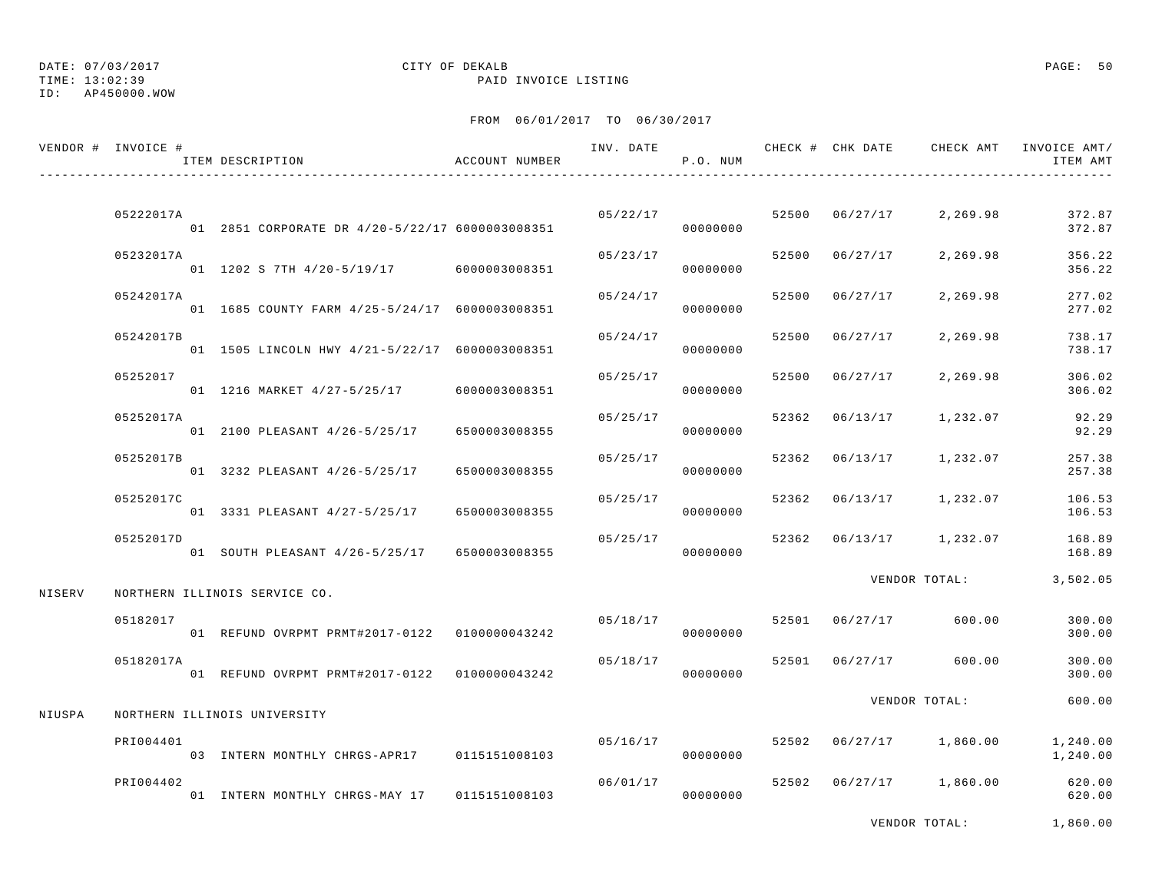## DATE: 07/03/2017 CITY OF DEKALB PAGE: 50

TIME: 13:02:39 PAID INVOICE LISTING

FROM 06/01/2017 TO 06/30/2017

|        | VENDOR # INVOICE # | ITEM DESCRIPTION                                    | ACCOUNT NUMBER |          | P.O. NUM             |       |                |                         | INV. DATE 6 . CHECK # CHK DATE 6 CHECK AMT INVOICE AMT<br>ITEM AMT |
|--------|--------------------|-----------------------------------------------------|----------------|----------|----------------------|-------|----------------|-------------------------|--------------------------------------------------------------------|
|        | 05222017A          | 01  2851  CORPORATE DR  4/20-5/22/17  6000003008351 |                |          | 05/22/17<br>00000000 |       | 52500 06/27/17 | 2,269.98                | 372.87<br>372.87                                                   |
|        | 05232017A          | 01 1202 S 7TH 4/20-5/19/17 6000003008351            |                | 05/23/17 | 00000000             |       | 52500 06/27/17 | 2,269.98                | 356.22<br>356.22                                                   |
|        | 05242017A          | 01 1685 COUNTY FARM 4/25-5/24/17 6000003008351      |                | 05/24/17 | 00000000             |       | 52500 06/27/17 | 2,269.98                | 277.02<br>277.02                                                   |
|        | 05242017B          | 01 1505 LINCOLN HWY 4/21-5/22/17 6000003008351      |                | 05/24/17 | 00000000             | 52500 | 06/27/17       | 2,269.98                | 738.17<br>738.17                                                   |
|        | 05252017           | 01 1216 MARKET 4/27-5/25/17                         | 6000003008351  | 05/25/17 | 00000000             | 52500 | 06/27/17       | 2,269.98                | 306.02<br>306.02                                                   |
|        | 05252017A          | 01 2100 PLEASANT 4/26-5/25/17                       | 6500003008355  | 05/25/17 | 00000000             |       | 52362 06/13/17 | 1,232.07                | 92.29<br>92.29                                                     |
|        | 05252017B          | 01 3232 PLEASANT 4/26-5/25/17                       | 6500003008355  | 05/25/17 | 00000000             |       | 52362 06/13/17 | 1,232.07                | 257.38<br>257.38                                                   |
|        | 05252017C          | 01 3331 PLEASANT 4/27-5/25/17                       | 6500003008355  | 05/25/17 | 00000000             |       |                | 52362 06/13/17 1,232.07 | 106.53<br>106.53                                                   |
|        | 05252017D          | 01 SOUTH PLEASANT 4/26-5/25/17 6500003008355        |                | 05/25/17 | 00000000             |       |                | 52362 06/13/17 1,232.07 | 168.89<br>168.89                                                   |
| NISERV |                    | NORTHERN ILLINOIS SERVICE CO.                       |                |          |                      |       |                | VENDOR TOTAL:           | 3,502.05                                                           |
|        | 05182017           | 01 REFUND OVRPMT PRMT#2017-0122   0100000043242     |                | 05/18/17 | 00000000             |       | 52501 06/27/17 | 600.00                  | 300.00<br>300.00                                                   |
|        | 05182017A          | 01 REFUND OVRPMT PRMT#2017-0122  0100000043242      |                | 05/18/17 | 00000000             |       |                | 52501 06/27/17 600.00   | 300.00<br>300.00                                                   |
| NIUSPA |                    | NORTHERN ILLINOIS UNIVERSITY                        |                |          |                      |       |                | VENDOR TOTAL:           | 600.00                                                             |
|        | PRI004401          | 03 INTERN MONTHLY CHRGS-APR17 0115151008103         |                | 05/16/17 | 00000000             |       |                | 52502 06/27/17 1,860.00 | 1,240.00<br>1,240.00                                               |
|        | PRI004402          | 01 INTERN MONTHLY CHRGS-MAY 17 0115151008103        |                | 06/01/17 | 00000000             |       |                | 52502 06/27/17 1,860.00 | 620.00<br>620.00                                                   |

VENDOR TOTAL: 1,860.00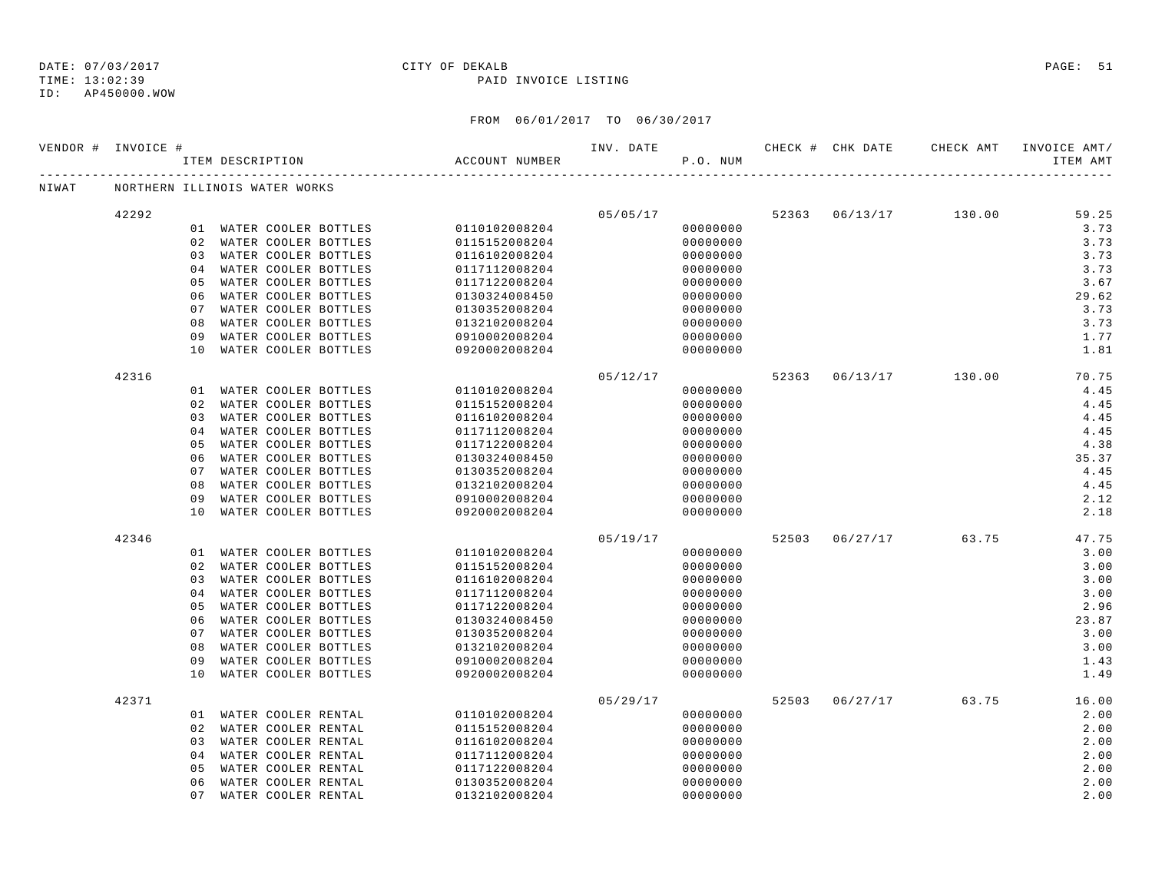### TIME: 13:02:39 PAID INVOICE LISTING

ID: AP450000.WOW

|       | VENDOR # INVOICE # |          | ITEM DESCRIPTION                                 | ACCOUNT NUMBER                        | INV. DATE | P.O. NUM             |  | CHECK # CHK DATE CHECK AMT | INVOICE AMT/<br>ITEM AMT |
|-------|--------------------|----------|--------------------------------------------------|---------------------------------------|-----------|----------------------|--|----------------------------|--------------------------|
| NIWAT |                    |          | NORTHERN ILLINOIS WATER WORKS                    |                                       |           |                      |  |                            |                          |
|       | 42292              |          |                                                  |                                       |           | 05/05/17             |  | 52363 06/13/17 130.00      | 59.25                    |
|       |                    |          |                                                  | 01 WATER COOLER BOTTLES 0110102008204 |           | 00000000             |  |                            | 3.73                     |
|       |                    |          | 02 WATER COOLER BOTTLES                          | 0115152008204                         |           | 00000000             |  |                            | 3.73                     |
|       |                    |          | 03 WATER COOLER BOTTLES                          | 0116102008204                         |           | 00000000             |  |                            | 3.73                     |
|       |                    |          | 04 WATER COOLER BOTTLES                          | 0117112008204                         |           | 00000000             |  |                            | 3.73                     |
|       |                    |          | 05 WATER COOLER BOTTLES                          | 0117122008204                         |           | 00000000             |  |                            | 3.67                     |
|       |                    |          | 06 WATER COOLER BOTTLES                          | 0130324008450                         |           | 00000000             |  |                            | 29.62                    |
|       |                    |          | 07 WATER COOLER BOTTLES                          | 0130352008204                         |           | 00000000             |  |                            | 3.73                     |
|       |                    | 08       | WATER COOLER BOTTLES                             | 0132102008204                         |           | 00000000             |  |                            | 3.73                     |
|       |                    | 09       | WATER COOLER BOTTLES                             | 0910002008204                         |           | 00000000             |  |                            | 1.77                     |
|       |                    | 10       | WATER COOLER BOTTLES                             | 0920002008204                         |           | 00000000             |  |                            | 1.81                     |
|       | 42316              |          |                                                  |                                       | 05/12/17  |                      |  | 52363 06/13/17 130.00      | 70.75                    |
|       |                    |          | 01 WATER COOLER BOTTLES                          | 0110102008204                         |           | 00000000             |  |                            | 4.45                     |
|       |                    |          | 02 WATER COOLER BOTTLES                          | 0115152008204                         |           | 00000000             |  |                            | 4.45                     |
|       |                    |          | 03 WATER COOLER BOTTLES                          | 0116102008204                         |           | 00000000             |  |                            | 4.45                     |
|       |                    |          | 04 WATER COOLER BOTTLES                          | 0117112008204                         |           | 00000000             |  |                            | 4.45                     |
|       |                    | 05       | WATER COOLER BOTTLES                             | 0117122008204                         |           | 00000000             |  |                            | 4.38                     |
|       |                    | 06       | WATER COOLER BOTTLES                             | 0130324008450                         |           | 00000000             |  |                            | 35.37                    |
|       |                    | 07       | WATER COOLER BOTTLES                             | 0130352008204                         |           | 00000000             |  |                            | 4.45                     |
|       |                    | 08       | WATER COOLER BOTTLES                             | 0132102008204                         |           | 00000000             |  |                            | 4.45                     |
|       |                    | 09       | WATER COOLER BOTTLES                             | 0910002008204                         |           | 00000000             |  |                            | 2.12                     |
|       |                    |          | 10 WATER COOLER BOTTLES                          | 0920002008204                         |           | 00000000             |  |                            | 2.18                     |
|       | 42346              |          |                                                  |                                       | 05/19/17  |                      |  | 52503 06/27/17 63.75       | 47.75                    |
|       |                    |          | 01 WATER COOLER BOTTLES                          | 0110102008204                         |           | 00000000             |  |                            | 3.00                     |
|       |                    |          | 02 WATER COOLER BOTTLES                          | 0115152008204                         |           | 00000000             |  |                            | 3.00                     |
|       |                    |          | 03 WATER COOLER BOTTLES                          | 0116102008204                         |           | 00000000             |  |                            | 3.00                     |
|       |                    |          | 04 WATER COOLER BOTTLES                          | 0117112008204                         |           | 00000000             |  |                            | 3.00                     |
|       |                    | 05       | WATER COOLER BOTTLES                             | 0117122008204                         |           | 00000000             |  |                            | 2.96                     |
|       |                    | 06       | WATER COOLER BOTTLES                             | 0130324008450                         |           | 00000000             |  |                            | 23.87                    |
|       |                    | 07       | WATER COOLER BOTTLES                             | 0130352008204                         |           | 00000000             |  |                            | 3.00                     |
|       |                    | 08       | WATER COOLER BOTTLES                             | 0132102008204                         |           | 00000000             |  |                            | 3.00                     |
|       |                    | 09<br>10 | WATER COOLER BOTTLES<br>WATER COOLER BOTTLES     | 0910002008204<br>0920002008204        |           | 00000000<br>00000000 |  |                            | 1.43<br>1.49             |
|       |                    |          |                                                  |                                       |           |                      |  |                            |                          |
|       | 42371              |          |                                                  |                                       | 05/29/17  | 00000000             |  | 52503 06/27/17 63.75       | 16.00<br>2.00            |
|       |                    |          | 01 WATER COOLER RENTAL                           | 0110102008204                         |           |                      |  |                            | 2.00                     |
|       |                    |          | 02 WATER COOLER RENTAL<br>03 WATER COOLER RENTAL | 0115152008204<br>0116102008204        |           | 00000000<br>00000000 |  |                            | 2.00                     |
|       |                    |          | 04 WATER COOLER RENTAL                           | 0117112008204                         |           | 00000000             |  |                            | 2.00                     |
|       |                    | 05       | WATER COOLER RENTAL                              | 0117122008204                         |           | 00000000             |  |                            | 2.00                     |
|       |                    | 06       | WATER COOLER RENTAL                              | 0130352008204                         |           | 00000000             |  |                            | 2.00                     |
|       |                    | 07       | WATER COOLER RENTAL                              | 0132102008204                         |           | 00000000             |  |                            | 2.00                     |
|       |                    |          |                                                  |                                       |           |                      |  |                            |                          |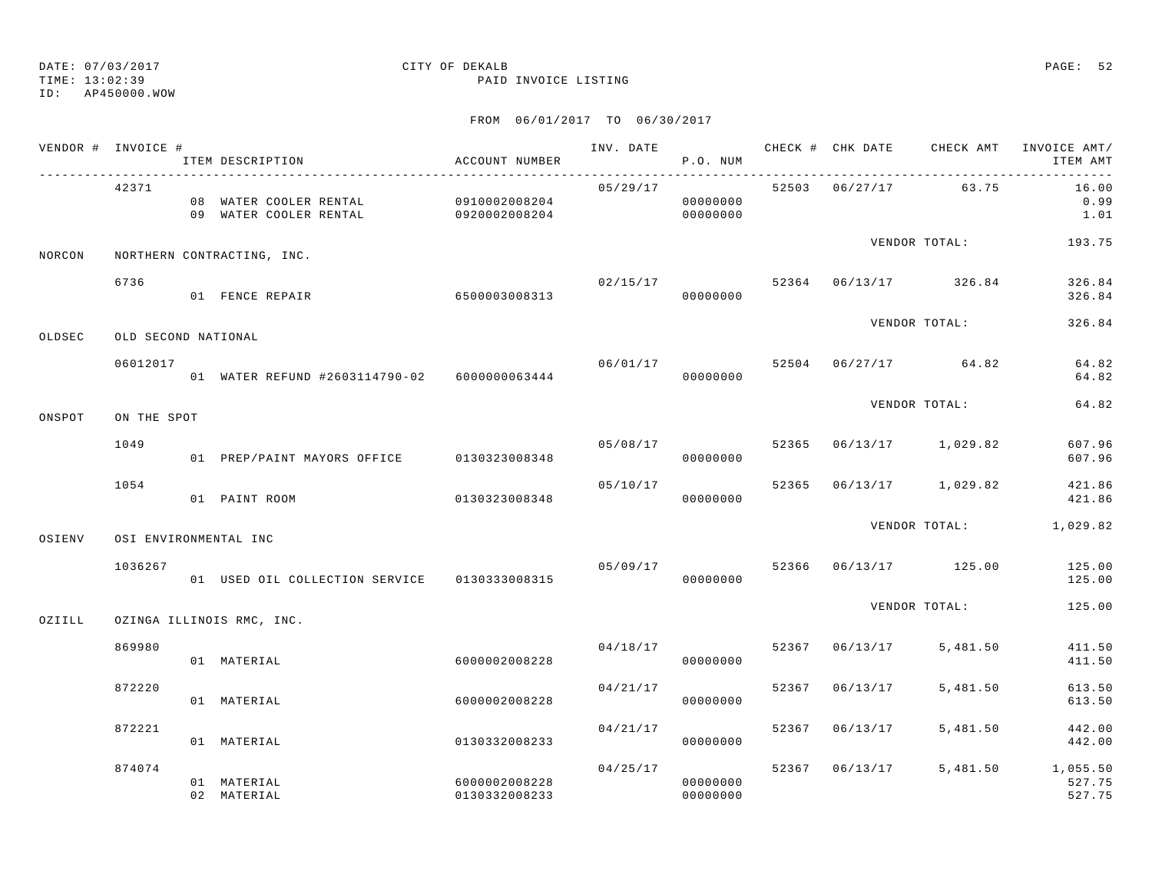TIME: 13:02:39 PAID INVOICE LISTING

ID: AP450000.WOW

| VENDOR # INVOICE # |                     | ITEM DESCRIPTION                                               | ACCOUNT NUMBER                 |          | P.O. NUM             |       |                | INV. DATE 6 CHECK # CHK DATE CHECK AMT INVOICE AMT/ | ITEM AMT                              |
|--------------------|---------------------|----------------------------------------------------------------|--------------------------------|----------|----------------------|-------|----------------|-----------------------------------------------------|---------------------------------------|
|                    | 42371               | 08 WATER COOLER RENTAL 0910002008204<br>09 WATER COOLER RENTAL | 0920002008204                  | 05/29/17 | 00000000<br>00000000 |       | 52503 06/27/17 | 63.75                                               | 16.00<br>0.99<br>1.01                 |
| NORCON             |                     | NORTHERN CONTRACTING, INC.                                     |                                |          |                      |       |                | VENDOR TOTAL:                                       | 193.75                                |
|                    | 6736                | 01 FENCE REPAIR                                                | 6500003008313                  | 02/15/17 | 00000000             |       |                | 52364 06/13/17 326.84                               | 326.84<br>326.84                      |
| OLDSEC             | OLD SECOND NATIONAL |                                                                |                                |          |                      |       |                | VENDOR TOTAL:                                       | 326.84                                |
|                    | 06012017            | 01 WATER REFUND #2603114790-02 6000000063444                   |                                |          | 00000000             |       |                | $06/01/17$ 52504 06/27/17 64.82                     | 64.82<br>64.82                        |
| ONSPOT             | ON THE SPOT         |                                                                |                                |          |                      |       |                | VENDOR TOTAL:                                       | 64.82                                 |
|                    | 1049                | 01 PREP/PAINT MAYORS OFFICE 0130323008348                      |                                | 05/08/17 | 00000000             | 52365 |                | 06/13/17 1,029.82                                   | 607.96<br>607.96                      |
|                    | 1054                | 01 PAINT ROOM                                                  | 0130323008348                  | 05/10/17 | 00000000             |       |                | 52365 06/13/17 1,029.82                             | 421.86<br>421.86                      |
| OSIENV             |                     | OSI ENVIRONMENTAL INC                                          |                                |          |                      |       |                | VENDOR TOTAL: 1,029.82                              |                                       |
|                    | 1036267             | 01 USED OIL COLLECTION SERVICE 0130333008315                   |                                | 05/09/17 | 00000000             |       |                | 52366 06/13/17 125.00                               | 125.00<br>125.00                      |
| OZIILL             |                     | OZINGA ILLINOIS RMC, INC.                                      |                                |          |                      |       |                | VENDOR TOTAL:                                       | 125.00                                |
|                    | 869980              | 01 MATERIAL                                                    | 6000002008228                  | 04/18/17 | 00000000             |       | 52367 06/13/17 | 5,481.50                                            | 411.50<br>411.50                      |
|                    | 872220              | 01 MATERIAL                                                    | 6000002008228                  | 04/21/17 | 00000000             | 52367 | 06/13/17       | 5,481.50                                            | 613.50<br>613.50                      |
|                    | 872221              | 01 MATERIAL                                                    | 0130332008233                  | 04/21/17 | 00000000             | 52367 | 06/13/17       | 5,481.50                                            | 442.00<br>442.00                      |
|                    | 874074              | 01 MATERIAL<br>02 MATERIAL                                     | 6000002008228<br>0130332008233 | 04/25/17 | 00000000<br>00000000 |       | 52367 06/13/17 |                                                     | 5,481.50 1,055.50<br>527.75<br>527.75 |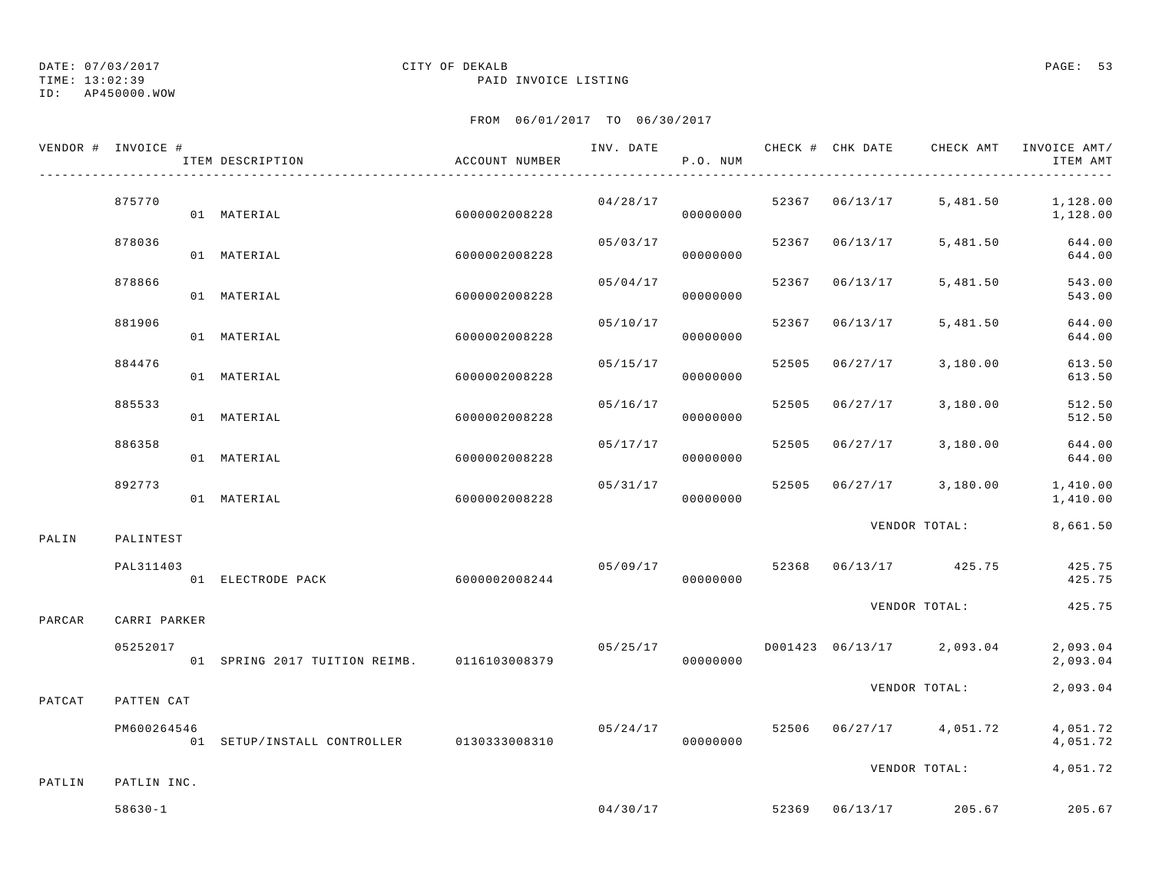TIME: 13:02:39 PAID INVOICE LISTING

ID: AP450000.WOW

|        | VENDOR # INVOICE # | ITEM DESCRIPTION                            | ACCOUNT NUMBER |                           | P.O. NUM |       |                |                                          | ITEM AMT                      |
|--------|--------------------|---------------------------------------------|----------------|---------------------------|----------|-------|----------------|------------------------------------------|-------------------------------|
|        | 875770             | 01 MATERIAL                                 | 6000002008228  | $04/28/17$ 52367 06/13/17 | 00000000 |       |                |                                          | 5,481.50 1,128.00<br>1,128.00 |
|        | 878036             | 01 MATERIAL                                 | 6000002008228  | 05/03/17                  | 00000000 |       | 52367 06/13/17 | 5,481.50                                 | 644.00<br>644.00              |
|        | 878866             | 01 MATERIAL                                 | 6000002008228  | 05/04/17                  | 00000000 |       | 52367 06/13/17 | 5,481.50                                 | 543.00<br>543.00              |
|        | 881906             | 01 MATERIAL                                 | 6000002008228  | 05/10/17                  | 00000000 | 52367 | 06/13/17       | 5,481.50                                 | 644.00<br>644.00              |
|        | 884476             | 01 MATERIAL                                 | 6000002008228  | 05/15/17                  | 00000000 | 52505 | 06/27/17       | 3,180.00                                 | 613.50<br>613.50              |
|        | 885533             | 01 MATERIAL                                 | 6000002008228  | 05/16/17                  | 00000000 |       | 52505 06/27/17 | 3,180.00                                 | 512.50<br>512.50              |
|        | 886358             | 01 MATERIAL                                 | 6000002008228  | 05/17/17                  | 00000000 |       |                | 52505 06/27/17 3,180.00                  | 644.00<br>644.00              |
|        | 892773             | 01 MATERIAL                                 | 6000002008228  | 05/31/17                  | 00000000 | 52505 |                | 06/27/17 3,180.00                        | 1,410.00<br>1,410.00          |
| PALIN  | PALINTEST          |                                             |                |                           |          |       |                | VENDOR TOTAL:                            | 8,661.50                      |
|        | PAL311403          | 01 ELECTRODE PACK                           | 6000002008244  |                           | 00000000 |       |                | $05/09/17$ 52368 06/13/17 425.75         | 425.75<br>425.75              |
| PARCAR | CARRI PARKER       |                                             |                |                           |          |       |                | VENDOR TOTAL:                            | 425.75                        |
|        | 05252017           | 01 SPRING 2017 TUITION REIMB. 0116103008379 |                |                           | 00000000 |       |                | $05/25/17$ D001423 06/13/17 2,093.04     | 2,093.04<br>2,093.04          |
| PATCAT | PATTEN CAT         |                                             |                |                           |          |       |                | VENDOR TOTAL:                            | 2,093.04                      |
|        | PM600264546        | 01 SETUP/INSTALL CONTROLLER 0130333008310   |                |                           | 00000000 |       |                | $05/24/17$ $52506$ $06/27/17$ $4,051.72$ | 4,051.72<br>4,051.72          |
| PATLIN | PATLIN INC.        |                                             |                |                           |          |       |                | VENDOR TOTAL:                            | 4,051.72                      |
|        | $58630 - 1$        |                                             |                |                           |          |       |                | $04/30/17$ 52369 06/13/17 205.67         | 205.67                        |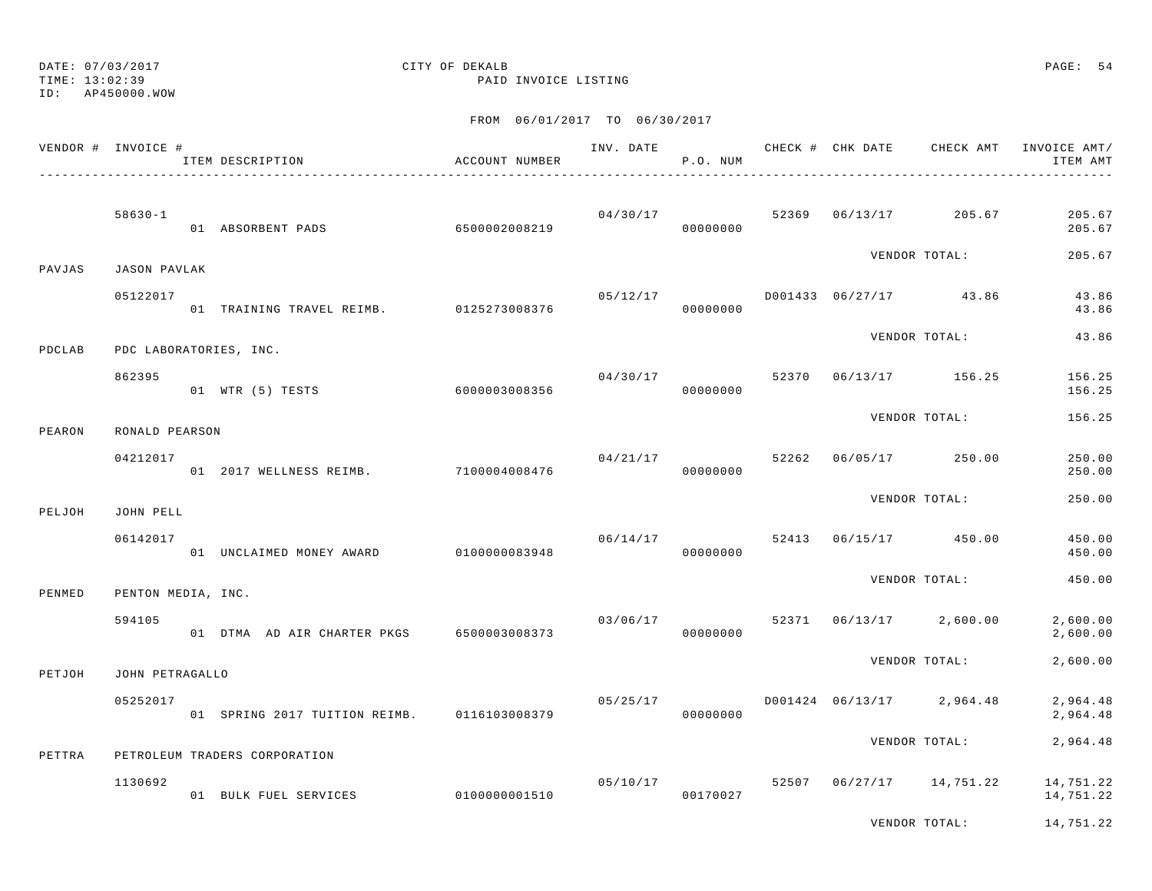TIME: 13:02:39 PAID INVOICE LISTING

ID: AP450000.WOW

|        | VENDOR # INVOICE # | ITEM DESCRIPTION                            | ACCOUNT NUMBER |          | P.O. NUM                   |       | INV. DATE <b>CHECK # CHK DATE</b> CHECK AMT | INVOICE AMT/<br>ITEM AMT |
|--------|--------------------|---------------------------------------------|----------------|----------|----------------------------|-------|---------------------------------------------|--------------------------|
|        | $58630 - 1$        | 01 ABSORBENT PADS 6500002008219             |                |          | 04/30/17<br>00000000       |       | 52369 06/13/17 205.67                       | 205.67<br>205.67         |
| PAVJAS | JASON PAVLAK       |                                             |                |          |                            |       | VENDOR TOTAL:                               | 205.67                   |
|        | 05122017           | 01 TRAINING TRAVEL REIMB. 0125273008376     |                | 05/12/17 | 00000000                   |       | D001433 06/27/17 43.86                      | 43.86<br>43.86           |
| PDCLAB |                    | PDC LABORATORIES, INC.                      |                |          |                            |       | VENDOR TOTAL:                               | 43.86                    |
|        | 862395             | 01 WTR (5) TESTS                            | 60000003008356 | 04/30/17 | 00000000                   |       | 52370 06/13/17 156.25                       | 156.25<br>156.25         |
| PEARON | RONALD PEARSON     |                                             |                |          |                            |       | VENDOR TOTAL:                               | 156.25                   |
|        | 04212017           | 01 2017 WELLNESS REIMB. 7100004008476       |                |          | 04/21/17 52262<br>00000000 |       | 06/05/17 250.00                             | 250.00<br>250.00         |
| PELJOH | JOHN PELL          |                                             |                |          |                            |       | VENDOR TOTAL:                               | 250.00                   |
|        | 06142017           | 01 UNCLAIMED MONEY AWARD 0100000083948      |                | 06/14/17 | 00000000                   |       | 52413 06/15/17 450.00                       | 450.00<br>450.00         |
| PENMED | PENTON MEDIA, INC. |                                             |                |          |                            |       | VENDOR TOTAL:                               | 450.00                   |
|        | 594105             | 01 DTMA AD AIR CHARTER PKGS 6500003008373   |                |          | 03/06/17<br>00000000       | 52371 | $06/13/17$ 2,600.00                         | 2,600.00<br>2,600.00     |
| PETJOH | JOHN PETRAGALLO    |                                             |                |          |                            |       | VENDOR TOTAL:                               | 2,600.00                 |
|        | 05252017           | 01 SPRING 2017 TUITION REIMB. 0116103008379 |                | 05/25/17 | 00000000                   |       | D001424 06/13/17 2,964.48                   | 2,964.48<br>2,964.48     |
| PETTRA |                    | PETROLEUM TRADERS CORPORATION               |                |          |                            |       | VENDOR TOTAL:                               | 2,964.48                 |
|        | 1130692            | 01 BULK FUEL SERVICES                       | 0100000001510  |          | 05/10/17<br>00170027       | 52507 | $06/27/17$ 14,751.22                        | 14,751.22<br>14,751.22   |
|        |                    |                                             |                |          |                            |       | VENDOR TOTAL:                               | 14,751.22                |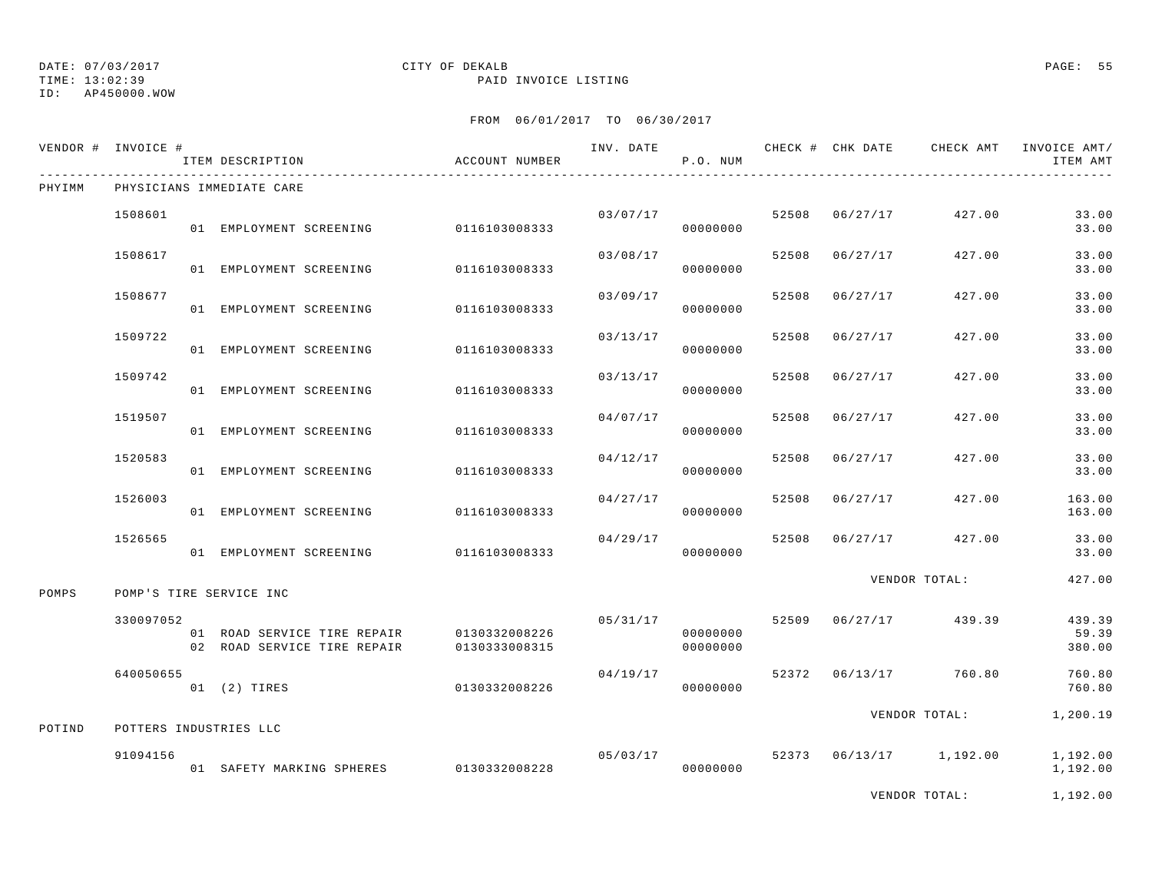TIME: 13:02:39 PAID INVOICE LISTING

ID: AP450000.WOW

### FROM 06/01/2017 TO 06/30/2017

| VENDOR # INVOICE # |           | ITEM DESCRIPTION                                           | ACCOUNT NUMBER                 |          | P.O. NUM             |       |                | INV. DATE 6 1999 CHECK # CHK DATE 6 CHECK AMT INVOICE AMT | ITEM AMT                  |
|--------------------|-----------|------------------------------------------------------------|--------------------------------|----------|----------------------|-------|----------------|-----------------------------------------------------------|---------------------------|
| PHYIMM             |           | PHYSICIANS IMMEDIATE CARE                                  |                                |          |                      |       |                |                                                           |                           |
|                    | 1508601   | 01 EMPLOYMENT SCREENING                                    | 0116103008333                  | 03/07/17 | 00000000             |       | 52508 06/27/17 | 427.00                                                    | 33.00<br>33.00            |
|                    | 1508617   | 01 EMPLOYMENT SCREENING                                    | 0116103008333                  | 03/08/17 | 00000000             | 52508 | 06/27/17       | 427.00                                                    | 33.00<br>33.00            |
|                    | 1508677   | 01 EMPLOYMENT SCREENING                                    | 0116103008333                  | 03/09/17 | 00000000             | 52508 | 06/27/17       | 427.00                                                    | 33.00<br>33.00            |
|                    | 1509722   | 01 EMPLOYMENT SCREENING                                    | 0116103008333                  | 03/13/17 | 00000000             | 52508 | 06/27/17       | 427.00                                                    | 33.00<br>33.00            |
|                    | 1509742   | 01 EMPLOYMENT SCREENING                                    | 0116103008333                  | 03/13/17 | 00000000             | 52508 | 06/27/17       | 427.00                                                    | 33.00<br>33.00            |
|                    | 1519507   | 01 EMPLOYMENT SCREENING                                    | 0116103008333                  | 04/07/17 | 00000000             | 52508 | 06/27/17       | 427.00                                                    | 33.00<br>33.00            |
|                    | 1520583   | 01 EMPLOYMENT SCREENING                                    | 0116103008333                  | 04/12/17 | 00000000             | 52508 | 06/27/17       | 427.00                                                    | 33.00<br>33.00            |
|                    | 1526003   | 01 EMPLOYMENT SCREENING                                    | 0116103008333                  | 04/27/17 | 00000000             | 52508 | 06/27/17       | 427.00                                                    | 163.00<br>163.00          |
|                    | 1526565   | 01 EMPLOYMENT SCREENING                                    | 0116103008333                  | 04/29/17 | 00000000             | 52508 | 06/27/17       | 427.00                                                    | 33.00<br>33.00            |
| POMPS              |           | POMP'S TIRE SERVICE INC                                    |                                |          |                      |       |                | VENDOR TOTAL:                                             | 427.00                    |
|                    | 330097052 | 01 ROAD SERVICE TIRE REPAIR<br>02 ROAD SERVICE TIRE REPAIR | 0130332008226<br>0130333008315 | 05/31/17 | 00000000<br>00000000 |       | 52509 06/27/17 | 439.39                                                    | 439.39<br>59.39<br>380.00 |
|                    | 640050655 | 01 (2) TIRES                                               | 0130332008226                  | 04/19/17 | 00000000             |       |                | 52372 06/13/17 760.80                                     | 760.80<br>760.80          |
| POTIND             |           | POTTERS INDUSTRIES LLC                                     |                                |          |                      |       |                | VENDOR TOTAL:                                             | 1,200.19                  |
|                    | 91094156  | 01 SAFETY MARKING SPHERES 0130332008228                    |                                | 05/03/17 | 00000000             |       |                | 52373 06/13/17 1,192.00                                   | 1,192.00<br>1,192.00      |

VENDOR TOTAL: 1,192.00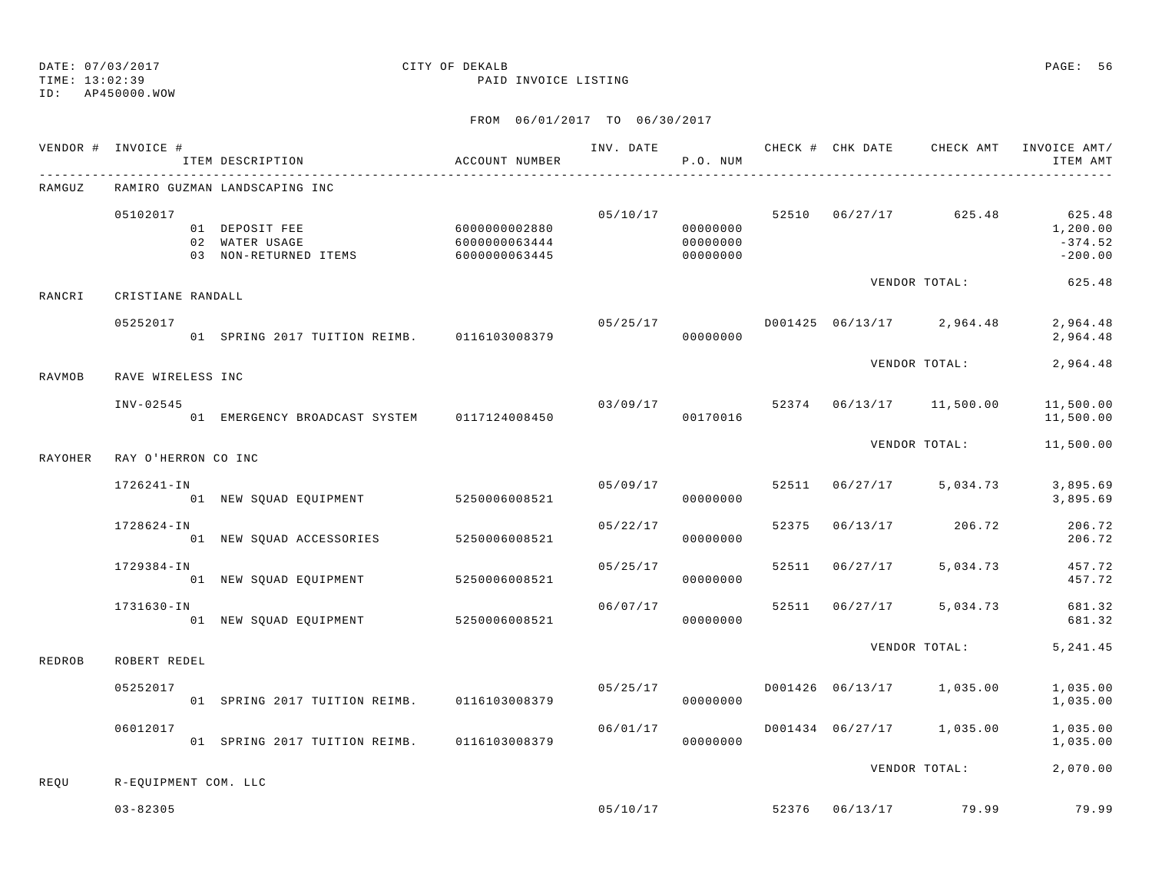TIME: 13:02:39 PAID INVOICE LISTING

ID: AP450000.WOW

|                | VENDOR # INVOICE #   | ITEM DESCRIPTION                                                       | ACCOUNT NUMBER                 |          | P.O. NUM                         |                |                                     | INV. DATE 6 7 CHECK # CHK DATE CHECK AMT INVOICE AMT/<br>ITEM AMT           |
|----------------|----------------------|------------------------------------------------------------------------|--------------------------------|----------|----------------------------------|----------------|-------------------------------------|-----------------------------------------------------------------------------|
| RAMGUZ         |                      | RAMIRO GUZMAN LANDSCAPING INC                                          |                                |          |                                  |                |                                     |                                                                             |
|                | 05102017             | 01 DEPOSIT FEE 600000002880<br>02 WATER USAGE<br>03 NON-RETURNED ITEMS | 6000000063444<br>6000000063445 |          | 00000000<br>00000000<br>00000000 |                |                                     | 05/10/17 52510 06/27/17 625.48 625.48<br>1,200.00<br>$-374.52$<br>$-200.00$ |
| RANCRI         | CRISTIANE RANDALL    |                                                                        |                                |          |                                  |                |                                     | VENDOR TOTAL: 625.48                                                        |
|                | 05252017             | 01 SPRING 2017 TUITION REIMB. 0116103008379                            |                                | 00000000 |                                  |                |                                     | 2,964.48<br>2,964.48                                                        |
| RAVMOB         | RAVE WIRELESS INC    |                                                                        |                                |          |                                  |                | VENDOR TOTAL:                       | 2,964.48                                                                    |
|                | INV-02545            | 01 EMERGENCY BROADCAST SYSTEM 0117124008450                            |                                |          | 00170016                         |                | $03/09/17$ 52374 06/13/17 11,500.00 | 11,500.00<br>11,500.00                                                      |
| <b>RAYOHER</b> | RAY O'HERRON CO INC  |                                                                        |                                |          |                                  |                | VENDOR TOTAL:                       | 11,500.00                                                                   |
|                | 1726241-IN           |                                                                        |                                | 05/09/17 |                                  |                | 52511 06/27/17 5,034.73             | 3,895.69                                                                    |
|                |                      |                                                                        |                                |          | 00000000                         |                |                                     | 3,895.69                                                                    |
|                | $1728624 - IN$       | 01 NEW SQUAD ACCESSORIES 5250006008521                                 |                                | 05/22/17 | 00000000                         |                | 52375 06/13/17 206.72               | 206.72<br>206.72                                                            |
|                | 1729384-IN           | 01 NEW SQUAD EQUIPMENT 5250006008521                                   |                                | 05/25/17 | 00000000                         | 52511 06/27/17 | 5,034.73                            | 457.72<br>457.72                                                            |
|                | 1731630-IN           | 01 NEW SQUAD EQUIPMENT 5250006008521                                   |                                | 06/07/17 | 00000000                         |                | 52511 06/27/17 5,034.73             | 681.32<br>681.32                                                            |
| REDROB         | ROBERT REDEL         |                                                                        |                                |          |                                  |                | VENDOR TOTAL:                       | 5, 241.45                                                                   |
|                | 05252017             | 01 SPRING 2017 TUITION REIMB. 0116103008379                            |                                |          | 00000000                         |                |                                     | 1,035.00<br>1,035.00                                                        |
|                | 06012017             | 01 SPRING 2017 TUITION REIMB. 0116103008379                            |                                | 06/01/17 | 00000000                         |                | D001434 06/27/17 1,035.00           | 1,035.00<br>1,035.00                                                        |
| REOU           | R-EQUIPMENT COM. LLC |                                                                        |                                |          |                                  |                |                                     | VENDOR TOTAL: 2,070.00                                                      |
|                | $03 - 82305$         |                                                                        |                                |          |                                  |                | $05/10/17$ 52376 $06/13/17$ 79.99   | 79.99                                                                       |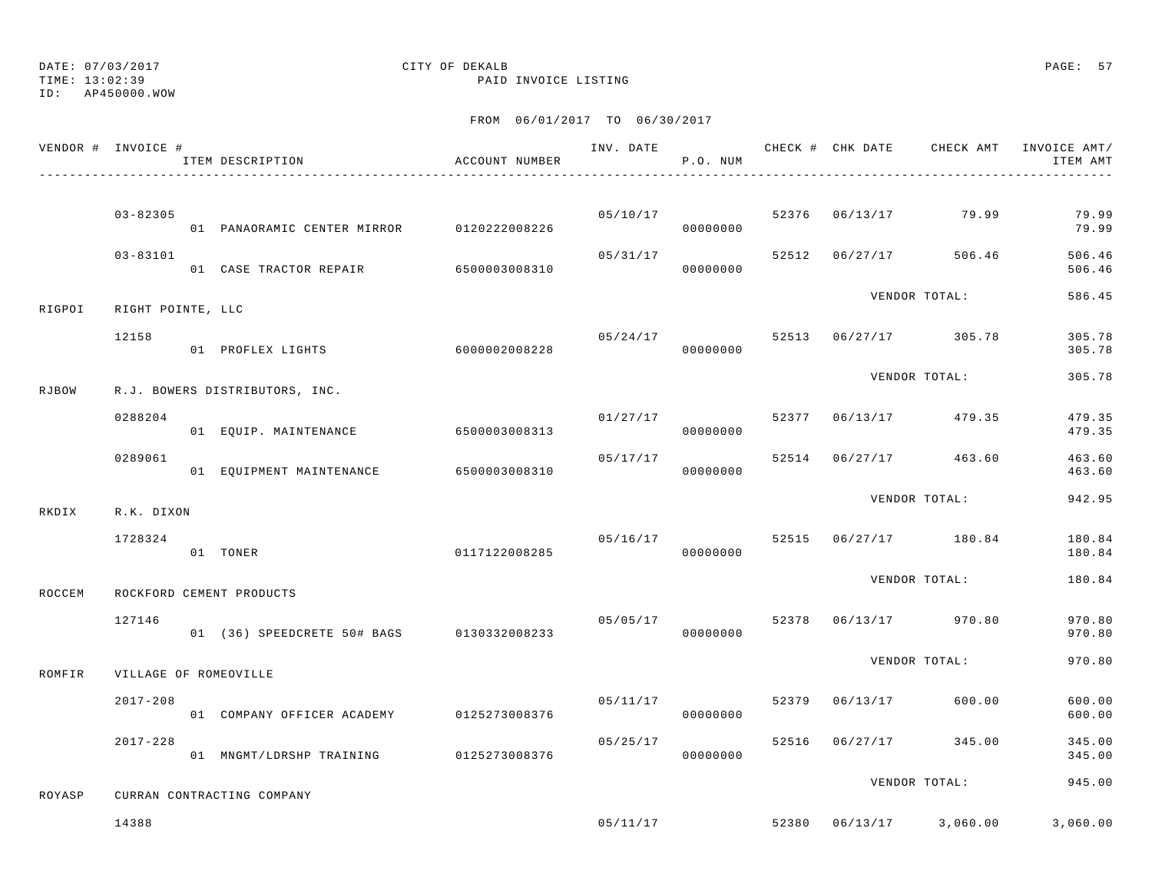## DATE: 07/03/2017 CITY OF DEKALB PAGE: 57

TIME: 13:02:39 PAID INVOICE LISTING

|        | VENDOR # INVOICE #    | ITEM DESCRIPTION                          | ACCOUNT NUMBER |          | P.O. NUM             |                |                                | INV. DATE 6 CHECK # CHK DATE CHECK AMT INVOICE AMT/<br>ITEM AMT |
|--------|-----------------------|-------------------------------------------|----------------|----------|----------------------|----------------|--------------------------------|-----------------------------------------------------------------|
|        | $03 - 82305$          | 01 PANAORAMIC CENTER MIRROR 0120222008226 |                |          | 05/10/17<br>00000000 |                | 52376 06/13/17 79.99           | 79.99<br>79.99                                                  |
|        | $03 - 83101$          | 01 CASE TRACTOR REPAIR 6500003008310      |                | 05/31/17 | 00000000             | 52512 06/27/17 | 506.46                         | 506.46<br>506.46                                                |
| RIGPOI | RIGHT POINTE, LLC     |                                           |                |          |                      |                | VENDOR TOTAL:                  | 586.45                                                          |
|        | 12158                 | 01 PROFLEX LIGHTS 6000002008228           |                |          | 05/24/17<br>00000000 |                | 52513 06/27/17 305.78          | 305.78<br>305.78                                                |
| RJBOW  |                       | R.J. BOWERS DISTRIBUTORS, INC.            |                |          |                      |                | VENDOR TOTAL:                  | 305.78                                                          |
|        | 0288204               | 01 EQUIP. MAINTENANCE                     | 6500003008313  |          | 01/27/17<br>00000000 |                | 52377 06/13/17 479.35          | 479.35<br>479.35                                                |
|        | 0289061               | 01 EQUIPMENT MAINTENANCE 6500003008310    |                | 05/17/17 | 00000000             |                | 52514 06/27/17 463.60          | 463.60<br>463.60                                                |
| RKDIX  | R.K. DIXON            |                                           |                |          |                      |                | VENDOR TOTAL:                  | 942.95                                                          |
|        | 1728324               | 01 TONER                                  | 0117122008285  |          | 05/16/17<br>00000000 |                | 52515 06/27/17 180.84          | 180.84<br>180.84                                                |
| ROCCEM |                       | ROCKFORD CEMENT PRODUCTS                  |                |          |                      |                | VENDOR TOTAL:                  | 180.84                                                          |
|        | 127146                | 01 (36) SPEEDCRETE 50# BAGS 0130332008233 |                |          | 00000000             |                | 05/05/17 52378 06/13/17 970.80 | 970.80<br>970.80                                                |
| ROMFIR | VILLAGE OF ROMEOVILLE |                                           |                |          |                      |                | VENDOR TOTAL:                  | 970.80                                                          |
|        | $2017 - 208$          | 01 COMPANY OFFICER ACADEMY                | 0125273008376  | 05/11/17 | 00000000             | 52379 06/13/17 | 600.00                         | 600.00<br>600.00                                                |
|        | $2017 - 228$          | 01 MNGMT/LDRSHP TRAINING 0125273008376    |                |          | 05/25/17<br>00000000 | 52516 06/27/17 | 345.00                         | 345.00<br>345.00                                                |
| ROYASP |                       | CURRAN CONTRACTING COMPANY                |                |          |                      |                | VENDOR TOTAL:                  | 945.00                                                          |
|        | 14388                 |                                           |                |          | 05/11/17             |                | 52380 06/13/17 3,060.00        | 3,060.00                                                        |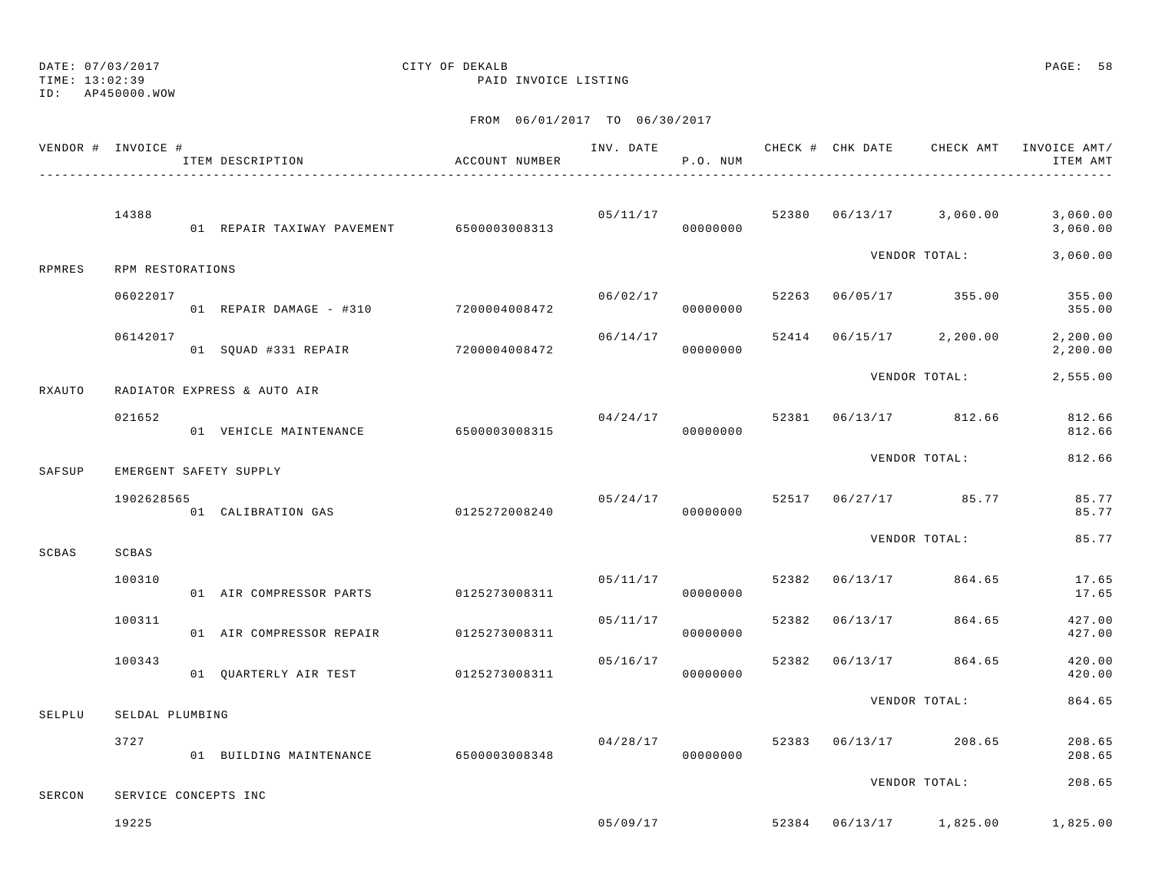## DATE: 07/03/2017 CITY OF DEKALB PAGE: 58

TIME: 13:02:39 PAID INVOICE LISTING

|        | VENDOR # INVOICE #   | ITEM DESCRIPTION                         | ACCOUNT NUMBER |          | P.O. NUM             |       |          | INV. DATE 6 CHECK # CHK DATE CHECK AMT INVOICE AMT/ | ITEM AMT              |
|--------|----------------------|------------------------------------------|----------------|----------|----------------------|-------|----------|-----------------------------------------------------|-----------------------|
|        | 14388                | 01 REPAIR TAXIWAY PAVEMENT 6500003008313 |                |          | 05/11/17<br>00000000 | 52380 |          | $06/13/17$ 3,060.00                                 | 3,060.00<br>3,060.00  |
| RPMRES | RPM RESTORATIONS     |                                          |                |          |                      |       |          | VENDOR TOTAL:                                       | 3,060.00              |
|        | 06022017             | 01 REPAIR DAMAGE - #310 7200004008472    |                | 06/02/17 | 00000000             | 52263 |          | 06/05/17 355.00                                     | 355.00<br>355.00      |
|        | 06142017             | 01 SQUAD #331 REPAIR                     | 7200004008472  | 06/14/17 | 00000000             |       |          | 52414 06/15/17 2,200.00                             | 2, 200.00<br>2,200.00 |
| RXAUTO |                      | RADIATOR EXPRESS & AUTO AIR              |                |          |                      |       |          | VENDOR TOTAL:                                       | 2,555.00              |
|        | 021652               | 01 VEHICLE MAINTENANCE                   | 6500003008315  | 04/24/17 | 00000000             | 52381 |          | 06/13/17 812.66                                     | 812.66<br>812.66      |
| SAFSUP |                      | EMERGENT SAFETY SUPPLY                   |                |          |                      |       |          | VENDOR TOTAL:                                       | 812.66                |
|        | 1902628565           | 01 CALIBRATION GAS                       | 0125272008240  | 05/24/17 | 00000000             |       |          | 52517 06/27/17 85.77                                | 85.77<br>85.77        |
| SCBAS  | SCBAS                |                                          |                |          |                      |       |          | VENDOR TOTAL:                                       | 85.77                 |
|        | 100310               | 01 AIR COMPRESSOR PARTS 0125273008311    |                | 05/11/17 | 00000000             | 52382 | 06/13/17 | 864.65                                              | 17.65<br>17.65        |
|        | 100311               | 01 AIR COMPRESSOR REPAIR                 | 0125273008311  | 05/11/17 | 00000000             | 52382 | 06/13/17 | 864.65                                              | 427.00<br>427.00      |
|        | 100343               | 01 QUARTERLY AIR TEST 0125273008311      |                | 05/16/17 | 00000000             | 52382 | 06/13/17 | 864.65                                              | 420.00<br>420.00      |
| SELPLU | SELDAL PLUMBING      |                                          |                |          |                      |       |          | VENDOR TOTAL:                                       | 864.65                |
|        | 3727                 | 01 BUILDING MAINTENANCE                  | 6500003008348  | 04/28/17 | 00000000             | 52383 |          | 06/13/17 208.65                                     | 208.65<br>208.65      |
| SERCON | SERVICE CONCEPTS INC |                                          |                |          |                      |       |          | VENDOR TOTAL:                                       | 208.65                |
|        | 19225                |                                          |                | 05/09/17 |                      | 52384 | 06/13/17 | 1,825.00                                            | 1,825.00              |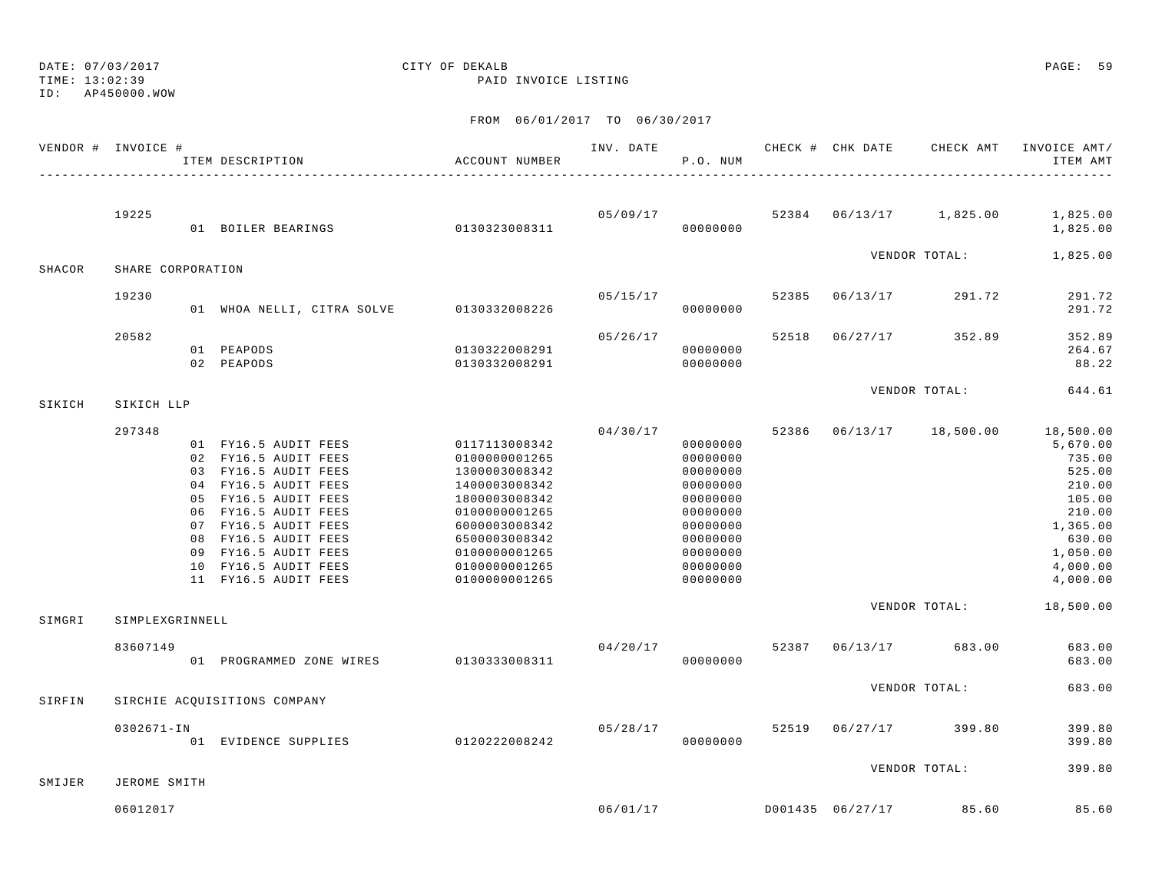TIME: 13:02:39 PAID INVOICE LISTING

ID: AP450000.WOW

|        | VENDOR # INVOICE #        | ITEM DESCRIPTION                                                                                                                                                                                                                                                     | ACCOUNT NUMBER<br>_______________________________                                                                                                                                       | INV. DATE | P.O. NUM                                                                                                                         |       |          |                            | CHECK # CHK DATE CHECK AMT INVOICE AMT/<br>ITEM AMT                                                                                            |
|--------|---------------------------|----------------------------------------------------------------------------------------------------------------------------------------------------------------------------------------------------------------------------------------------------------------------|-----------------------------------------------------------------------------------------------------------------------------------------------------------------------------------------|-----------|----------------------------------------------------------------------------------------------------------------------------------|-------|----------|----------------------------|------------------------------------------------------------------------------------------------------------------------------------------------|
|        | 19225                     | 01 BOILER BEARINGS                                                                                                                                                                                                                                                   | 0130323008311                                                                                                                                                                           | 05/09/17  | 00000000                                                                                                                         |       |          | 52384 06/13/17 1,825.00    | 1,825.00<br>1,825.00                                                                                                                           |
|        |                           |                                                                                                                                                                                                                                                                      |                                                                                                                                                                                         |           |                                                                                                                                  |       |          | VENDOR TOTAL:              | 1,825.00                                                                                                                                       |
| SHACOR | SHARE CORPORATION         |                                                                                                                                                                                                                                                                      |                                                                                                                                                                                         |           |                                                                                                                                  |       |          |                            |                                                                                                                                                |
|        | 19230                     | 01 WHOA NELLI, CITRA SOLVE                                                                                                                                                                                                                                           | 0130332008226                                                                                                                                                                           | 05/15/17  | 00000000                                                                                                                         | 52385 | 06/13/17 | 291.72                     | 291.72<br>291.72                                                                                                                               |
|        | 20582                     |                                                                                                                                                                                                                                                                      |                                                                                                                                                                                         | 05/26/17  |                                                                                                                                  | 52518 | 06/27/17 | 352.89                     | 352.89                                                                                                                                         |
|        |                           | 01 PEAPODS<br>02 PEAPODS                                                                                                                                                                                                                                             | 0130322008291<br>0130332008291                                                                                                                                                          |           | 00000000<br>00000000                                                                                                             |       |          |                            | 264.67<br>88.22                                                                                                                                |
|        |                           |                                                                                                                                                                                                                                                                      |                                                                                                                                                                                         |           |                                                                                                                                  |       |          | VENDOR TOTAL:              | 644.61                                                                                                                                         |
| SIKICH | SIKICH LLP                |                                                                                                                                                                                                                                                                      |                                                                                                                                                                                         |           |                                                                                                                                  |       |          |                            |                                                                                                                                                |
| SIMGRI | 297348<br>SIMPLEXGRINNELL | 01 FY16.5 AUDIT FEES<br>02 FY16.5 AUDIT FEES<br>03 FY16.5 AUDIT FEES<br>04 FY16.5 AUDIT FEES<br>05 FY16.5 AUDIT FEES<br>06 FY16.5 AUDIT FEES<br>07 FY16.5 AUDIT FEES<br>08 FY16.5 AUDIT FEES<br>09 FY16.5 AUDIT FEES<br>10 FY16.5 AUDIT FEES<br>11 FY16.5 AUDIT FEES | 0117113008342<br>0100000001265<br>1300003008342<br>1400003008342<br>1800003008342<br>0100000001265<br>6000003008342<br>6500003008342<br>0100000001265<br>0100000001265<br>0100000001265 | 04/30/17  | 00000000<br>00000000<br>00000000<br>00000000<br>00000000<br>00000000<br>00000000<br>00000000<br>00000000<br>00000000<br>00000000 | 52386 | 06/13/17 | 18,500.00<br>VENDOR TOTAL: | 18,500.00<br>5,670.00<br>735.00<br>525.00<br>210.00<br>105.00<br>210.00<br>1,365.00<br>630.00<br>1,050.00<br>4,000.00<br>4,000.00<br>18,500.00 |
|        | 83607149                  | 01 PROGRAMMED ZONE WIRES 0130333008311                                                                                                                                                                                                                               |                                                                                                                                                                                         | 04/20/17  | 00000000                                                                                                                         | 52387 |          | 06/13/17 683.00            | 683.00<br>683.00                                                                                                                               |
| SIRFIN |                           | SIRCHIE ACQUISITIONS COMPANY                                                                                                                                                                                                                                         |                                                                                                                                                                                         |           |                                                                                                                                  |       |          | VENDOR TOTAL:              | 683.00                                                                                                                                         |
|        | 0302671-IN                | 01 EVIDENCE SUPPLIES                                                                                                                                                                                                                                                 | 0120222008242                                                                                                                                                                           | 05/28/17  | 00000000                                                                                                                         | 52519 | 06/27/17 | 399.80                     | 399.80<br>399.80                                                                                                                               |
| SMIJER | JEROME SMITH              |                                                                                                                                                                                                                                                                      |                                                                                                                                                                                         |           |                                                                                                                                  |       |          | VENDOR TOTAL:              | 399.80                                                                                                                                         |
|        |                           |                                                                                                                                                                                                                                                                      |                                                                                                                                                                                         |           |                                                                                                                                  |       |          |                            |                                                                                                                                                |
|        | 06012017                  |                                                                                                                                                                                                                                                                      |                                                                                                                                                                                         | 06/01/17  |                                                                                                                                  |       |          | D001435 06/27/17 85.60     | 85.60                                                                                                                                          |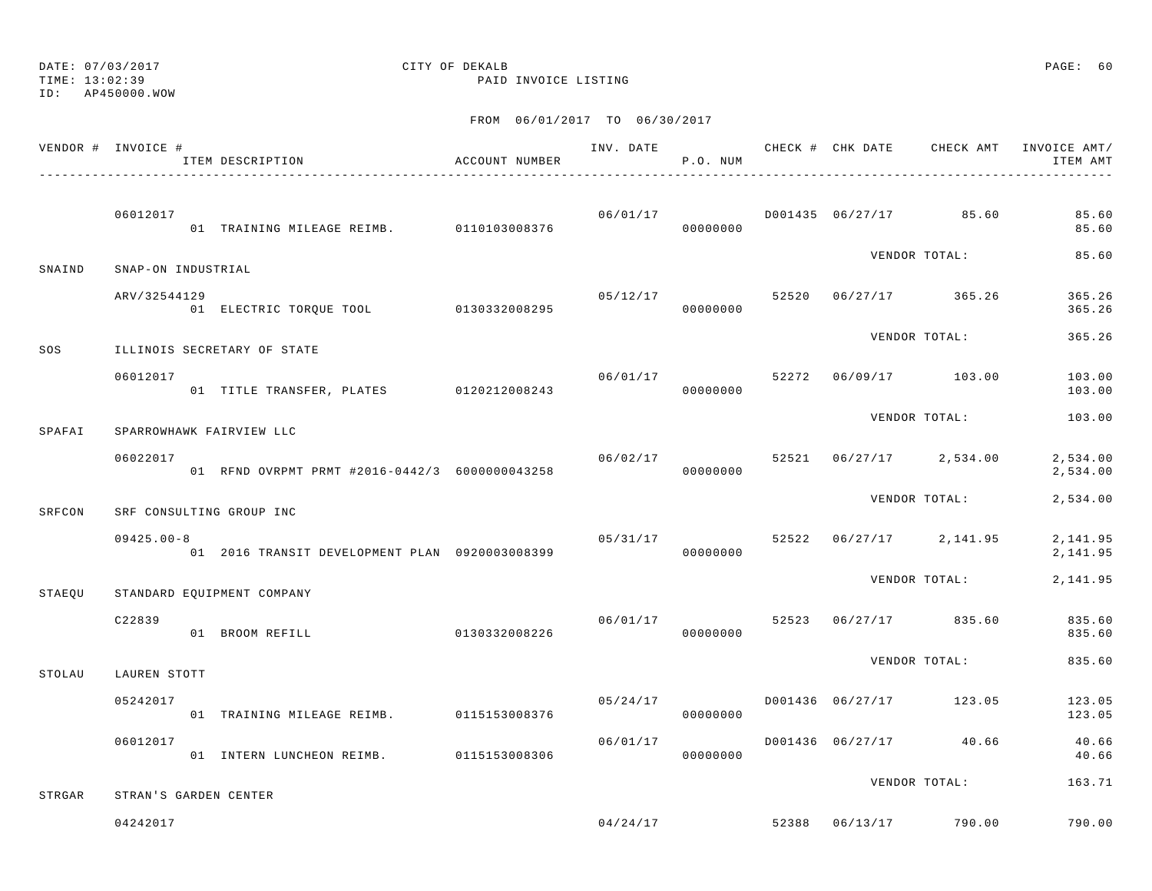TIME: 13:02:39 PAID INVOICE LISTING

ID: AP450000.WOW

|        | VENDOR # INVOICE # | ITEM DESCRIPTION                               | ACCOUNT NUMBER |          | P.O. NUM                   | INV. DATE CHECK # CHK DATE       | CHECK AMT                          | INVOICE AMT/<br>ITEM AMT |
|--------|--------------------|------------------------------------------------|----------------|----------|----------------------------|----------------------------------|------------------------------------|--------------------------|
|        | 06012017           | 01 TRAINING MILEAGE REIMB. 0110103008376       |                | 06/01/17 | 00000000                   |                                  | D001435 06/27/17 85.60             | 85.60<br>85.60           |
| SNAIND | SNAP-ON INDUSTRIAL |                                                |                |          |                            |                                  | VENDOR TOTAL:                      | 85.60                    |
|        | ARV/32544129       | 01 ELECTRIC TORQUE TOOL 0130332008295          |                |          | 00000000                   |                                  | $05/12/17$ 52520 $06/27/17$ 365.26 | 365.26<br>365.26         |
| SOS    |                    | ILLINOIS SECRETARY OF STATE                    |                |          |                            |                                  | VENDOR TOTAL:                      | 365.26                   |
|        | 06012017           | 01 TITLE TRANSFER, PLATES 0120212008243        |                | 06/01/17 | 00000000                   | 52272 06/09/17 103.00            |                                    | 103.00<br>103.00         |
| SPAFAI |                    | SPARROWHAWK FAIRVIEW LLC                       |                |          |                            |                                  | VENDOR TOTAL:                      | 103.00                   |
|        | 06022017           | 01 RFND OVRPMT PRMT #2016-0442/3 6000000043258 |                |          | 06/02/17 52521<br>00000000 |                                  | $06/27/17$ 2,534.00                | 2,534.00<br>2,534.00     |
| SRFCON |                    | SRF CONSULTING GROUP INC                       |                |          |                            |                                  | VENDOR TOTAL:                      | 2,534.00                 |
|        | $09425.00 - 8$     | 01 2016 TRANSIT DEVELOPMENT PLAN 0920003008399 |                |          | 05/31/17<br>00000000       |                                  | 52522 06/27/17 2,141.95            | 2,141.95<br>2, 141.95    |
| STAEQU |                    | STANDARD EQUIPMENT COMPANY                     |                |          |                            |                                  | VENDOR TOTAL:                      | 2,141.95                 |
|        | C22839             | 01 BROOM REFILL                                | 0130332008226  |          | 00000000                   |                                  | $06/01/17$ 52523 06/27/17 835.60   | 835.60<br>835.60         |
| STOLAU | LAUREN STOTT       |                                                |                |          |                            |                                  | VENDOR TOTAL:                      | 835.60                   |
|        | 05242017           | 01 TRAINING MILEAGE REIMB.                     | 0115153008376  | 05/24/17 | 00000000                   | D001436 06/27/17 123.05          |                                    | 123.05<br>123.05         |
|        | 06012017           | 01 INTERN LUNCHEON REIMB. 0115153008306        |                | 06/01/17 | 00000000                   | D001436 06/27/17 40.66           |                                    | 40.66<br>40.66           |
|        |                    |                                                |                |          |                            |                                  | VENDOR TOTAL:                      | 163.71                   |
| STRGAR | 04242017           | STRAN'S GARDEN CENTER                          |                |          |                            | $04/24/17$ 52388 06/13/17 790.00 |                                    | 790.00                   |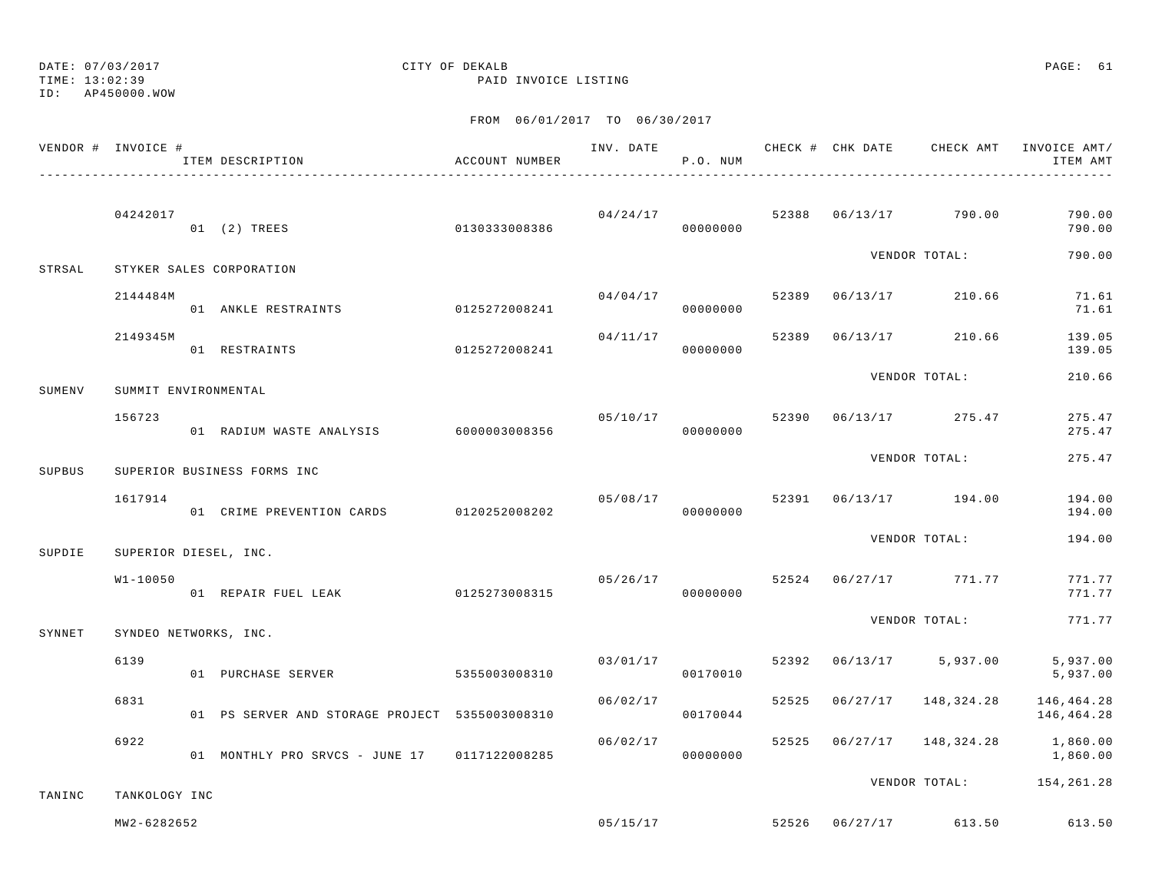TIME: 13:02:39 PAID INVOICE LISTING

ID: AP450000.WOW

|        | VENDOR # INVOICE #    | ITEM DESCRIPTION                               | ACCOUNT NUMBER |          | P.O. NUM             |       | INV. DATE 6 CHECK # CHK DATE CHECK AMT INVOICE AMT/ | ITEM AMT                 |
|--------|-----------------------|------------------------------------------------|----------------|----------|----------------------|-------|-----------------------------------------------------|--------------------------|
|        | 04242017              | 0130333008386<br>01 (2) TREES                  |                |          |                      |       | $04/24/17$ $52388$ $06/13/17$ $790.00$              | 790.00<br>790.00         |
| STRSAL |                       | STYKER SALES CORPORATION                       |                |          |                      |       | VENDOR TOTAL:                                       | 790.00                   |
|        | 2144484M              | 01 ANKLE RESTRAINTS                            | 0125272008241  | 04/04/17 | 00000000             | 52389 | 06/13/17 210.66                                     | 71.61<br>71.61           |
|        | 2149345M              | 0125272008241<br>01 RESTRAINTS                 |                | 04/11/17 | 00000000             | 52389 | 06/13/17 210.66                                     | 139.05<br>139.05         |
| SUMENV | SUMMIT ENVIRONMENTAL  |                                                |                |          |                      |       | VENDOR TOTAL:                                       | 210.66                   |
|        | 156723                | 01 RADIUM WASTE ANALYSIS 6000003008356         |                | 05/10/17 | 00000000             | 52390 | 06/13/17 275.47                                     | 275.47<br>275.47         |
| SUPBUS |                       | SUPERIOR BUSINESS FORMS INC                    |                |          |                      |       | VENDOR TOTAL:                                       | 275.47                   |
|        | 1617914               | 01 CRIME PREVENTION CARDS                      | 0120252008202  | 05/08/17 | 00000000             |       | 52391 06/13/17 194.00                               | 194.00<br>194.00         |
| SUPDIE | SUPERIOR DIESEL, INC. |                                                |                |          |                      |       | VENDOR TOTAL:                                       | 194.00                   |
|        | $W1 - 10050$          | 01/26/17<br>01 REPAIR FUEL LEAK 0125273008315  |                | 05/26/17 | 00000000             |       | 52524 06/27/17 771.77                               | 771.77<br>771.77         |
| SYNNET | SYNDEO NETWORKS, INC. |                                                |                |          |                      |       | VENDOR TOTAL:                                       | 771.77                   |
|        | 6139                  | 01 PURCHASE SERVER                             | 5355003008310  |          | 03/01/17<br>00170010 | 52392 | $06/13/17$ 5,937.00                                 | 5,937.00<br>5,937.00     |
|        | 6831                  | 01 PS SERVER AND STORAGE PROJECT 5355003008310 |                | 06/02/17 | 00170044             | 52525 | 06/27/17 148,324.28                                 | 146,464.28<br>146,464.28 |
|        | 6922                  | 01 MONTHLY PRO SRVCS - JUNE 17 0117122008285   |                | 06/02/17 | 00000000             |       | 52525 06/27/17 148,324.28 1,860.00                  | 1,860.00                 |
| TANINC | TANKOLOGY INC         |                                                |                |          |                      |       | VENDOR TOTAL: 154,261.28                            |                          |
|        | MW2-6282652           |                                                |                |          | 05/15/17             |       | 52526 06/27/17 613.50                               | 613.50                   |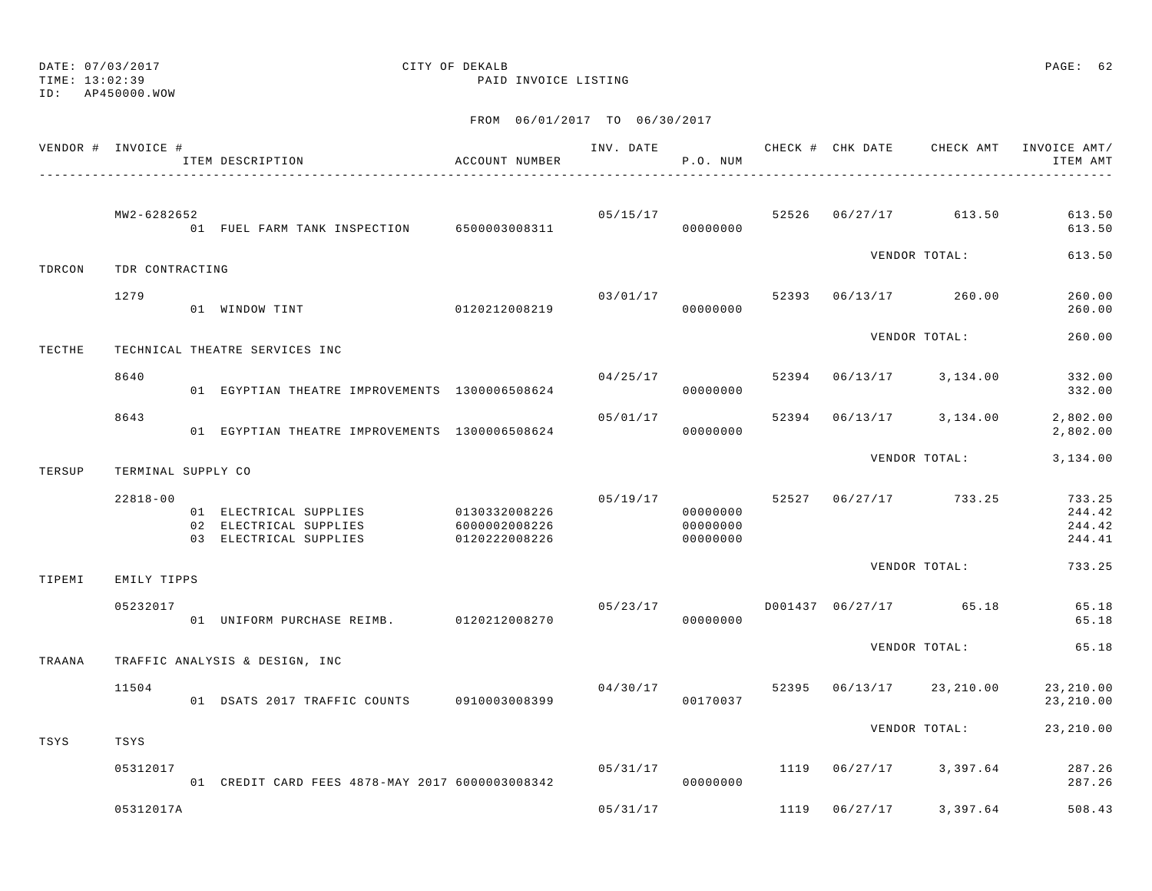TIME: 13:02:39 PAID INVOICE LISTING

ID: AP450000.WOW

|        | VENDOR # INVOICE # | ITEM DESCRIPTION                                                                         | ACCOUNT NUMBER                 |          | P.O. NUM                         |       |          |                         | INV. DATE 6 1999 CHECK # CHK DATE 6 CHECK AMT INVOICE AMT<br>ITEM AMT |
|--------|--------------------|------------------------------------------------------------------------------------------|--------------------------------|----------|----------------------------------|-------|----------|-------------------------|-----------------------------------------------------------------------|
|        | MW2-6282652        | 01 FUEL FARM TANK INSPECTION 6500003008311                                               |                                |          | 05/15/17<br>00000000             |       |          | 52526 06/27/17 613.50   | 613.50<br>613.50                                                      |
| TDRCON | TDR CONTRACTING    |                                                                                          |                                |          |                                  |       |          | VENDOR TOTAL:           | 613.50                                                                |
|        | 1279               | 01 WINDOW TINT                                                                           | 0120212008219                  |          | 03/01/17<br>00000000             |       |          | 52393 06/13/17 260.00   | 260.00<br>260.00                                                      |
| TECTHE |                    | TECHNICAL THEATRE SERVICES INC                                                           |                                |          |                                  |       |          | VENDOR TOTAL:           | 260.00                                                                |
|        | 8640               | 01 EGYPTIAN THEATRE IMPROVEMENTS 1300006508624                                           |                                |          | 04/25/17<br>00000000             | 52394 |          | $06/13/17$ 3, 134.00    | 332.00<br>332.00                                                      |
|        | 8643               | 01 EGYPTIAN THEATRE IMPROVEMENTS 1300006508624                                           |                                | 05/01/17 | 00000000                         |       |          | 52394 06/13/17 3,134.00 | 2,802.00<br>2,802.00                                                  |
| TERSUP | TERMINAL SUPPLY CO |                                                                                          |                                |          |                                  |       |          | VENDOR TOTAL:           | 3,134.00                                                              |
|        | $22818 - 00$       | 01 ELECTRICAL SUPPLIES 0130332008226<br>02 ELECTRICAL SUPPLIES<br>03 ELECTRICAL SUPPLIES | 6000002008226<br>0120222008226 | 05/19/17 | 00000000<br>00000000<br>00000000 |       |          | 52527 06/27/17 733.25   | 733.25<br>244.42<br>244.42<br>244.41                                  |
| TIPEMI | EMILY TIPPS        |                                                                                          |                                |          |                                  |       |          | VENDOR TOTAL:           | 733.25                                                                |
|        | 05232017           | 01 UNIFORM PURCHASE REIMB. 0120212008270                                                 |                                | 05/23/17 | 00000000                         |       |          | D001437 06/27/17 65.18  | 65.18<br>65.18                                                        |
| TRAANA |                    | TRAFFIC ANALYSIS & DESIGN, INC                                                           |                                |          |                                  |       |          | VENDOR TOTAL:           | 65.18                                                                 |
|        | 11504              | 01 DSATS 2017 TRAFFIC COUNTS 0910003008399                                               |                                | 04/30/17 | 00170037                         | 52395 |          | 06/13/17 23,210.00      | 23, 210.00<br>23, 210.00                                              |
| TSYS   | TSYS               |                                                                                          |                                |          |                                  |       |          | VENDOR TOTAL:           | 23, 210.00                                                            |
|        | 05312017           | 01 CREDIT CARD FEES 4878-MAY 2017 6000003008342                                          |                                | 05/31/17 | 00000000                         | 1119  |          | $06/27/17$ 3,397.64     | 287.26<br>287.26                                                      |
|        | 05312017A          |                                                                                          |                                | 05/31/17 |                                  | 1119  | 06/27/17 | 3,397.64                | 508.43                                                                |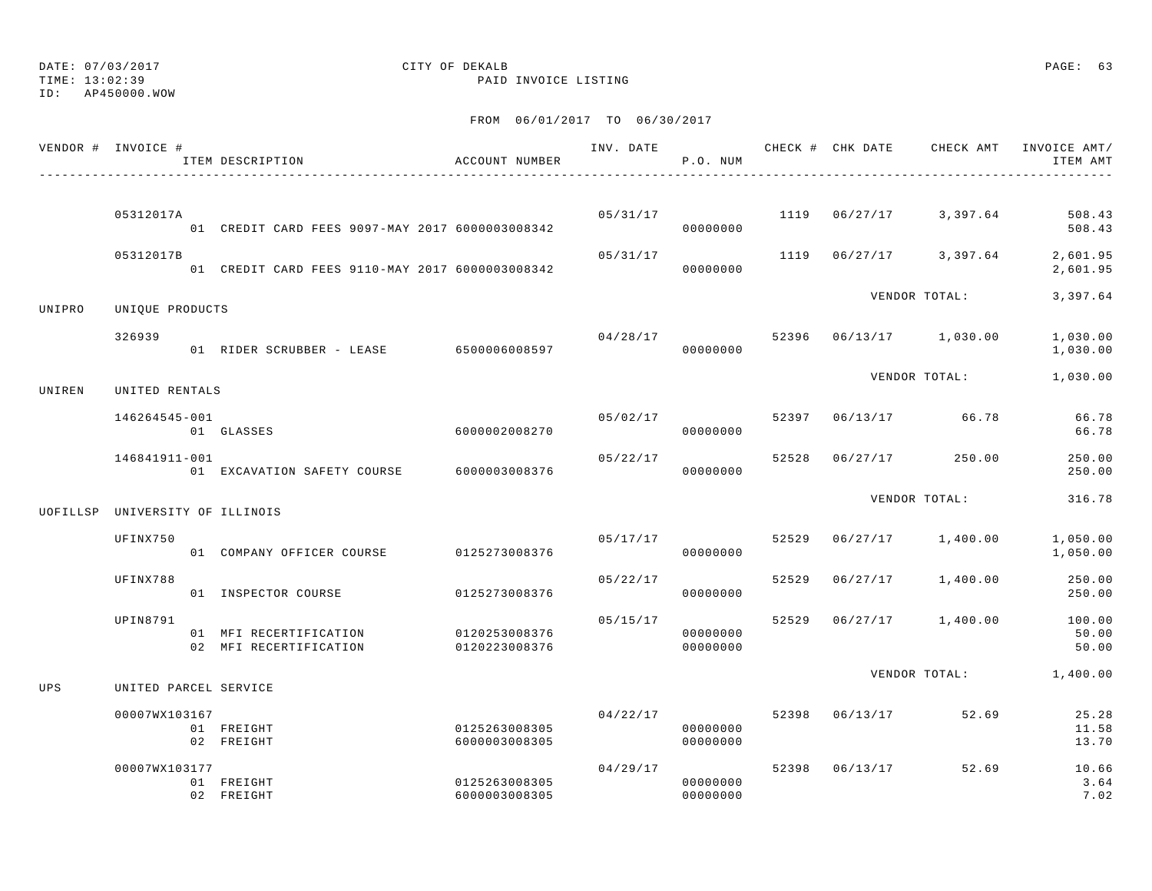## DATE: 07/03/2017 CITY OF DEKALB PAGE: 63

TIME: 13:02:39 PAID INVOICE LISTING

|          | VENDOR # INVOICE #     | ITEM DESCRIPTION                                 | ACCOUNT NUMBER                 |          | P.O. NUM             |       |          |                        | INV. DATE 6 1999 CHECK # CHK DATE 6 CHECK AMT INVOICE AMT<br>ITEM AMT |
|----------|------------------------|--------------------------------------------------|--------------------------------|----------|----------------------|-------|----------|------------------------|-----------------------------------------------------------------------|
|          | 05312017A              | 01 CREDIT CARD FEES 9097-MAY 2017 6000003008342  |                                |          | 05/31/17<br>00000000 |       |          | 1119 06/27/17 3,397.64 | 508.43<br>508.43                                                      |
|          | 05312017B              | 01 CREDIT CARD FEES 9110-MAY 2017 6000003008342  |                                | 05/31/17 | 00000000             |       |          | 1119 06/27/17 3,397.64 | 2,601.95<br>2,601.95                                                  |
| UNIPRO   | UNIQUE PRODUCTS        |                                                  |                                |          |                      |       |          | VENDOR TOTAL:          | 3,397.64                                                              |
|          | 326939                 | 01 RIDER SCRUBBER - LEASE 6500006008597          |                                | 04/28/17 | 00000000             | 52396 |          | 06/13/17 1,030.00      | 1,030.00<br>1,030.00                                                  |
| UNIREN   | UNITED RENTALS         |                                                  |                                |          |                      |       |          | VENDOR TOTAL:          | 1,030.00                                                              |
|          | 146264545-001          | 01 GLASSES                                       | 6000002008270                  | 05/02/17 | 00000000             |       |          | 52397 06/13/17 66.78   | 66.78<br>66.78                                                        |
|          | 146841911-001          | 01 EXCAVATION SAFETY COURSE                      | 6000003008376                  | 05/22/17 | 00000000             | 52528 | 06/27/17 | 250.00                 | 250.00<br>250.00                                                      |
| UOFILLSP | UNIVERSITY OF ILLINOIS |                                                  |                                |          |                      |       |          | VENDOR TOTAL:          | 316.78                                                                |
|          | UFINX750               | 01 COMPANY OFFICER COURSE                        | 0125273008376                  | 05/17/17 | 00000000             | 52529 |          | 06/27/17 1,400.00      | 1,050.00<br>1,050.00                                                  |
|          | UFINX788               | 01 INSPECTOR COURSE                              | 0125273008376                  | 05/22/17 | 00000000             | 52529 | 06/27/17 | 1,400.00               | 250.00<br>250.00                                                      |
|          | UPIN8791               | 01 MFI RECERTIFICATION<br>02 MFI RECERTIFICATION | 0120253008376<br>0120223008376 | 05/15/17 | 00000000<br>00000000 | 52529 |          | 06/27/17 1,400.00      | 100.00<br>50.00<br>50.00                                              |
| UPS      | UNITED PARCEL SERVICE  |                                                  |                                |          |                      |       |          | VENDOR TOTAL:          | 1,400.00                                                              |
|          | 00007WX103167          | 01 FREIGHT<br>02 FREIGHT                         | 0125263008305<br>6000003008305 | 04/22/17 | 00000000<br>00000000 | 52398 | 06/13/17 | 52.69                  | 25.28<br>11.58<br>13.70                                               |
|          | 00007WX103177          | 01 FREIGHT<br>02 FREIGHT                         | 0125263008305<br>6000003008305 | 04/29/17 | 00000000<br>00000000 | 52398 | 06/13/17 | 52.69                  | 10.66<br>3.64<br>7.02                                                 |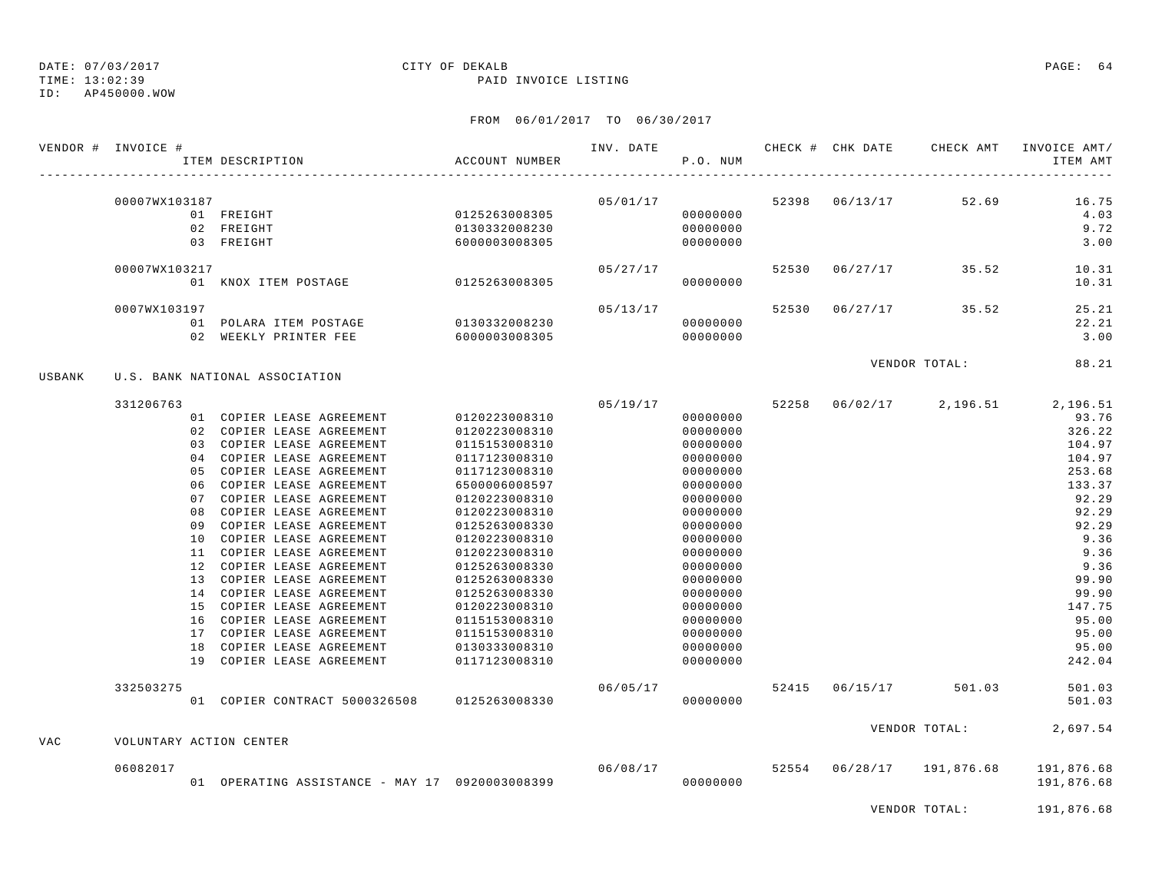TIME: 13:02:39 PAID INVOICE LISTING

ID: AP450000.WOW

|            | VENDOR # INVOICE #      | ITEM DESCRIPTION                               | ACCOUNT NUMBER | INV. DATE | P.O. NUM |       | CHECK # CHK DATE | CHECK AMT           | INVOICE AMT/<br>ITEM AMT       |
|------------|-------------------------|------------------------------------------------|----------------|-----------|----------|-------|------------------|---------------------|--------------------------------|
|            | 00007WX103187           | 01 FREIGHT                                     | 0125263008305  | 05/01/17  | 00000000 |       | 52398 06/13/17   | 52.69               | 16.75<br>4.03                  |
|            |                         | 02 FREIGHT                                     | 0130332008230  |           | 00000000 |       |                  |                     | 9.72                           |
|            |                         | 03 FREIGHT                                     | 6000003008305  |           | 00000000 |       |                  |                     | 3.00                           |
|            | 00007WX103217           |                                                |                | 05/27/17  |          | 52530 |                  | $06/27/17$ 35.52    | 10.31                          |
|            |                         | 01 KNOX ITEM POSTAGE 0125263008305             |                |           | 00000000 |       |                  |                     | 10.31                          |
|            | 0007WX103197            |                                                |                | 05/13/17  |          | 52530 |                  | $06/27/17$ 35.52    | 25.21                          |
|            |                         | 01 POLARA ITEM POSTAGE                         | 0130332008230  |           | 00000000 |       |                  |                     | 22.21                          |
|            |                         | 02 WEEKLY PRINTER FEE                          | 6000003008305  |           | 00000000 |       |                  |                     | 3.00                           |
|            |                         |                                                |                |           |          |       |                  | VENDOR TOTAL:       | 88.21                          |
| USBANK     |                         | U.S. BANK NATIONAL ASSOCIATION                 |                |           |          |       |                  |                     |                                |
|            | 331206763               |                                                |                | 05/19/17  |          | 52258 |                  |                     | $06/02/17$ 2, 196.51 2, 196.51 |
|            |                         | 01 COPIER LEASE AGREEMENT                      | 0120223008310  |           | 00000000 |       |                  |                     | 93.76                          |
|            |                         | 02 COPIER LEASE AGREEMENT                      | 0120223008310  |           | 00000000 |       |                  |                     | 326.22                         |
|            |                         | 03 COPIER LEASE AGREEMENT                      | 0115153008310  |           | 00000000 |       |                  |                     | 104.97                         |
|            |                         | 04 COPIER LEASE AGREEMENT                      | 0117123008310  |           | 00000000 |       |                  |                     | 104.97                         |
|            | 0.5                     | COPIER LEASE AGREEMENT                         | 0117123008310  |           | 00000000 |       |                  |                     | 253.68                         |
|            |                         | 06 COPIER LEASE AGREEMENT                      | 6500006008597  |           | 00000000 |       |                  |                     | 133.37                         |
|            | 0.7                     | COPIER LEASE AGREEMENT                         | 0120223008310  |           | 00000000 |       |                  |                     | 92.29                          |
|            | 08                      | COPIER LEASE AGREEMENT                         | 0120223008310  |           | 00000000 |       |                  |                     | 92.29                          |
|            | 09                      | COPIER LEASE AGREEMENT                         | 0125263008330  |           | 00000000 |       |                  |                     | 92.29                          |
|            | 10                      | COPIER LEASE AGREEMENT                         | 0120223008310  |           | 00000000 |       |                  |                     | 9.36                           |
|            | 11                      | COPIER LEASE AGREEMENT                         | 0120223008310  |           | 00000000 |       |                  |                     | 9.36                           |
|            |                         | 12 COPIER LEASE AGREEMENT                      | 0125263008330  |           | 00000000 |       |                  |                     | 9.36                           |
|            |                         | 13 COPIER LEASE AGREEMENT                      | 0125263008330  |           | 00000000 |       |                  |                     | 99.90                          |
|            |                         | 14 COPIER LEASE AGREEMENT                      | 0125263008330  |           | 00000000 |       |                  |                     | 99.90                          |
|            |                         | 15 COPIER LEASE AGREEMENT                      | 0120223008310  |           | 00000000 |       |                  |                     | 147.75                         |
|            |                         | 16 COPIER LEASE AGREEMENT                      | 0115153008310  |           | 00000000 |       |                  |                     | 95.00                          |
|            |                         | 17 COPIER LEASE AGREEMENT                      | 0115153008310  |           | 00000000 |       |                  |                     | 95.00                          |
|            |                         | 18 COPIER LEASE AGREEMENT                      | 0130333008310  |           | 00000000 |       |                  |                     | 95.00                          |
|            |                         | 19 COPIER LEASE AGREEMENT                      | 0117123008310  |           | 00000000 |       |                  |                     | 242.04                         |
|            | 332503275               |                                                |                | 06/05/17  |          | 52415 | 06/15/17         | 501.03              | 501.03                         |
|            |                         | 01 COPIER CONTRACT 5000326508 0125263008330    |                |           | 00000000 |       |                  |                     | 501.03                         |
|            |                         |                                                |                |           |          |       |                  | VENDOR TOTAL:       | 2,697.54                       |
| <b>VAC</b> | VOLUNTARY ACTION CENTER |                                                |                |           |          |       |                  |                     |                                |
|            | 06082017                |                                                |                |           | 06/08/17 | 52554 |                  | 06/28/17 191,876.68 | 191,876.68                     |
|            |                         | 01 OPERATING ASSISTANCE - MAY 17 0920003008399 |                |           | 00000000 |       |                  |                     | 191,876.68                     |
|            |                         |                                                |                |           |          |       |                  | VENDOR TOTAL:       | 191,876.68                     |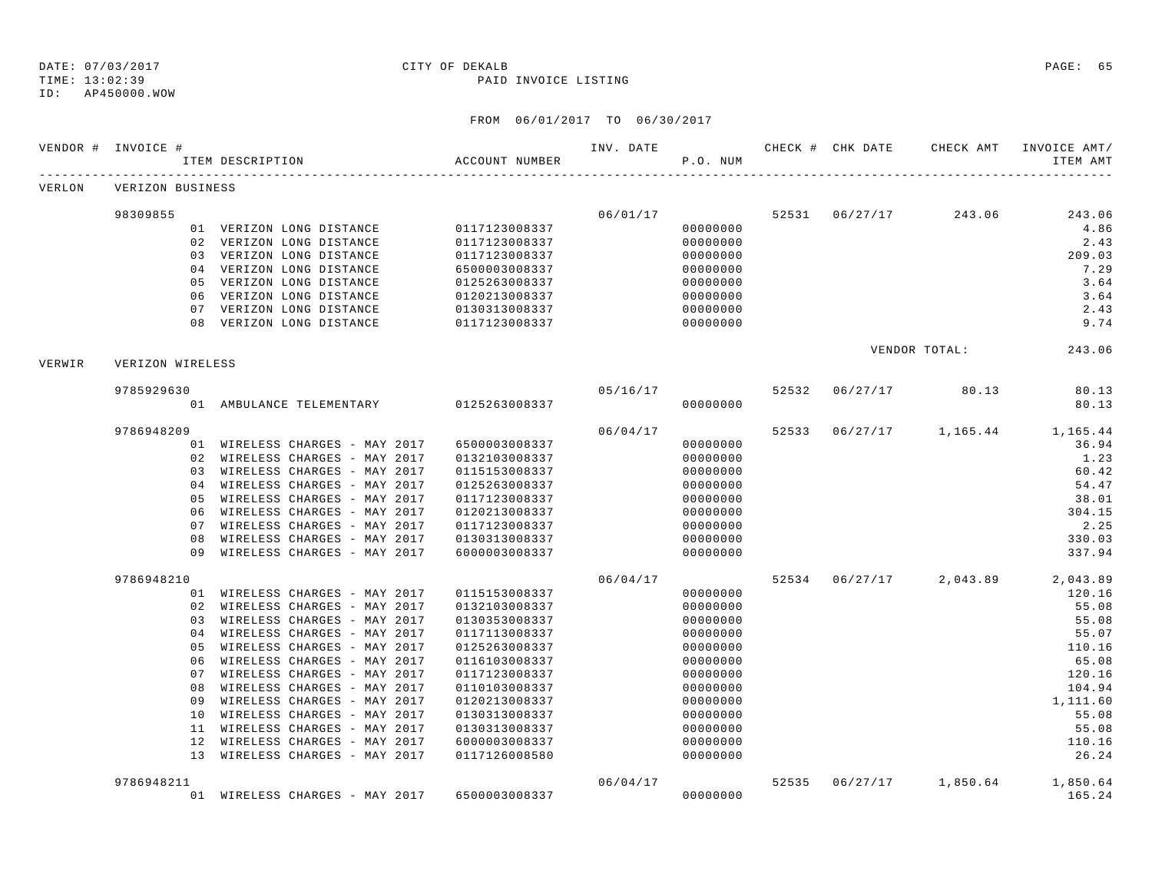TIME: 13:02:39 PAID INVOICE LISTING

ID: AP450000.WOW

|        | VENDOR # INVOICE # | ITEM DESCRIPTION                                                 | ACCOUNT NUMBER                 | INV. DATE | P.O. NUM             |       |                | CHECK # CHK DATE CHECK AMT | INVOICE AMT/<br>ITEM AMT |
|--------|--------------------|------------------------------------------------------------------|--------------------------------|-----------|----------------------|-------|----------------|----------------------------|--------------------------|
| VERLON | VERIZON BUSINESS   |                                                                  |                                |           |                      |       |                |                            |                          |
|        | 98309855           |                                                                  |                                | 06/01/17  |                      |       | 52531 06/27/17 | 243.06                     | 243.06                   |
|        |                    | 01 VERIZON LONG DISTANCE                                         | 0117123008337                  |           | 00000000             |       |                |                            | 4.86                     |
|        |                    | 02 VERIZON LONG DISTANCE                                         | 0117123008337                  |           | 00000000             |       |                |                            | 2.43                     |
|        |                    | 03 VERIZON LONG DISTANCE                                         | 0117123008337                  |           | 00000000             |       |                |                            | 209.03                   |
|        |                    | 04 VERIZON LONG DISTANCE                                         | 6500003008337                  |           | 00000000             |       |                |                            | 7.29                     |
|        |                    | 05 VERIZON LONG DISTANCE                                         | 0125263008337                  |           | 00000000             |       |                |                            | 3.64                     |
|        |                    | 06 VERIZON LONG DISTANCE                                         | 0120213008337                  |           | 00000000             |       |                |                            | 3.64                     |
|        |                    | 07 VERIZON LONG DISTANCE                                         | 0130313008337                  |           | 00000000             |       |                |                            | 2.43                     |
|        |                    | 08 VERIZON LONG DISTANCE                                         | 0117123008337                  |           | 00000000             |       |                |                            | 9.74                     |
| VERWIR | VERIZON WIRELESS   |                                                                  |                                |           |                      |       |                | VENDOR TOTAL:              | 243.06                   |
|        | 9785929630         |                                                                  |                                | 05/16/17  |                      | 52532 | 06/27/17       | 80.13                      | 80.13                    |
|        |                    | 01 AMBULANCE TELEMENTARY 0125263008337                           |                                |           | 00000000             |       |                |                            | 80.13                    |
|        | 9786948209         |                                                                  |                                | 06/04/17  |                      | 52533 |                | 06/27/17 1,165.44          | 1,165.44                 |
|        |                    | 01 WIRELESS CHARGES - MAY 2017                                   | 6500003008337                  |           | 00000000             |       |                |                            | 36.94                    |
|        |                    | 02 WIRELESS CHARGES - MAY 2017                                   | 0132103008337                  |           | 00000000             |       |                |                            | 1.23                     |
|        |                    | 03 WIRELESS CHARGES - MAY 2017                                   | 0115153008337                  |           | 00000000             |       |                |                            | 60.42                    |
|        |                    | 04 WIRELESS CHARGES - MAY 2017                                   | 0125263008337                  |           | 00000000             |       |                |                            | 54.47                    |
|        |                    | 05 WIRELESS CHARGES - MAY 2017                                   | 0117123008337                  |           | 00000000             |       |                |                            | 38.01                    |
|        | 06                 | WIRELESS CHARGES - MAY 2017                                      | 0120213008337                  |           | 00000000             |       |                |                            | 304.15                   |
|        |                    | 07 WIRELESS CHARGES - MAY 2017                                   | 0117123008337                  |           | 00000000             |       |                |                            | 2.25                     |
|        | 08                 | WIRELESS CHARGES - MAY 2017                                      | 0130313008337                  |           | 00000000             |       |                |                            | 330.03                   |
|        |                    | 09 WIRELESS CHARGES - MAY 2017                                   | 6000003008337                  |           | 00000000             |       |                |                            | 337.94                   |
|        | 9786948210         |                                                                  |                                | 06/04/17  |                      |       |                | 52534 06/27/17 2,043.89    | 2,043.89                 |
|        |                    | 01 WIRELESS CHARGES - MAY 2017                                   | 0115153008337                  |           | 00000000             |       |                |                            | 120.16                   |
|        |                    | 02 WIRELESS CHARGES - MAY 2017<br>03 WIRELESS CHARGES - MAY 2017 | 0132103008337<br>0130353008337 |           | 00000000<br>00000000 |       |                |                            | 55.08<br>55.08           |
|        |                    | 04 WIRELESS CHARGES - MAY 2017                                   | 0117113008337                  |           | 00000000             |       |                |                            | 55.07                    |
|        |                    | 05 WIRELESS CHARGES - MAY 2017                                   | 0125263008337                  |           | 00000000             |       |                |                            | 110.16                   |
|        |                    | 06 WIRELESS CHARGES - MAY 2017                                   | 0116103008337                  |           | 00000000             |       |                |                            | 65.08                    |
|        | 07                 | WIRELESS CHARGES - MAY 2017                                      | 0117123008337                  |           | 00000000             |       |                |                            | 120.16                   |
|        | 08                 | WIRELESS CHARGES - MAY 2017                                      | 0110103008337                  |           | 00000000             |       |                |                            | 104.94                   |
|        | 09                 | WIRELESS CHARGES - MAY 2017                                      | 0120213008337                  |           | 00000000             |       |                |                            | 1,111.60                 |
|        |                    | 10 WIRELESS CHARGES - MAY 2017                                   | 0130313008337                  |           | 00000000             |       |                |                            | 55.08                    |
|        |                    | 11 WIRELESS CHARGES - MAY 2017                                   | 0130313008337                  |           | 00000000             |       |                |                            | 55.08                    |
|        |                    | 12 WIRELESS CHARGES - MAY 2017                                   | 6000003008337                  |           | 00000000             |       |                |                            | 110.16                   |
|        |                    | 13 WIRELESS CHARGES - MAY 2017                                   | 0117126008580                  |           | 00000000             |       |                |                            | 26.24                    |
|        | 9786948211         |                                                                  |                                | 06/04/17  |                      | 52535 | 06/27/17       |                            | 1,850.64 1,850.64        |
|        |                    | 01 WIRELESS CHARGES - MAY 2017                                   | 6500003008337                  |           | 00000000             |       |                |                            | 165.24                   |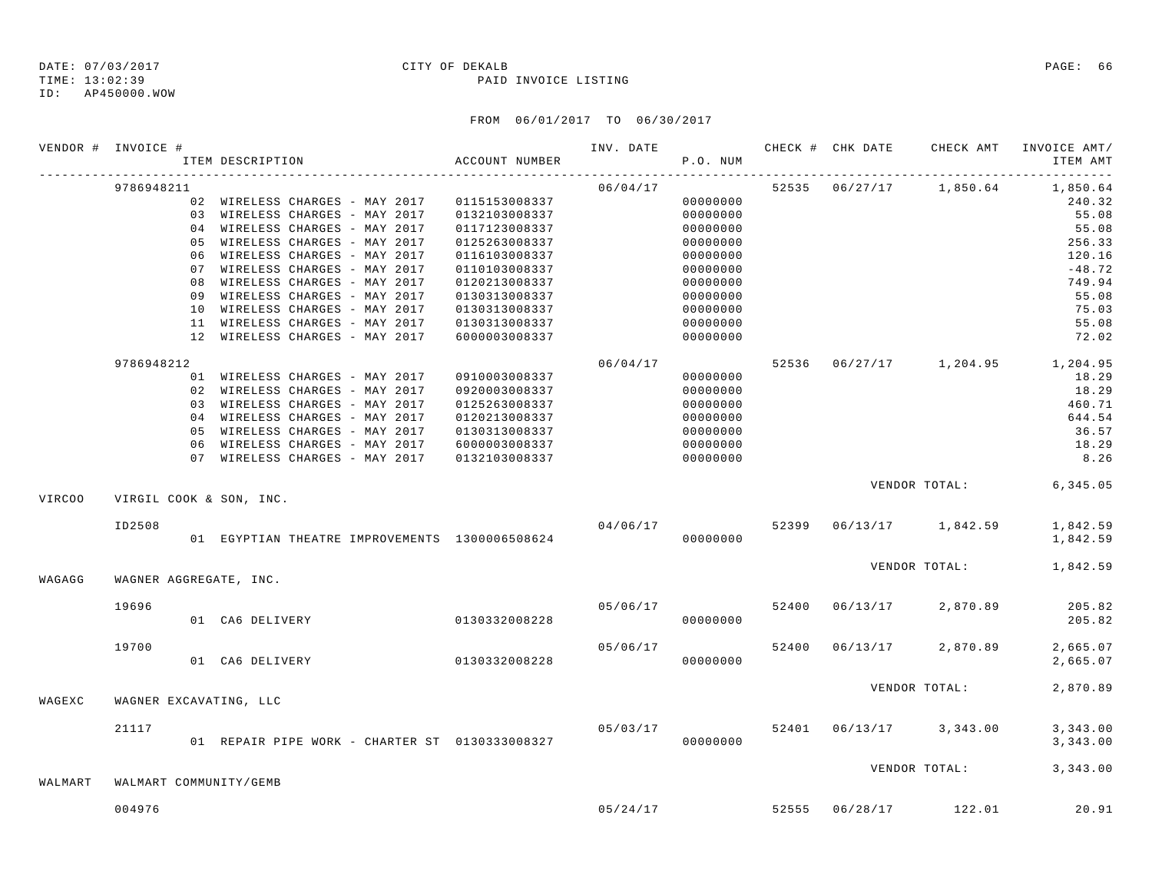### TIME: 13:02:39 PAID INVOICE LISTING

ID: AP450000.WOW

|                                                                    |                         | ITEM DESCRIPTION                               | ACCOUNT NUMBER |                                      | P.O. NUM |  |                                    | ITEM AMT<br>-----------------    |
|--------------------------------------------------------------------|-------------------------|------------------------------------------------|----------------|--------------------------------------|----------|--|------------------------------------|----------------------------------|
|                                                                    | 9786948211              |                                                |                | 06/04/17                             |          |  | 52535 06/27/17 1,850.64            | 1,850.64                         |
| VENDOR # INVOICE #<br><b>VIRCOO</b><br>WAGAGG<br>WAGEXC<br>WALMART |                         | 02 WIRELESS CHARGES - MAY 2017 0115153008337   |                |                                      | 00000000 |  |                                    | 240.32                           |
|                                                                    |                         | 03 WIRELESS CHARGES - MAY 2017                 | 0132103008337  |                                      | 00000000 |  |                                    | 55.08                            |
|                                                                    |                         | 04 WIRELESS CHARGES - MAY 2017                 | 0117123008337  |                                      | 00000000 |  |                                    | 55.08                            |
|                                                                    |                         | 05 WIRELESS CHARGES - MAY 2017                 | 0125263008337  |                                      | 00000000 |  |                                    | 256.33                           |
|                                                                    |                         | 06 WIRELESS CHARGES - MAY 2017                 | 0116103008337  |                                      | 00000000 |  |                                    | 120.16                           |
|                                                                    |                         | 07 WIRELESS CHARGES - MAY 2017                 | 0110103008337  |                                      | 00000000 |  |                                    | $-48.72$                         |
|                                                                    |                         | 08 WIRELESS CHARGES - MAY 2017                 | 0120213008337  |                                      | 00000000 |  |                                    | 749.94                           |
|                                                                    |                         | 09 WIRELESS CHARGES - MAY 2017                 | 0130313008337  |                                      | 00000000 |  |                                    | 55.08                            |
|                                                                    |                         | 10 WIRELESS CHARGES - MAY 2017                 | 0130313008337  |                                      | 00000000 |  |                                    | 75.03                            |
|                                                                    |                         | 11 WIRELESS CHARGES - MAY 2017                 | 0130313008337  |                                      | 00000000 |  |                                    | 55.08                            |
|                                                                    |                         | 12 WIRELESS CHARGES - MAY 2017                 | 6000003008337  |                                      | 00000000 |  |                                    | 72.02                            |
|                                                                    | 9786948212              |                                                |                | 06/04/17                             |          |  |                                    | 52536 06/27/17 1,204.95 1,204.95 |
|                                                                    |                         | 01 WIRELESS CHARGES - MAY 2017                 | 0910003008337  |                                      | 00000000 |  |                                    | 18.29                            |
|                                                                    |                         | 02 WIRELESS CHARGES - MAY 2017                 | 0920003008337  |                                      | 00000000 |  |                                    | 18.29                            |
|                                                                    |                         | 03 WIRELESS CHARGES - MAY 2017                 | 0125263008337  |                                      | 00000000 |  |                                    | 460.71                           |
|                                                                    |                         | 04 WIRELESS CHARGES - MAY 2017                 | 0120213008337  |                                      | 00000000 |  |                                    | 644.54                           |
|                                                                    |                         | 05 WIRELESS CHARGES - MAY 2017                 | 0130313008337  |                                      | 00000000 |  |                                    | 36.57                            |
|                                                                    |                         | 06 WIRELESS CHARGES - MAY 2017                 | 6000003008337  |                                      | 00000000 |  |                                    | 18.29                            |
|                                                                    |                         | 07 WIRELESS CHARGES - MAY 2017                 | 0132103008337  |                                      | 00000000 |  |                                    | 8.26                             |
|                                                                    | VIRGIL COOK & SON, INC. |                                                |                |                                      |          |  |                                    | VENDOR TOTAL: 6,345.05           |
|                                                                    | ID2508                  |                                                |                |                                      |          |  | $04/06/17$ 52399 06/13/17 1,842.59 | 1,842.59                         |
|                                                                    |                         | 01 EGYPTIAN THEATRE IMPROVEMENTS 1300006508624 |                |                                      | 00000000 |  |                                    | 1,842.59                         |
|                                                                    |                         |                                                |                |                                      |          |  |                                    | VENDOR TOTAL: 1,842.59           |
|                                                                    | WAGNER AGGREGATE, INC.  |                                                |                |                                      |          |  |                                    |                                  |
|                                                                    | 19696                   | 01 CA6 DELIVERY 0130332008228                  |                | 05/06/17                             |          |  | 52400 06/13/17 2,870.89            | 205.82                           |
|                                                                    |                         |                                                |                |                                      | 00000000 |  |                                    | 205.82                           |
|                                                                    | 19700                   |                                                | 0130332008228  | 05/06/17                             |          |  | 52400 06/13/17 2,870.89            | 2,665.07                         |
|                                                                    |                         | 01 CA6 DELIVERY                                |                |                                      | 00000000 |  |                                    | 2,665.07                         |
|                                                                    | WAGNER EXCAVATING, LLC  |                                                |                |                                      |          |  | VENDOR TOTAL:                      | 2,870.89                         |
|                                                                    |                         |                                                |                |                                      |          |  |                                    |                                  |
|                                                                    | 21117                   | 01 REPAIR PIPE WORK - CHARTER ST 0130333008327 |                | $05/03/17$ 52401 $06/13/17$ 3,343.00 | 00000000 |  |                                    | 3,343.00<br>3,343.00             |
|                                                                    |                         |                                                |                |                                      |          |  |                                    |                                  |
|                                                                    | WALMART COMMUNITY/GEMB  |                                                |                |                                      |          |  |                                    | VENDOR TOTAL: 3,343.00           |
|                                                                    |                         |                                                |                |                                      |          |  |                                    |                                  |
|                                                                    | 004976                  |                                                |                |                                      |          |  | $05/24/17$ 52555 $06/28/17$ 122.01 | 20.91                            |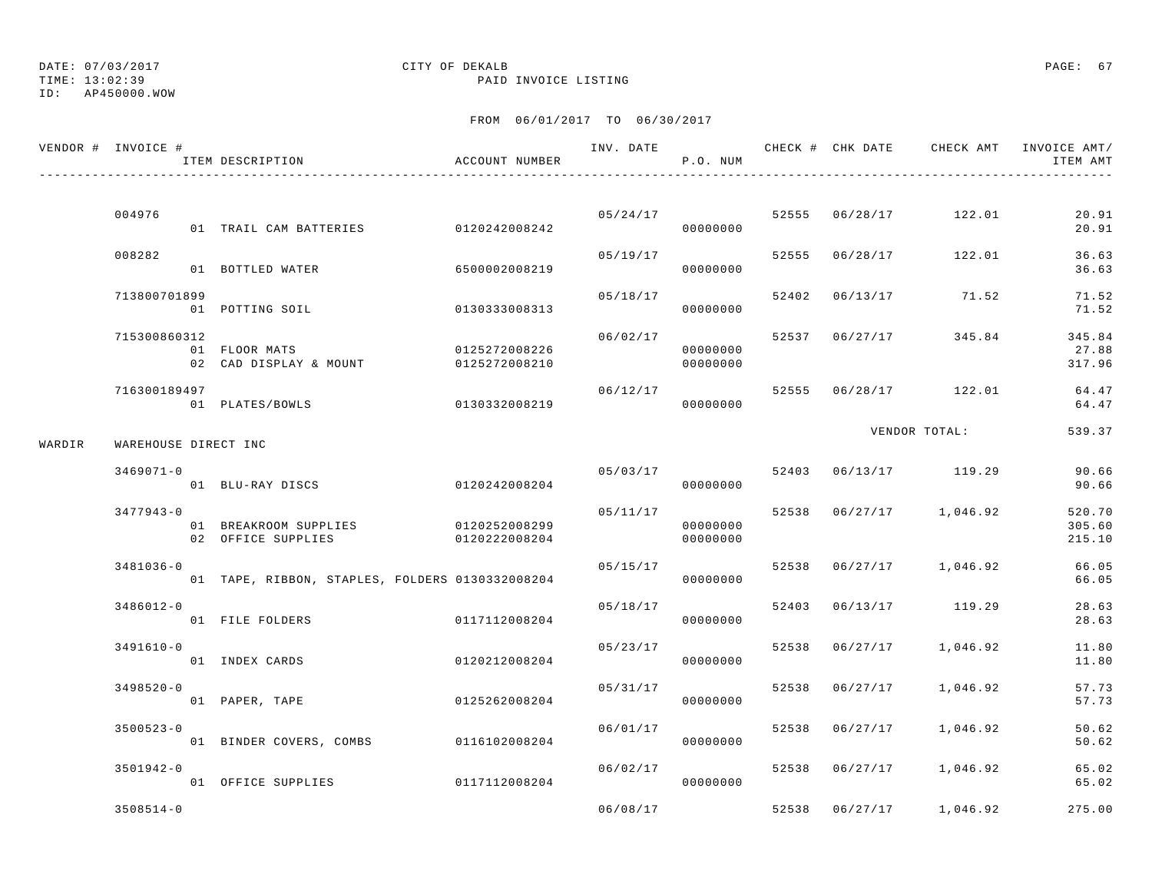## DATE: 07/03/2017 CITY OF DEKALB PAGE: 67

TIME: 13:02:39 PAID INVOICE LISTING

|        | VENDOR # INVOICE #   | ITEM DESCRIPTION                                | ACCOUNT NUMBER                 | INV. DATE | P.O. NUM             |       |                |                         | CHECK # CHK DATE     CHECK AMT    INVOICE AMT /<br>ITEM AMT |
|--------|----------------------|-------------------------------------------------|--------------------------------|-----------|----------------------|-------|----------------|-------------------------|-------------------------------------------------------------|
|        |                      |                                                 |                                |           |                      |       |                |                         |                                                             |
|        | 004976               | 01 TRAIL CAM BATTERIES                          | 0120242008242                  |           | 05/24/17<br>00000000 |       | 52555 06/28/17 | 122.01                  | 20.91<br>20.91                                              |
|        | 008282               | 01 BOTTLED WATER                                | 6500002008219                  | 05/19/17  | 00000000             |       |                | 52555 06/28/17 122.01   | 36.63<br>36.63                                              |
|        | 713800701899         | 01 POTTING SOIL                                 | 0130333008313                  | 05/18/17  | 00000000             | 52402 | 06/13/17       | 71.52                   | 71.52<br>71.52                                              |
|        | 715300860312         | 01 FLOOR MATS<br>02 CAD DISPLAY & MOUNT         | 0125272008226<br>0125272008210 | 06/02/17  | 00000000<br>00000000 |       | 52537 06/27/17 | 345.84                  | 345.84<br>27.88<br>317.96                                   |
|        | 716300189497         | 01 PLATES/BOWLS                                 | 0130332008219                  | 06/12/17  | 00000000             |       |                | 52555 06/28/17 122.01   | 64.47<br>64.47                                              |
| WARDIR | WAREHOUSE DIRECT INC |                                                 |                                |           |                      |       |                | VENDOR TOTAL:           | 539.37                                                      |
|        | $3469071 - 0$        | 01 BLU-RAY DISCS                                | 0120242008204                  |           | 05/03/17<br>00000000 |       |                | 52403 06/13/17 119.29   | 90.66<br>90.66                                              |
|        | $3477943 - 0$        | 01 BREAKROOM SUPPLIES<br>02 OFFICE SUPPLIES     | 0120252008299<br>0120222008204 | 05/11/17  | 00000000<br>00000000 |       |                | 52538 06/27/17 1,046.92 | 520.70<br>305.60<br>215.10                                  |
|        | $3481036 - 0$        | 01 TAPE, RIBBON, STAPLES, FOLDERS 0130332008204 |                                | 05/15/17  | 00000000             |       |                | 52538 06/27/17 1,046.92 | 66.05<br>66.05                                              |
|        | $3486012 - 0$        | 01 FILE FOLDERS                                 | 0117112008204                  | 05/18/17  | 00000000             | 52403 |                | 06/13/17 119.29         | 28.63<br>28.63                                              |
|        | $3491610 - 0$        | 01 INDEX CARDS                                  | 0120212008204                  | 05/23/17  | 00000000             | 52538 | 06/27/17       | 1,046.92                | 11.80<br>11.80                                              |
|        | $3498520 - 0$        | 01 PAPER, TAPE                                  | 0125262008204                  | 05/31/17  | 00000000             | 52538 | 06/27/17       | 1,046.92                | 57.73<br>57.73                                              |
|        | $3500523 - 0$        | 01 BINDER COVERS, COMBS 0116102008204           |                                | 06/01/17  | 00000000             | 52538 | 06/27/17       | 1,046.92                | 50.62<br>50.62                                              |
|        | $3501942 - 0$        | 01 OFFICE SUPPLIES                              | 0117112008204                  | 06/02/17  | 00000000             |       | 52538 06/27/17 | 1,046.92                | 65.02<br>65.02                                              |
|        | $3508514 - 0$        |                                                 |                                | 06/08/17  |                      |       | 52538 06/27/17 | 1,046.92                | 275.00                                                      |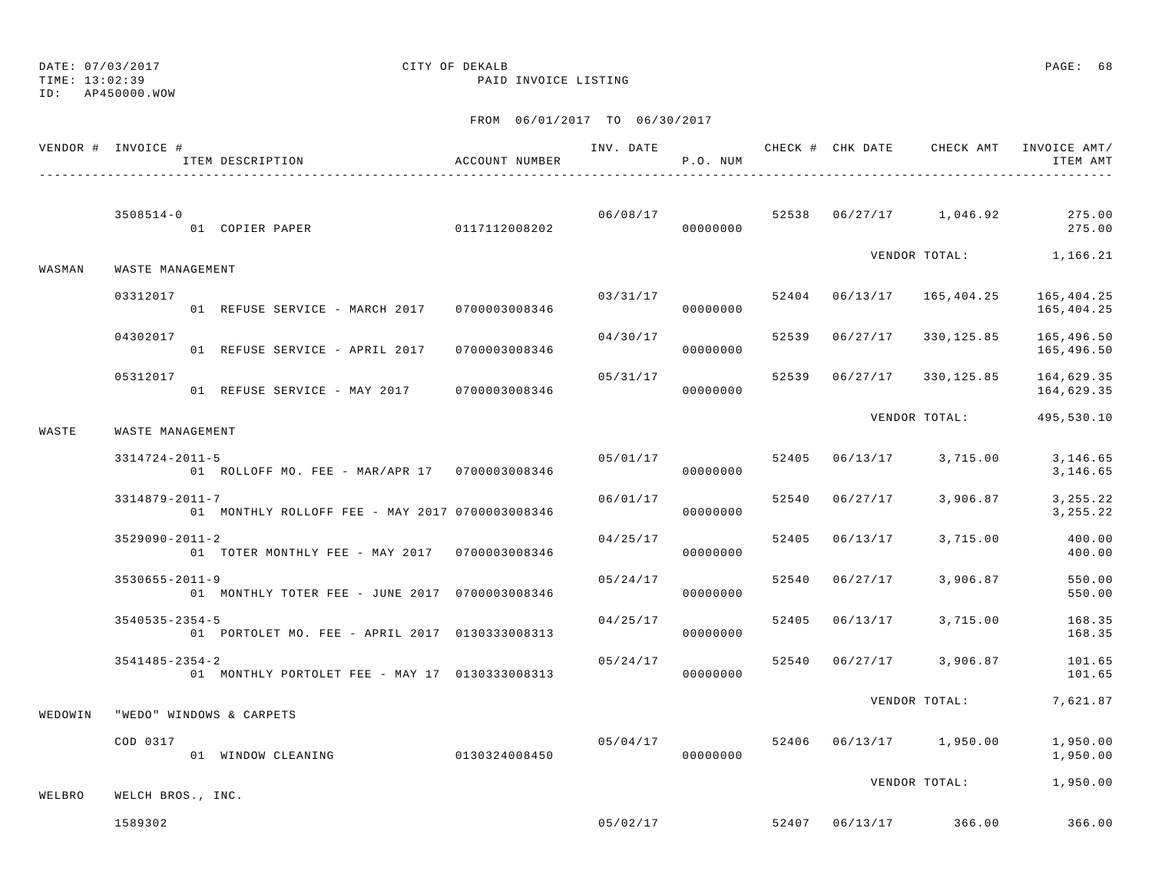### DATE: 07/03/2017 CITY OF DEKALB PAGE: 68

TIME: 13:02:39 PAID INVOICE LISTING

|         | VENDOR # INVOICE #   | ITEM DESCRIPTION                                | ACCOUNT NUMBER |                | P.O. NUM  |       |                |                                    | ITEM AMT                                                    |
|---------|----------------------|-------------------------------------------------|----------------|----------------|-----------|-------|----------------|------------------------------------|-------------------------------------------------------------|
|         | $3508514 - 0$        |                                                 |                |                | 000000000 |       |                |                                    | $06/08/17$ $52538$ $06/27/17$ $1,046.92$ $275.00$<br>275.00 |
| WASMAN  | WASTE MANAGEMENT     |                                                 |                |                |           |       |                |                                    | VENDOR TOTAL: 1,166.21                                      |
|         | 03312017             | 01 REFUSE SERVICE - MARCH 2017 0700003008346    |                | 03/31/17       | 00000000  |       |                |                                    | $52404$ $06/13/17$ $165,404.25$ $165,404.25$<br>165,404.25  |
|         | 04302017             | 01 REFUSE SERVICE - APRIL 2017 0700003008346    |                | 04/30/17       | 00000000  |       | 52539 06/27/17 |                                    | 330, 125.85 165, 496.50<br>165,496.50                       |
|         | 05312017             | 01 REFUSE SERVICE - MAY 2017 0700003008346      |                | 05/31/17       | 00000000  |       |                |                                    | 52539  06/27/17  330,125.85  164,629.35<br>164,629.35       |
| WASTE   | WASTE MANAGEMENT     |                                                 |                |                |           |       |                |                                    | VENDOR TOTAL: 495,530.10                                    |
|         | $3314724 - 2011 - 5$ | 01 ROLLOFF MO. FEE - MAR/APR 17 0700003008346   |                | 05/01/17 52405 | 00000000  |       |                | $06/13/17$ 3, 715.00               | 3,146.65<br>3,146.65                                        |
|         | 3314879-2011-7       | 01 MONTHLY ROLLOFF FEE - MAY 2017 0700003008346 |                | 06/01/17       | 00000000  |       |                | 52540 06/27/17 3,906.87            | 3, 255. 22<br>3, 255. 22                                    |
|         | $3529090 - 2011 - 2$ | 01 TOTER MONTHLY FEE - MAY 2017 0700003008346   |                | 04/25/17       | 00000000  |       |                | 52405 06/13/17 3,715.00            | 400.00<br>400.00                                            |
|         | $3530655 - 2011 - 9$ | 01 MONTHLY TOTER FEE - JUNE 2017 0700003008346  |                | 05/24/17       | 00000000  |       |                | 52540 06/27/17 3,906.87            | 550.00<br>550.00                                            |
|         | $3540535 - 2354 - 5$ | 01 PORTOLET MO. FEE - APRIL 2017 0130333008313  |                | 04/25/17       | 00000000  | 52405 |                | 06/13/17 3,715.00                  | 168.35<br>168.35                                            |
|         | $3541485 - 2354 - 2$ | 01 MONTHLY PORTOLET FEE - MAY 17 0130333008313  |                | 05/24/17       | 00000000  |       |                |                                    | 52540 06/27/17 3,906.87 101.65<br>101.65                    |
| WEDOWIN |                      | "WEDO" WINDOWS & CARPETS                        |                |                |           |       |                | VENDOR TOTAL:                      | 7,621.87                                                    |
|         | COD 0317             | 01 WINDOW CLEANING                              | 0130324008450  |                | 00000000  |       |                | $05/04/17$ 52406 06/13/17 1,950.00 | 1,950.00<br>1,950.00                                        |
| WELBRO  | WELCH BROS., INC.    |                                                 |                |                |           |       |                |                                    | VENDOR TOTAL: 1,950.00                                      |
|         | 1589302              |                                                 |                |                |           |       |                | $05/02/17$ 52407 06/13/17 366.00   | 366.00                                                      |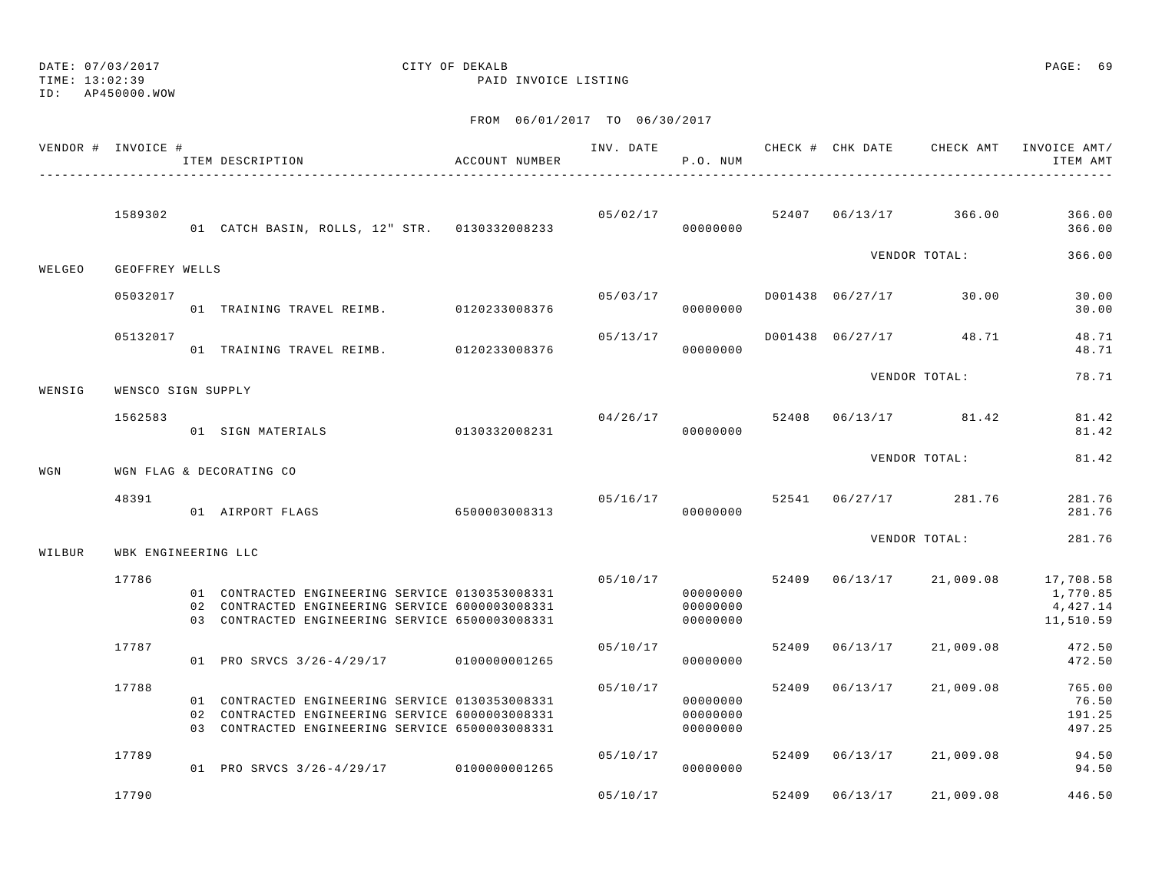# DATE: 07/03/2017 CITY OF DEKALB PAGE: 69

TIME: 13:02:39 PAID INVOICE LISTING

|        | VENDOR # INVOICE #  | ITEM DESCRIPTION                                                                                                                                      | ACCOUNT NUMBER |          | P.O. NUM                         |       |                |                                    | INVOICE AMT/<br>ITEM AMT                                                         |
|--------|---------------------|-------------------------------------------------------------------------------------------------------------------------------------------------------|----------------|----------|----------------------------------|-------|----------------|------------------------------------|----------------------------------------------------------------------------------|
|        | 1589302             |                                                                                                                                                       |                |          |                                  |       |                | $05/02/17$ 52407 06/13/17 366.00   | 366.00<br>366.00                                                                 |
| WELGEO | GEOFFREY WELLS      |                                                                                                                                                       |                |          |                                  |       |                | VENDOR TOTAL:                      | 366.00                                                                           |
|        | 05032017            | 01 TRAINING TRAVEL REIMB. 0120233008376                                                                                                               |                |          | 00000000                         |       |                | $0.503/17$ 0.001438 06/27/17 30.00 | 30.00<br>30.00                                                                   |
|        | 05132017            | 01 TRAINING TRAVEL REIMB. 0120233008376                                                                                                               |                | 05/13/17 | 00000000                         |       |                | D001438 06/27/17 48.71             | 48.71<br>48.71                                                                   |
| WENSIG | WENSCO SIGN SUPPLY  |                                                                                                                                                       |                |          |                                  |       |                | VENDOR TOTAL:                      | 78.71                                                                            |
|        | 1562583             | 01 SIGN MATERIALS 0130332008231                                                                                                                       |                |          | 00000000                         |       |                | $04/26/17$ 52408 06/13/17 81.42    | 81.42<br>81.42                                                                   |
| WGN    |                     | WGN FLAG & DECORATING CO                                                                                                                              |                |          |                                  |       |                | VENDOR TOTAL:                      | 81.42                                                                            |
|        | 48391               | 01 AIRPORT FLAGS                                                                                                                                      | 6500003008313  |          | 00000000                         |       |                | $05/16/17$ 52541 06/27/17 281.76   | 281.76<br>281.76                                                                 |
| WILBUR | WBK ENGINEERING LLC |                                                                                                                                                       |                |          |                                  |       |                | VENDOR TOTAL:                      | 281.76                                                                           |
|        | 17786               | 01 CONTRACTED ENGINEERING SERVICE 0130353008331<br>02 CONTRACTED ENGINEERING SERVICE 6000003008331<br>03 CONTRACTED ENGINEERING SERVICE 6500003008331 |                |          | 00000000<br>00000000<br>00000000 |       |                |                                    | 05/10/17 52409 06/13/17 21,009.08 17,708.58<br>1,770.85<br>4,427.14<br>11,510.59 |
|        | 17787               | 01 PRO SRVCS 3/26-4/29/17 0100000001265                                                                                                               |                | 05/10/17 | 00000000                         |       | 52409 06/13/17 | 21,009.08                          | 472.50<br>472.50                                                                 |
|        | 17788               | 01 CONTRACTED ENGINEERING SERVICE 0130353008331<br>02 CONTRACTED ENGINEERING SERVICE 6000003008331<br>03 CONTRACTED ENGINEERING SERVICE 6500003008331 |                | 05/10/17 | 00000000<br>00000000<br>00000000 |       |                | 52409 06/13/17 21,009.08           | 765.00<br>76.50<br>191.25<br>497.25                                              |
|        | 17789               | 01 PRO SRVCS 3/26-4/29/17 0100000001265                                                                                                               |                |          | 05/10/17<br>00000000             |       |                | 52409 06/13/17 21,009.08           | 94.50<br>94.50                                                                   |
|        | 17790               |                                                                                                                                                       |                | 05/10/17 |                                  | 52409 | 06/13/17       | 21,009.08                          | 446.50                                                                           |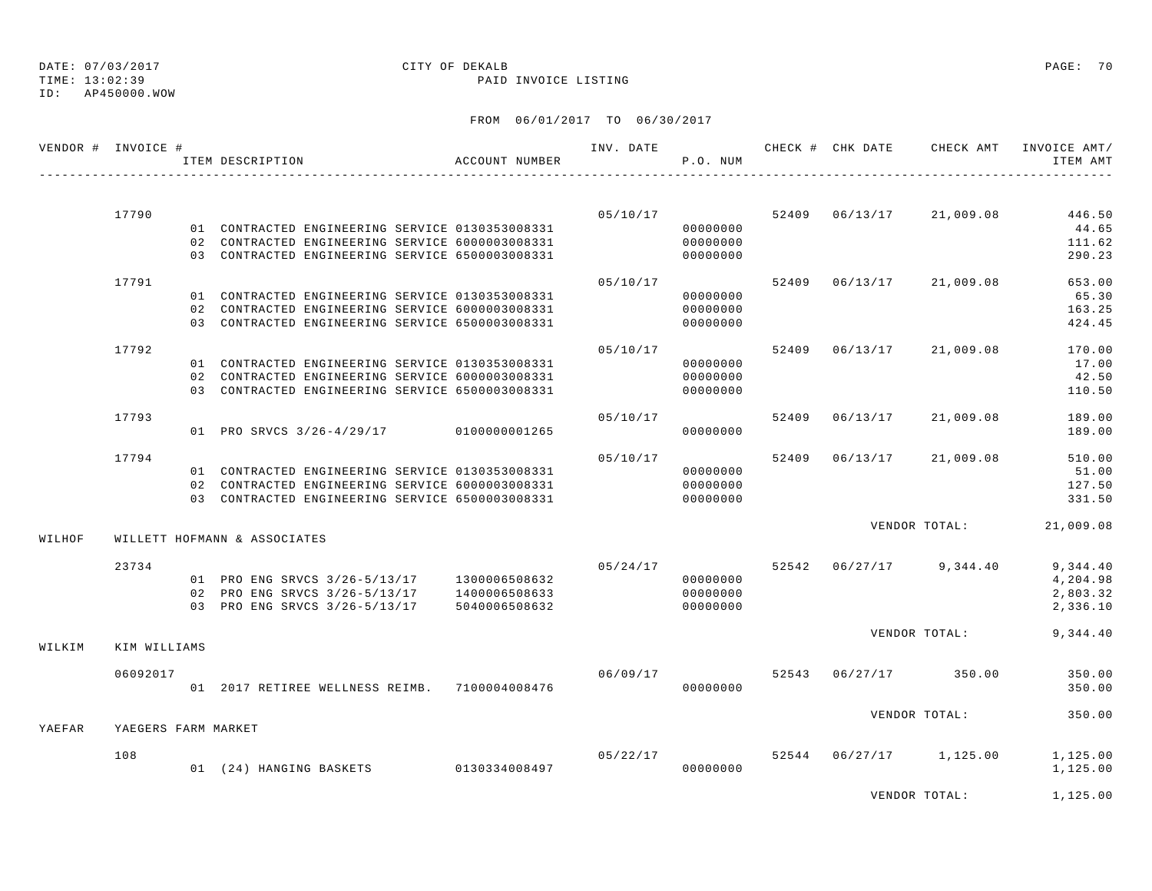### TIME: 13:02:39 PAID INVOICE LISTING ID: AP450000.WOW

### FROM 06/01/2017 TO 06/30/2017

| VENDOR # INVOICE # |                     | ITEM DESCRIPTION                                                                           | ACCOUNT NUMBER |                                    | P.O. NUM             |  | INV. DATE 6 CHECK # CHK DATE CHECK AMT INVOICE AMT/ | ITEM AMT             |
|--------------------|---------------------|--------------------------------------------------------------------------------------------|----------------|------------------------------------|----------------------|--|-----------------------------------------------------|----------------------|
|                    |                     |                                                                                            |                |                                    |                      |  |                                                     |                      |
|                    | 17790               |                                                                                            |                |                                    |                      |  | $05/10/17$ 52409 06/13/17 21,009.08                 | 446.50               |
|                    |                     | 01 CONTRACTED ENGINEERING SERVICE 0130353008331                                            |                |                                    | 00000000             |  |                                                     | 44.65                |
|                    |                     | 02 CONTRACTED ENGINEERING SERVICE 6000003008331                                            |                |                                    | 00000000             |  |                                                     | 111.62               |
|                    |                     | 03 CONTRACTED ENGINEERING SERVICE 6500003008331                                            |                |                                    | 00000000             |  |                                                     | 290.23               |
|                    | 17791               |                                                                                            |                | 05/10/17                           |                      |  | 52409 06/13/17 21,009.08                            | 653.00               |
|                    |                     | 01 CONTRACTED ENGINEERING SERVICE 0130353008331                                            |                |                                    | 00000000             |  |                                                     | 65.30                |
|                    |                     | 02 CONTRACTED ENGINEERING SERVICE 6000003008331                                            |                |                                    | 00000000             |  |                                                     | 163.25               |
|                    |                     | 03 CONTRACTED ENGINEERING SERVICE 6500003008331                                            |                |                                    | 00000000             |  |                                                     | 424.45               |
|                    | 17792               |                                                                                            |                | 05/10/17                           |                      |  | 52409 06/13/17 21,009.08                            | 170.00               |
|                    |                     | 01 CONTRACTED ENGINEERING SERVICE 0130353008331                                            |                |                                    | 00000000             |  |                                                     | 17.00                |
|                    |                     | 02 CONTRACTED ENGINEERING SERVICE 6000003008331                                            |                |                                    | 00000000             |  |                                                     | 42.50                |
|                    |                     | 03 CONTRACTED ENGINEERING SERVICE 6500003008331                                            |                |                                    | 00000000             |  |                                                     | 110.50               |
|                    | 17793               |                                                                                            |                | 05/10/17                           |                      |  | 52409 06/13/17 21,009.08                            | 189.00               |
|                    |                     | 01 PRO SRVCS 3/26-4/29/17 0100000001265                                                    |                |                                    | 00000000             |  |                                                     | 189.00               |
|                    | 17794               |                                                                                            |                | 05/10/17                           |                      |  | 52409 06/13/17 21,009.08                            | 510.00               |
|                    |                     | 01 CONTRACTED ENGINEERING SERVICE 0130353008331                                            |                |                                    | 00000000             |  |                                                     | 51.00                |
|                    |                     | 02 CONTRACTED ENGINEERING SERVICE 6000003008331                                            |                |                                    | 00000000             |  |                                                     | 127.50               |
|                    |                     | 03 CONTRACTED ENGINEERING SERVICE 6500003008331                                            |                | 00000000                           |                      |  |                                                     | 331.50               |
| WILHOF             |                     | WILLETT HOFMANN & ASSOCIATES                                                               |                |                                    |                      |  | VENDOR TOTAL:                                       | 21,009.08            |
|                    |                     |                                                                                            |                |                                    |                      |  |                                                     |                      |
|                    | 23734               |                                                                                            |                | 05/24/17                           |                      |  | $52542$ $06/27/17$ 9,344.40                         | 9,344.40             |
|                    |                     | 01 PRO ENG SRVCS 3/26-5/13/17 1300006508632                                                |                |                                    | 00000000             |  |                                                     | 4,204.98             |
|                    |                     | 02 PRO ENG SRVCS 3/26-5/13/17 1400006508633<br>03 PRO ENG SRVCS 3/26-5/13/17 5040006508632 |                |                                    | 00000000<br>00000000 |  |                                                     | 2,803.32<br>2,336.10 |
|                    |                     |                                                                                            |                |                                    |                      |  |                                                     |                      |
|                    |                     |                                                                                            |                |                                    |                      |  | VENDOR TOTAL:                                       | 9,344.40             |
| WILKIM             | KIM WILLIAMS        |                                                                                            |                |                                    |                      |  |                                                     |                      |
|                    | 06092017            |                                                                                            |                | $06/09/17$ 52543 $06/27/17$ 350.00 |                      |  |                                                     | 350.00               |
|                    |                     | 01  2017 RETIREE WELLNESS REIMB.  7100004008476                                            |                |                                    | 00000000             |  |                                                     | 350.00               |
|                    |                     |                                                                                            |                |                                    |                      |  | VENDOR TOTAL:                                       | 350.00               |
| YAEFAR             | YAEGERS FARM MARKET |                                                                                            |                |                                    |                      |  |                                                     |                      |
|                    | 108                 |                                                                                            |                |                                    |                      |  | $05/22/17$ 52544 06/27/17 1,125.00                  | 1,125.00             |
|                    |                     | 01 (24) HANGING BASKETS 0130334008497                                                      |                |                                    | 00000000             |  |                                                     | 1,125.00             |
|                    |                     |                                                                                            |                |                                    |                      |  |                                                     |                      |

VENDOR TOTAL: 1,125.00